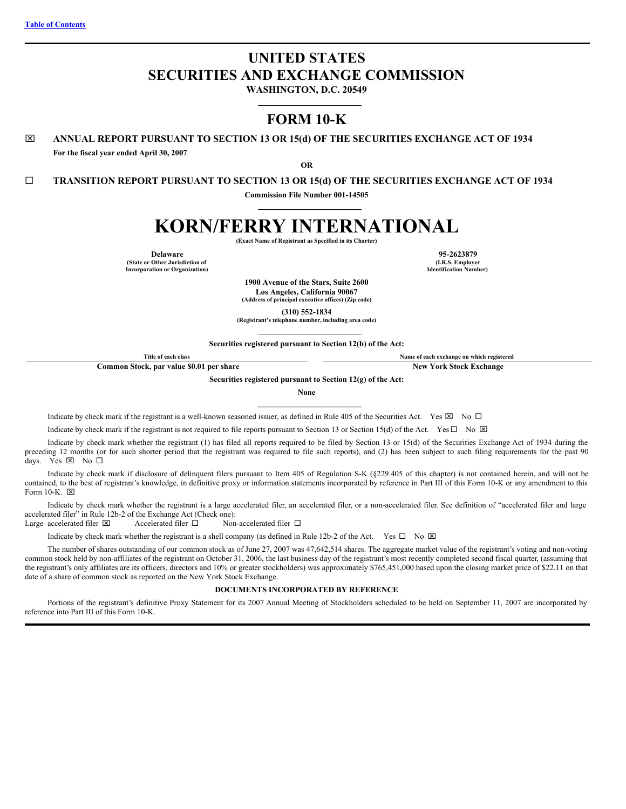# **UNITED STATES SECURITIES AND EXCHANGE COMMISSION**

**WASHINGTON, D.C. 20549**

# **FORM 10-K**

# x **ANNUAL REPORT PURSUANT TO SECTION 13 OR 15(d) OF THE SECURITIES EXCHANGE ACT OF 1934**

**For the fiscal year ended April 30, 2007**

**OR**

¨ **TRANSITION REPORT PURSUANT TO SECTION 13 OR 15(d) OF THE SECURITIES EXCHANGE ACT OF 1934**

**Commission File Number 001-14505**

# **KORN/FERRY INTERNATIONAL**

**(Exact Name of Registrant as Specified in its Charter)**

**Delaware 95-2623879 (State or Other Jurisdiction of Incorporation or Organization)**

**(I.R.S. Employer Identification Number)**

**1900 Avenue of the Stars, Suite 2600 Los Angeles, California 90067 (Address of principal executive offices) (Zip code)**

**(310) 552-1834**

**(Registrant's telephone number, including area code)**

**Securities registered pursuant to Section 12(b) of the Act:**

**Title of each class Name of each exchange on which registered**

**Common Stock, par value \$0.01 per share New York Stock Exchange**

**Securities registered pursuant to Section 12(g) of the Act:**

**None**

Indicate by check mark if the registrant is a well-known seasoned issuer, as defined in Rule 405 of the Securities Act. Yes  $\boxtimes$  No  $\Box$ 

Indicate by check mark if the registrant is not required to file reports pursuant to Section 13 or Section 15(d) of the Act. Yes  $\Box$  No  $\boxtimes$ 

Indicate by check mark whether the registrant (1) has filed all reports required to be filed by Section 13 or 15(d) of the Securities Exchange Act of 1934 during the preceding 12 months (or for such shorter period that the registrant was required to file such reports), and (2) has been subject to such filing requirements for the past 90 days. Yes  $\times$  No  $\Box$ 

Indicate by check mark if disclosure of delinquent filers pursuant to Item 405 of Regulation S-K (§229.405 of this chapter) is not contained herein, and will not be contained, to the best of registrant's knowledge, in definitive proxy or information statements incorporated by reference in Part III of this Form 10-K or any amendment to this Form  $10-K$   $\overline{X}$ 

Indicate by check mark whether the registrant is a large accelerated filer, an accelerated filer, or a non-accelerated filer. See definition of "accelerated filer and large accelerated filer" in Rule 12b-2 of the Exchange Act (Check one):

Large accelerated filer  $\boxtimes$  Accelerated filer  $\square$  Non-accelerated filer  $\square$ 

Indicate by check mark whether the registrant is a shell company (as defined in Rule 12b-2 of the Act. Yes  $\Box$  No  $\boxtimes$ 

The number of shares outstanding of our common stock as of June 27, 2007 was 47,642,514 shares. The aggregate market value of the registrant's voting and non-voting common stock held by non-affiliates of the registrant on October 31, 2006, the last business day of the registrant's most recently completed second fiscal quarter, (assuming that the registrant's only affiliates are its officers, directors and 10% or greater stockholders) was approximately \$765,451,000 based upon the closing market price of \$22.11 on that date of a share of common stock as reported on the New York Stock Exchange.

#### **DOCUMENTS INCORPORATED BY REFERENCE**

Portions of the registrant's definitive Proxy Statement for its 2007 Annual Meeting of Stockholders scheduled to be held on September 11, 2007 are incorporated by reference into Part III of this Form 10-K.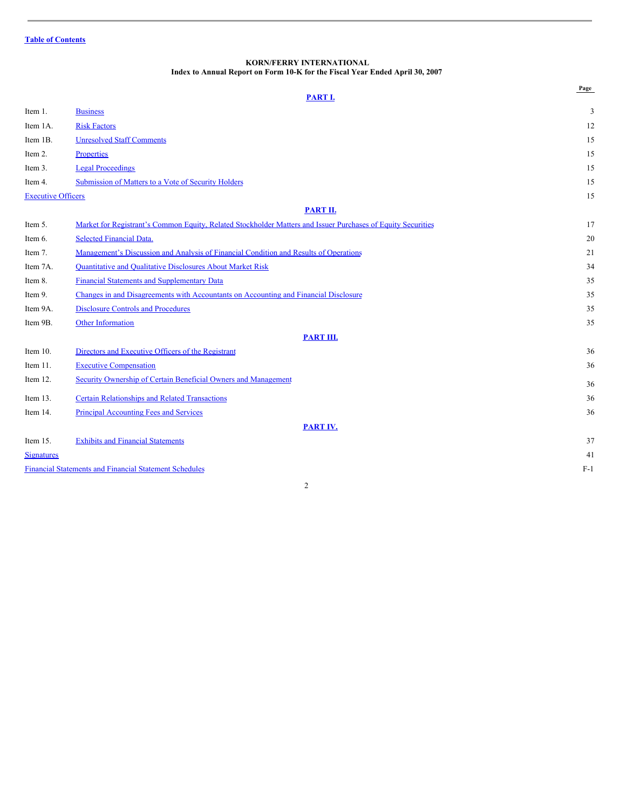# <span id="page-1-0"></span>**KORN/FERRY INTERNATIONAL Index to Annual Report on Form 10-K for the Fiscal Year Ended April 30, 2007**

|                           |                                                                                                              | Page  |
|---------------------------|--------------------------------------------------------------------------------------------------------------|-------|
|                           | PART I.                                                                                                      |       |
| Item 1.                   | <b>Business</b>                                                                                              | 3     |
| Item 1A.                  | <b>Risk Factors</b>                                                                                          | 12    |
| Item 1B.                  | <b>Unresolved Staff Comments</b>                                                                             | 15    |
| Item 2.                   | Properties                                                                                                   | 15    |
| Item 3.                   | <b>Legal Proceedings</b>                                                                                     | 15    |
| Item 4.                   | Submission of Matters to a Vote of Security Holders                                                          | 15    |
| <b>Executive Officers</b> |                                                                                                              | 15    |
|                           | PART II.                                                                                                     |       |
| Item 5.                   | Market for Registrant's Common Equity, Related Stockholder Matters and Issuer Purchases of Equity Securities | 17    |
| Item 6.                   | <b>Selected Financial Data.</b>                                                                              | 20    |
| Item 7.                   | Management's Discussion and Analysis of Financial Condition and Results of Operations                        | 21    |
| Item 7A.                  | <b>Quantitative and Qualitative Disclosures About Market Risk</b>                                            | 34    |
| Item 8.                   | <b>Financial Statements and Supplementary Data</b>                                                           | 35    |
| Item 9.                   | Changes in and Disagreements with Accountants on Accounting and Financial Disclosure                         | 35    |
| Item 9A.                  | <b>Disclosure Controls and Procedures</b>                                                                    | 35    |
| Item 9B.                  | Other Information                                                                                            | 35    |
|                           | PART III.                                                                                                    |       |
| Item 10.                  | Directors and Executive Officers of the Registrant                                                           | 36    |
| Item 11.                  | <b>Executive Compensation</b>                                                                                | 36    |
| Item 12.                  | Security Ownership of Certain Beneficial Owners and Management                                               | 36    |
| Item 13.                  | <b>Certain Relationships and Related Transactions</b>                                                        | 36    |
| Item 14.                  | <b>Principal Accounting Fees and Services</b>                                                                | 36    |
|                           | <b>PART IV.</b>                                                                                              |       |
| Item 15.                  | <b>Exhibits and Financial Statements</b>                                                                     | 37    |
| <b>Signatures</b>         |                                                                                                              | 41    |
|                           | <b>Financial Statements and Financial Statement Schedules</b>                                                | $F-1$ |
|                           |                                                                                                              |       |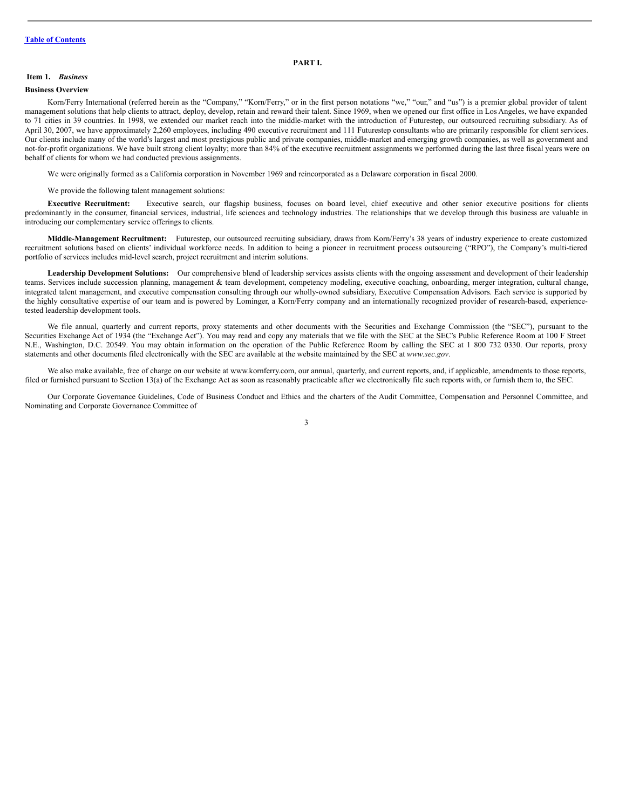# <span id="page-2-0"></span>**PART I.**

# <span id="page-2-1"></span>**Item 1.** *Business* **Business Overview**

Korn/Ferry International (referred herein as the "Company," "Korn/Ferry," or in the first person notations "we," "our," and "us") is a premier global provider of talent management solutions that help clients to attract, deploy, develop, retain and reward their talent. Since 1969, when we opened our first office in Los Angeles, we have expanded to 71 cities in 39 countries. In 1998, we extended our market reach into the middle-market with the introduction of Futurestep, our outsourced recruiting subsidiary. As of April 30, 2007, we have approximately 2,260 employees, including 490 executive recruitment and 111 Futurestep consultants who are primarily responsible for client services. Our clients include many of the world's largest and most prestigious public and private companies, middle-market and emerging growth companies, as well as government and not-for-profit organizations. We have built strong client loyalty; more than 84% of the executive recruitment assignments we performed during the last three fiscal years were on behalf of clients for whom we had conducted previous assignments.

We were originally formed as a California corporation in November 1969 and reincorporated as a Delaware corporation in fiscal 2000.

We provide the following talent management solutions:

**Executive Recruitment:** Executive search, our flagship business, focuses on board level, chief executive and other senior executive positions for clients predominantly in the consumer, financial services, industrial, life sciences and technology industries. The relationships that we develop through this business are valuable in introducing our complementary service offerings to clients.

**Middle-Management Recruitment:** Futurestep, our outsourced recruiting subsidiary, draws from Korn/Ferry's 38 years of industry experience to create customized recruitment solutions based on clients' individual workforce needs. In addition to being a pioneer in recruitment process outsourcing ("RPO"), the Company's multi-tiered portfolio of services includes mid-level search, project recruitment and interim solutions.

**Leadership Development Solutions:** Our comprehensive blend of leadership services assists clients with the ongoing assessment and development of their leadership teams. Services include succession planning, management & team development, competency modeling, executive coaching, onboarding, merger integration, cultural change, integrated talent management, and executive compensation consulting through our wholly-owned subsidiary, Executive Compensation Advisors. Each service is supported by the highly consultative expertise of our team and is powered by Lominger, a Korn/Ferry company and an internationally recognized provider of research-based, experiencetested leadership development tools.

We file annual, quarterly and current reports, proxy statements and other documents with the Securities and Exchange Commission (the "SEC"), pursuant to the Securities Exchange Act of 1934 (the "Exchange Act"). You may read and copy any materials that we file with the SEC at the SEC's Public Reference Room at 100 F Street N.E., Washington, D.C. 20549. You may obtain information on the operation of the Public Reference Room by calling the SEC at 1 800 732 0330. Our reports, proxy statements and other documents filed electronically with the SEC are available at the website maintained by the SEC at *www.sec.gov*.

We also make available, free of charge on our website at www.kornferry.com, our annual, quarterly, and current reports, and, if applicable, amendments to those reports, filed or furnished pursuant to Section 13(a) of the Exchange Act as soon as reasonably practicable after we electronically file such reports with, or furnish them to, the SEC.

Our Corporate Governance Guidelines, Code of Business Conduct and Ethics and the charters of the Audit Committee, Compensation and Personnel Committee, and Nominating and Corporate Governance Committee of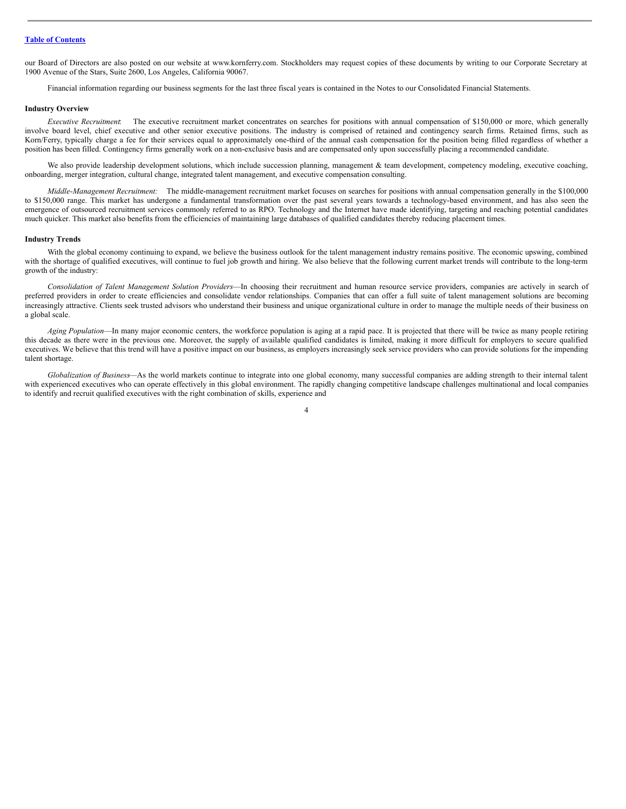our Board of Directors are also posted on our website at www.kornferry.com. Stockholders may request copies of these documents by writing to our Corporate Secretary at 1900 Avenue of the Stars, Suite 2600, Los Angeles, California 90067.

Financial information regarding our business segments for the last three fiscal years is contained in the Notes to our Consolidated Financial Statements.

#### **Industry Overview**

*Executive Recruitment*: The executive recruitment market concentrates on searches for positions with annual compensation of \$150,000 or more, which generally involve board level, chief executive and other senior executive positions. The industry is comprised of retained and contingency search firms. Retained firms, such as Korn/Ferry, typically charge a fee for their services equal to approximately one-third of the annual cash compensation for the position being filled regardless of whether a position has been filled. Contingency firms generally work on a non-exclusive basis and are compensated only upon successfully placing a recommended candidate.

We also provide leadership development solutions, which include succession planning, management & team development, competency modeling, executive coaching, onboarding, merger integration, cultural change, integrated talent management, and executive compensation consulting.

*Middle-Management Recruitment:* The middle-management recruitment market focuses on searches for positions with annual compensation generally in the \$100,000 to \$150,000 range. This market has undergone a fundamental transformation over the past several years towards a technology-based environment, and has also seen the emergence of outsourced recruitment services commonly referred to as RPO. Technology and the Internet have made identifying, targeting and reaching potential candidates much quicker. This market also benefits from the efficiencies of maintaining large databases of qualified candidates thereby reducing placement times.

# **Industry Trends**

With the global economy continuing to expand, we believe the business outlook for the talent management industry remains positive. The economic upswing, combined with the shortage of qualified executives, will continue to fuel job growth and hiring. We also believe that the following current market trends will contribute to the long-term growth of the industry:

*Consolidation of Talent Management Solution Providers*—In choosing their recruitment and human resource service providers, companies are actively in search of preferred providers in order to create efficiencies and consolidate vendor relationships. Companies that can offer a full suite of talent management solutions are becoming increasingly attractive. Clients seek trusted advisors who understand their business and unique organizational culture in order to manage the multiple needs of their business on a global scale.

*Aging Population*—In many major economic centers, the workforce population is aging at a rapid pace. It is projected that there will be twice as many people retiring this decade as there were in the previous one. Moreover, the supply of available qualified candidates is limited, making it more difficult for employers to secure qualified executives. We believe that this trend will have a positive impact on our business, as employers increasingly seek service providers who can provide solutions for the impending talent shortage.

*Globalization of Business*—As the world markets continue to integrate into one global economy, many successful companies are adding strength to their internal talent with experienced executives who can operate effectively in this global environment. The rapidly changing competitive landscape challenges multinational and local companies to identify and recruit qualified executives with the right combination of skills, experience and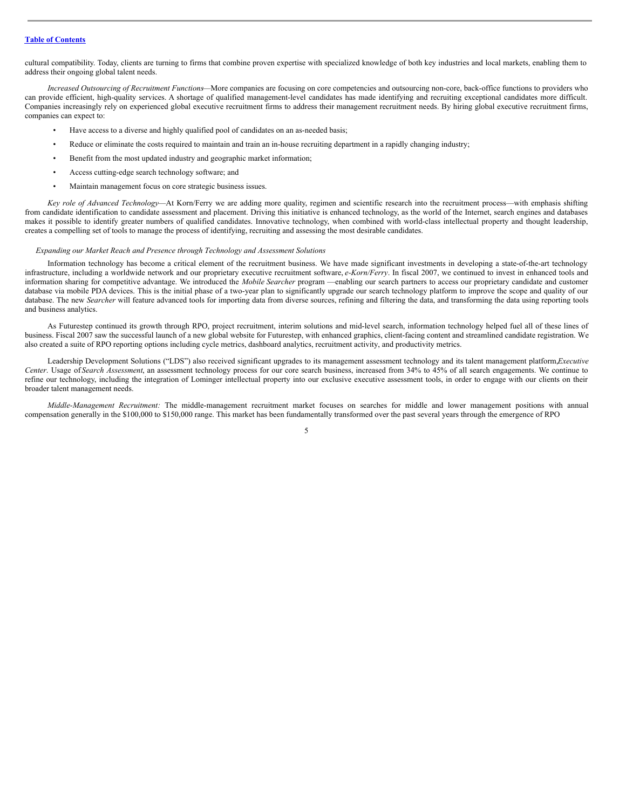cultural compatibility. Today, clients are turning to firms that combine proven expertise with specialized knowledge of both key industries and local markets, enabling them to address their ongoing global talent needs.

*Increased Outsourcing of Recruitment Functions*—More companies are focusing on core competencies and outsourcing non-core, back-office functions to providers who can provide efficient, high-quality services. A shortage of qualified management-level candidates has made identifying and recruiting exceptional candidates more difficult. Companies increasingly rely on experienced global executive recruitment firms to address their management recruitment needs. By hiring global executive recruitment firms, companies can expect to:

- Have access to a diverse and highly qualified pool of candidates on an as-needed basis;
- Reduce or eliminate the costs required to maintain and train an in-house recruiting department in a rapidly changing industry;
- Benefit from the most updated industry and geographic market information;
- Access cutting-edge search technology software; and
- Maintain management focus on core strategic business issues.

*Key role of Advanced Technology*—At Korn/Ferry we are adding more quality, regimen and scientific research into the recruitment process—with emphasis shifting from candidate identification to candidate assessment and placement. Driving this initiative is enhanced technology, as the world of the Internet, search engines and databases makes it possible to identify greater numbers of qualified candidates. Innovative technology, when combined with world-class intellectual property and thought leadership, creates a compelling set of tools to manage the process of identifying, recruiting and assessing the most desirable candidates.

# *Expanding our Market Reach and Presence through Technology and Assessment Solutions*

Information technology has become a critical element of the recruitment business. We have made significant investments in developing a state-of-the-art technology infrastructure, including a worldwide network and our proprietary executive recruitment software, *e-Korn/Ferry*. In fiscal 2007, we continued to invest in enhanced tools and information sharing for competitive advantage. We introduced the *Mobile Searcher* program —enabling our search partners to access our proprietary candidate and customer database via mobile PDA devices. This is the initial phase of a two-year plan to significantly upgrade our search technology platform to improve the scope and quality of our database. The new *Searcher* will feature advanced tools for importing data from diverse sources, refining and filtering the data, and transforming the data using reporting tools and business analytics.

As Futurestep continued its growth through RPO, project recruitment, interim solutions and mid-level search, information technology helped fuel all of these lines of business. Fiscal 2007 saw the successful launch of a new global website for Futurestep, with enhanced graphics, client-facing content and streamlined candidate registration. We also created a suite of RPO reporting options including cycle metrics, dashboard analytics, recruitment activity, and productivity metrics.

Leadership Development Solutions ("LDS") also received significant upgrades to its management assessment technology and its talent management platform,*Executive Center*. Usage of *Search Assessment*, an assessment technology process for our core search business, increased from 34% to 45% of all search engagements. We continue to refine our technology, including the integration of Lominger intellectual property into our exclusive executive assessment tools, in order to engage with our clients on their broader talent management needs.

*Middle-Management Recruitment:* The middle-management recruitment market focuses on searches for middle and lower management positions with annual compensation generally in the \$100,000 to \$150,000 range. This market has been fundamentally transformed over the past several years through the emergence of RPO

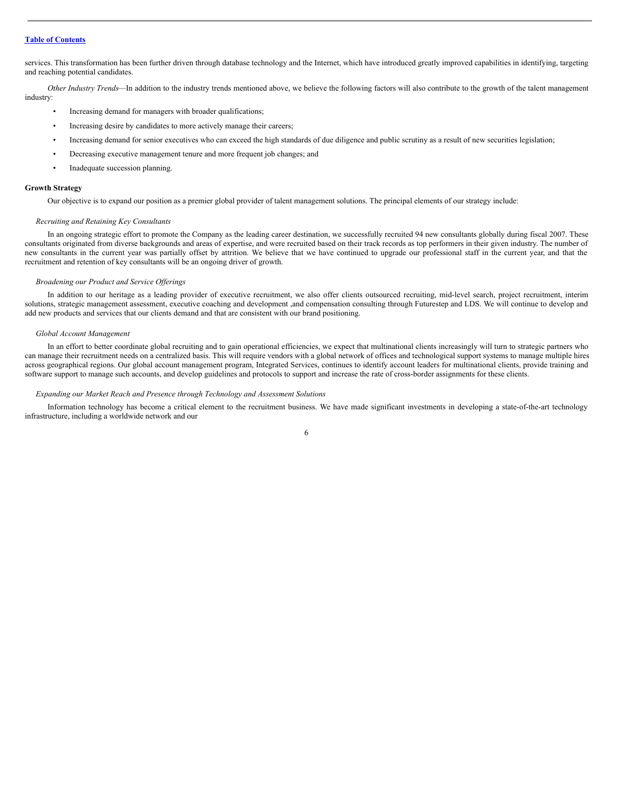services. This transformation has been further driven through database technology and the Internet, which have introduced greatly improved capabilities in identifying, targeting and reaching potential candidates.

*Other Industry Trends*—In addition to the industry trends mentioned above, we believe the following factors will also contribute to the growth of the talent management industry:

- Increasing demand for managers with broader qualifications;
- Increasing desire by candidates to more actively manage their careers;
- Increasing demand for senior executives who can exceed the high standards of due diligence and public scrutiny as a result of new securities legislation;
- Decreasing executive management tenure and more frequent job changes; and
- Inadequate succession planning.

#### **Growth Strategy**

Our objective is to expand our position as a premier global provider of talent management solutions. The principal elements of our strategy include:

#### *Recruiting and Retaining Key Consultants*

In an ongoing strategic effort to promote the Company as the leading career destination, we successfully recruited 94 new consultants globally during fiscal 2007. These consultants originated from diverse backgrounds and areas of expertise, and were recruited based on their track records as top performers in their given industry. The number of new consultants in the current year was partially offset by attrition. We believe that we have continued to upgrade our professional staff in the current year, and that the recruitment and retention of key consultants will be an ongoing driver of growth.

#### *Broadening our Product and Service Of erings*

In addition to our heritage as a leading provider of executive recruitment, we also offer clients outsourced recruiting, mid-level search, project recruitment, interim solutions, strategic management assessment, executive coaching and development ,and compensation consulting through Futurestep and LDS. We will continue to develop and add new products and services that our clients demand and that are consistent with our brand positioning.

#### *Global Account Management*

In an effort to better coordinate global recruiting and to gain operational efficiencies, we expect that multinational clients increasingly will turn to strategic partners who can manage their recruitment needs on a centralized basis. This will require vendors with a global network of offices and technological support systems to manage multiple hires across geographical regions. Our global account management program, Integrated Services, continues to identify account leaders for multinational clients, provide training and software support to manage such accounts, and develop guidelines and protocols to support and increase the rate of cross-border assignments for these clients.

# *Expanding our Market Reach and Presence through Technology and Assessment Solutions*

Information technology has become a critical element to the recruitment business. We have made significant investments in developing a state-of-the-art technology infrastructure, including a worldwide network and our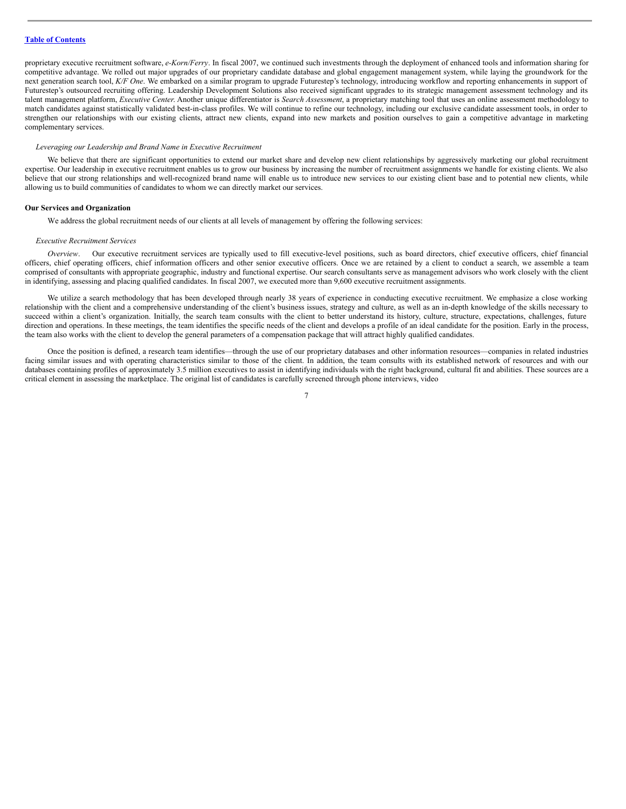proprietary executive recruitment software, *e-Korn/Ferry*. In fiscal 2007, we continued such investments through the deployment of enhanced tools and information sharing for competitive advantage. We rolled out major upgrades of our proprietary candidate database and global engagement management system, while laying the groundwork for the next generation search tool, *K/F One*. We embarked on a similar program to upgrade Futurestep's technology, introducing workflow and reporting enhancements in support of Futurestep's outsourced recruiting offering. Leadership Development Solutions also received significant upgrades to its strategic management assessment technology and its talent management platform, *Executive Center*. Another unique differentiator is *Search Assessment*, a proprietary matching tool that uses an online assessment methodology to match candidates against statistically validated best-in-class profiles. We will continue to refine our technology, including our exclusive candidate assessment tools, in order to strengthen our relationships with our existing clients, attract new clients, expand into new markets and position ourselves to gain a competitive advantage in marketing complementary services.

#### *Leveraging our Leadership and Brand Name in Executive Recruitment*

We believe that there are significant opportunities to extend our market share and develop new client relationships by aggressively marketing our global recruitment expertise. Our leadership in executive recruitment enables us to grow our business by increasing the number of recruitment assignments we handle for existing clients. We also believe that our strong relationships and well-recognized brand name will enable us to introduce new services to our existing client base and to potential new clients, while allowing us to build communities of candidates to whom we can directly market our services.

#### **Our Services and Organization**

We address the global recruitment needs of our clients at all levels of management by offering the following services:

#### *Executive Recruitment Services*

*Overview*. Our executive recruitment services are typically used to fill executive-level positions, such as board directors, chief executive officers, chief financial officers, chief operating officers, chief information officers and other senior executive officers. Once we are retained by a client to conduct a search, we assemble a team comprised of consultants with appropriate geographic, industry and functional expertise. Our search consultants serve as management advisors who work closely with the client in identifying, assessing and placing qualified candidates. In fiscal 2007, we executed more than 9,600 executive recruitment assignments.

We utilize a search methodology that has been developed through nearly 38 years of experience in conducting executive recruitment. We emphasize a close working relationship with the client and a comprehensive understanding of the client's business issues, strategy and culture, as well as an in-depth knowledge of the skills necessary to succeed within a client's organization. Initially, the search team consults with the client to better understand its history, culture, structure, expectations, challenges, future direction and operations. In these meetings, the team identifies the specific needs of the client and develops a profile of an ideal candidate for the position. Early in the process, the team also works with the client to develop the general parameters of a compensation package that will attract highly qualified candidates.

Once the position is defined, a research team identifies—through the use of our proprietary databases and other information resources—companies in related industries facing similar issues and with operating characteristics similar to those of the client. In addition, the team consults with its established network of resources and with our databases containing profiles of approximately 3.5 million executives to assist in identifying individuals with the right background, cultural fit and abilities. These sources are a critical element in assessing the marketplace. The original list of candidates is carefully screened through phone interviews, video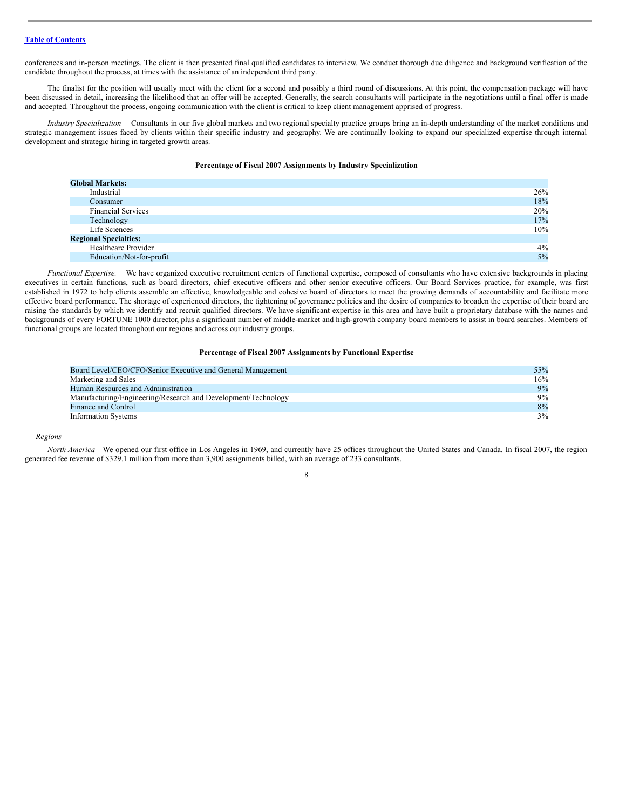conferences and in-person meetings. The client is then presented final qualified candidates to interview. We conduct thorough due diligence and background verification of the candidate throughout the process, at times with the assistance of an independent third party.

The finalist for the position will usually meet with the client for a second and possibly a third round of discussions. At this point, the compensation package will have been discussed in detail, increasing the likelihood that an offer will be accepted. Generally, the search consultants will participate in the negotiations until a final offer is made and accepted. Throughout the process, ongoing communication with the client is critical to keep client management apprised of progress.

*Industry Specialization* Consultants in our five global markets and two regional specialty practice groups bring an in-depth understanding of the market conditions and strategic management issues faced by clients within their specific industry and geography. We are continually looking to expand our specialized expertise through internal development and strategic hiring in targeted growth areas.

#### **Percentage of Fiscal 2007 Assignments by Industry Specialization**

| <b>Global Markets:</b>       |     |
|------------------------------|-----|
| Industrial                   | 26% |
| Consumer                     | 18% |
| <b>Financial Services</b>    | 20% |
| Technology                   | 17% |
| Life Sciences                | 10% |
| <b>Regional Specialties:</b> |     |
| <b>Healthcare Provider</b>   | 4%  |
| Education/Not-for-profit     | 5%  |

*Functional Expertise.* We have organized executive recruitment centers of functional expertise, composed of consultants who have extensive backgrounds in placing executives in certain functions, such as board directors, chief executive officers and other senior executive officers. Our Board Services practice, for example, was first established in 1972 to help clients assemble an effective, knowledgeable and cohesive board of directors to meet the growing demands of accountability and facilitate more effective board performance. The shortage of experienced directors, the tightening of governance policies and the desire of companies to broaden the expertise of their board are raising the standards by which we identify and recruit qualified directors. We have significant expertise in this area and have built a proprietary database with the names and backgrounds of every FORTUNE 1000 director, plus a significant number of middle-market and high-growth company board members to assist in board searches. Members of functional groups are located throughout our regions and across our industry groups.

# **Percentage of Fiscal 2007 Assignments by Functional Expertise**

| Board Level/CEO/CFO/Senior Executive and General Management   | 55%   |
|---------------------------------------------------------------|-------|
| Marketing and Sales                                           | 16%   |
| Human Resources and Administration                            | 9%    |
| Manufacturing/Engineering/Research and Development/Technology | $9\%$ |
| <b>Finance and Control</b>                                    | $8\%$ |
| <b>Information Systems</b>                                    | $3\%$ |

# *Regions*

*North America*—We opened our first office in Los Angeles in 1969, and currently have 25 offices throughout the United States and Canada. In fiscal 2007, the region generated fee revenue of \$329.1 million from more than 3,900 assignments billed, with an average of 233 consultants.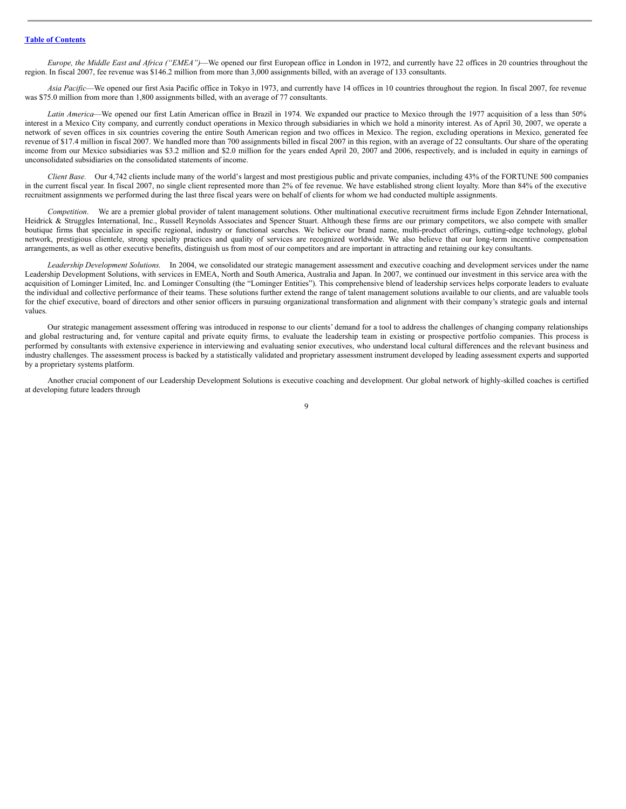*Europe, the Middle East and Africa ("EMEA")*—We opened our first European office in London in 1972, and currently have 22 offices in 20 countries throughout the region. In fiscal 2007, fee revenue was \$146.2 million from more than 3,000 assignments billed, with an average of 133 consultants.

*Asia Pacific*—We opened our first Asia Pacific office in Tokyo in 1973, and currently have 14 offices in 10 countries throughout the region. In fiscal 2007, fee revenue was \$75.0 million from more than 1,800 assignments billed, with an average of 77 consultants.

*Latin America*—We opened our first Latin American office in Brazil in 1974. We expanded our practice to Mexico through the 1977 acquisition of a less than 50% interest in a Mexico City company, and currently conduct operations in Mexico through subsidiaries in which we hold a minority interest. As of April 30, 2007, we operate a network of seven offices in six countries covering the entire South American region and two offices in Mexico. The region, excluding operations in Mexico, generated fee revenue of \$17.4 million in fiscal 2007. We handled more than 700 assignments billed in fiscal 2007 in this region, with an average of 22 consultants. Our share of the operating income from our Mexico subsidiaries was \$3.2 million and \$2.0 million for the years ended April 20, 2007 and 2006, respectively, and is included in equity in earnings of unconsolidated subsidiaries on the consolidated statements of income.

*Client Base.* Our 4,742 clients include many of the world's largest and most prestigious public and private companies, including 43% of the FORTUNE 500 companies in the current fiscal year. In fiscal 2007, no single client represented more than 2% of fee revenue. We have established strong client loyalty. More than 84% of the executive recruitment assignments we performed during the last three fiscal years were on behalf of clients for whom we had conducted multiple assignments.

*Competition*. We are a premier global provider of talent management solutions. Other multinational executive recruitment firms include Egon Zehnder International, Heidrick & Struggles International, Inc., Russell Reynolds Associates and Spencer Stuart. Although these firms are our primary competitors, we also compete with smaller boutique firms that specialize in specific regional, industry or functional searches. We believe our brand name, multi-product offerings, cutting-edge technology, global network, prestigious clientele, strong specialty practices and quality of services are recognized worldwide. We also believe that our long-term incentive compensation arrangements, as well as other executive benefits, distinguish us from most of our competitors and are important in attracting and retaining our key consultants.

*Leadership Development Solutions*. In 2004, we consolidated our strategic management assessment and executive coaching and development services under the name Leadership Development Solutions, with services in EMEA, North and South America, Australia and Japan. In 2007, we continued our investment in this service area with the acquisition of Lominger Limited, Inc. and Lominger Consulting (the "Lominger Entities"). This comprehensive blend of leadership services helps corporate leaders to evaluate the individual and collective performance of their teams. These solutions further extend the range of talent management solutions available to our clients, and are valuable tools for the chief executive, board of directors and other senior officers in pursuing organizational transformation and alignment with their company's strategic goals and internal values.

Our strategic management assessment offering was introduced in response to our clients' demand for a tool to address the challenges of changing company relationships and global restructuring and, for venture capital and private equity firms, to evaluate the leadership team in existing or prospective portfolio companies. This process is performed by consultants with extensive experience in interviewing and evaluating senior executives, who understand local cultural differences and the relevant business and industry challenges. The assessment process is backed by a statistically validated and proprietary assessment instrument developed by leading assessment experts and supported by a proprietary systems platform.

Another crucial component of our Leadership Development Solutions is executive coaching and development. Our global network of highly-skilled coaches is certified at developing future leaders through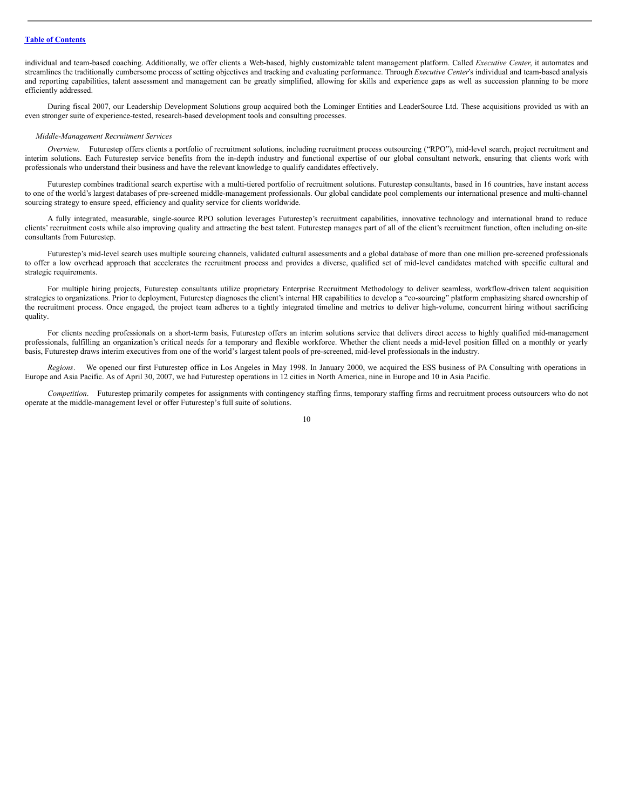individual and team-based coaching. Additionally, we offer clients a Web-based, highly customizable talent management platform. Called *Executive Center*, it automates and streamlines the traditionally cumbersome process of setting objectives and tracking and evaluating performance. Through *Executive Center*'s individual and team-based analysis and reporting capabilities, talent assessment and management can be greatly simplified, allowing for skills and experience gaps as well as succession planning to be more efficiently addressed.

During fiscal 2007, our Leadership Development Solutions group acquired both the Lominger Entities and LeaderSource Ltd. These acquisitions provided us with an even stronger suite of experience-tested, research-based development tools and consulting processes.

#### *Middle-Management Recruitment Services*

*Overview.* Futurestep offers clients a portfolio of recruitment solutions, including recruitment process outsourcing ("RPO"), mid-level search, project recruitment and interim solutions. Each Futurestep service benefits from the in-depth industry and functional expertise of our global consultant network, ensuring that clients work with professionals who understand their business and have the relevant knowledge to qualify candidates effectively.

Futurestep combines traditional search expertise with a multi-tiered portfolio of recruitment solutions. Futurestep consultants, based in 16 countries, have instant access to one of the world's largest databases of pre-screened middle-management professionals. Our global candidate pool complements our international presence and multi-channel sourcing strategy to ensure speed, efficiency and quality service for clients worldwide.

A fully integrated, measurable, single-source RPO solution leverages Futurestep's recruitment capabilities, innovative technology and international brand to reduce clients' recruitment costs while also improving quality and attracting the best talent. Futurestep manages part of all of the client's recruitment function, often including on-site consultants from Futurestep.

Futurestep's mid-level search uses multiple sourcing channels, validated cultural assessments and a global database of more than one million pre-screened professionals to offer a low overhead approach that accelerates the recruitment process and provides a diverse, qualified set of mid-level candidates matched with specific cultural and strategic requirements.

For multiple hiring projects, Futurestep consultants utilize proprietary Enterprise Recruitment Methodology to deliver seamless, workflow-driven talent acquisition strategies to organizations. Prior to deployment, Futurestep diagnoses the client's internal HR capabilities to develop a "co-sourcing" platform emphasizing shared ownership of the recruitment process. Once engaged, the project team adheres to a tightly integrated timeline and metrics to deliver high-volume, concurrent hiring without sacrificing quality.

For clients needing professionals on a short-term basis, Futurestep offers an interim solutions service that delivers direct access to highly qualified mid-management professionals, fulfilling an organization's critical needs for a temporary and flexible workforce. Whether the client needs a mid-level position filled on a monthly or yearly basis, Futurestep draws interim executives from one of the world's largest talent pools of pre-screened, mid-level professionals in the industry.

*Regions*. We opened our first Futurestep office in Los Angeles in May 1998. In January 2000, we acquired the ESS business of PA Consulting with operations in Europe and Asia Pacific. As of April 30, 2007, we had Futurestep operations in 12 cities in North America, nine in Europe and 10 in Asia Pacific.

*Competition*. Futurestep primarily competes for assignments with contingency staffing firms, temporary staffing firms and recruitment process outsourcers who do not operate at the middle-management level or offer Futurestep's full suite of solutions.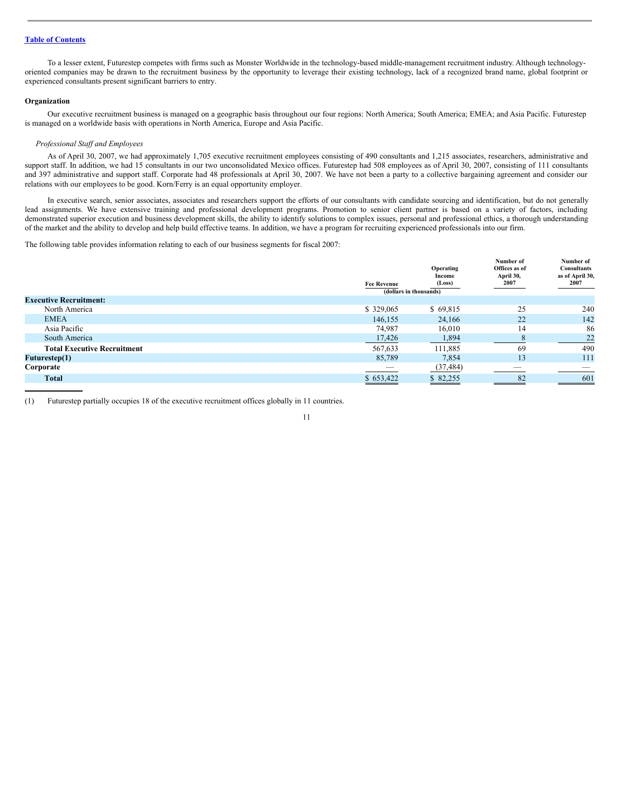To a lesser extent, Futurestep competes with firms such as Monster Worldwide in the technology-based middle-management recruitment industry. Although technologyoriented companies may be drawn to the recruitment business by the opportunity to leverage their existing technology, lack of a recognized brand name, global footprint or experienced consultants present significant barriers to entry.

#### **Organization**

Our executive recruitment business is managed on a geographic basis throughout our four regions: North America; South America; EMEA; and Asia Pacific. Futurestep is managed on a worldwide basis with operations in North America, Europe and Asia Pacific.

#### *Professional Staf and Employees*

As of April 30, 2007, we had approximately 1,705 executive recruitment employees consisting of 490 consultants and 1,215 associates, researchers, administrative and support staff. In addition, we had 15 consultants in our two unconsolidated Mexico offices. Futurestep had 508 employees as of April 30, 2007, consisting of 111 consultants and 397 administrative and support staff. Corporate had 48 professionals at April 30, 2007. We have not been a party to a collective bargaining agreement and consider our relations with our employees to be good. Korn/Ferry is an equal opportunity employer.

In executive search, senior associates, associates and researchers support the efforts of our consultants with candidate sourcing and identification, but do not generally lead assignments. We have extensive training and professional development programs. Promotion to senior client partner is based on a variety of factors, including demonstrated superior execution and business development skills, the ability to identify solutions to complex issues, personal and professional ethics, a thorough understanding of the market and the ability to develop and help build effective teams. In addition, we have a program for recruiting experienced professionals into our firm.

The following table provides information relating to each of our business segments for fiscal 2007:

|                                    | <b>Fee Revenue</b> | Operating<br>Income<br>(Loss)<br>(dollars in thousands) | Number of<br>Offices as of<br>April 30,<br>2007 | Number of<br>Consultants<br>as of April 30,<br>2007 |
|------------------------------------|--------------------|---------------------------------------------------------|-------------------------------------------------|-----------------------------------------------------|
| <b>Executive Recruitment:</b>      |                    |                                                         |                                                 |                                                     |
| North America                      | \$329,065          | \$69,815                                                | 25                                              | 240                                                 |
| <b>EMEA</b>                        | 146,155            | 24,166                                                  | 22                                              | 142                                                 |
| Asia Pacific                       | 74.987             | 16,010                                                  | 14                                              | 86                                                  |
| South America                      | 17,426             | 1,894                                                   |                                                 | 22                                                  |
| <b>Total Executive Recruitment</b> | 567,633            | 111,885                                                 | 69                                              | 490                                                 |
| <b>Futurestep(1)</b>               | 85,789             | 7.854                                                   | 13                                              | 111                                                 |
| Corporate                          |                    | (37, 484)                                               | $\overline{\phantom{a}}$                        |                                                     |
| <b>Total</b>                       | \$653,422          | \$82,255                                                | 82                                              | 601                                                 |

(1) Futurestep partially occupies 18 of the executive recruitment offices globally in 11 countries.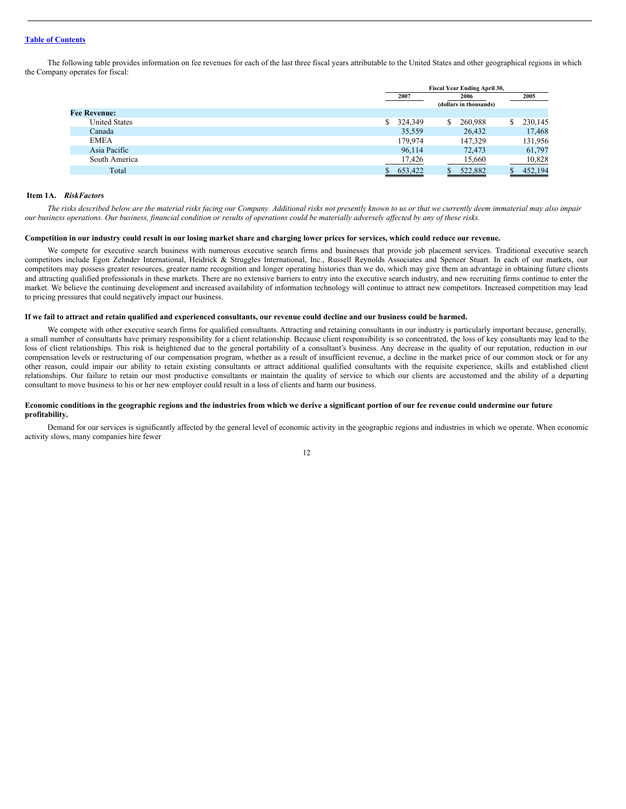The following table provides information on fee revenues for each of the last three fiscal years attributable to the United States and other geographical regions in which the Company operates for fiscal:

|                      |                        | <b>Fiscal Year Ending April 30,</b> |         |      |         |
|----------------------|------------------------|-------------------------------------|---------|------|---------|
|                      | 2007<br>2006           |                                     |         | 2005 |         |
|                      | (dollars in thousands) |                                     |         |      |         |
| <b>Fee Revenue:</b>  |                        |                                     |         |      |         |
| <b>United States</b> | \$<br>324,349          | S.                                  | 260,988 | S.   | 230,145 |
| Canada               | 35,559                 |                                     | 26,432  |      | 17,468  |
| <b>EMEA</b>          | 179.974                |                                     | 147.329 |      | 131,956 |
| Asia Pacific         | 96.114                 |                                     | 72,473  |      | 61,797  |
| South America        | 17,426                 |                                     | 15,660  |      | 10,828  |
| Total                | 653,422                |                                     | 522,882 |      | 452,194 |

#### <span id="page-11-0"></span>**Item 1A.** *RiskFactors*

The risks described below are the material risks facing our Company. Additional risks not presently known to us or that we currently deem immaterial may also impair our business operations. Our business, financial condition or results of operations could be materially adversely affected by any of these risks.

# Competition in our industry could result in our losing market share and charging lower prices for services, which could reduce our revenue.

We compete for executive search business with numerous executive search firms and businesses that provide job placement services. Traditional executive search competitors include Egon Zehnder International, Heidrick & Struggles International, Inc., Russell Reynolds Associates and Spencer Stuart. In each of our markets, our competitors may possess greater resources, greater name recognition and longer operating histories than we do, which may give them an advantage in obtaining future clients and attracting qualified professionals in these markets. There are no extensive barriers to entry into the executive search industry, and new recruiting firms continue to enter the market. We believe the continuing development and increased availability of information technology will continue to attract new competitors. Increased competition may lead to pricing pressures that could negatively impact our business.

#### If we fail to attract and retain qualified and experienced consultants, our revenue could decline and our business could be harmed.

We compete with other executive search firms for qualified consultants. Attracting and retaining consultants in our industry is particularly important because, generally, a small number of consultants have primary responsibility for a client relationship. Because client responsibility is so concentrated, the loss of key consultants may lead to the loss of client relationships. This risk is heightened due to the general portability of a consultant's business. Any decrease in the quality of our reputation, reduction in our compensation levels or restructuring of our compensation program, whether as a result of insufficient revenue, a decline in the market price of our common stock or for any other reason, could impair our ability to retain existing consultants or attract additional qualified consultants with the requisite experience, skills and established client relationships. Our failure to retain our most productive consultants or maintain the quality of service to which our clients are accustomed and the ability of a departing consultant to move business to his or her new employer could result in a loss of clients and harm our business.

#### Economic conditions in the geographic regions and the industries from which we derive a significant portion of our fee revenue could undermine our future **profitability.**

Demand for our services is significantly affected by the general level of economic activity in the geographic regions and industries in which we operate. When economic activity slows, many companies hire fewer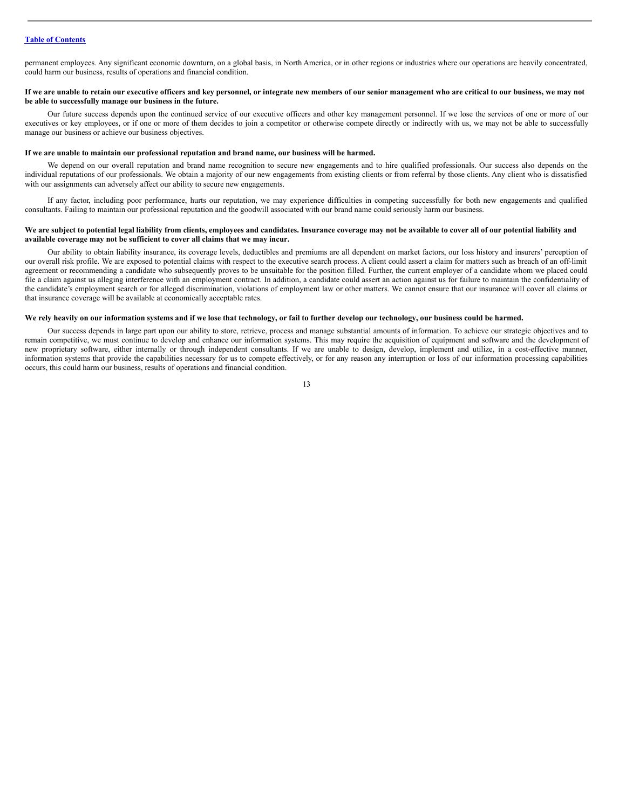permanent employees. Any significant economic downturn, on a global basis, in North America, or in other regions or industries where our operations are heavily concentrated, could harm our business, results of operations and financial condition.

# If we are unable to retain our executive officers and key personnel, or integrate new members of our senior management who are critical to our business, we may not **be able to successfully manage our business in the future.**

Our future success depends upon the continued service of our executive officers and other key management personnel. If we lose the services of one or more of our executives or key employees, or if one or more of them decides to join a competitor or otherwise compete directly or indirectly with us, we may not be able to successfully manage our business or achieve our business objectives.

#### **If we are unable to maintain our professional reputation and brand name, our business will be harmed.**

We depend on our overall reputation and brand name recognition to secure new engagements and to hire qualified professionals. Our success also depends on the individual reputations of our professionals. We obtain a majority of our new engagements from existing clients or from referral by those clients. Any client who is dissatisfied with our assignments can adversely affect our ability to secure new engagements.

If any factor, including poor performance, hurts our reputation, we may experience difficulties in competing successfully for both new engagements and qualified consultants. Failing to maintain our professional reputation and the goodwill associated with our brand name could seriously harm our business.

# We are subject to potential legal liability from clients, employees and candidates. Insurance coverage may not be available to cover all of our potential liability and **available coverage may not be sufficient to cover all claims that we may incur.**

Our ability to obtain liability insurance, its coverage levels, deductibles and premiums are all dependent on market factors, our loss history and insurers' perception of our overall risk profile. We are exposed to potential claims with respect to the executive search process. A client could assert a claim for matters such as breach of an off-limit agreement or recommending a candidate who subsequently proves to be unsuitable for the position filled. Further, the current employer of a candidate whom we placed could file a claim against us alleging interference with an employment contract. In addition, a candidate could assert an action against us for failure to maintain the confidentiality of the candidate's employment search or for alleged discrimination, violations of employment law or other matters. We cannot ensure that our insurance will cover all claims or that insurance coverage will be available at economically acceptable rates.

## We rely heavily on our information systems and if we lose that technology, or fail to further develop our technology, our business could be harmed.

Our success depends in large part upon our ability to store, retrieve, process and manage substantial amounts of information. To achieve our strategic objectives and to remain competitive, we must continue to develop and enhance our information systems. This may require the acquisition of equipment and software and the development of new proprietary software, either internally or through independent consultants. If we are unable to design, develop, implement and utilize, in a cost-effective manner, information systems that provide the capabilities necessary for us to compete effectively, or for any reason any interruption or loss of our information processing capabilities occurs, this could harm our business, results of operations and financial condition.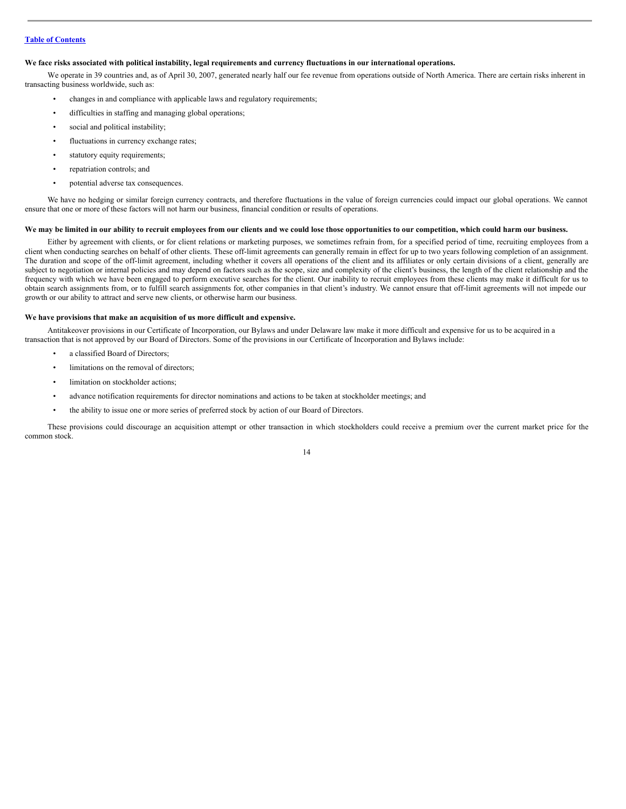# We face risks associated with political instability, legal requirements and currency fluctuations in our international operations.

We operate in 39 countries and, as of April 30, 2007, generated nearly half our fee revenue from operations outside of North America. There are certain risks inherent in transacting business worldwide, such as:

- changes in and compliance with applicable laws and regulatory requirements;
- difficulties in staffing and managing global operations;
- social and political instability;
- fluctuations in currency exchange rates;
- statutory equity requirements;
- repatriation controls; and
- potential adverse tax consequences.

We have no hedging or similar foreign currency contracts, and therefore fluctuations in the value of foreign currencies could impact our global operations. We cannot ensure that one or more of these factors will not harm our business, financial condition or results of operations.

# We may be limited in our ability to recruit employees from our clients and we could lose those opportunities to our competition, which could harm our business.

Either by agreement with clients, or for client relations or marketing purposes, we sometimes refrain from, for a specified period of time, recruiting employees from a client when conducting searches on behalf of other clients. These off-limit agreements can generally remain in effect for up to two years following completion of an assignment. The duration and scope of the off-limit agreement, including whether it covers all operations of the client and its affiliates or only certain divisions of a client, generally are subject to negotiation or internal policies and may depend on factors such as the scope, size and complexity of the client's business, the length of the client relationship and the frequency with which we have been engaged to perform executive searches for the client. Our inability to recruit employees from these clients may make it difficult for us to obtain search assignments from, or to fulfill search assignments for, other companies in that client's industry. We cannot ensure that off-limit agreements will not impede our growth or our ability to attract and serve new clients, or otherwise harm our business.

#### **We have provisions that make an acquisition of us more difficult and expensive.**

Antitakeover provisions in our Certificate of Incorporation, our Bylaws and under Delaware law make it more difficult and expensive for us to be acquired in a transaction that is not approved by our Board of Directors. Some of the provisions in our Certificate of Incorporation and Bylaws include:

- a classified Board of Directors;
- limitations on the removal of directors;
- limitation on stockholder actions;
- advance notification requirements for director nominations and actions to be taken at stockholder meetings; and
- the ability to issue one or more series of preferred stock by action of our Board of Directors.

These provisions could discourage an acquisition attempt or other transaction in which stockholders could receive a premium over the current market price for the common stock.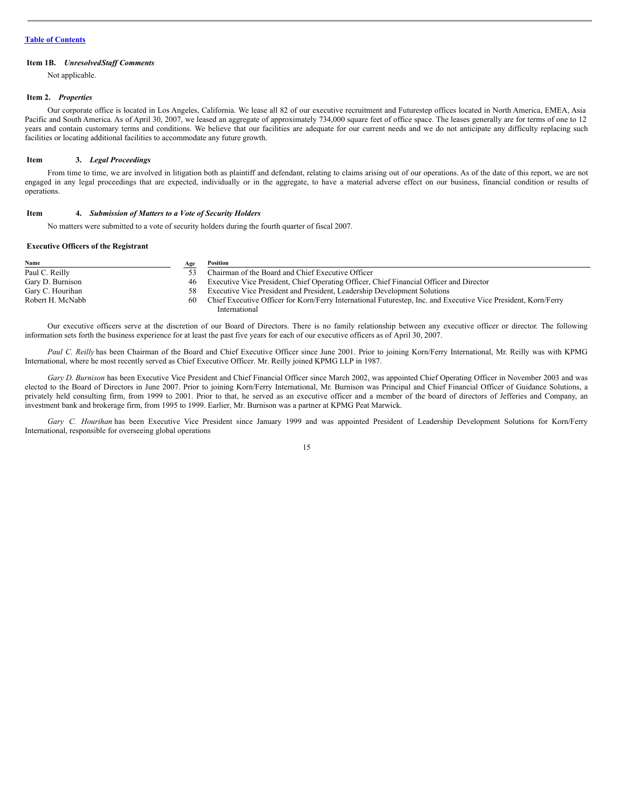# <span id="page-14-0"></span>**Item 1B.** *UnresolvedStaf Comments*

Not applicable.

#### <span id="page-14-1"></span>**Item 2.** *Properties*

Our corporate office is located in Los Angeles, California. We lease all 82 of our executive recruitment and Futurestep offices located in North America, EMEA, Asia Pacific and South America. As of April 30, 2007, we leased an aggregate of approximately 734,000 square feet of office space. The leases generally are for terms of one to 12 years and contain customary terms and conditions. We believe that our facilities are adequate for our current needs and we do not anticipate any difficulty replacing such facilities or locating additional facilities to accommodate any future growth.

## <span id="page-14-2"></span>**Item 3.** *Legal Proceedings*

From time to time, we are involved in litigation both as plaintiff and defendant, relating to claims arising out of our operations. As of the date of this report, we are not engaged in any legal proceedings that are expected, individually or in the aggregate, to have a material adverse effect on our business, financial condition or results of operations.

## <span id="page-14-3"></span>**Item 4.** *Submission of Matters to a Vote of Security Holders*

No matters were submitted to a vote of security holders during the fourth quarter of fiscal 2007.

## <span id="page-14-4"></span>**Executive Officers of the Registrant**

| Name             | Age | Position                                                                                                       |
|------------------|-----|----------------------------------------------------------------------------------------------------------------|
| Paul C. Reilly   | 53  | Chairman of the Board and Chief Executive Officer                                                              |
| Gary D. Burnison | 46  | Executive Vice President, Chief Operating Officer, Chief Financial Officer and Director                        |
| Gary C. Hourihan | 58  | Executive Vice President and President, Leadership Development Solutions                                       |
| Robert H. McNabb | 60  | Chief Executive Officer for Korn/Ferry International Futurestep, Inc. and Executive Vice President, Korn/Ferry |
|                  |     | International                                                                                                  |

Our executive officers serve at the discretion of our Board of Directors. There is no family relationship between any executive officer or director. The following information sets forth the business experience for at least the past five years for each of our executive officers as of April 30, 2007.

*Paul C. Reilly* has been Chairman of the Board and Chief Executive Officer since June 2001. Prior to joining Korn/Ferry International, Mr. Reilly was with KPMG International, where he most recently served as Chief Executive Officer. Mr. Reilly joined KPMG LLP in 1987.

*Gary D. Burnison* has been Executive Vice President and Chief Financial Officer since March 2002, was appointed Chief Operating Officer in November 2003 and was elected to the Board of Directors in June 2007. Prior to joining Korn/Ferry International, Mr. Burnison was Principal and Chief Financial Officer of Guidance Solutions, a privately held consulting firm, from 1999 to 2001. Prior to that, he served as an executive officer and a member of the board of directors of Jefferies and Company, an investment bank and brokerage firm, from 1995 to 1999. Earlier, Mr. Burnison was a partner at KPMG Peat Marwick.

*Gary C. Hourihan* has been Executive Vice President since January 1999 and was appointed President of Leadership Development Solutions for Korn/Ferry International, responsible for overseeing global operations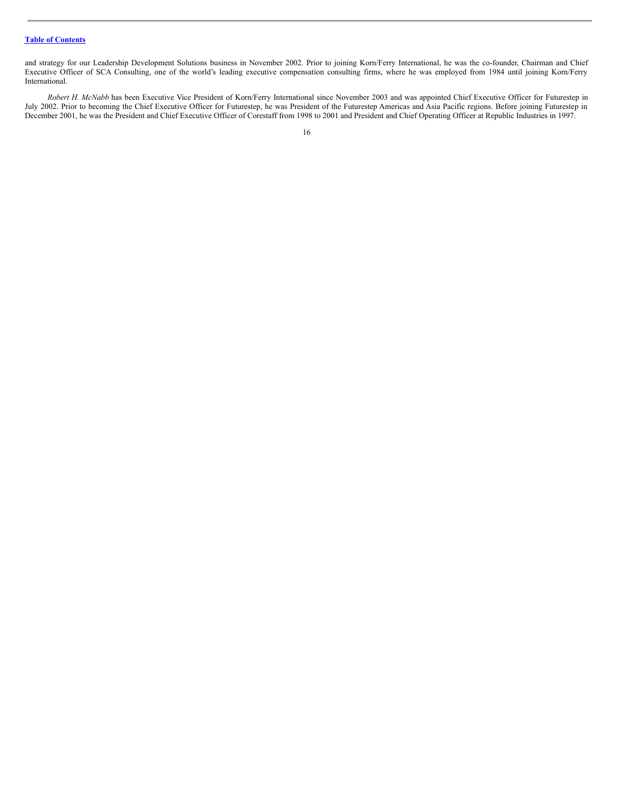and strategy for our Leadership Development Solutions business in November 2002. Prior to joining Korn/Ferry International, he was the co-founder, Chairman and Chief Executive Officer of SCA Consulting, one of the world's leading executive compensation consulting firms, where he was employed from 1984 until joining Korn/Ferry International.

*Robert H. McNabb* has been Executive Vice President of Korn/Ferry International since November 2003 and was appointed Chief Executive Officer for Futurestep in July 2002. Prior to becoming the Chief Executive Officer for Futurestep, he was President of the Futurestep Americas and Asia Pacific regions. Before joining Futurestep in December 2001, he was the President and Chief Executive Officer of Corestaff from 1998 to 2001 and President and Chief Operating Officer at Republic Industries in 1997.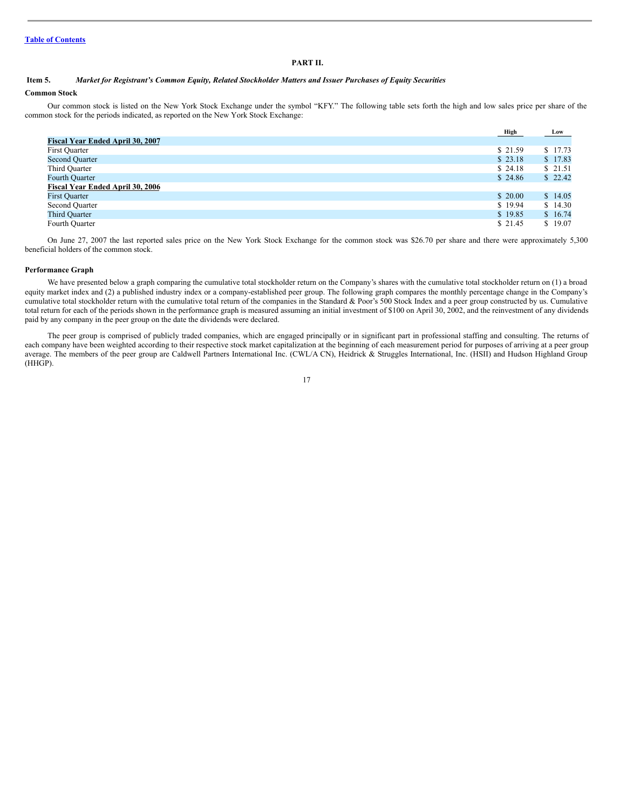# <span id="page-16-0"></span>**PART II.**

#### <span id="page-16-1"></span>Item 5. Market for Registrant's Common Equity, Related Stockholder Matters and Issuer Purchases of Equity Securities

#### **Common Stock**

Our common stock is listed on the New York Stock Exchange under the symbol "KFY." The following table sets forth the high and low sales price per share of the common stock for the periods indicated, as reported on the New York Stock Exchange:

|                                         | High    | Low     |
|-----------------------------------------|---------|---------|
| <b>Fiscal Year Ended April 30, 2007</b> |         |         |
| First Quarter                           | \$21.59 | \$17.73 |
| <b>Second Quarter</b>                   | \$23.18 | \$17.83 |
| Third Quarter                           | \$24.18 | \$21.51 |
| <b>Fourth Quarter</b>                   | \$24.86 | \$22.42 |
| <b>Fiscal Year Ended April 30, 2006</b> |         |         |
| <b>First Quarter</b>                    | \$20.00 | \$14.05 |
| Second Quarter                          | \$19.94 | \$14.30 |
| <b>Third Quarter</b>                    | \$19.85 | \$16.74 |
| Fourth Quarter                          | \$21.45 | \$19.07 |

On June 27, 2007 the last reported sales price on the New York Stock Exchange for the common stock was \$26.70 per share and there were approximately 5,300 beneficial holders of the common stock.

# **Performance Graph**

We have presented below a graph comparing the cumulative total stockholder return on the Company's shares with the cumulative total stockholder return on (1) a broad equity market index and (2) a published industry index or a company-established peer group. The following graph compares the monthly percentage change in the Company's cumulative total stockholder return with the cumulative total return of the companies in the Standard & Poor's 500 Stock Index and a peer group constructed by us. Cumulative total return for each of the periods shown in the performance graph is measured assuming an initial investment of \$100 on April 30, 2002, and the reinvestment of any dividends paid by any company in the peer group on the date the dividends were declared.

The peer group is comprised of publicly traded companies, which are engaged principally or in significant part in professional staffing and consulting. The returns of each company have been weighted according to their respective stock market capitalization at the beginning of each measurement period for purposes of arriving at a peer group average. The members of the peer group are Caldwell Partners International Inc. (CWL/A CN), Heidrick & Struggles International, Inc. (HSII) and Hudson Highland Group (HHGP).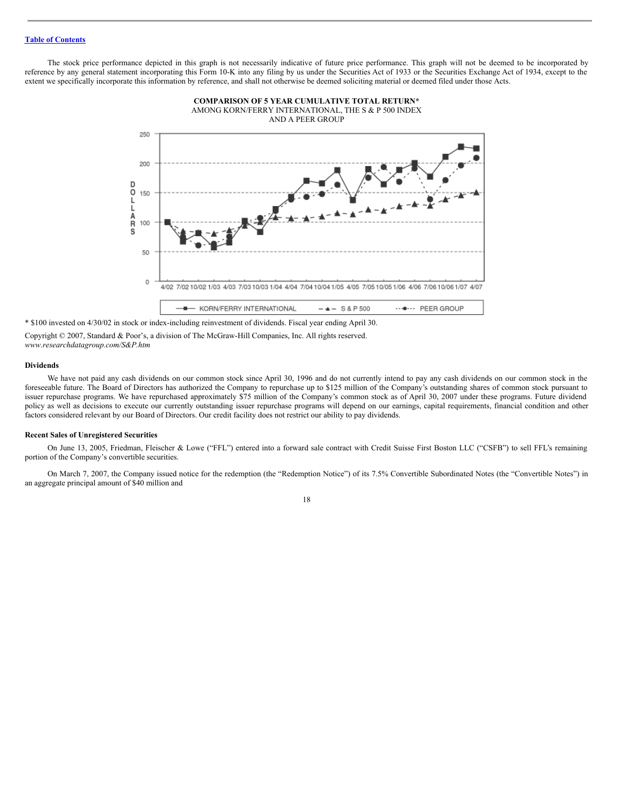The stock price performance depicted in this graph is not necessarily indicative of future price performance. This graph will not be deemed to be incorporated by reference by any general statement incorporating this Form 10-K into any filing by us under the Securities Act of 1933 or the Securities Exchange Act of 1934, except to the extent we specifically incorporate this information by reference, and shall not otherwise be deemed soliciting material or deemed filed under those Acts.



\* \$100 invested on 4/30/02 in stock or index-including reinvestment of dividends. Fiscal year ending April 30.

Copyright © 2007, Standard & Poor's, a division of The McGraw-Hill Companies, Inc. All rights reserved. *www.researchdatagroup.com/S&P.htm*

#### **Dividends**

We have not paid any cash dividends on our common stock since April 30, 1996 and do not currently intend to pay any cash dividends on our common stock in the foreseeable future. The Board of Directors has authorized the Company to repurchase up to \$125 million of the Company's outstanding shares of common stock pursuant to issuer repurchase programs. We have repurchased approximately \$75 million of the Company's common stock as of April 30, 2007 under these programs. Future dividend policy as well as decisions to execute our currently outstanding issuer repurchase programs will depend on our earnings, capital requirements, financial condition and other factors considered relevant by our Board of Directors. Our credit facility does not restrict our ability to pay dividends.

#### **Recent Sales of Unregistered Securities**

On June 13, 2005, Friedman, Fleischer & Lowe ("FFL") entered into a forward sale contract with Credit Suisse First Boston LLC ("CSFB") to sell FFL's remaining portion of the Company's convertible securities.

On March 7, 2007, the Company issued notice for the redemption (the "Redemption Notice") of its 7.5% Convertible Subordinated Notes (the "Convertible Notes") in an aggregate principal amount of \$40 million and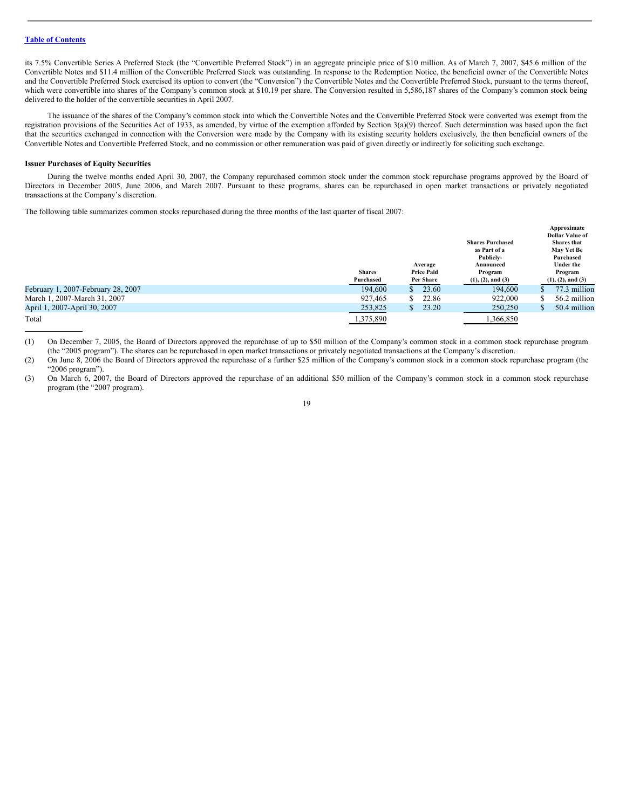its 7.5% Convertible Series A Preferred Stock (the "Convertible Preferred Stock") in an aggregate principle price of \$10 million. As of March 7, 2007, \$45.6 million of the Convertible Notes and \$11.4 million of the Convertible Preferred Stock was outstanding. In response to the Redemption Notice, the beneficial owner of the Convertible Notes and the Convertible Preferred Stock exercised its option to convert (the "Conversion") the Convertible Notes and the Convertible Preferred Stock, pursuant to the terms thereof, which were convertible into shares of the Company's common stock at \$10.19 per share. The Conversion resulted in 5,586,187 shares of the Company's common stock being delivered to the holder of the convertible securities in April 2007.

The issuance of the shares of the Company's common stock into which the Convertible Notes and the Convertible Preferred Stock were converted was exempt from the registration provisions of the Securities Act of 1933, as amended, by virtue of the exemption afforded by Section 3(a)(9) thereof. Such determination was based upon the fact that the securities exchanged in connection with the Conversion were made by the Company with its existing security holders exclusively, the then beneficial owners of the Convertible Notes and Convertible Preferred Stock, and no commission or other remuneration was paid of given directly or indirectly for soliciting such exchange.

#### **Issuer Purchases of Equity Securities**

During the twelve months ended April 30, 2007, the Company repurchased common stock under the common stock repurchase programs approved by the Board of Directors in December 2005, June 2006, and March 2007. Pursuant to these programs, shares can be repurchased in open market transactions or privately negotiated transactions at the Company's discretion.

The following table summarizes common stocks repurchased during the three months of the last quarter of fiscal 2007:

|                                    | <b>Shares</b><br>Purchased | Average<br><b>Price Paid</b><br>Per Share | <b>Shares Purchased</b><br>as Part of a<br>Publicly-<br>Announced<br>Program<br>(1), (2), and (3) | Approximate<br><b>Dollar Value of</b><br><b>Shares that</b><br><b>May Yet Be</b><br>Purchased<br>Under the<br>Program<br>(1), (2), and (3) |
|------------------------------------|----------------------------|-------------------------------------------|---------------------------------------------------------------------------------------------------|--------------------------------------------------------------------------------------------------------------------------------------------|
| February 1, 2007-February 28, 2007 | 194,600                    | \$23.60                                   | 194,600                                                                                           | 77.3 million                                                                                                                               |
| March 1, 2007-March 31, 2007       | 927,465                    | \$22.86                                   | 922,000                                                                                           | 56.2 million                                                                                                                               |
| April 1, 2007-April 30, 2007       | 253,825                    | \$23.20                                   | 250,250                                                                                           | 50.4 million                                                                                                                               |
| Total                              | 1,375,890                  |                                           | 1,366,850                                                                                         |                                                                                                                                            |

(1) On December 7, 2005, the Board of Directors approved the repurchase of up to \$50 million of the Company's common stock in a common stock repurchase program (the "2005 program"). The shares can be repurchased in open market transactions or privately negotiated transactions at the Company's discretion.

(2) On June 8, 2006 the Board of Directors approved the repurchase of a further \$25 million of the Company's common stock in a common stock repurchase program (the "2006 program").

(3) On March 6, 2007, the Board of Directors approved the repurchase of an additional \$50 million of the Company's common stock in a common stock repurchase program (the "2007 program).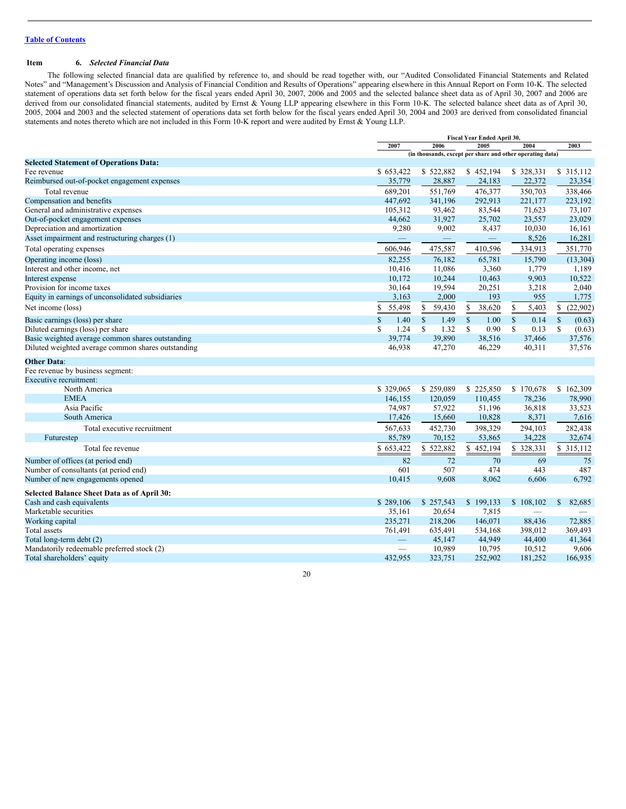# <span id="page-19-0"></span>**Item 6.** *Selected Financial Data*

The following selected financial data are qualified by reference to, and should be read together with, our "Audited Consolidated Financial Statements and Related Notes" and "Management's Discussion and Analysis of Financial Condition and Results of Operations" appearing elsewhere in this Annual Report on Form 10-K. The selected statement of operations data set forth below for the fiscal years ended April 30, 2007, 2006 and 2005 and the selected balance sheet data as of April 30, 2007 and 2006 are derived from our consolidated financial statements, audited by Ernst & Young LLP appearing elsewhere in this Form 10-K. The selected balance sheet data as of April 30, 2005, 2004 and 2003 and the selected statement of operations data set forth below for the fiscal years ended April 30, 2004 and 2003 are derived from consolidated financial statements and notes thereto which are not included in this Form 10-K report and were audited by Ernst & Young LLP.

|                                                              |                                 | Fiscal Year Ended April 30, |                                   |                                                           |                        |  |  |
|--------------------------------------------------------------|---------------------------------|-----------------------------|-----------------------------------|-----------------------------------------------------------|------------------------|--|--|
|                                                              | 2007                            | 2006                        | 2005                              | 2004                                                      | 2003                   |  |  |
|                                                              |                                 |                             |                                   | (in thousands, except per share and other operating data) |                        |  |  |
| <b>Selected Statement of Operations Data:</b><br>Fee revenue | \$653,422                       | \$522,882                   | \$452,194                         | \$ 328,331                                                | \$ 315,112             |  |  |
| Reimbursed out-of-pocket engagement expenses                 | 35,779                          | 28,887                      | 24,183                            | 22,372                                                    | 23,354                 |  |  |
|                                                              |                                 |                             |                                   |                                                           |                        |  |  |
| Total revenue                                                | 689,201                         | 551,769                     | 476,377                           | 350,703                                                   | 338,466                |  |  |
| Compensation and benefits                                    | 447.692                         | 341,196                     | 292,913                           | 221,177                                                   | 223,192                |  |  |
| General and administrative expenses                          | 105,312                         | 93,462                      | 83,544                            | 71,623                                                    | 73,107                 |  |  |
| Out-of-pocket engagement expenses                            | 44,662                          | 31,927                      | 25,702                            | 23,557                                                    | 23,029                 |  |  |
| Depreciation and amortization                                | 9,280                           | 9,002                       | 8,437<br>$\overline{\phantom{m}}$ | 10,030                                                    | 16,161                 |  |  |
| Asset impairment and restructuring charges (1)               | $\hspace{0.1mm}-\hspace{0.1mm}$ | $\qquad \qquad -$           |                                   | 8,526                                                     | 16,281                 |  |  |
| Total operating expenses                                     | 606,946                         | 475,587                     | 410,596                           | 334,913                                                   | 351,770                |  |  |
| Operating income (loss)                                      | 82,255                          | 76,182                      | 65,781                            | 15,790                                                    | (13, 304)              |  |  |
| Interest and other income, net                               | 10,416                          | 11,086                      | 3,360                             | 1,779                                                     | 1,189                  |  |  |
| Interest expense                                             | 10,172                          | 10,244                      | 10,463                            | 9,903                                                     | 10,522                 |  |  |
| Provision for income taxes                                   | 30,164                          | 19,594                      | 20,251                            | 3,218                                                     | 2,040                  |  |  |
| Equity in earnings of unconsolidated subsidiaries            | 3,163                           | 2,000                       | 193                               | 955                                                       | 1,775                  |  |  |
| Net income (loss)                                            | 55,498<br>\$                    | 59,430<br>\$                | 38,620<br>\$                      | \$<br>5,403                                               | (22,902)<br>S          |  |  |
| Basic earnings (loss) per share                              | \$<br>1.40                      | 1.49<br>$\mathbb{S}$        | 1.00<br>$\mathbb{S}$              | S<br>0.14                                                 | $\mathbb{S}$<br>(0.63) |  |  |
| Diluted earnings (loss) per share                            | \$<br>1.24                      | S.<br>1.32                  | $\mathbf S$<br>0.90               | $\mathbf S$<br>0.13                                       | \$<br>(0.63)           |  |  |
| Basic weighted average common shares outstanding             | 39,774                          | 39,890                      | 38,516                            | 37,466                                                    | 37,576                 |  |  |
| Diluted weighted average common shares outstanding           | 46,938                          | 47,270                      | 46,229                            | 40,311                                                    | 37,576                 |  |  |
| <b>Other Data:</b>                                           |                                 |                             |                                   |                                                           |                        |  |  |
| Fee revenue by business segment:                             |                                 |                             |                                   |                                                           |                        |  |  |
| Executive recruitment:                                       |                                 |                             |                                   |                                                           |                        |  |  |
| North America                                                | \$329,065                       | \$259,089                   | \$225,850                         | \$170,678                                                 | \$162,309              |  |  |
| <b>EMEA</b>                                                  | 146.155                         | 120,059                     | 110,455                           | 78,236                                                    | 78,990                 |  |  |
| Asia Pacific                                                 | 74,987                          | 57,922                      | 51,196                            | 36,818                                                    | 33,523                 |  |  |
| South America                                                | 17,426                          | 15,660                      | 10,828                            | 8,371                                                     | 7,616                  |  |  |
| Total executive recruitment                                  | 567,633                         | 452,730                     | 398,329                           | 294,103                                                   | 282,438                |  |  |
| Futurestep                                                   | 85,789                          | 70,152                      | 53,865                            | 34,228                                                    | 32,674                 |  |  |
| Total fee revenue                                            | \$653,422                       | \$522,882                   | \$452,194                         | 328,331<br>S.                                             | \$ 315,112             |  |  |
| Number of offices (at period end)                            | 82                              | 72                          | 70                                | 69                                                        | 75                     |  |  |
| Number of consultants (at period end)                        | 601                             | 507                         | 474                               | 443                                                       | 487                    |  |  |
| Number of new engagements opened                             | 10,415                          | 9,608                       | 8,062                             | 6,606                                                     | 6,792                  |  |  |
| Selected Balance Sheet Data as of April 30:                  |                                 |                             |                                   |                                                           |                        |  |  |
| Cash and cash equivalents                                    | \$289,106                       | \$257,543                   | \$199,133                         | \$108,102                                                 | $\mathbb{S}$<br>82,685 |  |  |
| Marketable securities                                        | 35.161                          | 20,654                      | 7,815                             |                                                           |                        |  |  |
| Working capital                                              | 235,271                         | 218,206                     | 146,071                           | 88,436                                                    | 72,885                 |  |  |
| Total assets                                                 | 761,491                         | 635,491                     | 534,168                           | 398,012                                                   | 369,493                |  |  |
| Total long-term debt (2)                                     | $\overline{\phantom{m}}$        | 45,147                      | 44,949                            | 44,400                                                    | 41,364                 |  |  |
| Mandatorily redeemable preferred stock (2)                   | $\qquad \qquad$                 | 10,989                      | 10,795                            | 10,512                                                    | 9,606                  |  |  |
| Total shareholders' equity                                   | 432.955                         | 323,751                     | 252,902                           | 181,252                                                   | 166,935                |  |  |
|                                                              |                                 |                             |                                   |                                                           |                        |  |  |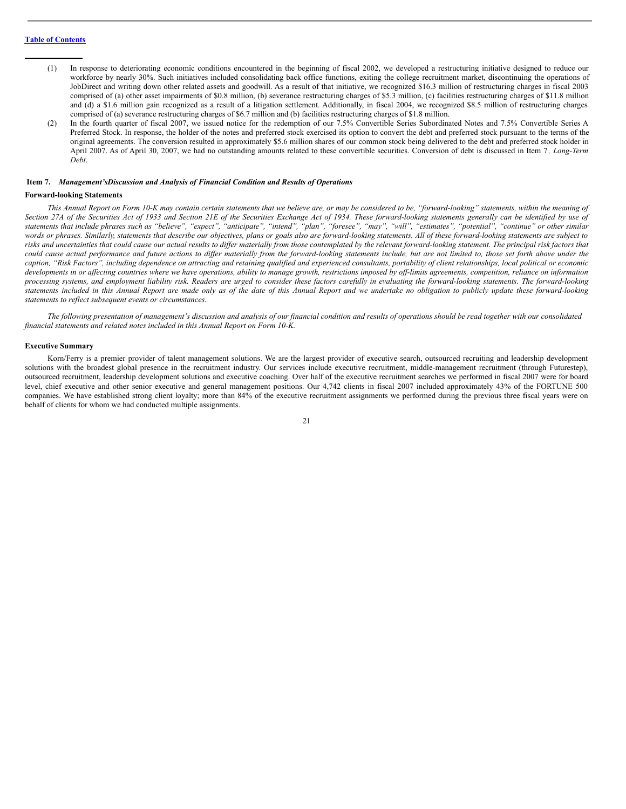- (1) In response to deteriorating economic conditions encountered in the beginning of fiscal 2002, we developed a restructuring initiative designed to reduce our workforce by nearly 30%. Such initiatives included consolidating back office functions, exiting the college recruitment market, discontinuing the operations of JobDirect and writing down other related assets and goodwill. As a result of that initiative, we recognized \$16.3 million of restructuring charges in fiscal 2003 comprised of (a) other asset impairments of \$0.8 million, (b) severance restructuring charges of \$5.3 million, (c) facilities restructuring charges of \$11.8 million and (d) a \$1.6 million gain recognized as a result of a litigation settlement. Additionally, in fiscal 2004, we recognized \$8.5 million of restructuring charges comprised of (a) severance restructuring charges of \$6.7 million and (b) facilities restructuring charges of \$1.8 million.
- (2) In the fourth quarter of fiscal 2007, we issued notice for the redemption of our 7.5% Convertible Series Subordinated Notes and 7.5% Convertible Series A Preferred Stock. In response, the holder of the notes and preferred stock exercised its option to convert the debt and preferred stock pursuant to the terms of the original agreements. The conversion resulted in approximately \$5.6 million shares of our common stock being delivered to the debt and preferred stock holder in April 2007. As of April 30, 2007, we had no outstanding amounts related to these convertible securities. Conversion of debt is discussed in Item 7 *, Long-Term Debt*.

#### <span id="page-20-0"></span>**Item 7.** *Management'sDiscussion and Analysis of Financial Condition and Results of Operations*

# **Forward-looking Statements**

This Annual Report on Form 10-K may contain certain statements that we believe are, or may be considered to be, "forward-looking" statements, within the meaning of Section 27A of the Securities Act of 1933 and Section 21E of the Securities Exchange Act of 1934. These forward-looking statements generally can be identified by use of statements that include phrases such as "believe", "expect", "anticipate", "intend", "plan", "foresee", "may", "will", "estimates", "potential", "continue" or other similar words or phrases. Similarly, statements that describe our objectives, plans or goals also are forward-looking statements. All of these forward-looking statements are subject to risks and uncertainties that could cause our actual results to differ materially from those contemplated by the relevant forward-looking statement. The principal risk factors that could cause actual performance and future actions to differ materially from the forward-looking statements include, but are not limited to, those set forth above under the caption, "Risk Factors", including dependence on attracting and retaining qualified and experienced consultants, portability of client relationships, local political or economic developments in or affecting countries where we have operations, ability to manage growth, restrictions imposed by off-limits agreements, competition, reliance on information processing systems, and employment liability risk. Readers are urged to consider these factors carefully in evaluating the forward-looking statements. The forward-looking statements included in this Annual Report are made only as of the date of this Annual Report and we undertake no obligation to publicly update these forward-looking *statements to reflect subsequent events or circumstances.*

The following presentation of management's discussion and analysis of our financial condition and results of operations should be read together with our consolidated *financial statements and related notes included in this Annual Report on Form 10-K.*

#### **Executive Summary**

Korn/Ferry is a premier provider of talent management solutions. We are the largest provider of executive search, outsourced recruiting and leadership development solutions with the broadest global presence in the recruitment industry. Our services include executive recruitment, middle-management recruitment (through Futurestep), outsourced recruitment, leadership development solutions and executive coaching. Over half of the executive recruitment searches we performed in fiscal 2007 were for board level, chief executive and other senior executive and general management positions. Our 4,742 clients in fiscal 2007 included approximately 43% of the FORTUNE 500 companies. We have established strong client loyalty; more than 84% of the executive recruitment assignments we performed during the previous three fiscal years were on behalf of clients for whom we had conducted multiple assignments.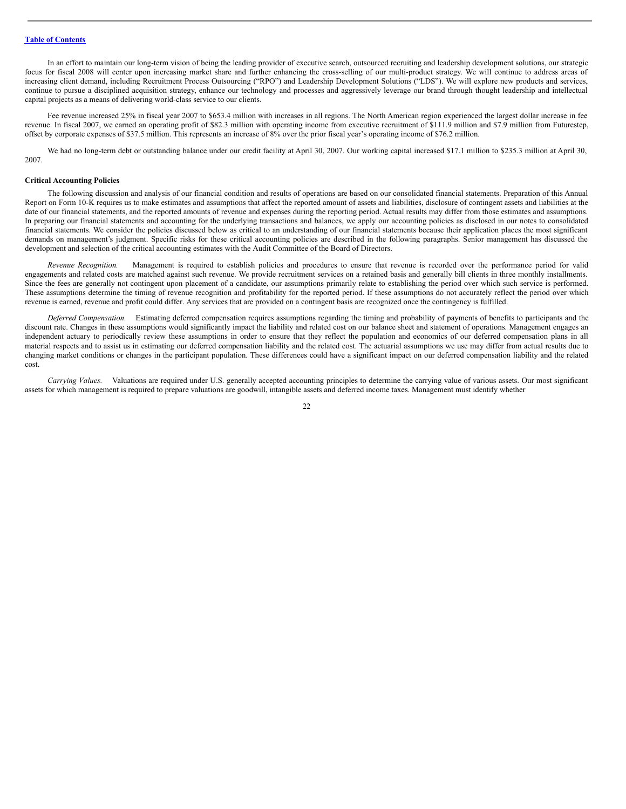In an effort to maintain our long-term vision of being the leading provider of executive search, outsourced recruiting and leadership development solutions, our strategic focus for fiscal 2008 will center upon increasing market share and further enhancing the cross-selling of our multi-product strategy. We will continue to address areas of increasing client demand, including Recruitment Process Outsourcing ("RPO") and Leadership Development Solutions ("LDS"). We will explore new products and services, continue to pursue a disciplined acquisition strategy, enhance our technology and processes and aggressively leverage our brand through thought leadership and intellectual capital projects as a means of delivering world-class service to our clients.

Fee revenue increased 25% in fiscal year 2007 to \$653.4 million with increases in all regions. The North American region experienced the largest dollar increase in fee revenue. In fiscal 2007, we earned an operating profit of \$82.3 million with operating income from executive recruitment of \$111.9 million and \$7.9 million from Futurestep, offset by corporate expenses of \$37.5 million. This represents an increase of 8% over the prior fiscal year's operating income of \$76.2 million.

We had no long-term debt or outstanding balance under our credit facility at April 30, 2007. Our working capital increased \$17.1 million to \$235.3 million at April 30, 2007.

## **Critical Accounting Policies**

The following discussion and analysis of our financial condition and results of operations are based on our consolidated financial statements. Preparation of this Annual Report on Form 10-K requires us to make estimates and assumptions that affect the reported amount of assets and liabilities, disclosure of contingent assets and liabilities at the date of our financial statements, and the reported amounts of revenue and expenses during the reporting period. Actual results may differ from those estimates and assumptions. In preparing our financial statements and accounting for the underlying transactions and balances, we apply our accounting policies as disclosed in our notes to consolidated financial statements. We consider the policies discussed below as critical to an understanding of our financial statements because their application places the most significant demands on management's judgment. Specific risks for these critical accounting policies are described in the following paragraphs. Senior management has discussed the development and selection of the critical accounting estimates with the Audit Committee of the Board of Directors.

*Revenue Recognition.* Management is required to establish policies and procedures to ensure that revenue is recorded over the performance period for valid engagements and related costs are matched against such revenue. We provide recruitment services on a retained basis and generally bill clients in three monthly installments. Since the fees are generally not contingent upon placement of a candidate, our assumptions primarily relate to establishing the period over which such service is performed. These assumptions determine the timing of revenue recognition and profitability for the reported period. If these assumptions do not accurately reflect the period over which revenue is earned, revenue and profit could differ. Any services that are provided on a contingent basis are recognized once the contingency is fulfilled.

*Deferred Compensation.* Estimating deferred compensation requires assumptions regarding the timing and probability of payments of benefits to participants and the discount rate. Changes in these assumptions would significantly impact the liability and related cost on our balance sheet and statement of operations. Management engages an independent actuary to periodically review these assumptions in order to ensure that they reflect the population and economics of our deferred compensation plans in all material respects and to assist us in estimating our deferred compensation liability and the related cost. The actuarial assumptions we use may differ from actual results due to changing market conditions or changes in the participant population. These differences could have a significant impact on our deferred compensation liability and the related cost.

*Carrying Values.* Valuations are required under U.S. generally accepted accounting principles to determine the carrying value of various assets. Our most significant assets for which management is required to prepare valuations are goodwill, intangible assets and deferred income taxes. Management must identify whether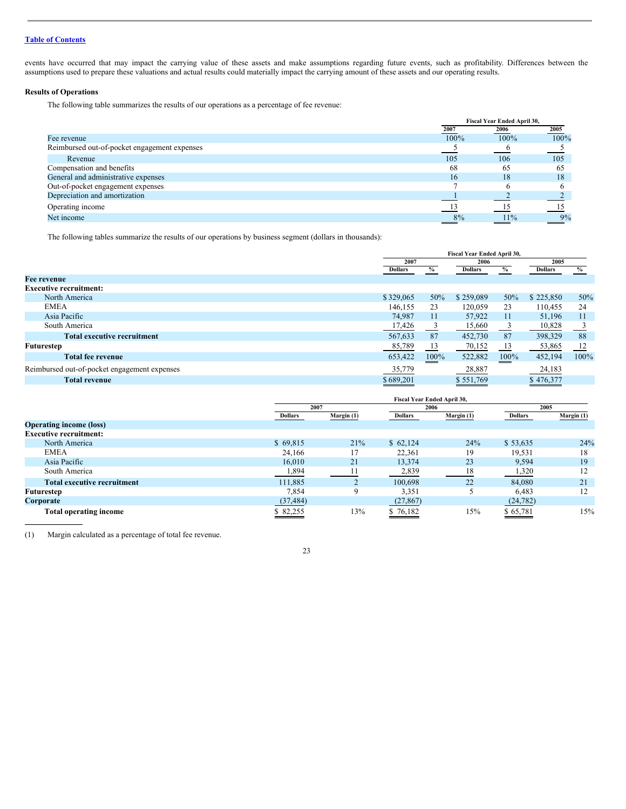events have occurred that may impact the carrying value of these assets and make assumptions regarding future events, such as profitability. Differences between the assumptions used to prepare these valuations and actual results could materially impact the carrying amount of these assets and our operating results.

# **Results of Operations**

The following table summarizes the results of our operations as a percentage of fee revenue:

| Fiscal Year Ended April 30,                     |      |
|-------------------------------------------------|------|
| 2007<br>2006                                    | 2005 |
| $100\%$<br>100%<br>Fee revenue                  | 100% |
| Reimbursed out-of-pocket engagement expenses    |      |
| 105<br>106<br>Revenue                           | 105  |
| Compensation and benefits<br>68<br>65           | 65   |
| General and administrative expenses<br>18<br>16 | 18   |
| Out-of-pocket engagement expenses               |      |
| Depreciation and amortization                   |      |
| Operating income                                |      |
| Net income<br>8%<br>11%                         | 9%   |

The following tables summarize the results of our operations by business segment (dollars in thousands):

| Fiscal Year Ended April 30, |      |                |         |                |         |  |
|-----------------------------|------|----------------|---------|----------------|---------|--|
| 2007                        |      | 2006           |         | 2005           |         |  |
| <b>Dollars</b>              | $\%$ | <b>Dollars</b> | $\%$    | <b>Dollars</b> | $\%$    |  |
|                             |      |                |         |                |         |  |
|                             |      |                |         |                |         |  |
| \$329,065                   | 50%  | \$259,089      | 50%     | \$225,850      | 50%     |  |
| 146,155                     | 23   | 120,059        | 23      | 110,455        | 24      |  |
| 74.987                      | 11   | 57,922         | 11      | 51.196         | 11      |  |
| 17,426                      | 3    | 15,660         |         | 10,828         |         |  |
| 567,633                     | 87   | 452,730        | 87      | 398,329        | 88      |  |
| 85,789                      | 13   | 70,152         | 13      | 53,865         |         |  |
| 653,422                     | 100% | 522,882        | $100\%$ | 452,194        | $100\%$ |  |
| 35,779                      |      | 28,887         |         | 24,183         |         |  |
| \$689,201                   |      | \$551,769      |         | \$476,377      |         |  |
|                             |      |                |         |                |         |  |

|                                    | Fiscal Year Ended April 30, |            |                |            |                |            |  |  |
|------------------------------------|-----------------------------|------------|----------------|------------|----------------|------------|--|--|
|                                    | 2007                        |            | 2006           |            | 2005           |            |  |  |
|                                    | <b>Dollars</b>              | Margin (1) | <b>Dollars</b> | Margin (1) | <b>Dollars</b> | Margin (1) |  |  |
| <b>Operating income (loss)</b>     |                             |            |                |            |                |            |  |  |
| <b>Executive recruitment:</b>      |                             |            |                |            |                |            |  |  |
| North America                      | \$69,815                    | 21%        | \$62,124       | 24%        | \$53,635       | 24%        |  |  |
| <b>EMEA</b>                        | 24,166                      | 17         | 22,361         | 19         | 19,531         | 18         |  |  |
| Asia Pacific                       | 16.010                      | 21         | 13,374         | 23         | 9,594          | 19         |  |  |
| South America                      | 1,894                       |            | 2,839          | 18         | 1,320          |            |  |  |
| <b>Total executive recruitment</b> | 111,885                     |            | 100,698        | 22         | 84,080         | 21         |  |  |
| <b>Futurestep</b>                  | 7,854                       | Q          | 3,351          |            | 6,483          |            |  |  |
| Corporate                          | (37, 484)                   |            | (27, 867)      |            | (24, 782)      |            |  |  |
| <b>Total operating income</b>      | \$ 82,255                   | 13%        | \$76,182       | 15%        | \$65,781       | 15%        |  |  |

(1) Margin calculated as a percentage of total fee revenue.

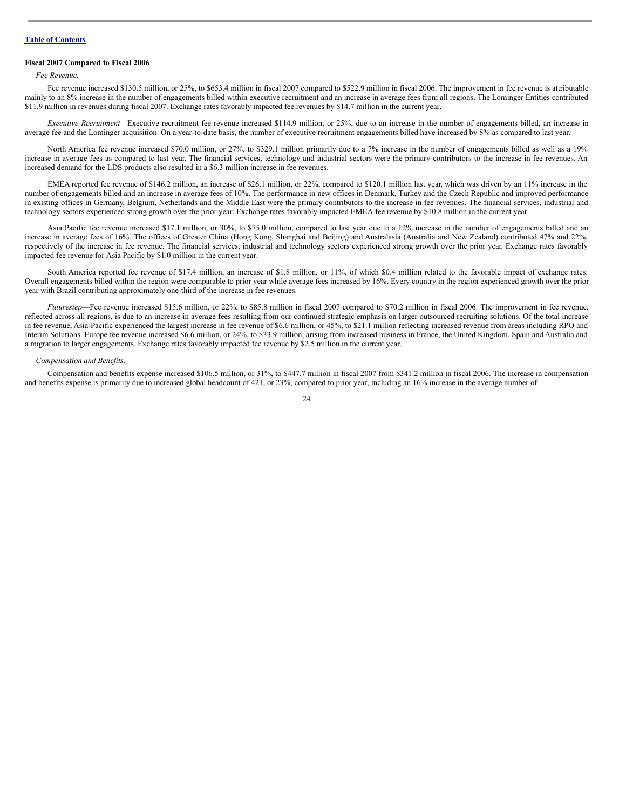#### **Fiscal 2007 Compared to Fiscal 2006**

#### *Fee Revenue.*

Fee revenue increased \$130.5 million, or 25%, to \$653.4 million in fiscal 2007 compared to \$522.9 million in fiscal 2006. The improvement in fee revenue is attributable mainly to an 8% increase in the number of engagements billed within executive recruitment and an increase in average fees from all regions. The Lominger Entities contributed \$11.9 million in revenues during fiscal 2007. Exchange rates favorably impacted fee revenues by \$14.7 million in the current year.

*Executive Recruitment*—Executive recruitment fee revenue increased \$114.9 million, or 25%, due to an increase in the number of engagements billed, an increase in average fee and the Lominger acquisition. On a year-to-date basis, the number of executive recruitment engagements billed have increased by 8% as compared to last year.

North America fee revenue increased \$70.0 million, or 27%, to \$329.1 million primarily due to a 7% increase in the number of engagements billed as well as a 19% increase in average fees as compared to last year. The financial services, technology and industrial sectors were the primary contributors to the increase in fee revenues. An increased demand for the LDS products also resulted in a \$6.3 million increase in fee revenues.

EMEA reported fee revenue of \$146.2 million, an increase of \$26.1 million, or 22%, compared to \$120.1 million last year, which was driven by an 11% increase in the number of engagements billed and an increase in average fees of 10%. The performance in new offices in Denmark, Turkey and the Czech Republic and improved performance in existing offices in Germany, Belgium, Netherlands and the Middle East were the primary contributors to the increase in fee revenues. The financial services, industrial and technology sectors experienced strong growth over the prior year. Exchange rates favorably impacted EMEA fee revenue by \$10.8 million in the current year.

Asia Pacific fee revenue increased \$17.1 million, or 30%, to \$75.0 million, compared to last year due to a 12% increase in the number of engagements billed and an increase in average fees of 16%. The offices of Greater China (Hong Kong, Shanghai and Beijing) and Australasia (Australia and New Zealand) contributed 47% and 22%, respectively of the increase in fee revenue. The financial services, industrial and technology sectors experienced strong growth over the prior year. Exchange rates favorably impacted fee revenue for Asia Pacific by \$1.0 million in the current year.

South America reported fee revenue of \$17.4 million, an increase of \$1.8 million, or 11%, of which \$0.4 million related to the favorable impact of exchange rates. Overall engagements billed within the region were comparable to prior year while average fees increased by 16%. Every country in the region experienced growth over the prior year with Brazil contributing approximately one-third of the increase in fee revenues.

*Futurestep*—Fee revenue increased \$15.6 million, or 22%, to \$85.8 million in fiscal 2007 compared to \$70.2 million in fiscal 2006. The improvement in fee revenue, reflected across all regions, is due to an increase in average fees resulting from our continued strategic emphasis on larger outsourced recruiting solutions. Of the total increase in fee revenue, Asia-Pacific experienced the largest increase in fee revenue of \$6.6 million, or 45%, to \$21.1 million reflecting increased revenue from areas including RPO and Interim Solutions. Europe fee revenue increased \$6.6 million, or 24%, to \$33.9 million, arising from increased business in France, the United Kingdom, Spain and Australia and a migration to larger engagements. Exchange rates favorably impacted fee revenue by \$2.5 million in the current year.

#### *Compensation and Benefits.*

Compensation and benefits expense increased \$106.5 million, or 31%, to \$447.7 million in fiscal 2007 from \$341.2 million in fiscal 2006. The increase in compensation and benefits expense is primarily due to increased global headcount of 421, or 23%, compared to prior year, including an 16% increase in the average number of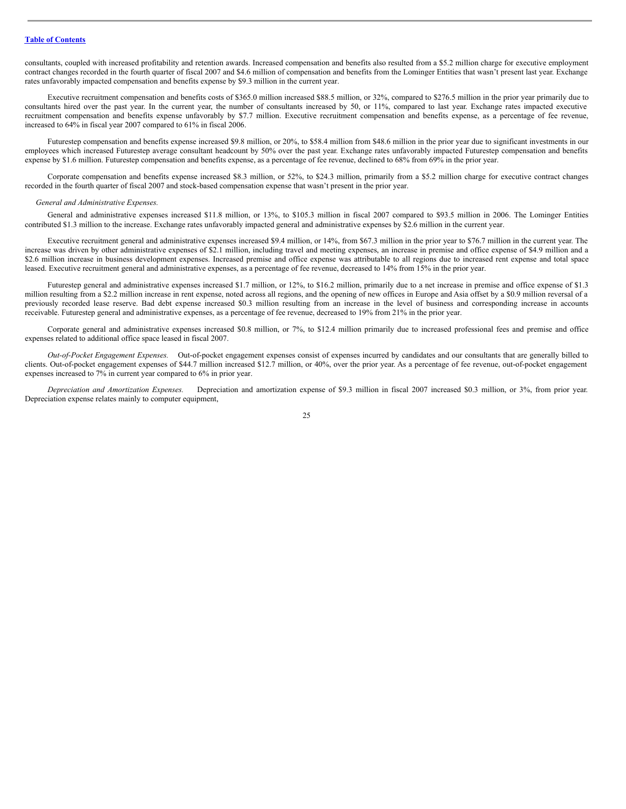consultants, coupled with increased profitability and retention awards. Increased compensation and benefits also resulted from a \$5.2 million charge for executive employment contract changes recorded in the fourth quarter of fiscal 2007 and \$4.6 million of compensation and benefits from the Lominger Entities that wasn't present last year. Exchange rates unfavorably impacted compensation and benefits expense by \$9.3 million in the current year.

Executive recruitment compensation and benefits costs of \$365.0 million increased \$88.5 million, or 32%, compared to \$276.5 million in the prior year primarily due to consultants hired over the past year. In the current year, the number of consultants increased by 50, or 11%, compared to last year. Exchange rates impacted executive recruitment compensation and benefits expense unfavorably by \$7.7 million. Executive recruitment compensation and benefits expense, as a percentage of fee revenue, increased to 64% in fiscal year 2007 compared to 61% in fiscal 2006.

Futurestep compensation and benefits expense increased \$9.8 million, or 20%, to \$58.4 million from \$48.6 million in the prior year due to significant investments in our employees which increased Futurestep average consultant headcount by 50% over the past year. Exchange rates unfavorably impacted Futurestep compensation and benefits expense by \$1.6 million. Futurestep compensation and benefits expense, as a percentage of fee revenue, declined to 68% from 69% in the prior year.

Corporate compensation and benefits expense increased \$8.3 million, or 52%, to \$24.3 million, primarily from a \$5.2 million charge for executive contract changes recorded in the fourth quarter of fiscal 2007 and stock-based compensation expense that wasn't present in the prior year.

#### *General and Administrative Expenses.*

General and administrative expenses increased \$11.8 million, or 13%, to \$105.3 million in fiscal 2007 compared to \$93.5 million in 2006. The Lominger Entities contributed \$1.3 million to the increase. Exchange rates unfavorably impacted general and administrative expenses by \$2.6 million in the current year.

Executive recruitment general and administrative expenses increased \$9.4 million, or 14%, from \$67.3 million in the prior year to \$76.7 million in the current year. The increase was driven by other administrative expenses of \$2.1 million, including travel and meeting expenses, an increase in premise and office expense of \$4.9 million and a \$2.6 million increase in business development expenses. Increased premise and office expense was attributable to all regions due to increased rent expense and total space leased. Executive recruitment general and administrative expenses, as a percentage of fee revenue, decreased to 14% from 15% in the prior year.

Futurestep general and administrative expenses increased \$1.7 million, or 12%, to \$16.2 million, primarily due to a net increase in premise and office expense of \$1.3 million resulting from a \$2.2 million increase in rent expense, noted across all regions, and the opening of new offices in Europe and Asia offset by a \$0.9 million reversal of a previously recorded lease reserve. Bad debt expense increased \$0.3 million resulting from an increase in the level of business and corresponding increase in accounts receivable. Futurestep general and administrative expenses, as a percentage of fee revenue, decreased to 19% from 21% in the prior year.

Corporate general and administrative expenses increased \$0.8 million, or 7%, to \$12.4 million primarily due to increased professional fees and premise and office expenses related to additional office space leased in fiscal 2007.

*Out-of-Pocket Engagement Expenses.* Out-of-pocket engagement expenses consist of expenses incurred by candidates and our consultants that are generally billed to clients. Out-of-pocket engagement expenses of \$44.7 million increased \$12.7 million, or 40%, over the prior year. As a percentage of fee revenue, out-of-pocket engagement expenses increased to 7% in current year compared to 6% in prior year.

*Depreciation and Amortization Expenses.* Depreciation and amortization expense of \$9.3 million in fiscal 2007 increased \$0.3 million, or 3%, from prior year. Depreciation expense relates mainly to computer equipment,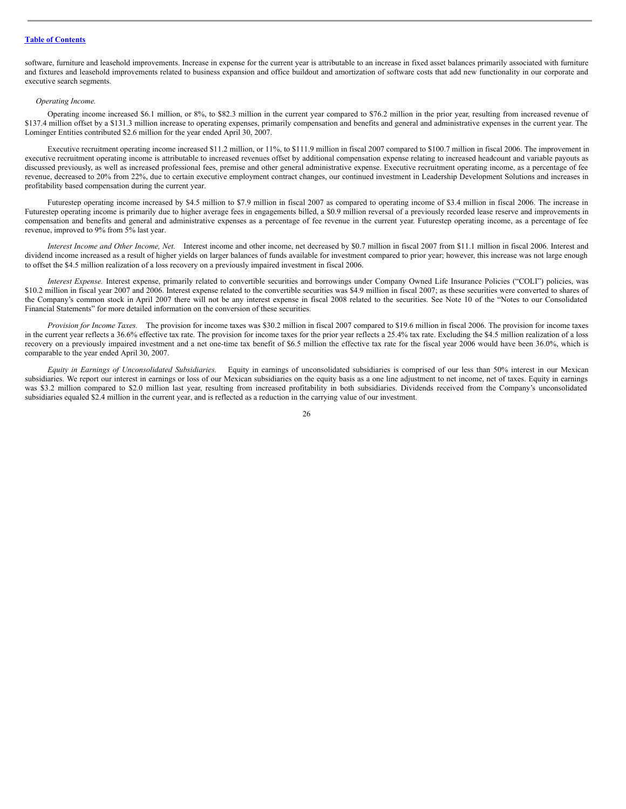software, furniture and leasehold improvements. Increase in expense for the current year is attributable to an increase in fixed asset balances primarily associated with furniture and fixtures and leasehold improvements related to business expansion and office buildout and amortization of software costs that add new functionality in our corporate and executive search segments.

#### *Operating Income.*

Operating income increased \$6.1 million, or 8%, to \$82.3 million in the current year compared to \$76.2 million in the prior year, resulting from increased revenue of \$137.4 million offset by a \$131.3 million increase to operating expenses, primarily compensation and benefits and general and administrative expenses in the current year. The Lominger Entities contributed \$2.6 million for the year ended April 30, 2007.

Executive recruitment operating income increased \$11.2 million, or 11%, to \$111.9 million in fiscal 2007 compared to \$100.7 million in fiscal 2006. The improvement in executive recruitment operating income is attributable to increased revenues offset by additional compensation expense relating to increased headcount and variable payouts as discussed previously, as well as increased professional fees, premise and other general administrative expense. Executive recruitment operating income, as a percentage of fee revenue, decreased to 20% from 22%, due to certain executive employment contract changes, our continued investment in Leadership Development Solutions and increases in profitability based compensation during the current year.

Futurestep operating income increased by \$4.5 million to \$7.9 million in fiscal 2007 as compared to operating income of \$3.4 million in fiscal 2006. The increase in Futurestep operating income is primarily due to higher average fees in engagements billed, a \$0.9 million reversal of a previously recorded lease reserve and improvements in compensation and benefits and general and administrative expenses as a percentage of fee revenue in the current year. Futurestep operating income, as a percentage of fee revenue, improved to 9% from 5% last year.

*Interest Income and Other Income, Net.* Interest income and other income, net decreased by \$0.7 million in fiscal 2007 from \$11.1 million in fiscal 2006. Interest and dividend income increased as a result of higher yields on larger balances of funds available for investment compared to prior year; however, this increase was not large enough to offset the \$4.5 million realization of a loss recovery on a previously impaired investment in fiscal 2006.

*Interest Expense.* Interest expense, primarily related to convertible securities and borrowings under Company Owned Life Insurance Policies ("COLI") policies, was \$10.2 million in fiscal year 2007 and 2006. Interest expense related to the convertible securities was \$4.9 million in fiscal 2007; as these securities were converted to shares of the Company's common stock in April 2007 there will not be any interest expense in fiscal 2008 related to the securities. See Note 10 of the "Notes to our Consolidated Financial Statements" for more detailed information on the conversion of these securities.

*Provision for Income Taxes.* The provision for income taxes was \$30.2 million in fiscal 2007 compared to \$19.6 million in fiscal 2006. The provision for income taxes in the current year reflects a 36.6% effective tax rate. The provision for income taxes for the prior year reflects a 25.4% tax rate. Excluding the \$4.5 million realization of a loss recovery on a previously impaired investment and a net one-time tax benefit of \$6.5 million the effective tax rate for the fiscal year 2006 would have been 36.0%, which is comparable to the year ended April 30, 2007.

*Equity in Earnings of Unconsolidated Subsidiaries.* Equity in earnings of unconsolidated subsidiaries is comprised of our less than 50% interest in our Mexican subsidiaries. We report our interest in earnings or loss of our Mexican subsidiaries on the equity basis as a one line adjustment to net income, net of taxes. Equity in earnings was \$3.2 million compared to \$2.0 million last year, resulting from increased profitability in both subsidiaries. Dividends received from the Company's unconsolidated subsidiaries equaled \$2.4 million in the current year, and is reflected as a reduction in the carrying value of our investment.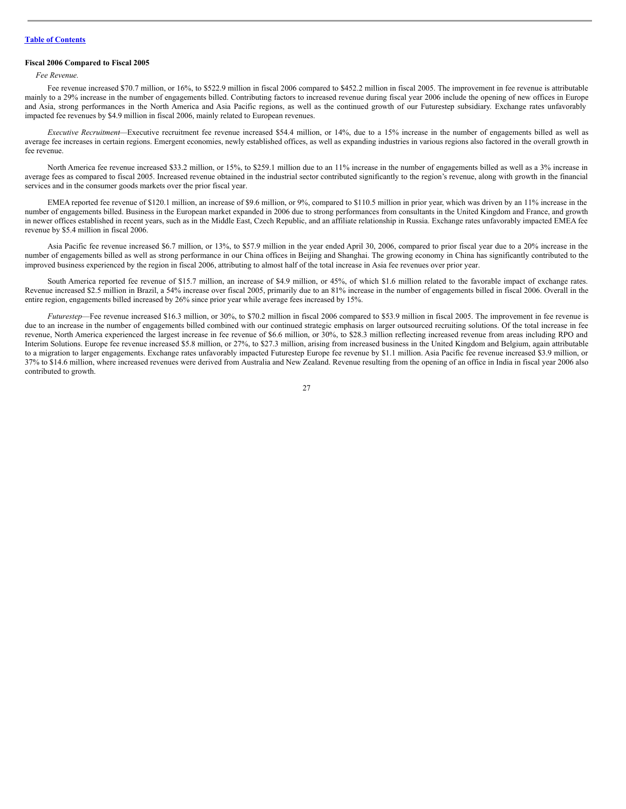#### **Fiscal 2006 Compared to Fiscal 2005**

*Fee Revenue.*

Fee revenue increased \$70.7 million, or 16%, to \$522.9 million in fiscal 2006 compared to \$452.2 million in fiscal 2005. The improvement in fee revenue is attributable mainly to a 29% increase in the number of engagements billed. Contributing factors to increased revenue during fiscal year 2006 include the opening of new offices in Europe and Asia, strong performances in the North America and Asia Pacific regions, as well as the continued growth of our Futurestep subsidiary. Exchange rates unfavorably impacted fee revenues by \$4.9 million in fiscal 2006, mainly related to European revenues.

*Executive Recruitment*—Executive recruitment fee revenue increased \$54.4 million, or 14%, due to a 15% increase in the number of engagements billed as well as average fee increases in certain regions. Emergent economies, newly established offices, as well as expanding industries in various regions also factored in the overall growth in fee revenue.

North America fee revenue increased \$33.2 million, or 15%, to \$259.1 million due to an 11% increase in the number of engagements billed as well as a 3% increase in average fees as compared to fiscal 2005. Increased revenue obtained in the industrial sector contributed significantly to the region's revenue, along with growth in the financial services and in the consumer goods markets over the prior fiscal year.

EMEA reported fee revenue of \$120.1 million, an increase of \$9.6 million, or 9%, compared to \$110.5 million in prior year, which was driven by an 11% increase in the number of engagements billed. Business in the European market expanded in 2006 due to strong performances from consultants in the United Kingdom and France, and growth in newer offices established in recent years, such as in the Middle East, Czech Republic, and an affiliate relationship in Russia. Exchange rates unfavorably impacted EMEA fee revenue by \$5.4 million in fiscal 2006.

Asia Pacific fee revenue increased \$6.7 million, or 13%, to \$57.9 million in the year ended April 30, 2006, compared to prior fiscal year due to a 20% increase in the number of engagements billed as well as strong performance in our China offices in Beijing and Shanghai. The growing economy in China has significantly contributed to the improved business experienced by the region in fiscal 2006, attributing to almost half of the total increase in Asia fee revenues over prior year.

South America reported fee revenue of \$15.7 million, an increase of \$4.9 million, or 45%, of which \$1.6 million related to the favorable impact of exchange rates. Revenue increased \$2.5 million in Brazil, a 54% increase over fiscal 2005, primarily due to an 81% increase in the number of engagements billed in fiscal 2006. Overall in the entire region, engagements billed increased by 26% since prior year while average fees increased by 15%.

*Futurestep*—Fee revenue increased \$16.3 million, or 30%, to \$70.2 million in fiscal 2006 compared to \$53.9 million in fiscal 2005. The improvement in fee revenue is due to an increase in the number of engagements billed combined with our continued strategic emphasis on larger outsourced recruiting solutions. Of the total increase in fee revenue, North America experienced the largest increase in fee revenue of \$6.6 million, or 30%, to \$28.3 million reflecting increased revenue from areas including RPO and Interim Solutions. Europe fee revenue increased \$5.8 million, or 27%, to \$27.3 million, arising from increased business in the United Kingdom and Belgium, again attributable to a migration to larger engagements. Exchange rates unfavorably impacted Futurestep Europe fee revenue by \$1.1 million. Asia Pacific fee revenue increased \$3.9 million, or 37% to \$14.6 million, where increased revenues were derived from Australia and New Zealand. Revenue resulting from the opening of an office in India in fiscal year 2006 also contributed to growth.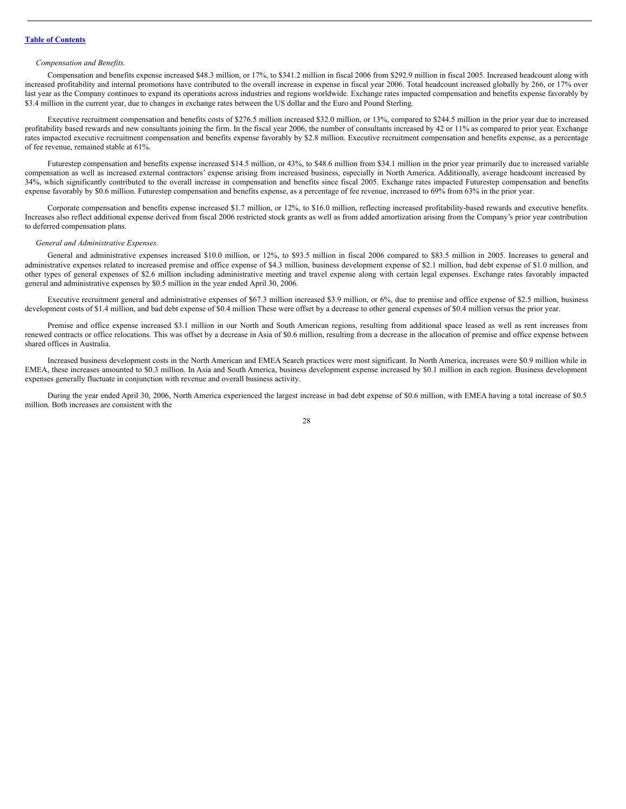# *Compensation and Benefits.*

Compensation and benefits expense increased \$48.3 million, or 17%, to \$341.2 million in fiscal 2006 from \$292.9 million in fiscal 2005. Increased headcount along with increased profitability and internal promotions have contributed to the overall increase in expense in fiscal year 2006. Total headcount increased globally by 266, or 17% over last year as the Company continues to expand its operations across industries and regions worldwide. Exchange rates impacted compensation and benefits expense favorably by \$3.4 million in the current year, due to changes in exchange rates between the US dollar and the Euro and Pound Sterling.

Executive recruitment compensation and benefits costs of \$276.5 million increased \$32.0 million, or 13%, compared to \$244.5 million in the prior year due to increased profitability based rewards and new consultants joining the firm. In the fiscal year 2006, the number of consultants increased by 42 or 11% as compared to prior year. Exchange rates impacted executive recruitment compensation and benefits expense favorably by \$2.8 million. Executive recruitment compensation and benefits expense, as a percentage of fee revenue, remained stable at 61%.

Futurestep compensation and benefits expense increased \$14.5 million, or 43%, to \$48.6 million from \$34.1 million in the prior year primarily due to increased variable compensation as well as increased external contractors' expense arising from increased business, especially in North America. Additionally, average headcount increased by 34%, which significantly contributed to the overall increase in compensation and benefits since fiscal 2005. Exchange rates impacted Futurestep compensation and benefits expense favorably by \$0.6 million. Futurestep compensation and benefits expense, as a percentage of fee revenue, increased to 69% from 63% in the prior year.

Corporate compensation and benefits expense increased \$1.7 million, or 12%, to \$16.0 million, reflecting increased profitability-based rewards and executive benefits. Increases also reflect additional expense derived from fiscal 2006 restricted stock grants as well as from added amortization arising from the Company's prior year contribution to deferred compensation plans.

#### *General and Administrative Expenses.*

General and administrative expenses increased \$10.0 million, or 12%, to \$93.5 million in fiscal 2006 compared to \$83.5 million in 2005. Increases to general and administrative expenses related to increased premise and office expense of \$4.3 million, business development expense of \$2.1 million, bad debt expense of \$1.0 million, and other types of general expenses of \$2.6 million including administrative meeting and travel expense along with certain legal expenses. Exchange rates favorably impacted general and administrative expenses by \$0.5 million in the year ended April 30, 2006.

Executive recruitment general and administrative expenses of \$67.3 million increased \$3.9 million, or 6%, due to premise and office expense of \$2.5 million, business development costs of \$1.4 million, and bad debt expense of \$0.4 million These were offset by a decrease to other general expenses of \$0.4 million versus the prior year.

Premise and office expense increased \$3.1 million in our North and South American regions, resulting from additional space leased as well as rent increases from renewed contracts or office relocations. This was offset by a decrease in Asia of \$0.6 million, resulting from a decrease in the allocation of premise and office expense between shared offices in Australia.

Increased business development costs in the North American and EMEA Search practices were most significant. In North America, increases were \$0.9 million while in EMEA, these increases amounted to \$0.3 million. In Asia and South America, business development expense increased by \$0.1 million in each region. Business development expenses generally fluctuate in conjunction with revenue and overall business activity.

During the year ended April 30, 2006, North America experienced the largest increase in bad debt expense of \$0.6 million, with EMEA having a total increase of \$0.5 million. Both increases are consistent with the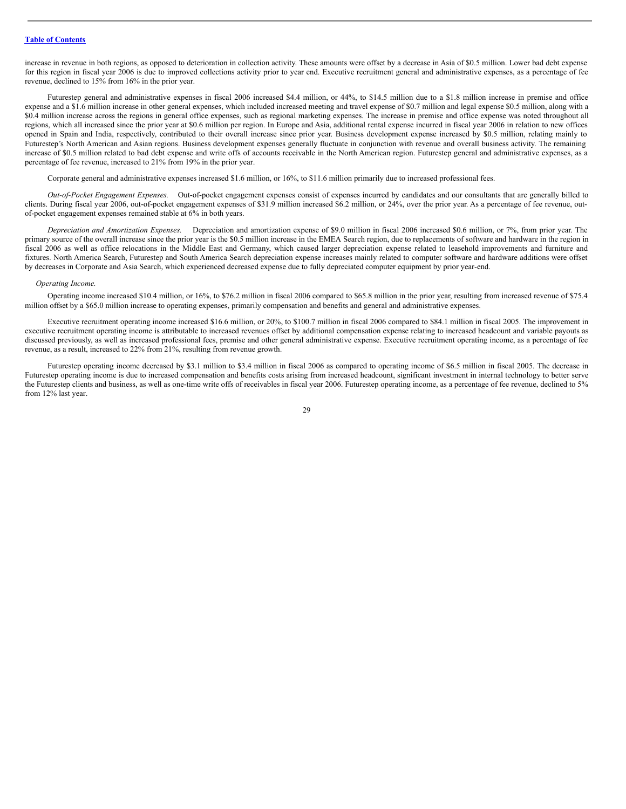increase in revenue in both regions, as opposed to deterioration in collection activity. These amounts were offset by a decrease in Asia of \$0.5 million. Lower bad debt expense for this region in fiscal year 2006 is due to improved collections activity prior to year end. Executive recruitment general and administrative expenses, as a percentage of fee revenue, declined to 15% from 16% in the prior year.

Futurestep general and administrative expenses in fiscal 2006 increased \$4.4 million, or 44%, to \$14.5 million due to a \$1.8 million increase in premise and office expense and a \$1.6 million increase in other general expenses, which included increased meeting and travel expense of \$0.7 million and legal expense \$0.5 million, along with a \$0.4 million increase across the regions in general office expenses, such as regional marketing expenses. The increase in premise and office expense was noted throughout all regions, which all increased since the prior year at \$0.6 million per region. In Europe and Asia, additional rental expense incurred in fiscal year 2006 in relation to new offices opened in Spain and India, respectively, contributed to their overall increase since prior year. Business development expense increased by \$0.5 million, relating mainly to Futurestep's North American and Asian regions. Business development expenses generally fluctuate in conjunction with revenue and overall business activity. The remaining increase of \$0.5 million related to bad debt expense and write offs of accounts receivable in the North American region. Futurestep general and administrative expenses, as a percentage of fee revenue, increased to 21% from 19% in the prior year.

Corporate general and administrative expenses increased \$1.6 million, or 16%, to \$11.6 million primarily due to increased professional fees.

*Out-of-Pocket Engagement Expenses.* Out-of-pocket engagement expenses consist of expenses incurred by candidates and our consultants that are generally billed to clients. During fiscal year 2006, out-of-pocket engagement expenses of \$31.9 million increased \$6.2 million, or 24%, over the prior year. As a percentage of fee revenue, outof-pocket engagement expenses remained stable at 6% in both years.

*Depreciation and Amortization Expenses.* Depreciation and amortization expense of \$9.0 million in fiscal 2006 increased \$0.6 million, or 7%, from prior year. The primary source of the overall increase since the prior year is the \$0.5 million increase in the EMEA Search region, due to replacements of software and hardware in the region in fiscal 2006 as well as office relocations in the Middle East and Germany, which caused larger depreciation expense related to leasehold improvements and furniture and fixtures. North America Search, Futurestep and South America Search depreciation expense increases mainly related to computer software and hardware additions were offset by decreases in Corporate and Asia Search, which experienced decreased expense due to fully depreciated computer equipment by prior year-end.

#### *Operating Income.*

Operating income increased \$10.4 million, or 16%, to \$76.2 million in fiscal 2006 compared to \$65.8 million in the prior year, resulting from increased revenue of \$75.4 million offset by a \$65.0 million increase to operating expenses, primarily compensation and benefits and general and administrative expenses.

Executive recruitment operating income increased \$16.6 million, or 20%, to \$100.7 million in fiscal 2006 compared to \$84.1 million in fiscal 2005. The improvement in executive recruitment operating income is attributable to increased revenues offset by additional compensation expense relating to increased headcount and variable payouts as discussed previously, as well as increased professional fees, premise and other general administrative expense. Executive recruitment operating income, as a percentage of fee revenue, as a result, increased to 22% from 21%, resulting from revenue growth.

Futurestep operating income decreased by \$3.1 million to \$3.4 million in fiscal 2006 as compared to operating income of \$6.5 million in fiscal 2005. The decrease in Futurestep operating income is due to increased compensation and benefits costs arising from increased headcount, significant investment in internal technology to better serve the Futurestep clients and business, as well as one-time write offs of receivables in fiscal year 2006. Futurestep operating income, as a percentage of fee revenue, declined to 5% from 12% last year.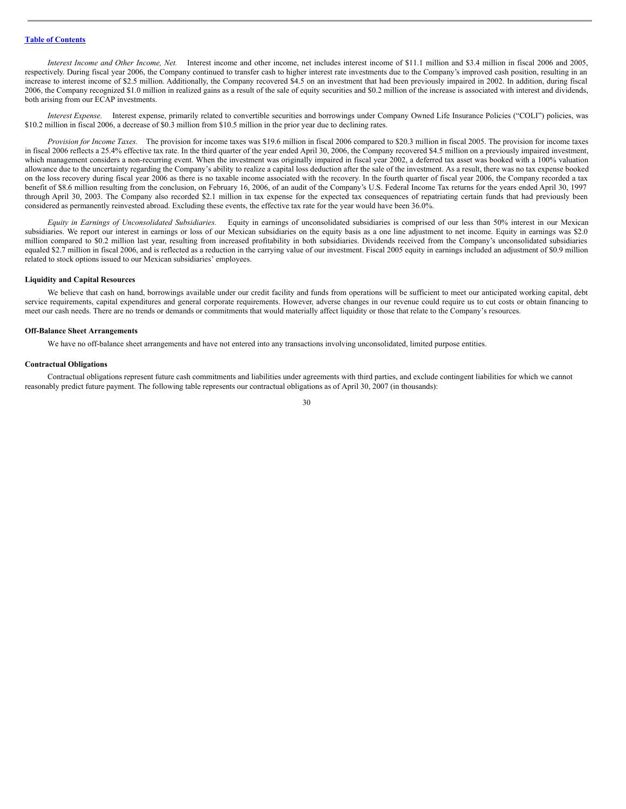*Interest Income and Other Income, Net.* Interest income and other income, net includes interest income of \$11.1 million and \$3.4 million in fiscal 2006 and 2005, respectively. During fiscal year 2006, the Company continued to transfer cash to higher interest rate investments due to the Company's improved cash position, resulting in an increase to interest income of \$2.5 million. Additionally, the Company recovered \$4.5 on an investment that had been previously impaired in 2002. In addition, during fiscal 2006, the Company recognized \$1.0 million in realized gains as a result of the sale of equity securities and \$0.2 million of the increase is associated with interest and dividends, both arising from our ECAP investments.

*Interest Expense.* Interest expense, primarily related to convertible securities and borrowings under Company Owned Life Insurance Policies ("COLI") policies, was \$10.2 million in fiscal 2006, a decrease of \$0.3 million from \$10.5 million in the prior year due to declining rates.

*Provision for Income Taxes.* The provision for income taxes was \$19.6 million in fiscal 2006 compared to \$20.3 million in fiscal 2005. The provision for income taxes in fiscal 2006 reflects a 25.4% effective tax rate. In the third quarter of the year ended April 30, 2006, the Company recovered \$4.5 million on a previously impaired investment, which management considers a non-recurring event. When the investment was originally impaired in fiscal year 2002, a deferred tax asset was booked with a 100% valuation allowance due to the uncertainty regarding the Company's ability to realize a capital loss deduction after the sale of the investment. As a result, there was no tax expense booked on the loss recovery during fiscal year 2006 as there is no taxable income associated with the recovery. In the fourth quarter of fiscal year 2006, the Company recorded a tax benefit of \$8.6 million resulting from the conclusion, on February 16, 2006, of an audit of the Company's U.S. Federal Income Tax returns for the years ended April 30, 1997 through April 30, 2003. The Company also recorded \$2.1 million in tax expense for the expected tax consequences of repatriating certain funds that had previously been considered as permanently reinvested abroad. Excluding these events, the effective tax rate for the year would have been 36.0%.

*Equity in Earnings of Unconsolidated Subsidiaries.* Equity in earnings of unconsolidated subsidiaries is comprised of our less than 50% interest in our Mexican subsidiaries. We report our interest in earnings or loss of our Mexican subsidiaries on the equity basis as a one line adjustment to net income. Equity in earnings was \$2.0 million compared to \$0.2 million last year, resulting from increased profitability in both subsidiaries. Dividends received from the Company's unconsolidated subsidiaries equaled \$2.7 million in fiscal 2006, and is reflected as a reduction in the carrying value of our investment. Fiscal 2005 equity in earnings included an adjustment of \$0.9 million related to stock options issued to our Mexican subsidiaries' employees.

#### **Liquidity and Capital Resources**

We believe that cash on hand, borrowings available under our credit facility and funds from operations will be sufficient to meet our anticipated working capital, debt service requirements, capital expenditures and general corporate requirements. However, adverse changes in our revenue could require us to cut costs or obtain financing to meet our cash needs. There are no trends or demands or commitments that would materially affect liquidity or those that relate to the Company's resources.

# **Off-Balance Sheet Arrangements**

We have no off-balance sheet arrangements and have not entered into any transactions involving unconsolidated, limited purpose entities.

#### **Contractual Obligations**

Contractual obligations represent future cash commitments and liabilities under agreements with third parties, and exclude contingent liabilities for which we cannot reasonably predict future payment. The following table represents our contractual obligations as of April 30, 2007 (in thousands):

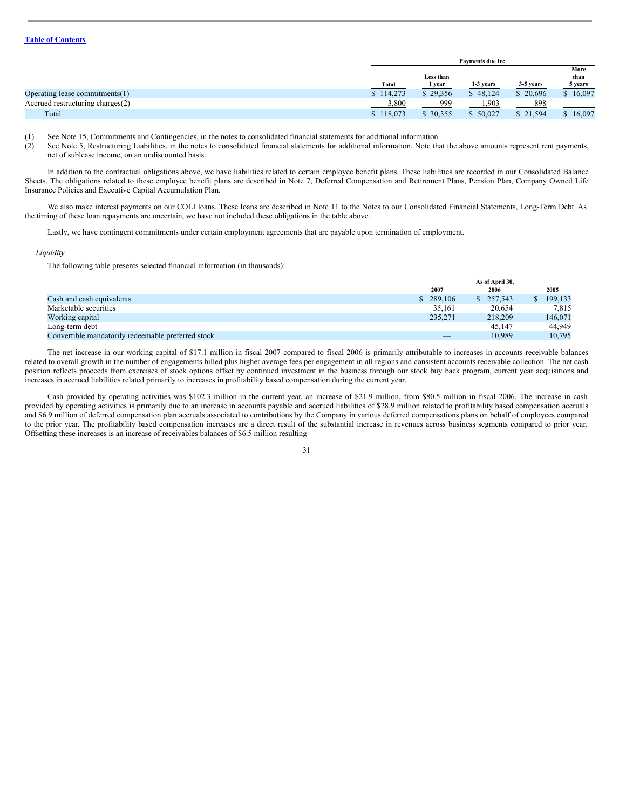|                                   | Payments due In: |                     |           |           |                          |  |  |  |
|-----------------------------------|------------------|---------------------|-----------|-----------|--------------------------|--|--|--|
|                                   | Total            | Less than<br>l year | 1-3 years | 3-5 years | More<br>than<br>5 years  |  |  |  |
| Operating lease commitments $(1)$ | \$114,273        | \$29,356            | 48.124    | 20,696    | 16,097                   |  |  |  |
| Accrued restructuring charges(2)  | 3,800            | 999                 | .903      | 898       | $\overline{\phantom{a}}$ |  |  |  |
| Total                             | \$118,073        | \$ 30,355           | 50,027    | 21,594    | 16,097                   |  |  |  |

(1) See Note 15, Commitments and Contingencies, in the notes to consolidated financial statements for additional information.

(2) See Note 5, Restructuring Liabilities, in the notes to consolidated financial statements for additional information. Note that the above amounts represent rent payments, net of sublease income, on an undiscounted basis.

In addition to the contractual obligations above, we have liabilities related to certain employee benefit plans. These liabilities are recorded in our Consolidated Balance Sheets. The obligations related to these employee benefit plans are described in Note 7, Deferred Compensation and Retirement Plans, Pension Plan, Company Owned Life Insurance Policies and Executive Capital Accumulation Plan.

We also make interest payments on our COLI loans. These loans are described in Note 11 to the Notes to our Consolidated Financial Statements, Long-Term Debt. As the timing of these loan repayments are uncertain, we have not included these obligations in the table above.

Lastly, we have contingent commitments under certain employment agreements that are payable upon termination of employment.

#### *Liquidity.*

The following table presents selected financial information (in thousands):

|                                                    |                          | As of April 30. |         |  |  |  |  |
|----------------------------------------------------|--------------------------|-----------------|---------|--|--|--|--|
|                                                    | 2007                     | 2006            | 2005    |  |  |  |  |
| Cash and cash equivalents                          | \$289,106                | 257,543         | 199.133 |  |  |  |  |
| Marketable securities                              | 35.161                   | 20.654          | 7.815   |  |  |  |  |
| Working capital                                    | 235.271                  | 218,209         | 146,071 |  |  |  |  |
| Long-term debt                                     | $\sim$                   | 45.147          | 44.949  |  |  |  |  |
| Convertible mandatorily redeemable preferred stock | $\overline{\phantom{a}}$ | 10.989          | 10,795  |  |  |  |  |

The net increase in our working capital of \$17.1 million in fiscal 2007 compared to fiscal 2006 is primarily attributable to increases in accounts receivable balances related to overall growth in the number of engagements billed plus higher average fees per engagement in all regions and consistent accounts receivable collection. The net cash position reflects proceeds from exercises of stock options offset by continued investment in the business through our stock buy back program, current year acquisitions and increases in accrued liabilities related primarily to increases in profitability based compensation during the current year.

Cash provided by operating activities was \$102.3 million in the current year, an increase of \$21.9 million, from \$80.5 million in fiscal 2006. The increase in cash provided by operating activities is primarily due to an increase in accounts payable and accrued liabilities of \$28.9 million related to profitability based compensation accruals and \$6.9 million of deferred compensation plan accruals associated to contributions by the Company in various deferred compensations plans on behalf of employees compared to the prior year. The profitability based compensation increases are a direct result of the substantial increase in revenues across business segments compared to prior year. Offsetting these increases is an increase of receivables balances of \$6.5 million resulting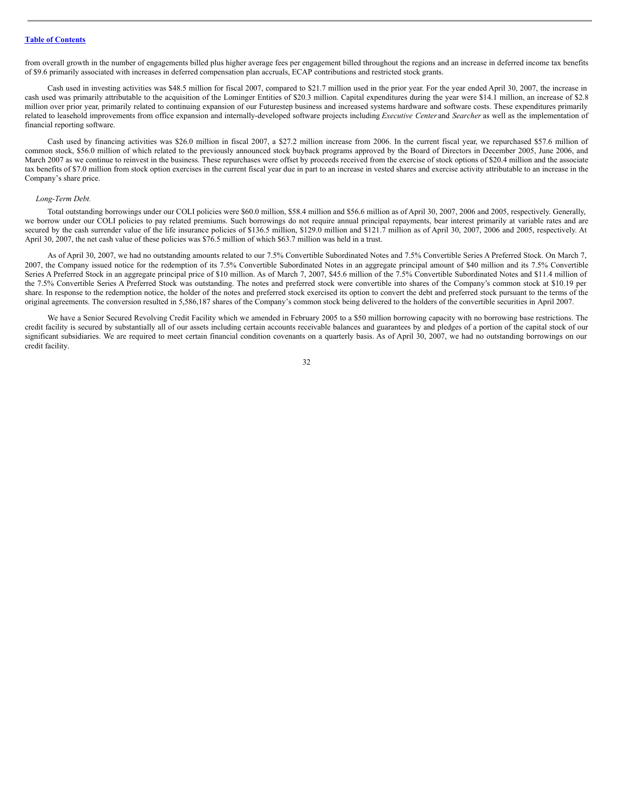from overall growth in the number of engagements billed plus higher average fees per engagement billed throughout the regions and an increase in deferred income tax benefits of \$9.6 primarily associated with increases in deferred compensation plan accruals, ECAP contributions and restricted stock grants.

Cash used in investing activities was \$48.5 million for fiscal 2007, compared to \$21.7 million used in the prior year. For the year ended April 30, 2007, the increase in cash used was primarily attributable to the acquisition of the Lominger Entities of \$20.3 million. Capital expenditures during the year were \$14.1 million, an increase of \$2.8 million over prior year, primarily related to continuing expansion of our Futurestep business and increased systems hardware and software costs. These expenditures primarily related to leasehold improvements from office expansion and internally-developed software projects including *Executive Center* and *Searcher* as well as the implementation of financial reporting software.

Cash used by financing activities was \$26.0 million in fiscal 2007, a \$27.2 million increase from 2006. In the current fiscal year, we repurchased \$57.6 million of common stock, \$56.0 million of which related to the previously announced stock buyback programs approved by the Board of Directors in December 2005, June 2006, and March 2007 as we continue to reinvest in the business. These repurchases were offset by proceeds received from the exercise of stock options of \$20.4 million and the associate tax benefits of \$7.0 million from stock option exercises in the current fiscal year due in part to an increase in vested shares and exercise activity attributable to an increase in the Company's share price.

# *Long-Term Debt.*

Total outstanding borrowings under our COLI policies were \$60.0 million, \$58.4 million and \$56.6 million as of April 30, 2007, 2006 and 2005, respectively. Generally, we borrow under our COLI policies to pay related premiums. Such borrowings do not require annual principal repayments, bear interest primarily at variable rates and are secured by the cash surrender value of the life insurance policies of \$136.5 million, \$129.0 million and \$121.7 million as of April 30, 2007, 2006 and 2005, respectively. At April 30, 2007, the net cash value of these policies was \$76.5 million of which \$63.7 million was held in a trust.

As of April 30, 2007, we had no outstanding amounts related to our 7.5% Convertible Subordinated Notes and 7.5% Convertible Series A Preferred Stock. On March 7, 2007, the Company issued notice for the redemption of its 7.5% Convertible Subordinated Notes in an aggregate principal amount of \$40 million and its 7.5% Convertible Series A Preferred Stock in an aggregate principal price of \$10 million. As of March 7, 2007, \$45.6 million of the 7.5% Convertible Subordinated Notes and \$11.4 million of the 7.5% Convertible Series A Preferred Stock was outstanding. The notes and preferred stock were convertible into shares of the Company's common stock at \$10.19 per share. In response to the redemption notice, the holder of the notes and preferred stock exercised its option to convert the debt and preferred stock pursuant to the terms of the original agreements. The conversion resulted in 5,586,187 shares of the Company's common stock being delivered to the holders of the convertible securities in April 2007.

We have a Senior Secured Revolving Credit Facility which we amended in February 2005 to a \$50 million borrowing capacity with no borrowing base restrictions. The credit facility is secured by substantially all of our assets including certain accounts receivable balances and guarantees by and pledges of a portion of the capital stock of our significant subsidiaries. We are required to meet certain financial condition covenants on a quarterly basis. As of April 30, 2007, we had no outstanding borrowings on our credit facility.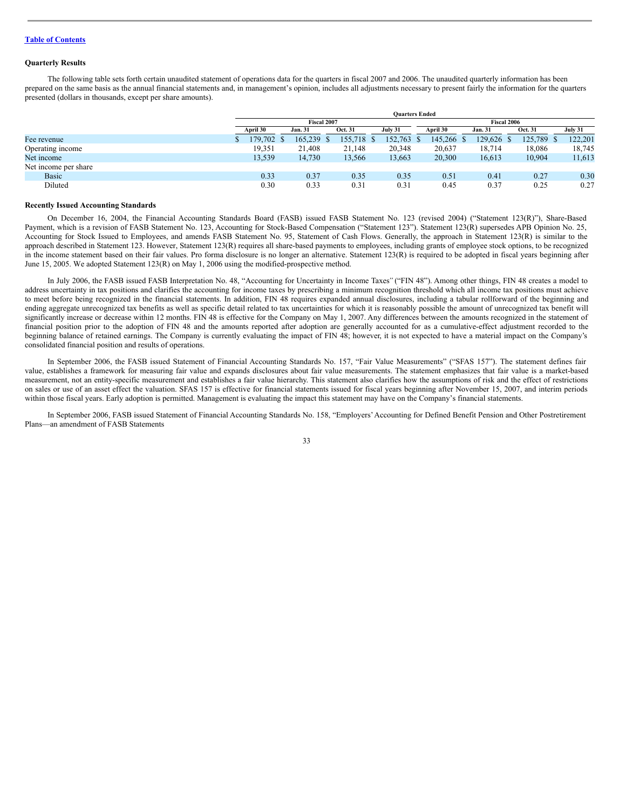#### **Quarterly Results**

The following table sets forth certain unaudited statement of operations data for the quarters in fiscal 2007 and 2006. The unaudited quarterly information has been prepared on the same basis as the annual financial statements and, in management's opinion, includes all adjustments necessary to present fairly the information for the quarters presented (dollars in thousands, except per share amounts).

|                      | <b>Ouarters Ended</b> |                |  |         |         |             |            |  |                |            |  |         |
|----------------------|-----------------------|----------------|--|---------|---------|-------------|------------|--|----------------|------------|--|---------|
|                      | Fiscal 2007           |                |  |         |         | Fiscal 2006 |            |  |                |            |  |         |
|                      | April 30              | <b>Jan. 31</b> |  | Oct. 31 | July 31 |             | April 30   |  | <b>Jan. 31</b> | Oct. 31    |  | July 31 |
| Fee revenue          | 179,702 \$            | 165,239 \$     |  | 155,718 |         | 152,763 \$  | 145,266 \$ |  | 129.626        | 125,789 \$ |  | 122,201 |
| Operating income     | 19,351                | 21,408         |  | 21,148  |         | 20,348      | 20,637     |  | 18,714         | 18,086     |  | 18,745  |
| Net income           | 13,539                | 14,730         |  | 13,566  |         | 13,663      | 20,300     |  | 16,613         | 10,904     |  | 11,613  |
| Net income per share |                       |                |  |         |         |             |            |  |                |            |  |         |
| <b>Basic</b>         | 0.33                  | 0.37           |  | 0.35    |         | 0.35        | 0.51       |  | 0.41           | 0.27       |  | 0.30    |
| Diluted              | 0.30                  | 0.33           |  | 0.31    |         | 0.31        | 0.45       |  | 0.37           | 0.25       |  | 0.27    |

#### **Recently Issued Accounting Standards**

On December 16, 2004, the Financial Accounting Standards Board (FASB) issued FASB Statement No. 123 (revised 2004) ("Statement 123(R)"), Share-Based Payment, which is a revision of FASB Statement No. 123, Accounting for Stock-Based Compensation ("Statement 123"). Statement 123(R) supersedes APB Opinion No. 25, Accounting for Stock Issued to Employees, and amends FASB Statement No. 95, Statement of Cash Flows. Generally, the approach in Statement 123(R) is similar to the approach described in Statement 123. However, Statement 123(R) requires all share-based payments to employees, including grants of employee stock options, to be recognized in the income statement based on their fair values. Pro forma disclosure is no longer an alternative. Statement 123(R) is required to be adopted in fiscal years beginning after June 15, 2005. We adopted Statement 123(R) on May 1, 2006 using the modified-prospective method.

In July 2006, the FASB issued FASB Interpretation No. 48, "Accounting for Uncertainty in Income Taxes*"* ("FIN 48"). Among other things, FIN 48 creates a model to address uncertainty in tax positions and clarifies the accounting for income taxes by prescribing a minimum recognition threshold which all income tax positions must achieve to meet before being recognized in the financial statements. In addition, FIN 48 requires expanded annual disclosures, including a tabular rollforward of the beginning and ending aggregate unrecognized tax benefits as well as specific detail related to tax uncertainties for which it is reasonably possible the amount of unrecognized tax benefit will significantly increase or decrease within 12 months. FIN 48 is effective for the Company on May 1, 2007. Any differences between the amounts recognized in the statement of financial position prior to the adoption of FIN 48 and the amounts reported after adoption are generally accounted for as a cumulative-effect adjustment recorded to the beginning balance of retained earnings. The Company is currently evaluating the impact of FIN 48; however, it is not expected to have a material impact on the Company's consolidated financial position and results of operations.

In September 2006, the FASB issued Statement of Financial Accounting Standards No. 157, "Fair Value Measurements" ("SFAS 157"). The statement defines fair value, establishes a framework for measuring fair value and expands disclosures about fair value measurements. The statement emphasizes that fair value is a market-based measurement, not an entity-specific measurement and establishes a fair value hierarchy. This statement also clarifies how the assumptions of risk and the effect of restrictions on sales or use of an asset effect the valuation. SFAS 157 is effective for financial statements issued for fiscal years beginning after November 15, 2007, and interim periods within those fiscal years. Early adoption is permitted. Management is evaluating the impact this statement may have on the Company's financial statements.

In September 2006, FASB issued Statement of Financial Accounting Standards No. 158, "Employers'Accounting for Defined Benefit Pension and Other Postretirement Plans—an amendment of FASB Statements

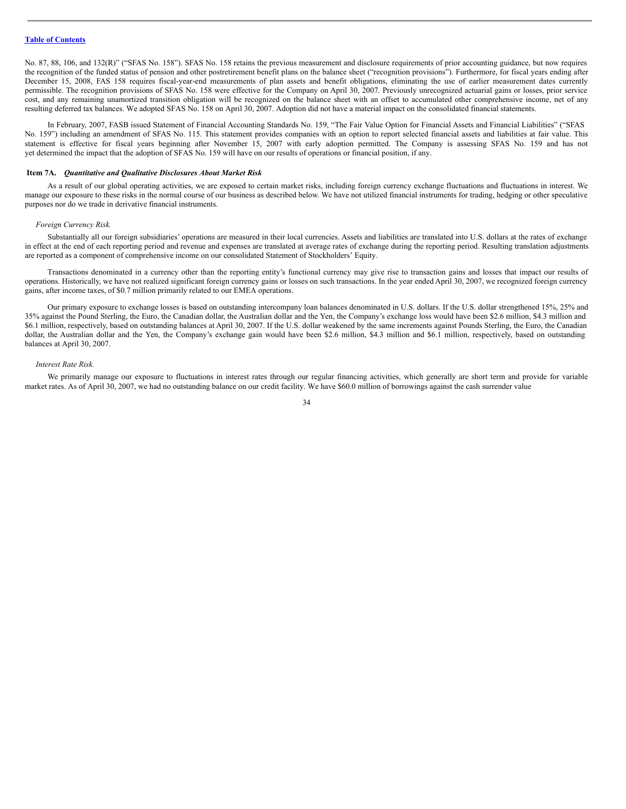No. 87, 88, 106, and 132(R)" ("SFAS No. 158"). SFAS No. 158 retains the previous measurement and disclosure requirements of prior accounting guidance, but now requires the recognition of the funded status of pension and other postretirement benefit plans on the balance sheet ("recognition provisions"). Furthermore, for fiscal years ending after December 15, 2008, FAS 158 requires fiscal-year-end measurements of plan assets and benefit obligations, eliminating the use of earlier measurement dates currently permissible. The recognition provisions of SFAS No. 158 were effective for the Company on April 30, 2007. Previously unrecognized actuarial gains or losses, prior service cost, and any remaining unamortized transition obligation will be recognized on the balance sheet with an offset to accumulated other comprehensive income, net of any resulting deferred tax balances. We adopted SFAS No. 158 on April 30, 2007. Adoption did not have a material impact on the consolidated financial statements.

In February, 2007, FASB issued Statement of Financial Accounting Standards No. 159, "The Fair Value Option for Financial Assets and Financial Liabilities" ("SFAS No. 159") including an amendment of SFAS No. 115. This statement provides companies with an option to report selected financial assets and liabilities at fair value. This statement is effective for fiscal years beginning after November 15, 2007 with early adoption permitted. The Company is assessing SFAS No. 159 and has not yet determined the impact that the adoption of SFAS No. 159 will have on our results of operations or financial position, if any.

#### <span id="page-33-0"></span>**Item 7A.** *Quantitative and Qualitative Disclosures About Market Risk*

As a result of our global operating activities, we are exposed to certain market risks, including foreign currency exchange fluctuations and fluctuations in interest. We manage our exposure to these risks in the normal course of our business as described below. We have not utilized financial instruments for trading, hedging or other speculative purposes nor do we trade in derivative financial instruments.

#### *Foreign Currency Risk.*

Substantially all our foreign subsidiaries' operations are measured in their local currencies. Assets and liabilities are translated into U.S. dollars at the rates of exchange in effect at the end of each reporting period and revenue and expenses are translated at average rates of exchange during the reporting period. Resulting translation adjustments are reported as a component of comprehensive income on our consolidated Statement of Stockholders' Equity.

Transactions denominated in a currency other than the reporting entity's functional currency may give rise to transaction gains and losses that impact our results of operations. Historically, we have not realized significant foreign currency gains or losses on such transactions. In the year ended April 30, 2007, we recognized foreign currency gains, after income taxes, of \$0.7 million primarily related to our EMEA operations.

Our primary exposure to exchange losses is based on outstanding intercompany loan balances denominated in U.S. dollars. If the U.S. dollar strengthened 15%, 25% and 35% against the Pound Sterling, the Euro, the Canadian dollar, the Australian dollar and the Yen, the Company's exchange loss would have been \$2.6 million, \$4.3 million and \$6.1 million, respectively, based on outstanding balances at April 30, 2007. If the U.S. dollar weakened by the same increments against Pounds Sterling, the Euro, the Canadian dollar, the Australian dollar and the Yen, the Company's exchange gain would have been \$2.6 million, \$4.3 million and \$6.1 million, respectively, based on outstanding balances at April 30, 2007.

#### *Interest Rate Risk.*

We primarily manage our exposure to fluctuations in interest rates through our regular financing activities, which generally are short term and provide for variable market rates. As of April 30, 2007, we had no outstanding balance on our credit facility. We have \$60.0 million of borrowings against the cash surrender value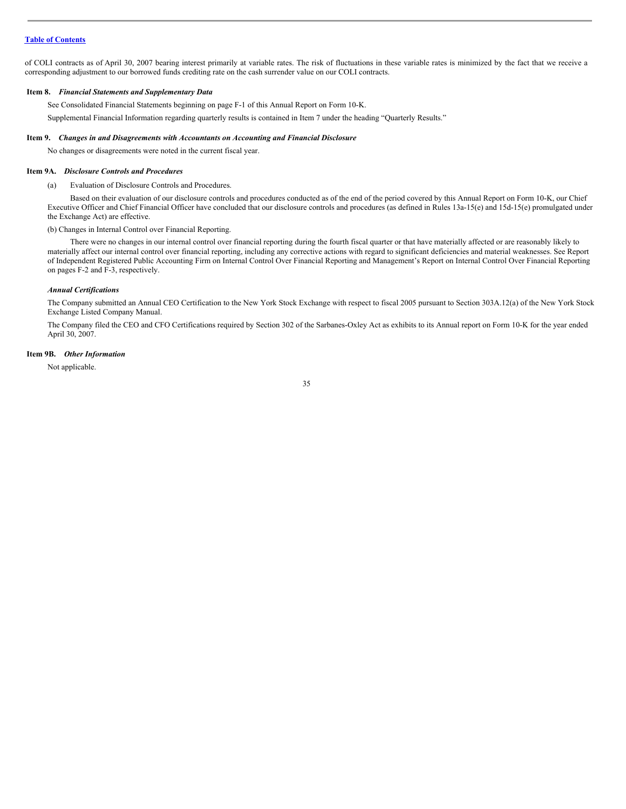of COLI contracts as of April 30, 2007 bearing interest primarily at variable rates. The risk of fluctuations in these variable rates is minimized by the fact that we receive a corresponding adjustment to our borrowed funds crediting rate on the cash surrender value on our COLI contracts.

#### <span id="page-34-0"></span>**Item 8.** *Financial Statements and Supplementary Data*

See Consolidated Financial Statements beginning on page F-1 of this Annual Report on Form 10-K.

Supplemental Financial Information regarding quarterly results is contained in Item 7 under the heading "Quarterly Results."

#### <span id="page-34-1"></span>**Item 9.** *Changes in and Disagreements with Accountants on Accounting and Financial Disclosure*

No changes or disagreements were noted in the current fiscal year.

#### <span id="page-34-2"></span>**Item 9A.** *Disclosure Controls and Procedures*

# (a) Evaluation of Disclosure Controls and Procedures.

Based on their evaluation of our disclosure controls and procedures conducted as of the end of the period covered by this Annual Report on Form 10-K, our Chief Executive Officer and Chief Financial Officer have concluded that our disclosure controls and procedures (as defined in Rules 13a-15(e) and 15d-15(e) promulgated under the Exchange Act) are effective.

# (b) Changes in Internal Control over Financial Reporting.

There were no changes in our internal control over financial reporting during the fourth fiscal quarter or that have materially affected or are reasonably likely to materially affect our internal control over financial reporting, including any corrective actions with regard to significant deficiencies and material weaknesses. See Report of Independent Registered Public Accounting Firm on Internal Control Over Financial Reporting and Management's Report on Internal Control Over Financial Reporting on pages F-2 and F-3, respectively.

#### *Annual Certifications*

The Company submitted an Annual CEO Certification to the New York Stock Exchange with respect to fiscal 2005 pursuant to Section 303A.12(a) of the New York Stock Exchange Listed Company Manual.

The Company filed the CEO and CFO Certifications required by Section 302 of the Sarbanes-Oxley Act as exhibits to its Annual report on Form 10-K for the year ended April 30, 2007.

# <span id="page-34-3"></span>**Item 9B.** *Other Information*

Not applicable.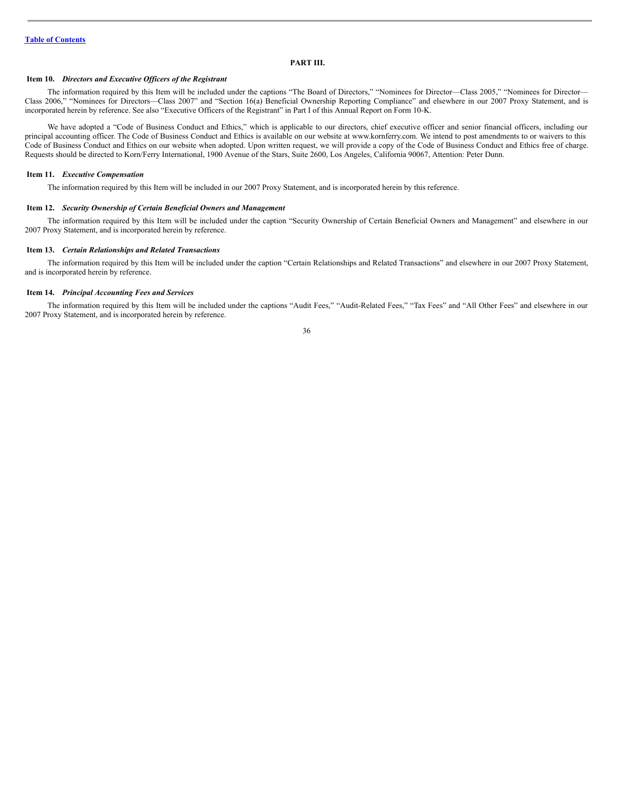# <span id="page-35-0"></span>**PART III.**

## <span id="page-35-1"></span>**Item 10.** *Directors and Executive Of icers of the Registrant*

The information required by this Item will be included under the captions "The Board of Directors," "Nominees for Director—Class 2005," "Nominees for Director— Class 2006," "Nominees for Directors—Class 2007" and "Section 16(a) Beneficial Ownership Reporting Compliance" and elsewhere in our 2007 Proxy Statement, and is incorporated herein by reference. See also "Executive Officers of the Registrant" in Part I of this Annual Report on Form 10-K.

We have adopted a "Code of Business Conduct and Ethics," which is applicable to our directors, chief executive officer and senior financial officers, including our principal accounting officer. The Code of Business Conduct and Ethics is available on our website at www.kornferry.com. We intend to post amendments to or waivers to this Code of Business Conduct and Ethics on our website when adopted. Upon written request, we will provide a copy of the Code of Business Conduct and Ethics free of charge. Requests should be directed to Korn/Ferry International, 1900 Avenue of the Stars, Suite 2600, Los Angeles, California 90067, Attention: Peter Dunn.

#### <span id="page-35-2"></span>**Item 11.** *Executive Compensation*

The information required by this Item will be included in our 2007 Proxy Statement, and is incorporated herein by this reference.

# <span id="page-35-3"></span>**Item 12.** *Security Ownership of Certain Beneficial Owners and Management*

The information required by this Item will be included under the caption "Security Ownership of Certain Beneficial Owners and Management" and elsewhere in our 2007 Proxy Statement, and is incorporated herein by reference.

#### <span id="page-35-4"></span>**Item 13.** *Certain Relationships and Related Transactions*

The information required by this Item will be included under the caption "Certain Relationships and Related Transactions" and elsewhere in our 2007 Proxy Statement, and is incorporated herein by reference.

## <span id="page-35-5"></span>**Item 14.** *Principal Accounting Fees and Services*

The information required by this Item will be included under the captions "Audit Fees," "Audit-Related Fees," "Tax Fees" and "All Other Fees" and elsewhere in our 2007 Proxy Statement, and is incorporated herein by reference.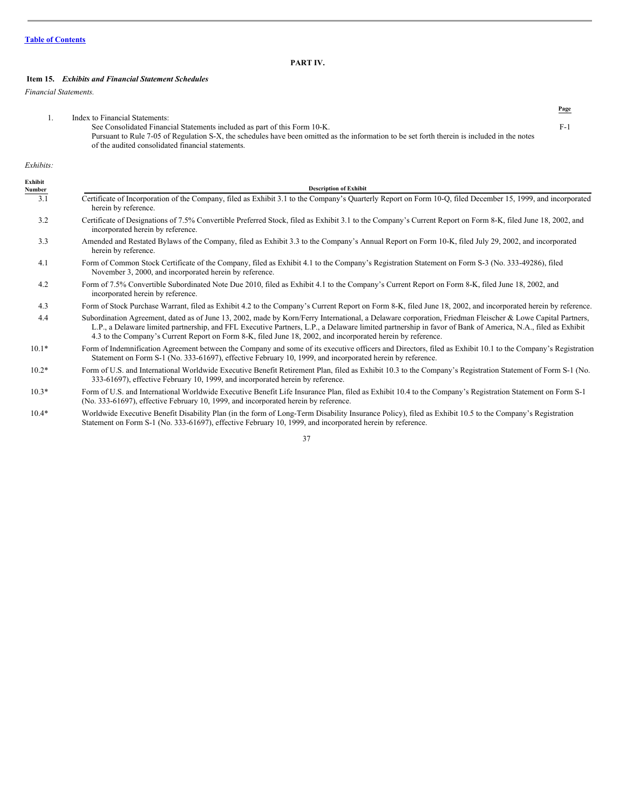# **PART IV.**

# **Item 15.** *Exhibits and Financial Statement Schedules*

*Financial Statements.*

|                                                                                                                                              | Page |
|----------------------------------------------------------------------------------------------------------------------------------------------|------|
| Index to Financial Statements:                                                                                                               |      |
| See Consolidated Financial Statements included as part of this Form 10-K.                                                                    |      |
| Pursuant to Rule 7-05 of Regulation S-X, the schedules have been omitted as the information to be set forth therein is included in the notes |      |
| of the audited consolidated financial statements.                                                                                            |      |

*Exhibits:*

| Exhibit<br>Number | <b>Description of Exhibit</b>                                                                                                                                                                                                                                                                                                                                                                                                          |
|-------------------|----------------------------------------------------------------------------------------------------------------------------------------------------------------------------------------------------------------------------------------------------------------------------------------------------------------------------------------------------------------------------------------------------------------------------------------|
| 3.1               | Certificate of Incorporation of the Company, filed as Exhibit 3.1 to the Company's Quarterly Report on Form 10-Q, filed December 15, 1999, and incorporated<br>herein by reference.                                                                                                                                                                                                                                                    |
| 3.2               | Certificate of Designations of 7.5% Convertible Preferred Stock, filed as Exhibit 3.1 to the Company's Current Report on Form 8-K, filed June 18, 2002, and<br>incorporated herein by reference.                                                                                                                                                                                                                                       |
| 3.3               | Amended and Restated Bylaws of the Company, filed as Exhibit 3.3 to the Company's Annual Report on Form 10-K, filed July 29, 2002, and incorporated<br>herein by reference.                                                                                                                                                                                                                                                            |
| 4.1               | Form of Common Stock Certificate of the Company, filed as Exhibit 4.1 to the Company's Registration Statement on Form S-3 (No. 333-49286), filed<br>November 3, 2000, and incorporated herein by reference.                                                                                                                                                                                                                            |
| 4.2               | Form of 7.5% Convertible Subordinated Note Due 2010, filed as Exhibit 4.1 to the Company's Current Report on Form 8-K, filed June 18, 2002, and<br>incorporated herein by reference.                                                                                                                                                                                                                                                   |
| 4.3               | Form of Stock Purchase Warrant, filed as Exhibit 4.2 to the Company's Current Report on Form 8-K, filed June 18, 2002, and incorporated herein by reference.                                                                                                                                                                                                                                                                           |
| 4.4               | Subordination Agreement, dated as of June 13, 2002, made by Korn/Ferry International, a Delaware corporation, Friedman Fleischer & Lowe Capital Partners,<br>L.P., a Delaware limited partnership, and FFL Executive Partners, L.P., a Delaware limited partnership in favor of Bank of America, N.A., filed as Exhibit<br>4.3 to the Company's Current Report on Form 8-K, filed June 18, 2002, and incorporated herein by reference. |
| $10.1*$           | Form of Indemnification Agreement between the Company and some of its executive officers and Directors, filed as Exhibit 10.1 to the Company's Registration<br>Statement on Form S-1 (No. 333-61697), effective February 10, 1999, and incorporated herein by reference.                                                                                                                                                               |
| $10.2*$           | Form of U.S. and International Worldwide Executive Benefit Retirement Plan, filed as Exhibit 10.3 to the Company's Registration Statement of Form S-1 (No.<br>333-61697), effective February 10, 1999, and incorporated herein by reference.                                                                                                                                                                                           |
| $10.3*$           | Form of U.S. and International Worldwide Executive Benefit Life Insurance Plan, filed as Exhibit 10.4 to the Company's Registration Statement on Form S-1<br>(No. 333-61697), effective February 10, 1999, and incorporated herein by reference.                                                                                                                                                                                       |

10.4\* Worldwide Executive Benefit Disability Plan (in the form of Long-Term Disability Insurance Policy), filed as Exhibit 10.5 to the Company's Registration Statement on Form S-1 (No. 333-61697), effective February 10, 1999, and incorporated herein by reference.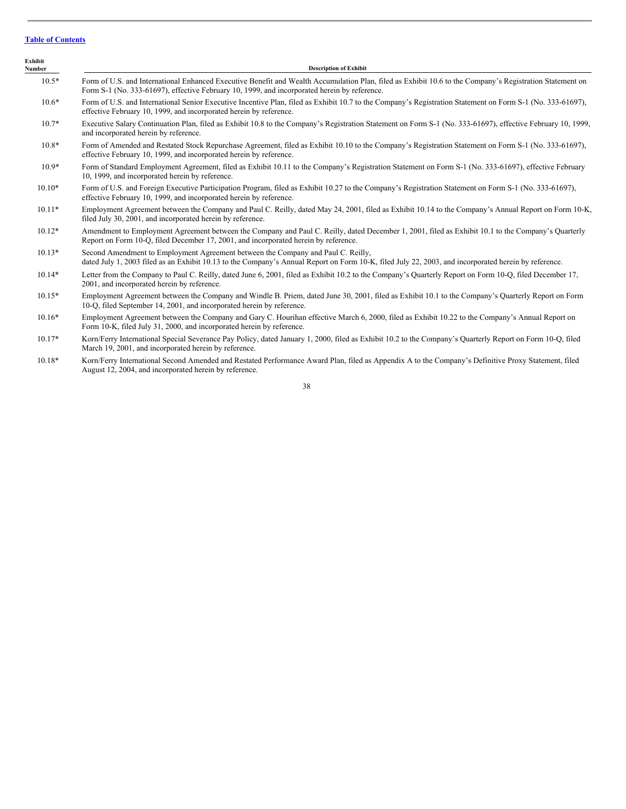**Exhibit Number Description of Exhibit** 10.5\* Form of U.S. and International Enhanced Executive Benefit and Wealth Accumulation Plan, filed as Exhibit 10.6 to the Company's Registration Statement on Form S-1 (No. 333-61697), effective February 10, 1999, and incorporated herein by reference. 10.6\* Form of U.S. and International Senior Executive Incentive Plan, filed as Exhibit 10.7 to the Company's Registration Statement on Form S-1 (No. 333-61697), effective February 10, 1999, and incorporated herein by reference. 10.7\* Executive Salary Continuation Plan, filed as Exhibit 10.8 to the Company's Registration Statement on Form S-1 (No. 333-61697), effective February 10, 1999, and incorporated herein by reference. 10.8\* Form of Amended and Restated Stock Repurchase Agreement, filed as Exhibit 10.10 to the Company's Registration Statement on Form S-1 (No. 333-61697), effective February 10, 1999, and incorporated herein by reference. 10.9\* Form of Standard Employment Agreement, filed as Exhibit 10.11 to the Company's Registration Statement on Form S-1 (No. 333-61697), effective February 10, 1999, and incorporated herein by reference. 10.10\* Form of U.S. and Foreign Executive Participation Program, filed as Exhibit 10.27 to the Company's Registration Statement on Form S-1 (No. 333-61697), effective February 10, 1999, and incorporated herein by reference. 10.11\* Employment Agreement between the Company and Paul C. Reilly, dated May 24, 2001, filed as Exhibit 10.14 to the Company's Annual Report on Form 10-K, filed July 30, 2001, and incorporated herein by reference. 10.12\* Amendment to Employment Agreement between the Company and Paul C. Reilly, dated December 1, 2001, filed as Exhibit 10.1 to the Company's Quarterly Report on Form 10-Q, filed December 17, 2001, and incorporated herein by reference. 10.13\* Second Amendment to Employment Agreement between the Company and Paul C. Reilly, dated July 1, 2003 filed as an Exhibit 10.13 to the Company's Annual Report on Form 10-K, filed July 22, 2003, and incorporated herein by reference. 10.14\* Letter from the Company to Paul C. Reilly, dated June 6, 2001, filed as Exhibit 10.2 to the Company's Quarterly Report on Form 10-Q, filed December 17, 2001, and incorporated herein by reference. 10.15\* Employment Agreement between the Company and Windle B. Priem, dated June 30, 2001, filed as Exhibit 10.1 to the Company's Quarterly Report on Form 10-Q, filed September 14, 2001, and incorporated herein by reference. 10.16\* Employment Agreement between the Company and Gary C. Hourihan effective March 6, 2000, filed as Exhibit 10.22 to the Company's Annual Report on Form 10-K, filed July 31, 2000, and incorporated herein by reference. 10.17\* Korn/Ferry International Special Severance Pay Policy, dated January 1, 2000, filed as Exhibit 10.2 to the Company's Quarterly Report on Form 10-Q, filed March 19, 2001, and incorporated herein by reference.

10.18\* Korn/Ferry International Second Amended and Restated Performance Award Plan, filed as Appendix A to the Company's Definitive Proxy Statement, filed August 12, 2004, and incorporated herein by reference.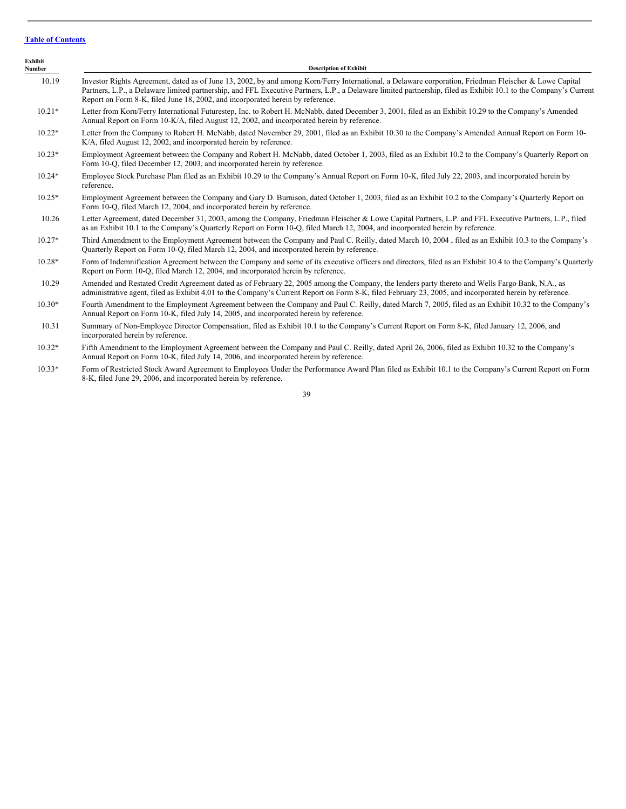| Exhibit<br>Number | <b>Description of Exhibit</b>                                                                                                                                                                                                                                                                                                                                                                                |
|-------------------|--------------------------------------------------------------------------------------------------------------------------------------------------------------------------------------------------------------------------------------------------------------------------------------------------------------------------------------------------------------------------------------------------------------|
| 10.19             | Investor Rights Agreement, dated as of June 13, 2002, by and among Korn/Ferry International, a Delaware corporation, Friedman Fleischer & Lowe Capital<br>Partners, L.P., a Delaware limited partnership, and FFL Executive Partners, L.P., a Delaware limited partnership, filed as Exhibit 10.1 to the Company's Current<br>Report on Form 8-K, filed June 18, 2002, and incorporated herein by reference. |
| $10.21*$          | Letter from Korn/Ferry International Futurestep, Inc. to Robert H. McNabb, dated December 3, 2001, filed as an Exhibit 10.29 to the Company's Amended<br>Annual Report on Form 10-K/A, filed August 12, 2002, and incorporated herein by reference.                                                                                                                                                          |
| $10.22*$          | Letter from the Company to Robert H. McNabb, dated November 29, 2001, filed as an Exhibit 10.30 to the Company's Amended Annual Report on Form 10-<br>K/A, filed August 12, 2002, and incorporated herein by reference.                                                                                                                                                                                      |
| $10.23*$          | Employment Agreement between the Company and Robert H. McNabb, dated October 1, 2003, filed as an Exhibit 10.2 to the Company's Quarterly Report on<br>Form 10-O, filed December 12, 2003, and incorporated herein by reference.                                                                                                                                                                             |
| $10.24*$          | Employee Stock Purchase Plan filed as an Exhibit 10.29 to the Company's Annual Report on Form 10-K, filed July 22, 2003, and incorporated herein by<br>reference.                                                                                                                                                                                                                                            |
| $10.25*$          | Employment Agreement between the Company and Gary D. Burnison, dated October 1, 2003, filed as an Exhibit 10.2 to the Company's Quarterly Report on<br>Form 10-Q, filed March 12, 2004, and incorporated herein by reference.                                                                                                                                                                                |
| 10.26             | Letter Agreement, dated December 31, 2003, among the Company, Friedman Fleischer & Lowe Capital Partners, L.P. and FFL Executive Partners, L.P., filed<br>as an Exhibit 10.1 to the Company's Quarterly Report on Form 10-Q, filed March 12, 2004, and incorporated herein by reference.                                                                                                                     |
| $10.27*$          | Third Amendment to the Employment Agreement between the Company and Paul C. Reilly, dated March 10, 2004, filed as an Exhibit 10.3 to the Company's<br>Quarterly Report on Form 10-Q, filed March 12, 2004, and incorporated herein by reference.                                                                                                                                                            |
| $10.28*$          | Form of Indemnification Agreement between the Company and some of its executive officers and directors, filed as an Exhibit 10.4 to the Company's Quarterly<br>Report on Form 10-O, filed March 12, 2004, and incorporated herein by reference.                                                                                                                                                              |
| 10.29             | Amended and Restated Credit Agreement dated as of February 22, 2005 among the Company, the lenders party thereto and Wells Fargo Bank, N.A., as<br>administrative agent, filed as Exhibit 4.01 to the Company's Current Report on Form 8-K, filed February 23, 2005, and incorporated herein by reference.                                                                                                   |
| $10.30*$          | Fourth Amendment to the Employment Agreement between the Company and Paul C. Reilly, dated March 7, 2005, filed as an Exhibit 10.32 to the Company's<br>Annual Report on Form 10-K, filed July 14, 2005, and incorporated herein by reference.                                                                                                                                                               |
| 10.31             | Summary of Non-Employee Director Compensation, filed as Exhibit 10.1 to the Company's Current Report on Form 8-K, filed January 12, 2006, and<br>incorporated herein by reference.                                                                                                                                                                                                                           |
| $10.32*$          | Fifth Amendment to the Employment Agreement between the Company and Paul C. Reilly, dated April 26, 2006, filed as Exhibit 10.32 to the Company's<br>Annual Report on Form 10-K, filed July 14, 2006, and incorporated herein by reference.                                                                                                                                                                  |

10.33\* Form of Restricted Stock Award Agreement to Employees Under the Performance Award Plan filed as Exhibit 10.1 to the Company's Current Report on Form 8-K, filed June 29, 2006, and incorporated herein by reference.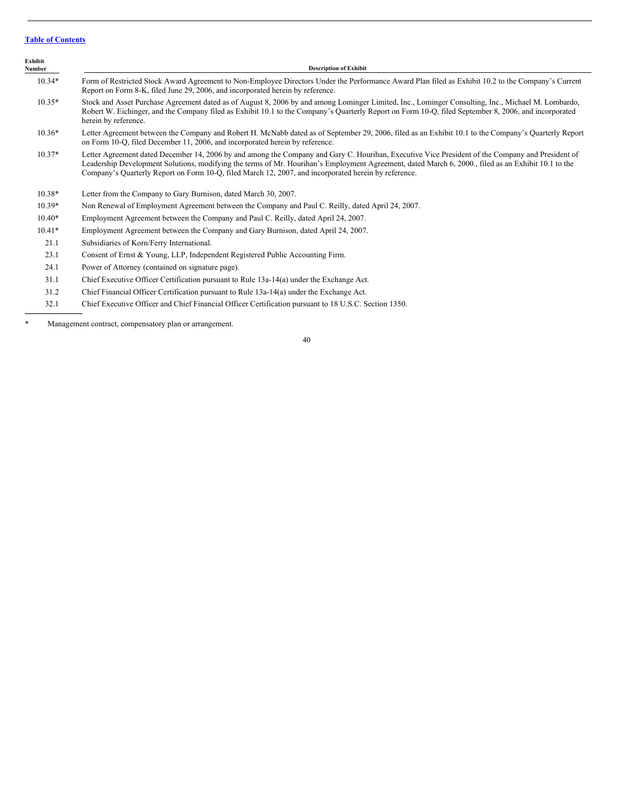| Exhibit<br>Number | <b>Description of Exhibit</b>                                                                                                                                                                                                                                                                                                                                                                                   |
|-------------------|-----------------------------------------------------------------------------------------------------------------------------------------------------------------------------------------------------------------------------------------------------------------------------------------------------------------------------------------------------------------------------------------------------------------|
| $10.34*$          | Form of Restricted Stock Award Agreement to Non-Employee Directors Under the Performance Award Plan filed as Exhibit 10.2 to the Company's Current<br>Report on Form 8-K, filed June 29, 2006, and incorporated herein by reference.                                                                                                                                                                            |
| $10.35*$          | Stock and Asset Purchase Agreement dated as of August 8, 2006 by and among Lominger Limited, Inc., Lominger Consulting, Inc., Michael M. Lombardo,<br>Robert W. Eichinger, and the Company filed as Exhibit 10.1 to the Company's Quarterly Report on Form 10-Q, filed September 8, 2006, and incorporated<br>herein by reference.                                                                              |
| $10.36*$          | Letter Agreement between the Company and Robert H. McNabb dated as of September 29, 2006, filed as an Exhibit 10.1 to the Company's Quarterly Report<br>on Form 10-O, filed December 11, 2006, and incorporated herein by reference.                                                                                                                                                                            |
| $10.37*$          | Letter Agreement dated December 14, 2006 by and among the Company and Gary C. Hourihan, Executive Vice President of the Company and President of<br>Leadership Development Solutions, modifying the terms of Mr. Hourihan's Employment Agreement, dated March 6, 2000., filed as an Exhibit 10.1 to the<br>Company's Quarterly Report on Form 10-Q, filed March 12, 2007, and incorporated herein by reference. |
| $10.38*$          | Letter from the Company to Gary Burnison, dated March 30, 2007.                                                                                                                                                                                                                                                                                                                                                 |
| $10.39*$          | Non Renewal of Employment Agreement between the Company and Paul C. Reilly, dated April 24, 2007.                                                                                                                                                                                                                                                                                                               |
| $10.40*$          | Employment Agreement between the Company and Paul C. Reilly, dated April 24, 2007.                                                                                                                                                                                                                                                                                                                              |
| $10.41*$          | Employment Agreement between the Company and Gary Burnison, dated April 24, 2007.                                                                                                                                                                                                                                                                                                                               |
| 21.1              | Subsidiaries of Korn/Ferry International.                                                                                                                                                                                                                                                                                                                                                                       |
| 23.1              | Consent of Ernst & Young, LLP, Independent Registered Public Accounting Firm.                                                                                                                                                                                                                                                                                                                                   |
| 24.1              | Power of Attorney (contained on signature page).                                                                                                                                                                                                                                                                                                                                                                |
| 31.1              | Chief Executive Officer Certification pursuant to Rule 13a-14(a) under the Exchange Act.                                                                                                                                                                                                                                                                                                                        |
| 31.2              | Chief Financial Officer Certification pursuant to Rule 13a-14(a) under the Exchange Act.                                                                                                                                                                                                                                                                                                                        |
| 32.1              | Chief Executive Officer and Chief Financial Officer Certification pursuant to 18 U.S.C. Section 1350.                                                                                                                                                                                                                                                                                                           |
| $\ast$            | Management contract, compensatory plan or arrangement.                                                                                                                                                                                                                                                                                                                                                          |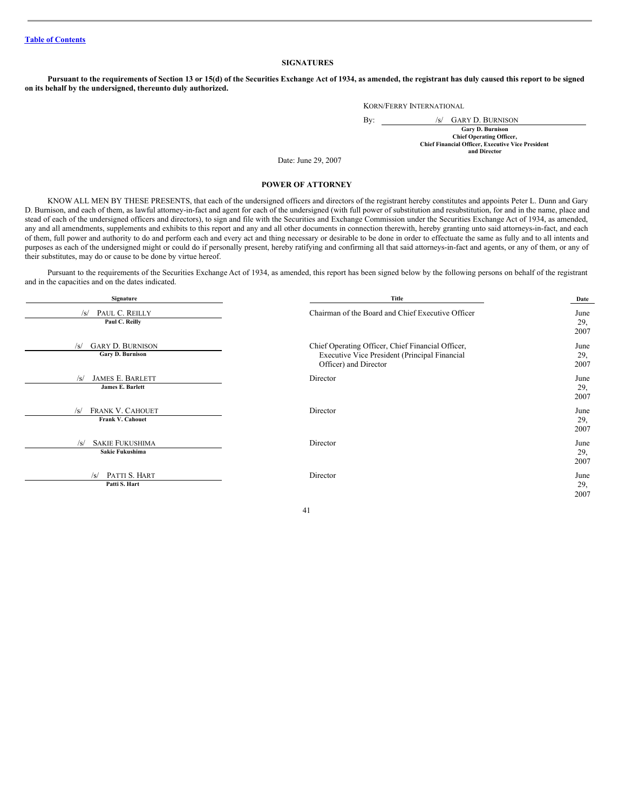### **SIGNATURES**

Pursuant to the requirements of Section 13 or 15(d) of the Securities Exchange Act of 1934, as amended, the registrant has duly caused this report to be signed **on its behalf by the undersigned, thereunto duly authorized.**

KORN/FERRY INTERNATIONAL

By: /s/ GARY D. BURNISON

**Gary D. Burnison Chief Operating Officer, Chief Financial Officer, Executive Vice President and Director**

Date: June 29, 2007

### **POWER OF ATTORNEY**

KNOW ALL MEN BY THESE PRESENTS, that each of the undersigned officers and directors of the registrant hereby constitutes and appoints Peter L. Dunn and Gary D. Burnison, and each of them, as lawful attorney-in-fact and agent for each of the undersigned (with full power of substitution and resubstitution, for and in the name, place and stead of each of the undersigned officers and directors), to sign and file with the Securities and Exchange Commission under the Securities Exchange Act of 1934, as amended, any and all amendments, supplements and exhibits to this report and any and all other documents in connection therewith, hereby granting unto said attorneys-in-fact, and each of them, full power and authority to do and perform each and every act and thing necessary or desirable to be done in order to effectuate the same as fully and to all intents and purposes as each of the undersigned might or could do if personally present, hereby ratifying and confirming all that said attorneys-in-fact and agents, or any of them, or any of their substitutes, may do or cause to be done by virtue hereof.

Pursuant to the requirements of the Securities Exchange Act of 1934, as amended, this report has been signed below by the following persons on behalf of the registrant and in the capacities and on the dates indicated.

| Signature                                                        | <b>Title</b>                                                                                                                | Date                |
|------------------------------------------------------------------|-----------------------------------------------------------------------------------------------------------------------------|---------------------|
| PAUL C. REILLY<br>$\sqrt{s}$<br>Paul C. Reilly                   | Chairman of the Board and Chief Executive Officer                                                                           | June<br>29,<br>2007 |
| <b>GARY D. BURNISON</b><br>$\sqrt{s}$<br><b>Gary D. Burnison</b> | Chief Operating Officer, Chief Financial Officer,<br>Executive Vice President (Principal Financial<br>Officer) and Director | June<br>29,<br>2007 |
| <b>JAMES E. BARLETT</b><br>/s/<br>James E. Barlett               | Director                                                                                                                    | June<br>29,<br>2007 |
| FRANK V. CAHOUET<br>/s/<br>Frank V. Cahouet                      | Director                                                                                                                    | June<br>29,<br>2007 |
| <b>SAKIE FUKUSHIMA</b><br>$\sqrt{s}$<br>Sakie Fukushima          | Director                                                                                                                    | June<br>29,<br>2007 |
| PATTI S. HART<br>/s/<br>Patti S. Hart                            | Director                                                                                                                    | June<br>29,<br>2007 |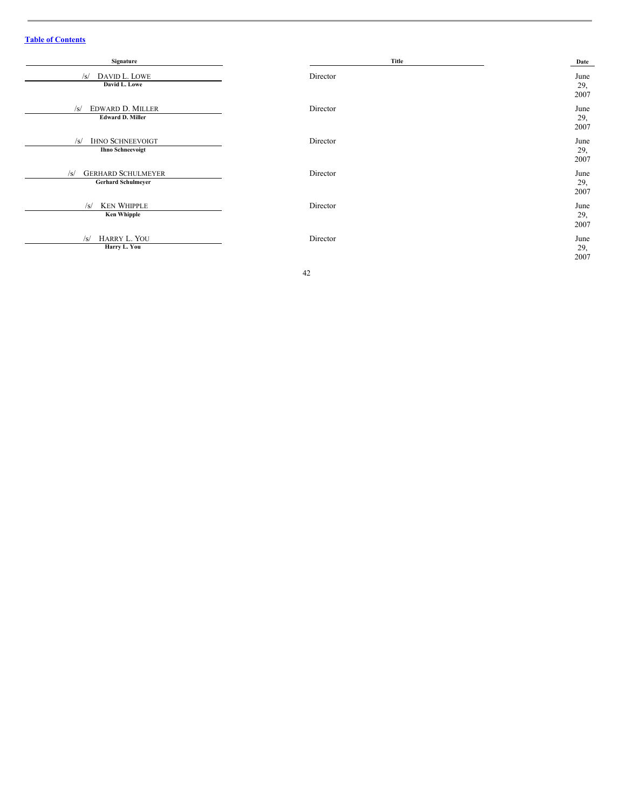| Signature                                                        | Title    | Date                |
|------------------------------------------------------------------|----------|---------------------|
| DAVID L. LOWE<br>/s/<br>David L. Lowe                            | Director | June<br>29,<br>2007 |
| <b>EDWARD D. MILLER</b><br>$\sqrt{s}$<br><b>Edward D. Miller</b> | Director | June<br>29,<br>2007 |
| <b>IHNO SCHNEEVOIGT</b><br>$\sqrt{s}$<br><b>Ihno Schneevoigt</b> | Director | June<br>29,<br>2007 |
| <b>GERHARD SCHULMEYER</b><br>/s/<br><b>Gerhard Schulmeyer</b>    | Director | June<br>29,<br>2007 |
| <b>KEN WHIPPLE</b><br>$\sqrt{s}$<br><b>Ken Whipple</b>           | Director | June<br>29,<br>2007 |
| HARRY L. YOU<br>$\sqrt{s}$<br>Harry L. You                       | Director | June<br>29,<br>2007 |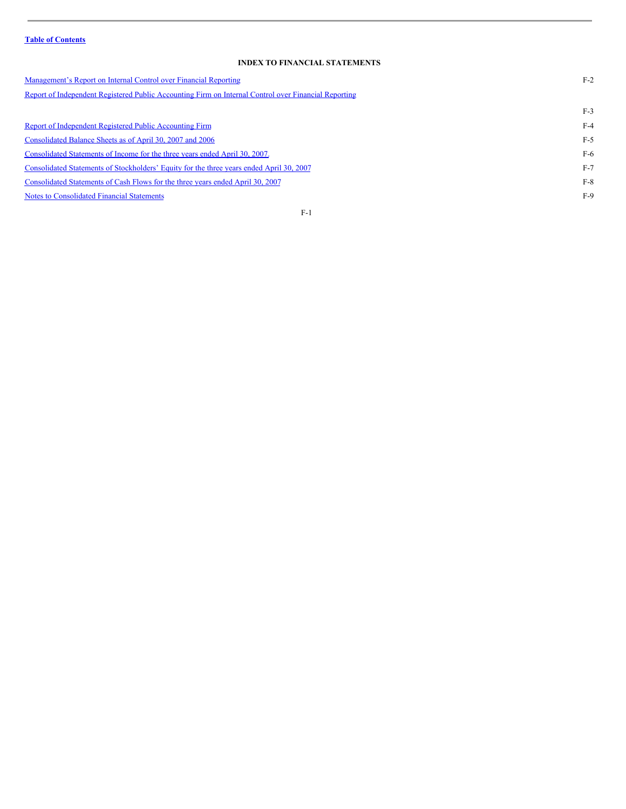## **INDEX TO FINANCIAL STATEMENTS**

| Management's Report on Internal Control over Financial Reporting                                     | $F-2$ |
|------------------------------------------------------------------------------------------------------|-------|
| Report of Independent Registered Public Accounting Firm on Internal Control over Financial Reporting |       |
|                                                                                                      | $F-3$ |
| Report of Independent Registered Public Accounting Firm                                              | $F-4$ |
| Consolidated Balance Sheets as of April 30, 2007 and 2006                                            | $F-5$ |
| Consolidated Statements of Income for the three years ended April 30, 2007.                          | $F-6$ |
| Consolidated Statements of Stockholders' Equity for the three years ended April 30, 2007             | $F-7$ |
| Consolidated Statements of Cash Flows for the three years ended April 30, 2007                       | $F-8$ |
| Notes to Consolidated Financial Statements                                                           | $F-9$ |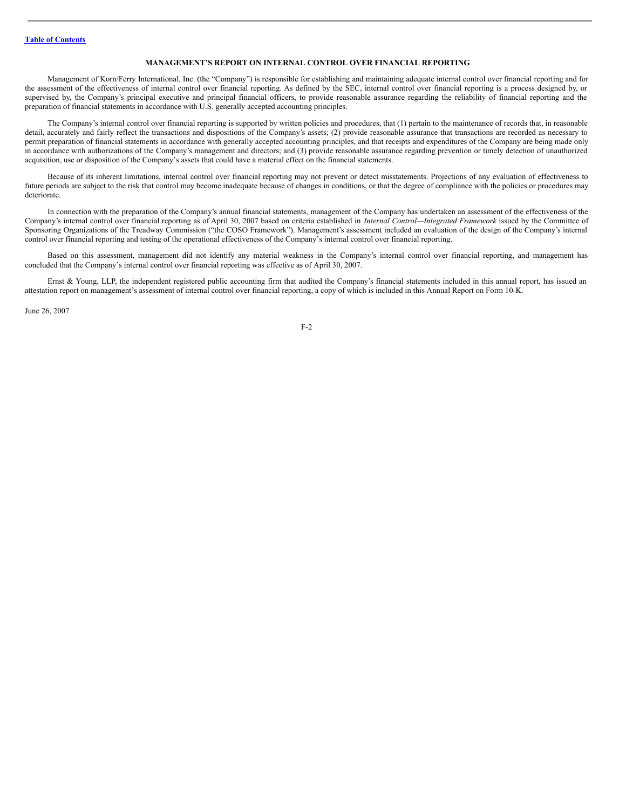### <span id="page-43-0"></span>**MANAGEMENT'S REPORT ON INTERNAL CONTROL OVER FINANCIAL REPORTING**

Management of Korn/Ferry International, Inc. (the "Company") is responsible for establishing and maintaining adequate internal control over financial reporting and for the assessment of the effectiveness of internal control over financial reporting. As defined by the SEC, internal control over financial reporting is a process designed by, or supervised by, the Company's principal executive and principal financial officers, to provide reasonable assurance regarding the reliability of financial reporting and the preparation of financial statements in accordance with U.S. generally accepted accounting principles.

The Company's internal control over financial reporting is supported by written policies and procedures, that (1) pertain to the maintenance of records that, in reasonable detail, accurately and fairly reflect the transactions and dispositions of the Company's assets; (2) provide reasonable assurance that transactions are recorded as necessary to permit preparation of financial statements in accordance with generally accepted accounting principles, and that receipts and expenditures of the Company are being made only in accordance with authorizations of the Company's management and directors; and (3) provide reasonable assurance regarding prevention or timely detection of unauthorized acquisition, use or disposition of the Company's assets that could have a material effect on the financial statements.

Because of its inherent limitations, internal control over financial reporting may not prevent or detect misstatements. Projections of any evaluation of effectiveness to future periods are subject to the risk that control may become inadequate because of changes in conditions, or that the degree of compliance with the policies or procedures may deteriorate.

In connection with the preparation of the Company's annual financial statements, management of the Company has undertaken an assessment of the effectiveness of the Company's internal control over financial reporting as of April 30, 2007 based on criteria established in *Internal Control—Integrated Framework* issued by the Committee of Sponsoring Organizations of the Treadway Commission ("the COSO Framework"). Management's assessment included an evaluation of the design of the Company's internal control over financial reporting and testing of the operational effectiveness of the Company's internal control over financial reporting.

Based on this assessment, management did not identify any material weakness in the Company's internal control over financial reporting, and management has concluded that the Company's internal control over financial reporting was effective as of April 30, 2007.

Ernst & Young, LLP, the independent registered public accounting firm that audited the Company's financial statements included in this annual report, has issued an attestation report on management's assessment of internal control over financial reporting, a copy of which is included in this Annual Report on Form 10-K.

June 26, 2007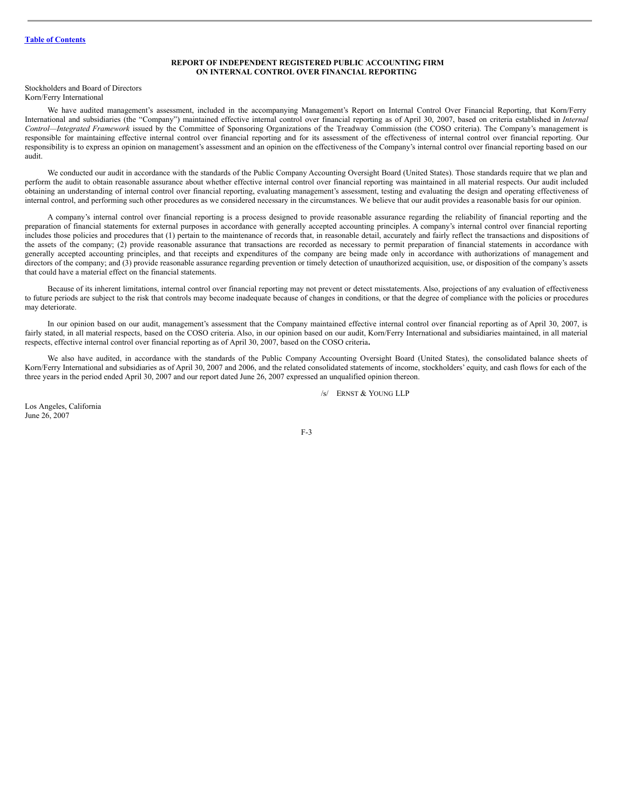### <span id="page-44-0"></span>**REPORT OF INDEPENDENT REGISTERED PUBLIC ACCOUNTING FIRM ON INTERNAL CONTROL OVER FINANCIAL REPORTING**

Stockholders and Board of Directors Korn/Ferry International

We have audited management's assessment, included in the accompanying Management's Report on Internal Control Over Financial Reporting, that Korn/Ferry International and subsidiaries (the "Company") maintained effective internal control over financial reporting as of April 30, 2007, based on criteria established in *Internal Control—Integrated Framework* issued by the Committee of Sponsoring Organizations of the Treadway Commission (the COSO criteria). The Company's management is responsible for maintaining effective internal control over financial reporting and for its assessment of the effectiveness of internal control over financial reporting. Our responsibility is to express an opinion on management's assessment and an opinion on the effectiveness of the Company's internal control over financial reporting based on our audit.

We conducted our audit in accordance with the standards of the Public Company Accounting Oversight Board (United States). Those standards require that we plan and perform the audit to obtain reasonable assurance about whether effective internal control over financial reporting was maintained in all material respects. Our audit included obtaining an understanding of internal control over financial reporting, evaluating management's assessment, testing and evaluating the design and operating effectiveness of internal control, and performing such other procedures as we considered necessary in the circumstances. We believe that our audit provides a reasonable basis for our opinion.

A company's internal control over financial reporting is a process designed to provide reasonable assurance regarding the reliability of financial reporting and the preparation of financial statements for external purposes in accordance with generally accepted accounting principles. A company's internal control over financial reporting includes those policies and procedures that (1) pertain to the maintenance of records that, in reasonable detail, accurately and fairly reflect the transactions and dispositions of the assets of the company; (2) provide reasonable assurance that transactions are recorded as necessary to permit preparation of financial statements in accordance with generally accepted accounting principles, and that receipts and expenditures of the company are being made only in accordance with authorizations of management and directors of the company; and (3) provide reasonable assurance regarding prevention or timely detection of unauthorized acquisition, use, or disposition of the company's assets that could have a material effect on the financial statements.

Because of its inherent limitations, internal control over financial reporting may not prevent or detect misstatements. Also, projections of any evaluation of effectiveness to future periods are subject to the risk that controls may become inadequate because of changes in conditions, or that the degree of compliance with the policies or procedures may deteriorate.

In our opinion based on our audit, management's assessment that the Company maintained effective internal control over financial reporting as of April 30, 2007, is fairly stated, in all material respects, based on the COSO criteria. Also, in our opinion based on our audit, Korn/Ferry International and subsidiaries maintained, in all material respects, effective internal control over financial reporting as of April 30, 2007, based on the COSO criteria**.**

We also have audited, in accordance with the standards of the Public Company Accounting Oversight Board (United States), the consolidated balance sheets of Korn/Ferry International and subsidiaries as of April 30, 2007 and 2006, and the related consolidated statements of income, stockholders' equity, and cash flows for each of the three years in the period ended April 30, 2007 and our report dated June 26, 2007 expressed an unqualified opinion thereon.

/s/ ERNST & YOUNG LLP

Los Angeles, California June 26, 2007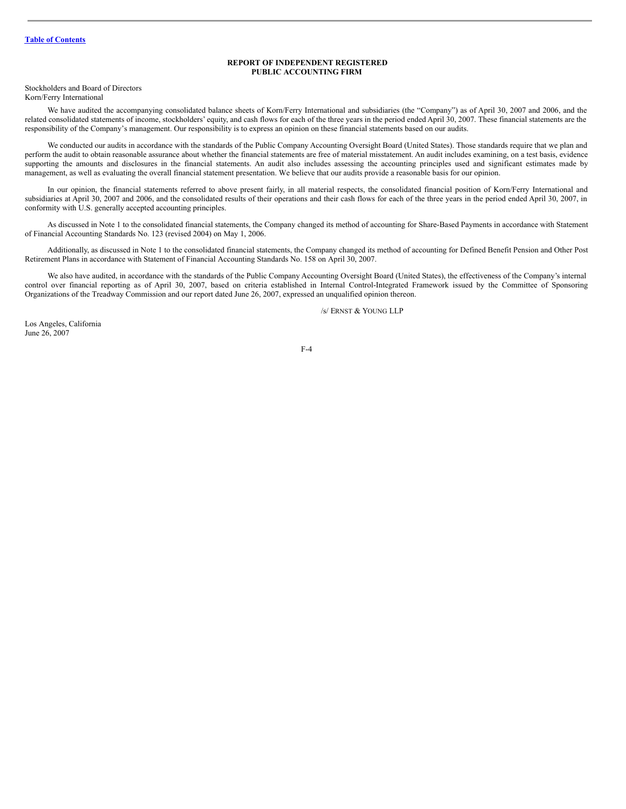### <span id="page-45-0"></span>**REPORT OF INDEPENDENT REGISTERED PUBLIC ACCOUNTING FIRM**

Stockholders and Board of Directors Korn/Ferry International

We have audited the accompanying consolidated balance sheets of Korn/Ferry International and subsidiaries (the "Company") as of April 30, 2007 and 2006, and the related consolidated statements of income, stockholders' equity, and cash flows for each of the three years in the period ended April 30, 2007. These financial statements are the responsibility of the Company's management. Our responsibility is to express an opinion on these financial statements based on our audits.

We conducted our audits in accordance with the standards of the Public Company Accounting Oversight Board (United States). Those standards require that we plan and perform the audit to obtain reasonable assurance about whether the financial statements are free of material misstatement. An audit includes examining, on a test basis, evidence supporting the amounts and disclosures in the financial statements. An audit also includes assessing the accounting principles used and significant estimates made by management, as well as evaluating the overall financial statement presentation. We believe that our audits provide a reasonable basis for our opinion.

In our opinion, the financial statements referred to above present fairly, in all material respects, the consolidated financial position of Korn/Ferry International and subsidiaries at April 30, 2007 and 2006, and the consolidated results of their operations and their cash flows for each of the three years in the period ended April 30, 2007, in conformity with U.S. generally accepted accounting principles.

As discussed in Note 1 to the consolidated financial statements, the Company changed its method of accounting for Share-Based Payments in accordance with Statement of Financial Accounting Standards No. 123 (revised 2004) on May 1, 2006.

Additionally, as discussed in Note 1 to the consolidated financial statements, the Company changed its method of accounting for Defined Benefit Pension and Other Post Retirement Plans in accordance with Statement of Financial Accounting Standards No. 158 on April 30, 2007.

We also have audited, in accordance with the standards of the Public Company Accounting Oversight Board (United States), the effectiveness of the Company's internal control over financial reporting as of April 30, 2007, based on criteria established in Internal Control-Integrated Framework issued by the Committee of Sponsoring Organizations of the Treadway Commission and our report dated June 26, 2007, expressed an unqualified opinion thereon.

/s/ ERNST & YOUNG LLP

Los Angeles, California June 26, 2007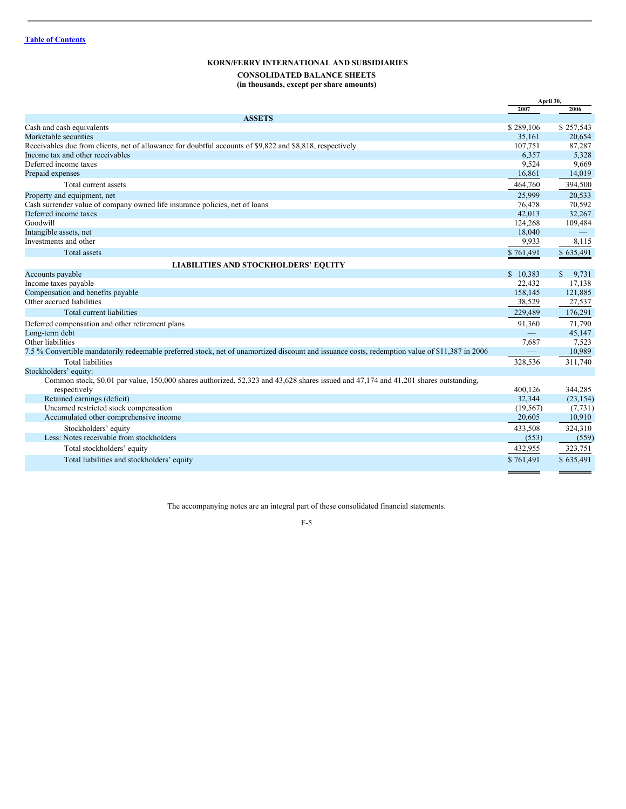### <span id="page-46-0"></span>**CONSOLIDATED BALANCE SHEETS (in thousands, except per share amounts)**

|                                                                                                                                                |           | April 30,             |
|------------------------------------------------------------------------------------------------------------------------------------------------|-----------|-----------------------|
|                                                                                                                                                | 2007      | 2006                  |
| <b>ASSETS</b>                                                                                                                                  |           |                       |
| Cash and cash equivalents                                                                                                                      | \$289,106 | \$257,543             |
| Marketable securities                                                                                                                          | 35,161    | 20,654                |
| Receivables due from clients, net of allowance for doubtful accounts of \$9,822 and \$8,818, respectively                                      | 107,751   | 87,287                |
| Income tax and other receivables                                                                                                               | 6.357     | 5,328                 |
| Deferred income taxes                                                                                                                          | 9,524     | 9.669                 |
| Prepaid expenses                                                                                                                               | 16,861    | 14,019                |
| Total current assets                                                                                                                           | 464,760   | 394,500               |
| Property and equipment, net                                                                                                                    | 25,999    | 20,533                |
| Cash surrender value of company owned life insurance policies, net of loans                                                                    | 76,478    | 70,592                |
| Deferred income taxes                                                                                                                          | 42,013    | 32,267                |
| Goodwill                                                                                                                                       | 124,268   | 109,484               |
| Intangible assets, net                                                                                                                         | 18,040    |                       |
| Investments and other                                                                                                                          | 9,933     | 8,115                 |
| <b>Total assets</b>                                                                                                                            | \$761,491 | \$635,491             |
| <b>LIABILITIES AND STOCKHOLDERS' EQUITY</b>                                                                                                    |           |                       |
| Accounts payable                                                                                                                               | \$10,383  | $\mathbb{S}$<br>9,731 |
| Income taxes payable                                                                                                                           | 22,432    | 17,138                |
| Compensation and benefits payable                                                                                                              | 158,145   | 121,885               |
| Other accrued liabilities                                                                                                                      | 38,529    | 27,537                |
| Total current liabilities                                                                                                                      | 229,489   | 176,291               |
| Deferred compensation and other retirement plans                                                                                               | 91,360    | 71,790                |
| Long-term debt                                                                                                                                 |           | 45,147                |
| Other liabilities                                                                                                                              | 7,687     | 7,523                 |
| 7.5 % Convertible mandatorily redeemable preferred stock, net of unamortized discount and issuance costs, redemption value of \$11,387 in 2006 |           | 10,989                |
| <b>Total liabilities</b>                                                                                                                       | 328,536   | 311,740               |
| Stockholders' equity:                                                                                                                          |           |                       |
| Common stock, \$0.01 par value, 150,000 shares authorized, 52,323 and 43,628 shares issued and 47,174 and 41,201 shares outstanding,           |           |                       |
| respectively                                                                                                                                   | 400.126   | 344,285               |
| Retained earnings (deficit)                                                                                                                    | 32,344    | (23, 154)             |
| Unearned restricted stock compensation                                                                                                         | (19, 567) | (7, 731)              |
| Accumulated other comprehensive income                                                                                                         | 20,605    | 10,910                |
| Stockholders' equity                                                                                                                           | 433,508   | 324,310               |
| Less: Notes receivable from stockholders                                                                                                       | (553)     | (559)                 |
| Total stockholders' equity                                                                                                                     | 432,955   | 323,751               |
| Total liabilities and stockholders' equity                                                                                                     | \$761,491 | \$635,491             |

The accompanying notes are an integral part of these consolidated financial statements.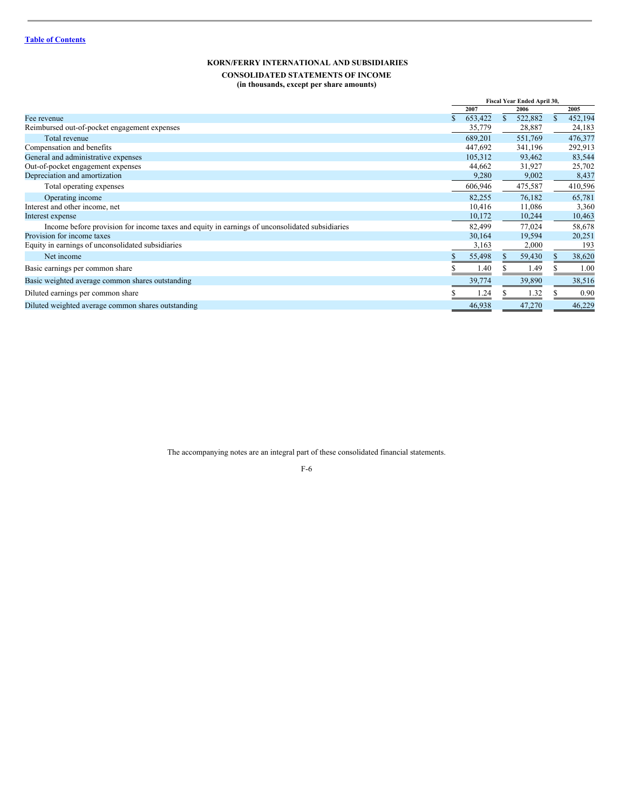<span id="page-47-0"></span>**CONSOLIDATED STATEMENTS OF INCOME (in thousands, except per share amounts)**

|                                                                                                | Fiscal Year Ended April 30, |   |         |    |         |
|------------------------------------------------------------------------------------------------|-----------------------------|---|---------|----|---------|
|                                                                                                | 2007                        |   | 2006    |    | 2005    |
| Fee revenue                                                                                    | 653,422                     | S | 522,882 | S. | 452,194 |
| Reimbursed out-of-pocket engagement expenses                                                   | 35,779                      |   | 28,887  |    | 24,183  |
| Total revenue                                                                                  | 689,201                     |   | 551,769 |    | 476,377 |
| Compensation and benefits                                                                      | 447,692                     |   | 341,196 |    | 292,913 |
| General and administrative expenses                                                            | 105,312                     |   | 93,462  |    | 83,544  |
| Out-of-pocket engagement expenses                                                              | 44,662                      |   | 31,927  |    | 25,702  |
| Depreciation and amortization                                                                  | 9,280                       |   | 9,002   |    | 8,437   |
| Total operating expenses                                                                       | 606,946                     |   | 475,587 |    | 410,596 |
| Operating income                                                                               | 82,255                      |   | 76,182  |    | 65,781  |
| Interest and other income, net                                                                 | 10,416                      |   | 11,086  |    | 3,360   |
| Interest expense                                                                               | 10,172                      |   | 10,244  |    | 10,463  |
| Income before provision for income taxes and equity in earnings of unconsolidated subsidiaries | 82,499                      |   | 77,024  |    | 58,678  |
| Provision for income taxes                                                                     | 30,164                      |   | 19,594  |    | 20,251  |
| Equity in earnings of unconsolidated subsidiaries                                              | 3,163                       |   | 2,000   |    | 193     |
| Net income                                                                                     | 55,498                      |   | 59,430  |    | 38,620  |
| Basic earnings per common share                                                                | 1.40                        |   | 1.49    |    | 1.00    |
| Basic weighted average common shares outstanding                                               | 39,774                      |   | 39,890  |    | 38,516  |
| Diluted earnings per common share                                                              | 1.24                        |   | 1.32    |    | 0.90    |
| Diluted weighted average common shares outstanding                                             | 46,938                      |   | 47,270  |    | 46,229  |

The accompanying notes are an integral part of these consolidated financial statements.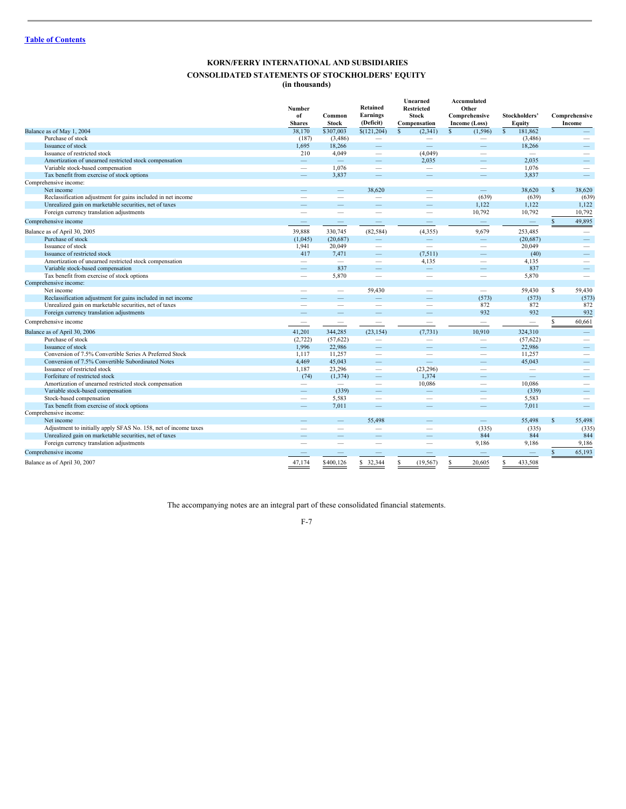## <span id="page-48-0"></span>**KORN/FERRY INTERNATIONAL AND SUBSIDIARIES CONSOLIDATED STATEMENTS OF STOCKHOLDERS' EQUITY (in thousands)**

|                                                                 | Number<br>of<br><b>Shares</b> | Common<br><b>Stock</b>   | Retained<br><b>Earnings</b><br>(Deficit)                                                                                                                                                                                       | Unearned<br><b>Restricted</b><br><b>Stock</b><br>Compensation | Accumulated<br>Other<br>Comprehensive<br>Income (Loss) | Stockholders'<br>Equity  | Comprehensive<br>Income  |
|-----------------------------------------------------------------|-------------------------------|--------------------------|--------------------------------------------------------------------------------------------------------------------------------------------------------------------------------------------------------------------------------|---------------------------------------------------------------|--------------------------------------------------------|--------------------------|--------------------------|
| Balance as of May 1, 2004                                       | 38,170                        | \$307,003                | \$(121, 204)                                                                                                                                                                                                                   | $\mathbb{S}$<br>(2, 341)                                      | $\mathbf S$<br>(1, 596)                                | $\mathbb{S}$<br>181,862  | $\overline{\phantom{m}}$ |
| Purchase of stock                                               | (187)                         | (3,486)                  |                                                                                                                                                                                                                                |                                                               |                                                        | (3,486)                  |                          |
| Issuance of stock                                               | 1,695                         | 18,266                   | $\overline{\phantom{a}}$                                                                                                                                                                                                       | $\qquad \qquad -$                                             |                                                        | 18,266                   |                          |
| Issuance of restricted stock                                    | 210                           | 4,049                    |                                                                                                                                                                                                                                | (4,049)                                                       |                                                        |                          |                          |
| Amortization of unearned restricted stock compensation          |                               | $\overline{\phantom{m}}$ |                                                                                                                                                                                                                                | 2,035                                                         | $\overline{\phantom{a}}$                               | 2,035                    | $\overline{\phantom{m}}$ |
| Variable stock-based compensation                               |                               | 1,076                    |                                                                                                                                                                                                                                |                                                               |                                                        | 1,076                    |                          |
| Tax benefit from exercise of stock options                      | $\overline{\phantom{m}}$      | 3,837                    | $\overline{\phantom{m}}$                                                                                                                                                                                                       | $\overline{\phantom{m}}$                                      | $\overline{\phantom{m}}$                               | 3,837                    | $\overline{\phantom{m}}$ |
| Comprehensive income:                                           |                               |                          |                                                                                                                                                                                                                                |                                                               |                                                        |                          |                          |
| Net income                                                      |                               | $\equiv$                 | 38,620                                                                                                                                                                                                                         |                                                               | $\qquad \qquad -$                                      | 38,620                   | $\mathbb{S}$<br>38,620   |
| Reclassification adjustment for gains included in net income    |                               |                          |                                                                                                                                                                                                                                |                                                               | (639)                                                  | (639)                    | (639)                    |
| Unrealized gain on marketable securities, net of taxes          |                               |                          |                                                                                                                                                                                                                                |                                                               | 1,122                                                  | 1,122                    | 1,122                    |
| Foreign currency translation adjustments                        |                               |                          |                                                                                                                                                                                                                                |                                                               | 10,792                                                 | 10,792                   | 10,792                   |
| Comprehensive income                                            | $\overline{\phantom{a}}$      |                          | $\overline{\phantom{a}}$                                                                                                                                                                                                       |                                                               | $\overline{\phantom{0}}$                               |                          | $\mathbf{s}$<br>49,895   |
| Balance as of April 30, 2005                                    | 39,888                        | 330,745                  | (82, 584)                                                                                                                                                                                                                      | (4, 355)                                                      | 9,679                                                  | 253,485                  | $\overline{\phantom{0}}$ |
| Purchase of stock                                               | (1,045)                       | (20, 687)                | $\overbrace{\qquad \qquad }^{}$                                                                                                                                                                                                | $\overline{\phantom{0}}$                                      | $\overline{\phantom{0}}$                               | (20, 687)                |                          |
| Issuance of stock                                               | 1,941                         | 20,049                   |                                                                                                                                                                                                                                | $\overline{\phantom{0}}$                                      | $\overline{\phantom{0}}$                               | 20,049                   |                          |
| Issuance of restricted stock                                    | 417                           | 7.471                    |                                                                                                                                                                                                                                | (7,511)                                                       |                                                        | (40)                     |                          |
| Amortization of unearned restricted stock compensation          |                               | $\overline{\phantom{0}}$ |                                                                                                                                                                                                                                | 4,135                                                         |                                                        | 4,135                    |                          |
| Variable stock-based compensation                               | $\overline{\phantom{a}}$      | 837                      | $\overline{\phantom{m}}$                                                                                                                                                                                                       | $\overline{\phantom{m}}$                                      |                                                        | 837                      |                          |
| Tax benefit from exercise of stock options                      |                               | 5.870                    |                                                                                                                                                                                                                                |                                                               | $\overline{\phantom{a}}$                               | 5.870                    | $\overline{\phantom{a}}$ |
| Comprehensive income:                                           |                               |                          |                                                                                                                                                                                                                                |                                                               |                                                        |                          |                          |
| Net income                                                      |                               |                          | 59,430                                                                                                                                                                                                                         |                                                               | $\overline{\phantom{0}}$                               | 59,430                   | s<br>59,430              |
| Reclassification adjustment for gains included in net income    |                               |                          | $\overline{\phantom{0}}$                                                                                                                                                                                                       |                                                               | (573)                                                  | (573)                    | (573)                    |
| Unrealized gain on marketable securities, net of taxes          |                               |                          |                                                                                                                                                                                                                                |                                                               | 872                                                    | 872                      | 872                      |
| Foreign currency translation adjustments                        |                               |                          |                                                                                                                                                                                                                                |                                                               | 932                                                    | 932                      | 932                      |
| Comprehensive income                                            |                               |                          |                                                                                                                                                                                                                                |                                                               | $\overline{\phantom{0}}$                               | $\qquad \qquad -$        | 60,661<br>S              |
| Balance as of April 30, 2006                                    | 41,201                        | 344,285                  | (23, 154)                                                                                                                                                                                                                      | (7, 731)                                                      | 10,910                                                 | 324,310                  | $\overline{\phantom{a}}$ |
| Purchase of stock                                               | (2, 722)                      | (57, 622)                |                                                                                                                                                                                                                                | $\overline{\phantom{0}}$                                      | $\overline{\phantom{0}}$                               | (57, 622)                |                          |
| Issuance of stock                                               | 1,996                         | 22,986                   |                                                                                                                                                                                                                                | $\overline{\phantom{0}}$                                      | $\overline{\phantom{0}}$                               | 22,986                   |                          |
| Conversion of 7.5% Convertible Series A Preferred Stock         | 1,117                         | 11,257                   |                                                                                                                                                                                                                                |                                                               |                                                        | 11,257                   | $\overline{\phantom{0}}$ |
| Conversion of 7.5% Convertible Subordinated Notes               | 4,469                         | 45,043                   |                                                                                                                                                                                                                                | $\overline{\phantom{0}}$                                      | $\overline{\phantom{0}}$                               | 45,043                   | $\qquad \qquad -$        |
| Issuance of restricted stock                                    | 1,187                         | 23,296                   |                                                                                                                                                                                                                                | (23, 296)                                                     | $\overline{\phantom{0}}$                               |                          | $\overline{\phantom{0}}$ |
| Forfeiture of restricted stock                                  | (74)                          | (1, 374)                 | and the contract of the contract of the contract of the contract of the contract of the contract of the contract of the contract of the contract of the contract of the contract of the contract of the contract of the contra | 1,374                                                         |                                                        |                          |                          |
| Amortization of unearned restricted stock compensation          |                               | $\overline{\phantom{0}}$ |                                                                                                                                                                                                                                | 10,086                                                        | $\overline{\phantom{0}}$                               | 10.086                   |                          |
| Variable stock-based compensation                               |                               | (339)                    |                                                                                                                                                                                                                                | $\overline{\phantom{0}}$                                      |                                                        | (339)                    | $\qquad \qquad -$        |
| Stock-based compensation                                        |                               | 5,583                    |                                                                                                                                                                                                                                |                                                               | $\overline{\phantom{0}}$                               | 5.583                    |                          |
| Tax benefit from exercise of stock options                      | ــ                            | 7,011                    |                                                                                                                                                                                                                                |                                                               |                                                        | 7,011                    | $\overline{\phantom{0}}$ |
| Comprehensive income:                                           |                               |                          |                                                                                                                                                                                                                                |                                                               |                                                        |                          |                          |
| Net income                                                      | $\overline{\phantom{a}}$      | $\equiv$                 | 55,498                                                                                                                                                                                                                         | $\overline{\phantom{0}}$                                      | $\qquad \qquad -$                                      | 55,498                   | $\mathbb{S}$<br>55,498   |
| Adjustment to initially apply SFAS No. 158, net of income taxes |                               | $\overline{\phantom{0}}$ | $\overline{\phantom{0}}$                                                                                                                                                                                                       | $\overline{\phantom{0}}$                                      | (335)                                                  | (335)                    | (335)                    |
| Unrealized gain on marketable securities, net of taxes          |                               |                          |                                                                                                                                                                                                                                |                                                               | 844                                                    | 844                      | 844                      |
|                                                                 |                               |                          |                                                                                                                                                                                                                                |                                                               | 9,186                                                  | 9,186                    | 9,186                    |
| Foreign currency translation adjustments                        |                               |                          |                                                                                                                                                                                                                                |                                                               |                                                        |                          |                          |
| Comprehensive income                                            |                               | $\overline{\phantom{a}}$ |                                                                                                                                                                                                                                |                                                               | $\overline{\phantom{m}}$                               | $\overline{\phantom{m}}$ | 65,193<br>S.             |
| Balance as of April 30, 2007                                    | 47,174                        | \$400,126                | \$ 32,344                                                                                                                                                                                                                      | S<br>(19, 567)                                                | S<br>20.605                                            | 433,508                  |                          |

The accompanying notes are an integral part of these consolidated financial statements.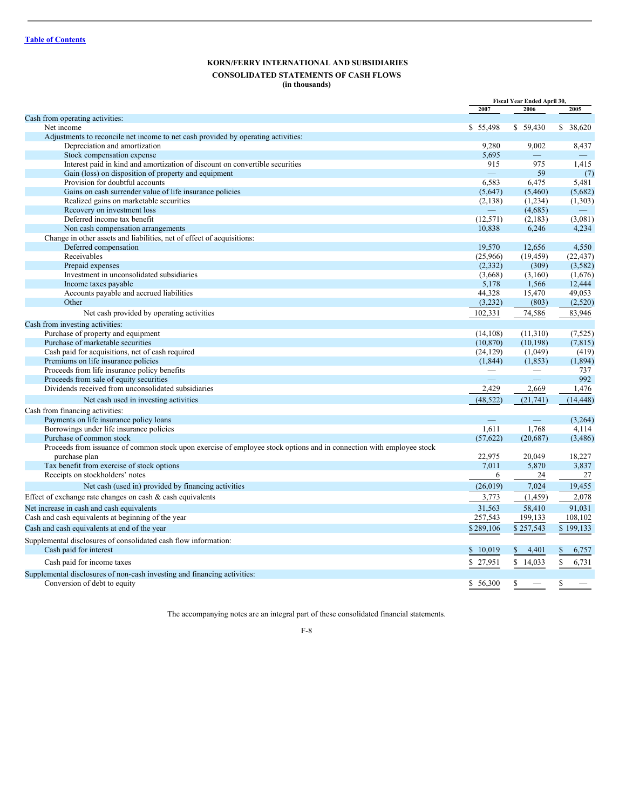# <span id="page-49-0"></span>**CONSOLIDATED STATEMENTS OF CASH FLOWS**

**(in thousands)**

|                                                                                                                      |                          | Fiscal Year Ended April 30, |                   |
|----------------------------------------------------------------------------------------------------------------------|--------------------------|-----------------------------|-------------------|
|                                                                                                                      | 2007                     | 2006                        | 2005              |
| Cash from operating activities:                                                                                      |                          |                             |                   |
| Net income                                                                                                           | \$55,498                 | \$59,430                    | \$ 38,620         |
| Adjustments to reconcile net income to net cash provided by operating activities:                                    |                          |                             |                   |
| Depreciation and amortization                                                                                        | 9,280                    | 9,002                       | 8,437             |
| Stock compensation expense                                                                                           | 5,695                    |                             |                   |
| Interest paid in kind and amortization of discount on convertible securities                                         | 915                      | 975                         | 1,415             |
| Gain (loss) on disposition of property and equipment                                                                 | $\frac{1}{2}$            | 59                          | (7)               |
| Provision for doubtful accounts                                                                                      | 6,583                    | 6,475                       | 5,481             |
| Gains on cash surrender value of life insurance policies                                                             | (5,647)                  | (5,460)                     | (5,682)           |
| Realized gains on marketable securities                                                                              | (2,138)                  | (1,234)                     | (1,303)           |
| Recovery on investment loss                                                                                          | $\equiv$                 | (4,685)                     | $\qquad \qquad -$ |
| Deferred income tax benefit                                                                                          | (12, 571)                | (2,183)                     | (3,081)           |
| Non cash compensation arrangements                                                                                   | 10,838                   | 6,246                       | 4,234             |
| Change in other assets and liabilities, net of effect of acquisitions:                                               |                          |                             |                   |
| Deferred compensation                                                                                                | 19,570                   | 12,656                      | 4,550             |
| Receivables                                                                                                          | (25,966)                 | (19, 459)                   | (22, 437)         |
| Prepaid expenses                                                                                                     | (2, 332)                 | (309)                       | (3,582)           |
| Investment in unconsolidated subsidiaries                                                                            | (3,668)                  | (3,160)                     | (1,676)           |
| Income taxes payable                                                                                                 | 5,178                    | 1,566                       | 12,444            |
| Accounts payable and accrued liabilities                                                                             | 44,328                   | 15,470                      | 49,053            |
| Other                                                                                                                | (3,232)                  | (803)                       | (2,520)           |
| Net cash provided by operating activities                                                                            | 102,331                  | 74,586                      | 83,946            |
| Cash from investing activities:                                                                                      |                          |                             |                   |
| Purchase of property and equipment                                                                                   | (14, 108)                | (11,310)                    | (7,525)           |
| Purchase of marketable securities                                                                                    | (10, 870)                | (10, 198)                   | (7, 815)          |
| Cash paid for acquisitions, net of cash required                                                                     | (24, 129)                | (1,049)                     | (419)             |
| Premiums on life insurance policies                                                                                  | (1, 844)                 | (1, 853)                    | (1, 894)          |
| Proceeds from life insurance policy benefits                                                                         | $\overline{\phantom{m}}$ | $\overline{\phantom{m}}$    | 737               |
| Proceeds from sale of equity securities                                                                              | ÷,                       | $\equiv$                    | 992               |
| Dividends received from unconsolidated subsidiaries                                                                  | 2,429                    | 2,669                       | 1,476             |
|                                                                                                                      |                          |                             |                   |
| Net cash used in investing activities                                                                                | (48, 522)                | (21, 741)                   | (14, 448)         |
| Cash from financing activities:                                                                                      |                          |                             |                   |
| Payments on life insurance policy loans                                                                              |                          |                             | (3,264)           |
| Borrowings under life insurance policies                                                                             | 1,611                    | 1,768                       | 4,114             |
| Purchase of common stock                                                                                             | (57, 622)                | (20, 687)                   | (3,486)           |
| Proceeds from issuance of common stock upon exercise of employee stock options and in connection with employee stock |                          |                             |                   |
| purchase plan                                                                                                        | 22,975                   | 20,049                      | 18,227            |
| Tax benefit from exercise of stock options                                                                           | 7,011                    | 5,870                       | 3,837             |
| Receipts on stockholders' notes                                                                                      | 6                        | 24                          | 27                |
| Net cash (used in) provided by financing activities                                                                  | (26, 019)                | 7,024                       | 19,455            |
| Effect of exchange rate changes on cash $\&$ cash equivalents                                                        | 3,773                    | (1, 459)                    | 2,078             |
|                                                                                                                      |                          |                             |                   |
| Net increase in cash and cash equivalents                                                                            | 31,563                   | 58,410                      | 91,031            |
| Cash and cash equivalents at beginning of the year                                                                   | 257,543                  | 199,133                     | 108,102           |
| Cash and cash equivalents at end of the year                                                                         | \$289,106                | \$257,543                   | \$199,133         |
| Supplemental disclosures of consolidated cash flow information:                                                      |                          |                             |                   |
| Cash paid for interest                                                                                               | \$10,019                 | \$<br>4,401                 | \$<br>6,757       |
| Cash paid for income taxes                                                                                           | \$<br>27,951             | \$14,033                    | \$<br>6,731       |
|                                                                                                                      |                          |                             |                   |
| Supplemental disclosures of non-cash investing and financing activities:                                             |                          |                             |                   |
| Conversion of debt to equity                                                                                         | \$56,300                 | \$.                         | $\mathbf S$       |

The accompanying notes are an integral part of these consolidated financial statements.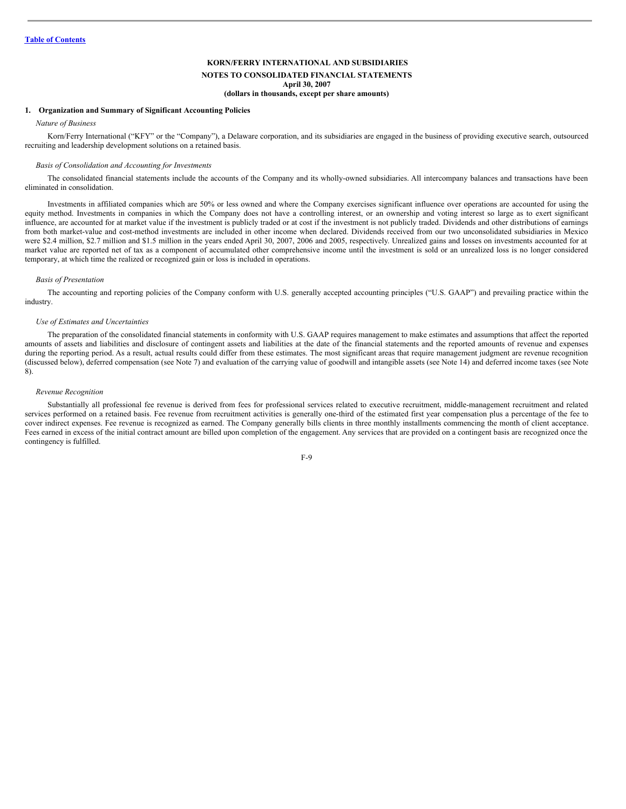### <span id="page-50-0"></span>**NOTES TO CONSOLIDATED FINANCIAL STATEMENTS**

**April 30, 2007**

# **(dollars in thousands, except per share amounts)**

### **1. Organization and Summary of Significant Accounting Policies**

#### *Nature of Business*

Korn/Ferry International ("KFY" or the "Company"), a Delaware corporation, and its subsidiaries are engaged in the business of providing executive search, outsourced recruiting and leadership development solutions on a retained basis.

#### *Basis of Consolidation and Accounting for Investments*

The consolidated financial statements include the accounts of the Company and its wholly-owned subsidiaries. All intercompany balances and transactions have been eliminated in consolidation.

Investments in affiliated companies which are 50% or less owned and where the Company exercises significant influence over operations are accounted for using the equity method. Investments in companies in which the Company does not have a controlling interest, or an ownership and voting interest so large as to exert significant influence, are accounted for at market value if the investment is publicly traded or at cost if the investment is not publicly traded. Dividends and other distributions of earnings from both market-value and cost-method investments are included in other income when declared. Dividends received from our two unconsolidated subsidiaries in Mexico were \$2.4 million, \$2.7 million and \$1.5 million in the years ended April 30, 2007, 2006 and 2005, respectively. Unrealized gains and losses on investments accounted for at market value are reported net of tax as a component of accumulated other comprehensive income until the investment is sold or an unrealized loss is no longer considered temporary, at which time the realized or recognized gain or loss is included in operations.

#### *Basis of Presentation*

The accounting and reporting policies of the Company conform with U.S. generally accepted accounting principles ("U.S. GAAP") and prevailing practice within the industry.

#### *Use of Estimates and Uncertainties*

The preparation of the consolidated financial statements in conformity with U.S. GAAP requires management to make estimates and assumptions that affect the reported amounts of assets and liabilities and disclosure of contingent assets and liabilities at the date of the financial statements and the reported amounts of revenue and expenses during the reporting period. As a result, actual results could differ from these estimates. The most significant areas that require management judgment are revenue recognition (discussed below), deferred compensation (see Note 7) and evaluation of the carrying value of goodwill and intangible assets (see Note 14) and deferred income taxes (see Note 8).

#### *Revenue Recognition*

Substantially all professional fee revenue is derived from fees for professional services related to executive recruitment, middle-management recruitment and related services performed on a retained basis. Fee revenue from recruitment activities is generally one-third of the estimated first year compensation plus a percentage of the fee to cover indirect expenses. Fee revenue is recognized as earned. The Company generally bills clients in three monthly installments commencing the month of client acceptance. Fees earned in excess of the initial contract amount are billed upon completion of the engagement. Any services that are provided on a contingent basis are recognized once the contingency is fulfilled.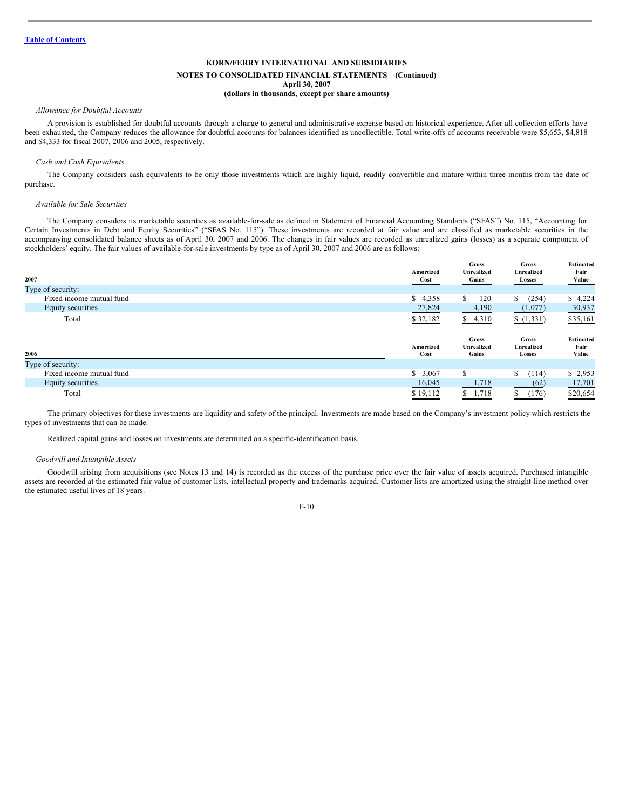## **NOTES TO CONSOLIDATED FINANCIAL STATEMENTS—(Continued)**

**April 30, 2007**

## **(dollars in thousands, except per share amounts)**

### *Allowance for Doubtful Accounts*

A provision is established for doubtful accounts through a charge to general and administrative expense based on historical experience. After all collection efforts have been exhausted, the Company reduces the allowance for doubtful accounts for balances identified as uncollectible. Total write-offs of accounts receivable were \$5,653, \$4,818 and \$4,333 for fiscal 2007, 2006 and 2005, respectively.

### *Cash and Cash Equivalents*

The Company considers cash equivalents to be only those investments which are highly liquid, readily convertible and mature within three months from the date of purchase.

#### *Available for Sale Securities*

The Company considers its marketable securities as available-for-sale as defined in Statement of Financial Accounting Standards ("SFAS") No. 115, "Accounting for Certain Investments in Debt and Equity Securities" ("SFAS No. 115"). These investments are recorded at fair value and are classified as marketable securities in the accompanying consolidated balance sheets as of April 30, 2007 and 2006. The changes in fair values are recorded as unrealized gains (losses) as a separate component of stockholders' equity. The fair values of available-for-sale investments by type as of April 30, 2007 and 2006 are as follows:

| 2007                     | Amortized<br>Cost | <b>Gross</b><br><b>Unrealized</b><br>Gains | <b>Gross</b><br><b>Unrealized</b><br>Losses | <b>Estimated</b><br>Fair<br>Value |
|--------------------------|-------------------|--------------------------------------------|---------------------------------------------|-----------------------------------|
| Type of security:        |                   |                                            |                                             |                                   |
| Fixed income mutual fund | \$4,358           | S<br>120                                   | \$<br>(254)                                 | \$4,224                           |
| Equity securities        | 27,824            | 4,190                                      | (1,077)                                     | 30,937                            |
| Total                    | \$32,182          | \$4,310                                    | (1,331)                                     | \$35,161                          |
|                          |                   |                                            |                                             |                                   |
| 2006                     | Amortized<br>Cost | <b>Gross</b><br><b>Unrealized</b><br>Gains | <b>Gross</b><br><b>Unrealized</b><br>Losses | <b>Estimated</b><br>Fair<br>Value |
| Type of security:        |                   |                                            |                                             |                                   |
| Fixed income mutual fund | \$3,067           | S                                          | \$<br>(114)                                 | \$2,953                           |
| Equity securities        | 16,045            | 1,718                                      | (62)                                        | 17,701                            |

The primary objectives for these investments are liquidity and safety of the principal. Investments are made based on the Company's investment policy which restricts the types of investments that can be made.

Realized capital gains and losses on investments are determined on a specific-identification basis.

### *Goodwill and Intangible Assets*

Goodwill arising from acquisitions (see Notes 13 and 14) is recorded as the excess of the purchase price over the fair value of assets acquired. Purchased intangible assets are recorded at the estimated fair value of customer lists, intellectual property and trademarks acquired. Customer lists are amortized using the straight-line method over the estimated useful lives of 18 years.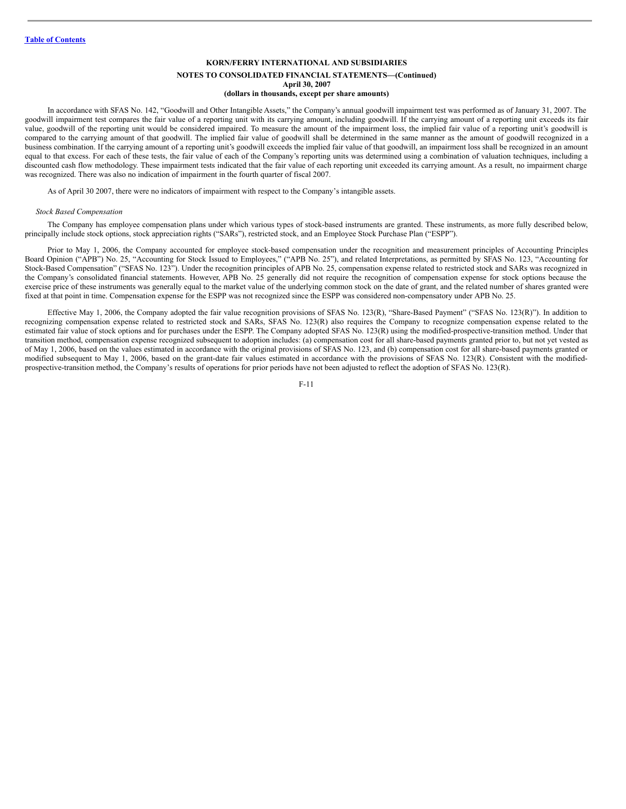# **NOTES TO CONSOLIDATED FINANCIAL STATEMENTS—(Continued)**

**April 30, 2007**

## **(dollars in thousands, except per share amounts)**

In accordance with SFAS No. 142, "Goodwill and Other Intangible Assets," the Company's annual goodwill impairment test was performed as of January 31, 2007. The goodwill impairment test compares the fair value of a reporting unit with its carrying amount, including goodwill. If the carrying amount of a reporting unit exceeds its fair value, goodwill of the reporting unit would be considered impaired. To measure the amount of the impairment loss, the implied fair value of a reporting unit's goodwill is compared to the carrying amount of that goodwill. The implied fair value of goodwill shall be determined in the same manner as the amount of goodwill recognized in a business combination. If the carrying amount of a reporting unit's goodwill exceeds the implied fair value of that goodwill, an impairment loss shall be recognized in an amount equal to that excess. For each of these tests, the fair value of each of the Company's reporting units was determined using a combination of valuation techniques, including a discounted cash flow methodology. These impairment tests indicated that the fair value of each reporting unit exceeded its carrying amount. As a result, no impairment charge was recognized. There was also no indication of impairment in the fourth quarter of fiscal 2007.

As of April 30 2007, there were no indicators of impairment with respect to the Company's intangible assets.

#### *Stock Based Compensation*

The Company has employee compensation plans under which various types of stock-based instruments are granted. These instruments, as more fully described below, principally include stock options, stock appreciation rights ("SARs"), restricted stock, and an Employee Stock Purchase Plan ("ESPP").

Prior to May 1, 2006, the Company accounted for employee stock-based compensation under the recognition and measurement principles of Accounting Principles Board Opinion ("APB") No. 25, "Accounting for Stock Issued to Employees," ("APB No. 25"), and related Interpretations, as permitted by SFAS No. 123, "Accounting for Stock-Based Compensation" ("SFAS No. 123"). Under the recognition principles of APB No. 25, compensation expense related to restricted stock and SARs was recognized in the Company's consolidated financial statements. However, APB No. 25 generally did not require the recognition of compensation expense for stock options because the exercise price of these instruments was generally equal to the market value of the underlying common stock on the date of grant, and the related number of shares granted were fixed at that point in time. Compensation expense for the ESPP was not recognized since the ESPP was considered non-compensatory under APB No. 25.

Effective May 1, 2006, the Company adopted the fair value recognition provisions of SFAS No. 123(R), "Share-Based Payment" ("SFAS No. 123(R)"). In addition to recognizing compensation expense related to restricted stock and SARs, SFAS No. 123(R) also requires the Company to recognize compensation expense related to the estimated fair value of stock options and for purchases under the ESPP. The Company adopted SFAS No. 123(R) using the modified-prospective-transition method. Under that transition method, compensation expense recognized subsequent to adoption includes: (a) compensation cost for all share-based payments granted prior to, but not yet vested as of May 1, 2006, based on the values estimated in accordance with the original provisions of SFAS No. 123, and (b) compensation cost for all share-based payments granted or modified subsequent to May 1, 2006, based on the grant-date fair values estimated in accordance with the provisions of SFAS No. 123(R). Consistent with the modifiedprospective-transition method, the Company's results of operations for prior periods have not been adjusted to reflect the adoption of SFAS No. 123(R).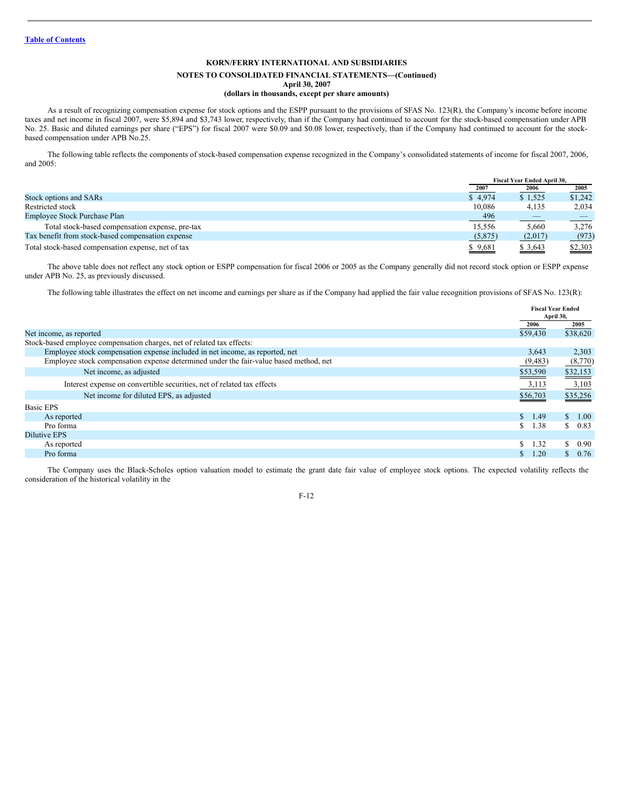### **NOTES TO CONSOLIDATED FINANCIAL STATEMENTS—(Continued)**

## **April 30, 2007**

## **(dollars in thousands, except per share amounts)**

As a result of recognizing compensation expense for stock options and the ESPP pursuant to the provisions of SFAS No. 123(R), the Company's income before income taxes and net income in fiscal 2007, were \$5,894 and \$3,743 lower, respectively, than if the Company had continued to account for the stock-based compensation under APB No. 25. Basic and diluted earnings per share ("EPS") for fiscal 2007 were \$0.09 and \$0.08 lower, respectively, than if the Company had continued to account for the stockbased compensation under APB No.25.

The following table reflects the components of stock-based compensation expense recognized in the Company's consolidated statements of income for fiscal 2007, 2006, and 2005:

|                                                    |         | Fiscal Year Ended April 30, |         |  |  |
|----------------------------------------------------|---------|-----------------------------|---------|--|--|
|                                                    | 2007    | 2006                        | 2005    |  |  |
| Stock options and SARs                             | \$4.974 | \$1.525                     | \$1,242 |  |  |
| Restricted stock                                   | 10.086  | 4.135                       | 2,034   |  |  |
| <b>Employee Stock Purchase Plan</b>                | 496     |                             |         |  |  |
| Total stock-based compensation expense, pre-tax    | 15.556  | 5.660                       | 3,276   |  |  |
| Tax benefit from stock-based compensation expense  | (5,875) | (2,017)                     | (973)   |  |  |
| Total stock-based compensation expense, net of tax | \$9.681 | \$ 3.643                    | \$2,303 |  |  |

The above table does not reflect any stock option or ESPP compensation for fiscal 2006 or 2005 as the Company generally did not record stock option or ESPP expense under APB No. 25, as previously discussed.

The following table illustrates the effect on net income and earnings per share as if the Company had applied the fair value recognition provisions of SFAS No. 123(R):

|                                                                                       | <b>Fiscal Year Ended</b> | April 30,            |
|---------------------------------------------------------------------------------------|--------------------------|----------------------|
|                                                                                       | 2006                     | 2005                 |
| Net income, as reported                                                               | \$59,430                 | \$38,620             |
| Stock-based employee compensation charges, net of related tax effects:                |                          |                      |
| Employee stock compensation expense included in net income, as reported, net          | 3.643                    | 2,303                |
| Employee stock compensation expense determined under the fair-value based method, net | (9, 483)                 | (8,770)              |
| Net income, as adjusted                                                               | \$53,590                 | \$32,153             |
| Interest expense on convertible securities, net of related tax effects                | 3,113                    | 3,103                |
| Net income for diluted EPS, as adjusted                                               | \$56,703                 | \$35,256             |
| <b>Basic EPS</b>                                                                      |                          |                      |
| As reported                                                                           | 1.49                     | 1.00<br>$\mathbf{s}$ |
| Pro forma                                                                             | 1.38<br>S.               | 0.83<br>S.           |
| <b>Dilutive EPS</b>                                                                   |                          |                      |
| As reported                                                                           | 1.32                     | 0.90<br>\$           |
| Pro forma                                                                             | 1.20                     | 0.76                 |
|                                                                                       |                          |                      |

The Company uses the Black-Scholes option valuation model to estimate the grant date fair value of employee stock options. The expected volatility reflects the consideration of the historical volatility in the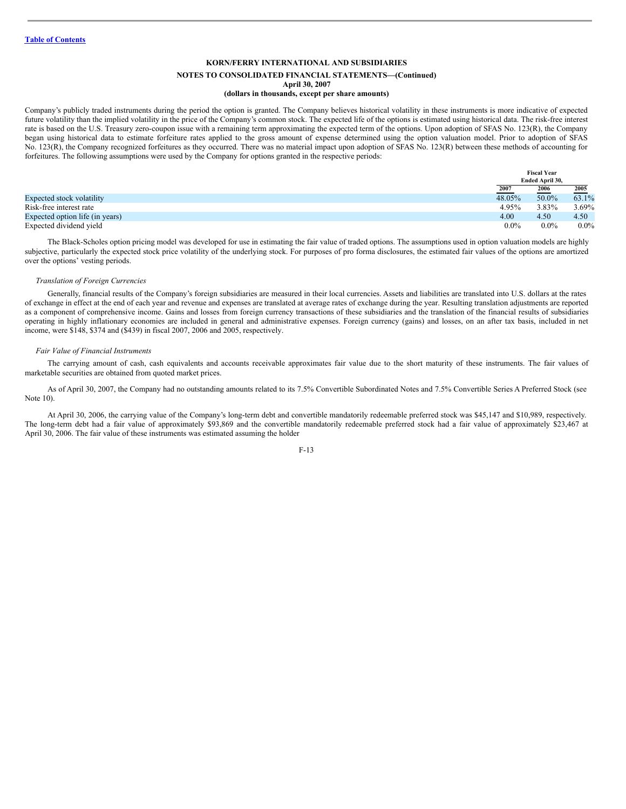### **NOTES TO CONSOLIDATED FINANCIAL STATEMENTS—(Continued)**

## **April 30, 2007**

## **(dollars in thousands, except per share amounts)**

Company's publicly traded instruments during the period the option is granted. The Company believes historical volatility in these instruments is more indicative of expected future volatility than the implied volatility in the price of the Company's common stock. The expected life of the options is estimated using historical data. The risk-free interest rate is based on the U.S. Treasury zero-coupon issue with a remaining term approximating the expected term of the options. Upon adoption of SFAS No. 123(R), the Company began using historical data to estimate forfeiture rates applied to the gross amount of expense determined using the option valuation model. Prior to adoption of SFAS No. 123(R), the Company recognized forfeitures as they occurred. There was no material impact upon adoption of SFAS No. 123(R) between these methods of accounting for forfeitures. The following assumptions were used by the Company for options granted in the respective periods:

|                                 |         | <b>Fiscal Year</b><br>Ended April 30, |         |
|---------------------------------|---------|---------------------------------------|---------|
|                                 | 2007    | 2006                                  | 2005    |
| Expected stock volatility       | 48.05%  | 50.0%                                 | 63.1%   |
| Risk-free interest rate         | 4.95%   | 3.83%                                 | 3.69%   |
| Expected option life (in years) | 4.00    | 4.50                                  | 4.50    |
| Expected dividend yield         | $0.0\%$ | $0.0\%$                               | $0.0\%$ |

The Black-Scholes option pricing model was developed for use in estimating the fair value of traded options. The assumptions used in option valuation models are highly subjective, particularly the expected stock price volatility of the underlying stock. For purposes of pro forma disclosures, the estimated fair values of the options are amortized over the options' vesting periods.

### *Translation of Foreign Currencies*

Generally, financial results of the Company's foreign subsidiaries are measured in their local currencies. Assets and liabilities are translated into U.S. dollars at the rates of exchange in effect at the end of each year and revenue and expenses are translated at average rates of exchange during the year. Resulting translation adjustments are reported as a component of comprehensive income. Gains and losses from foreign currency transactions of these subsidiaries and the translation of the financial results of subsidiaries operating in highly inflationary economies are included in general and administrative expenses. Foreign currency (gains) and losses, on an after tax basis, included in net income, were \$148, \$374 and (\$439) in fiscal 2007, 2006 and 2005, respectively.

#### *Fair Value of Financial Instruments*

The carrying amount of cash, cash equivalents and accounts receivable approximates fair value due to the short maturity of these instruments. The fair values of marketable securities are obtained from quoted market prices.

As of April 30, 2007, the Company had no outstanding amounts related to its 7.5% Convertible Subordinated Notes and 7.5% Convertible Series A Preferred Stock (see Note 10).

At April 30, 2006, the carrying value of the Company's long-term debt and convertible mandatorily redeemable preferred stock was \$45,147 and \$10,989, respectively. The long-term debt had a fair value of approximately \$93,869 and the convertible mandatorily redeemable preferred stock had a fair value of approximately \$23,467 at April 30, 2006. The fair value of these instruments was estimated assuming the holder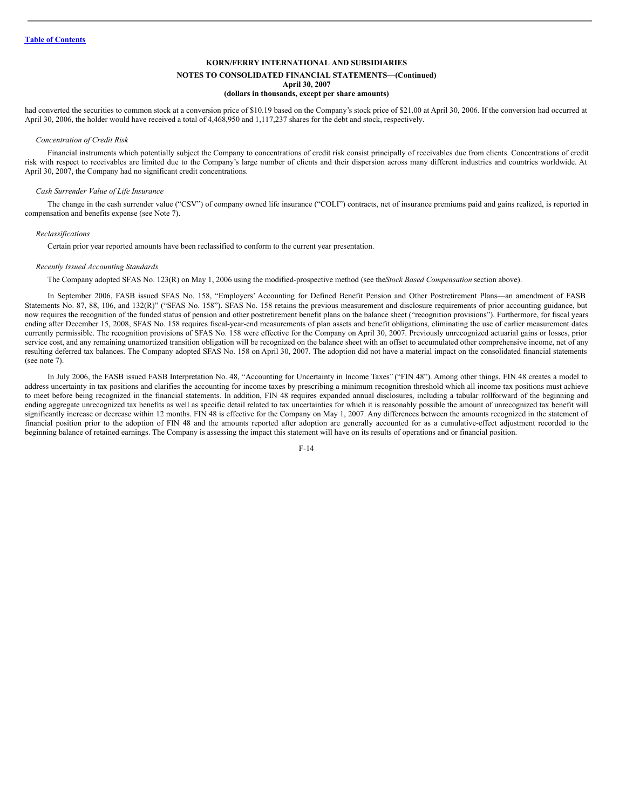### **NOTES TO CONSOLIDATED FINANCIAL STATEMENTS—(Continued)**

# **April 30, 2007**

## **(dollars in thousands, except per share amounts)**

had converted the securities to common stock at a conversion price of \$10.19 based on the Company's stock price of \$21.00 at April 30, 2006. If the conversion had occurred at April 30, 2006, the holder would have received a total of 4,468,950 and 1,117,237 shares for the debt and stock, respectively.

#### *Concentration of Credit Risk*

Financial instruments which potentially subject the Company to concentrations of credit risk consist principally of receivables due from clients. Concentrations of credit risk with respect to receivables are limited due to the Company's large number of clients and their dispersion across many different industries and countries worldwide. At April 30, 2007, the Company had no significant credit concentrations.

### *Cash Surrender Value of Life Insurance*

The change in the cash surrender value ("CSV") of company owned life insurance ("COLI") contracts, net of insurance premiums paid and gains realized, is reported in compensation and benefits expense (see Note 7).

#### *Reclassifications*

Certain prior year reported amounts have been reclassified to conform to the current year presentation.

### *Recently Issued Accounting Standards*

The Company adopted SFAS No. 123(R) on May 1, 2006 using the modified-prospective method (see the*Stock Based Compensation* section above).

In September 2006, FASB issued SFAS No. 158, "Employers' Accounting for Defined Benefit Pension and Other Postretirement Plans—an amendment of FASB Statements No. 87, 88, 106, and 132(R)" ("SFAS No. 158"). SFAS No. 158 retains the previous measurement and disclosure requirements of prior accounting guidance, but now requires the recognition of the funded status of pension and other postretirement benefit plans on the balance sheet ("recognition provisions"). Furthermore, for fiscal years ending after December 15, 2008, SFAS No. 158 requires fiscal-year-end measurements of plan assets and benefit obligations, eliminating the use of earlier measurement dates currently permissible. The recognition provisions of SFAS No. 158 were effective for the Company on April 30, 2007. Previously unrecognized actuarial gains or losses, prior service cost, and any remaining unamortized transition obligation will be recognized on the balance sheet with an offset to accumulated other comprehensive income, net of any resulting deferred tax balances. The Company adopted SFAS No. 158 on April 30, 2007. The adoption did not have a material impact on the consolidated financial statements (see note 7).

In July 2006, the FASB issued FASB Interpretation No. 48, "Accounting for Uncertainty in Income Taxes*"* ("FIN 48"). Among other things, FIN 48 creates a model to address uncertainty in tax positions and clarifies the accounting for income taxes by prescribing a minimum recognition threshold which all income tax positions must achieve to meet before being recognized in the financial statements. In addition, FIN 48 requires expanded annual disclosures, including a tabular rollforward of the beginning and ending aggregate unrecognized tax benefits as well as specific detail related to tax uncertainties for which it is reasonably possible the amount of unrecognized tax benefit will significantly increase or decrease within 12 months. FIN 48 is effective for the Company on May 1, 2007. Any differences between the amounts recognized in the statement of financial position prior to the adoption of FIN 48 and the amounts reported after adoption are generally accounted for as a cumulative-effect adjustment recorded to the beginning balance of retained earnings. The Company is assessing the impact this statement will have on its results of operations and or financial position.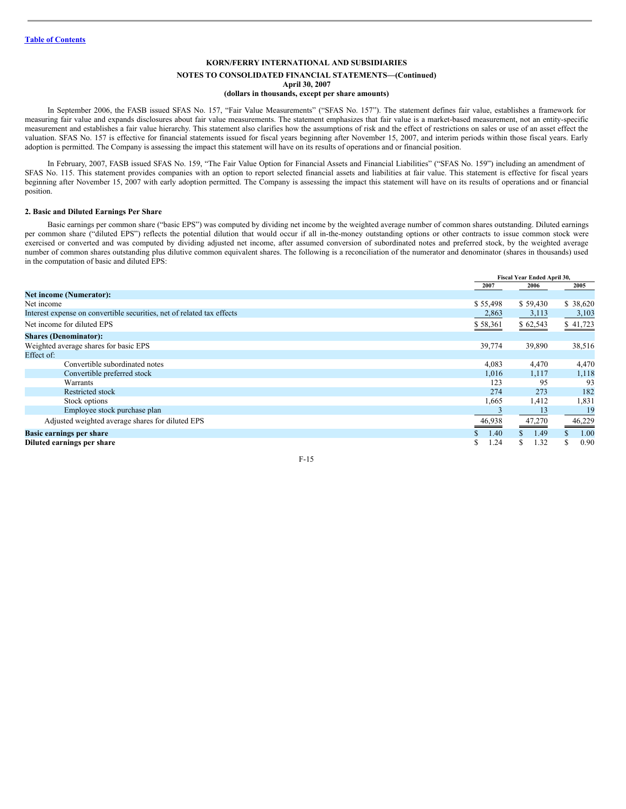### **NOTES TO CONSOLIDATED FINANCIAL STATEMENTS—(Continued)**

**April 30, 2007**

## **(dollars in thousands, except per share amounts)**

In September 2006, the FASB issued SFAS No. 157, "Fair Value Measurements" ("SFAS No. 157"). The statement defines fair value, establishes a framework for measuring fair value and expands disclosures about fair value measurements. The statement emphasizes that fair value is a market-based measurement, not an entity-specific measurement and establishes a fair value hierarchy. This statement also clarifies how the assumptions of risk and the effect of restrictions on sales or use of an asset effect the valuation. SFAS No. 157 is effective for financial statements issued for fiscal years beginning after November 15, 2007, and interim periods within those fiscal years. Early adoption is permitted. The Company is assessing the impact this statement will have on its results of operations and or financial position.

In February, 2007, FASB issued SFAS No. 159, "The Fair Value Option for Financial Assets and Financial Liabilities" ("SFAS No. 159") including an amendment of SFAS No. 115. This statement provides companies with an option to report selected financial assets and liabilities at fair value. This statement is effective for fiscal years beginning after November 15, 2007 with early adoption permitted. The Company is assessing the impact this statement will have on its results of operations and or financial position.

### **2. Basic and Diluted Earnings Per Share**

Basic earnings per common share ("basic EPS") was computed by dividing net income by the weighted average number of common shares outstanding. Diluted earnings per common share ("diluted EPS") reflects the potential dilution that would occur if all in-the-money outstanding options or other contracts to issue common stock were exercised or converted and was computed by dividing adjusted net income, after assumed conversion of subordinated notes and preferred stock, by the weighted average number of common shares outstanding plus dilutive common equivalent shares. The following is a reconciliation of the numerator and denominator (shares in thousands) used in the computation of basic and diluted EPS:

|                                                                        |          | Fiscal Year Ended April 30, |            |  |  |
|------------------------------------------------------------------------|----------|-----------------------------|------------|--|--|
|                                                                        | 2007     | 2006                        | 2005       |  |  |
| <b>Net income (Numerator):</b>                                         |          |                             |            |  |  |
| Net income                                                             | \$55,498 | \$59,430                    | \$ 38,620  |  |  |
| Interest expense on convertible securities, net of related tax effects | 2,863    | 3,113                       | 3,103      |  |  |
| Net income for diluted EPS                                             | \$58,361 | \$62,543                    | \$41,723   |  |  |
| <b>Shares (Denominator):</b>                                           |          |                             |            |  |  |
| Weighted average shares for basic EPS                                  | 39,774   | 39,890                      | 38,516     |  |  |
| Effect of:                                                             |          |                             |            |  |  |
| Convertible subordinated notes                                         | 4,083    | 4,470                       | 4,470      |  |  |
| Convertible preferred stock                                            | 1,016    | 1,117                       | 1,118      |  |  |
| Warrants                                                               | 123      | 95                          | 93         |  |  |
| Restricted stock                                                       | 274      | 273                         | 182        |  |  |
| Stock options                                                          | 1,665    | 1,412                       | 1,831      |  |  |
| Employee stock purchase plan                                           |          | 13                          | 19         |  |  |
| Adjusted weighted average shares for diluted EPS                       | 46,938   | 47,270                      | 46,229     |  |  |
| <b>Basic earnings per share</b>                                        | 1.40     | 1.49                        | 1.00       |  |  |
| Diluted earnings per share                                             | 1.24     | 1.32                        | 0.90<br>ъ. |  |  |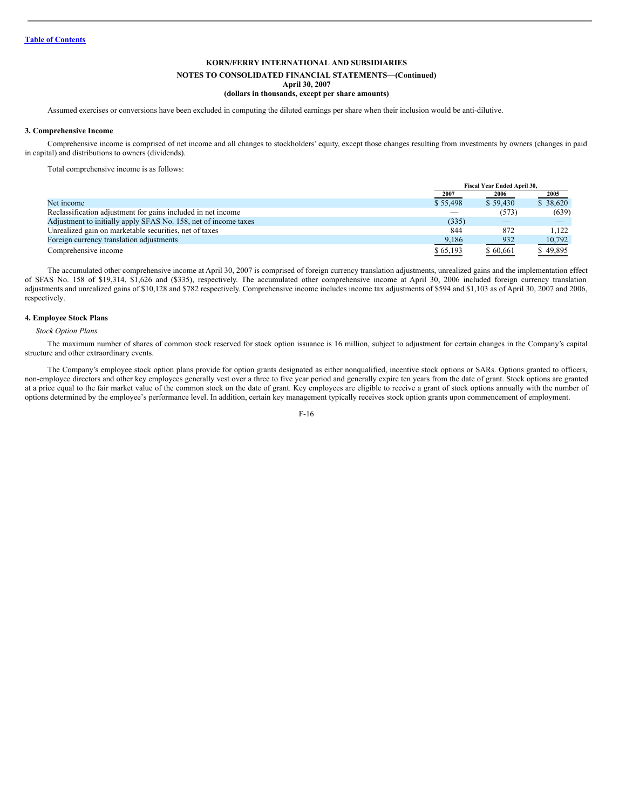### **NOTES TO CONSOLIDATED FINANCIAL STATEMENTS—(Continued)**

**April 30, 2007**

## **(dollars in thousands, except per share amounts)**

Assumed exercises or conversions have been excluded in computing the diluted earnings per share when their inclusion would be anti-dilutive.

### **3. Comprehensive Income**

Comprehensive income is comprised of net income and all changes to stockholders' equity, except those changes resulting from investments by owners (changes in paid in capital) and distributions to owners (dividends).

Total comprehensive income is as follows:

|                                                                 | Fiscal Year Ended April 30, |                          |          |  |
|-----------------------------------------------------------------|-----------------------------|--------------------------|----------|--|
|                                                                 | 2007                        | 2006                     | 2005     |  |
| Net income                                                      | \$55,498                    | \$59,430                 | \$38,620 |  |
| Reclassification adjustment for gains included in net income    |                             | (573)                    | (639)    |  |
| Adjustment to initially apply SFAS No. 158, net of income taxes | (335)                       | $\overline{\phantom{a}}$ |          |  |
| Unrealized gain on marketable securities, net of taxes          | 844                         | 872                      | 1.122    |  |
| Foreign currency translation adjustments                        | 9,186                       | 932                      | 10,792   |  |
| Comprehensive income                                            | \$65,193                    | \$60,661                 | \$49,895 |  |

The accumulated other comprehensive income at April 30, 2007 is comprised of foreign currency translation adjustments, unrealized gains and the implementation effect of SFAS No. 158 of \$19,314, \$1,626 and (\$335), respectively. The accumulated other comprehensive income at April 30, 2006 included foreign currency translation adjustments and unrealized gains of \$10,128 and \$782 respectively. Comprehensive income includes income tax adjustments of \$594 and \$1,103 as of April 30, 2007 and 2006, respectively.

### **4. Employee Stock Plans**

*Stock Option Plans*

The maximum number of shares of common stock reserved for stock option issuance is 16 million, subject to adjustment for certain changes in the Company's capital structure and other extraordinary events.

The Company's employee stock option plans provide for option grants designated as either nonqualified, incentive stock options or SARs. Options granted to officers, non-employee directors and other key employees generally vest over a three to five year period and generally expire ten years from the date of grant. Stock options are granted at a price equal to the fair market value of the common stock on the date of grant. Key employees are eligible to receive a grant of stock options annually with the number of options determined by the employee's performance level. In addition, certain key management typically receives stock option grants upon commencement of employment.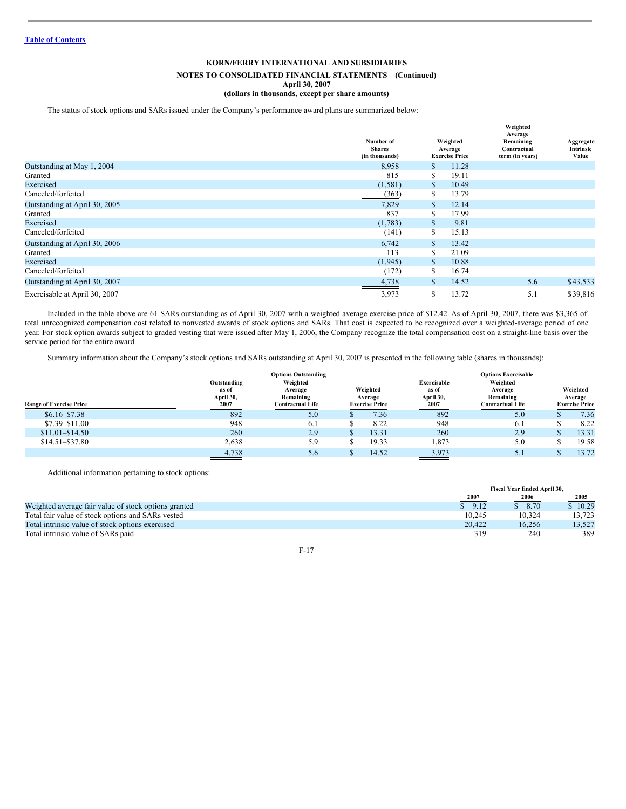### **NOTES TO CONSOLIDATED FINANCIAL STATEMENTS—(Continued)**

# **April 30, 2007**

## **(dollars in thousands, except per share amounts)**

### The status of stock options and SARs issued under the Company's performance award plans are summarized below:

|                               | Number of<br><b>Shares</b><br>(in thousands) |          | Weighted<br>Average<br><b>Exercise Price</b> | Weighted<br>Average<br>Remaining<br>Contractual<br>term (in years) | Aggregate<br>Intrinsic<br>Value |
|-------------------------------|----------------------------------------------|----------|----------------------------------------------|--------------------------------------------------------------------|---------------------------------|
| Outstanding at May 1, 2004    | 8,958                                        |          | 11.28                                        |                                                                    |                                 |
| Granted                       | 815                                          | ъ        | 19.11                                        |                                                                    |                                 |
| Exercised                     | (1,581)                                      | \$       | 10.49                                        |                                                                    |                                 |
| Canceled/forfeited            | (363)                                        | S        | 13.79                                        |                                                                    |                                 |
| Outstanding at April 30, 2005 | 7,829                                        | \$       | 12.14                                        |                                                                    |                                 |
| Granted                       | 837                                          | ς        | 17.99                                        |                                                                    |                                 |
| Exercised                     | (1,783)                                      | <b>S</b> | 9.81                                         |                                                                    |                                 |
| Canceled/forfeited            | (141)                                        | \$.      | 15.13                                        |                                                                    |                                 |
| Outstanding at April 30, 2006 | 6,742                                        | \$       | 13.42                                        |                                                                    |                                 |
| Granted                       | 113                                          | ς        | 21.09                                        |                                                                    |                                 |
| Exercised                     | (1, 945)                                     | \$       | 10.88                                        |                                                                    |                                 |
| Canceled/forfeited            | (172)                                        | S        | 16.74                                        |                                                                    |                                 |
| Outstanding at April 30, 2007 | 4,738                                        | \$       | 14.52                                        | 5.6                                                                | \$43,533                        |
| Exercisable at April 30, 2007 | 3,973                                        | S        | 13.72                                        | 5.1                                                                | \$39,816                        |

Included in the table above are 61 SARs outstanding as of April 30, 2007 with a weighted average exercise price of \$12.42. As of April 30, 2007, there was \$3,365 of total unrecognized compensation cost related to nonvested awards of stock options and SARs. That cost is expected to be recognized over a weighted-average period of one year. For stock option awards subject to graded vesting that were issued after May 1, 2006, the Company recognize the total compensation cost on a straight-line basis over the service period for the entire award.

Summary information about the Company's stock options and SARs outstanding at April 30, 2007 is presented in the following table (shares in thousands):

|                                |                                           | <b>Options Outstanding</b>                                  |  |                                              |                                           | <b>Options Exercisable</b>                                  |                                              |
|--------------------------------|-------------------------------------------|-------------------------------------------------------------|--|----------------------------------------------|-------------------------------------------|-------------------------------------------------------------|----------------------------------------------|
| <b>Range of Exercise Price</b> | Outstanding<br>as of<br>April 30,<br>2007 | Weighted<br>Average<br>Remaining<br><b>Contractual Life</b> |  | Weighted<br>Average<br><b>Exercise Price</b> | Exercisable<br>as of<br>April 30,<br>2007 | Weighted<br>Average<br>Remaining<br><b>Contractual Life</b> | Weighted<br>Average<br><b>Exercise Price</b> |
| $$6.16 - $7.38$                | 892                                       | 5.0                                                         |  | 7.36                                         | 892                                       | 5.0                                                         | 7.36                                         |
| $$7.39 - $11.00$               | 948                                       | 6.1                                                         |  | 8.22                                         | 948                                       | 6.1                                                         | 8.22                                         |
| $$11.01 - $14.50$              | 260                                       | 2.9                                                         |  | 13.31                                        | 260                                       | 2.9                                                         | 13.31                                        |
| $$14.51 - $37.80$              | 2,638                                     | 5.9                                                         |  | 19.33                                        | 1,873                                     | 5.0                                                         | 19.58                                        |
|                                | 4,738                                     | 5.6                                                         |  | 14.52                                        | 3,973                                     | 5.1                                                         | 13.72                                        |

Additional information pertaining to stock options:

|                                                      |        | <b>Fiscal Year Ended April 30.</b> |         |  |  |
|------------------------------------------------------|--------|------------------------------------|---------|--|--|
|                                                      | 2007   | 2006                               | 2005    |  |  |
| Weighted average fair value of stock options granted | \$9.12 | \$8.70                             | \$10.29 |  |  |
| Total fair value of stock options and SARs vested    | 10.245 | 10.324                             | 13.723  |  |  |
| Total intrinsic value of stock options exercised     | 20,422 | 16.256                             | 13.527  |  |  |
| Total intrinsic value of SARs paid                   | 319    | 240                                | 389     |  |  |

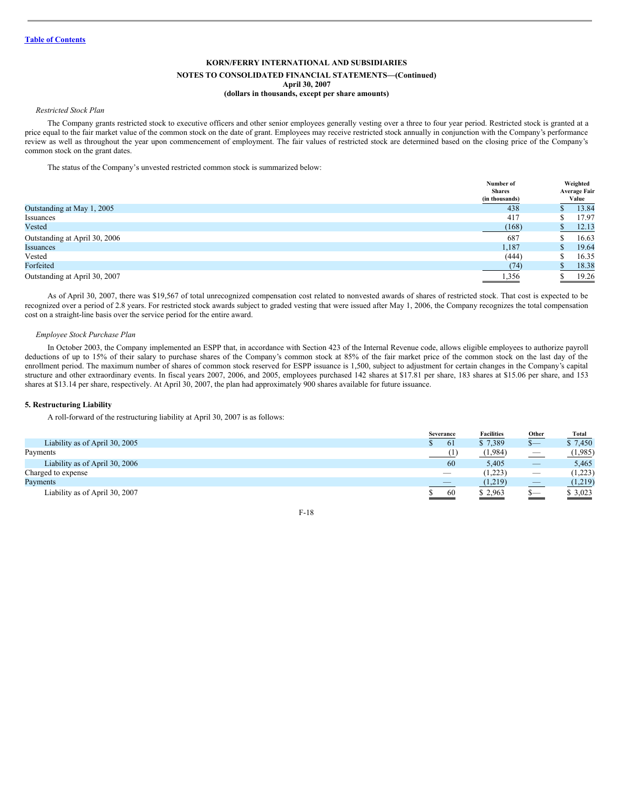### **NOTES TO CONSOLIDATED FINANCIAL STATEMENTS—(Continued)**

**April 30, 2007**

## **(dollars in thousands, except per share amounts)**

### *Restricted Stock Plan*

The Company grants restricted stock to executive officers and other senior employees generally vesting over a three to four year period. Restricted stock is granted at a price equal to the fair market value of the common stock on the date of grant. Employees may receive restricted stock annually in conjunction with the Company's performance review as well as throughout the year upon commencement of employment. The fair values of restricted stock are determined based on the closing price of the Company's common stock on the grant dates.

The status of the Company's unvested restricted common stock is summarized below:

|                               | Number of<br><b>Shares</b><br>(in thousands) |    | Weighted<br><b>Average Fair</b><br>Value |  |
|-------------------------------|----------------------------------------------|----|------------------------------------------|--|
| Outstanding at May 1, 2005    | 438                                          |    | 13.84                                    |  |
| Issuances                     | 417                                          | ۰Δ | 17.97                                    |  |
| Vested                        | (168)                                        |    | 12.13                                    |  |
| Outstanding at April 30, 2006 | 687                                          |    | 16.63                                    |  |
| Issuances                     | 1,187                                        | D. | 19.64                                    |  |
| Vested                        | (444)                                        |    | 16.35                                    |  |
| Forfeited                     | (74)                                         |    | 18.38                                    |  |
| Outstanding at April 30, 2007 | 1,356                                        |    | 19.26                                    |  |

As of April 30, 2007, there was \$19,567 of total unrecognized compensation cost related to nonvested awards of shares of restricted stock. That cost is expected to be recognized over a period of 2.8 years. For restricted stock awards subject to graded vesting that were issued after May 1, 2006, the Company recognizes the total compensation cost on a straight-line basis over the service period for the entire award.

### *Employee Stock Purchase Plan*

In October 2003, the Company implemented an ESPP that, in accordance with Section 423 of the Internal Revenue code, allows eligible employees to authorize payroll deductions of up to 15% of their salary to purchase shares of the Company's common stock at 85% of the fair market price of the common stock on the last day of the enrollment period. The maximum number of shares of common stock reserved for ESPP issuance is 1,500, subject to adjustment for certain changes in the Company's capital structure and other extraordinary events. In fiscal years 2007, 2006, and 2005, employees purchased 142 shares at \$17.81 per share, 183 shares at \$15.06 per share, and 153 shares at \$13.14 per share, respectively. At April 30, 2007, the plan had approximately 900 shares available for future issuance.

### **5. Restructuring Liability**

A roll-forward of the restructuring liability at April 30, 2007 is as follows:

|                                | Severance | <b>Facilities</b> | Other                           | <b>Total</b> |
|--------------------------------|-----------|-------------------|---------------------------------|--------------|
| Liability as of April 30, 2005 | -61       | \$7,389           | $\sigma$<br>$\sim$              | \$7,450      |
| Payments                       |           | (1,984)           | $\hspace{0.1mm}-\hspace{0.1mm}$ | (1,985)      |
| Liability as of April 30, 2006 | 60        | 5,405             | $\overline{\phantom{a}}$        | 5,465        |
| Charged to expense             | $-$       | (1,223)           |                                 | (1,223)      |
| Payments                       | _         | (1,219)           | $\hspace{0.1mm}-\hspace{0.1mm}$ | (1,219)      |
| Liability as of April 30, 2007 | 60        | \$2,963           | ა—                              | \$ 3,023     |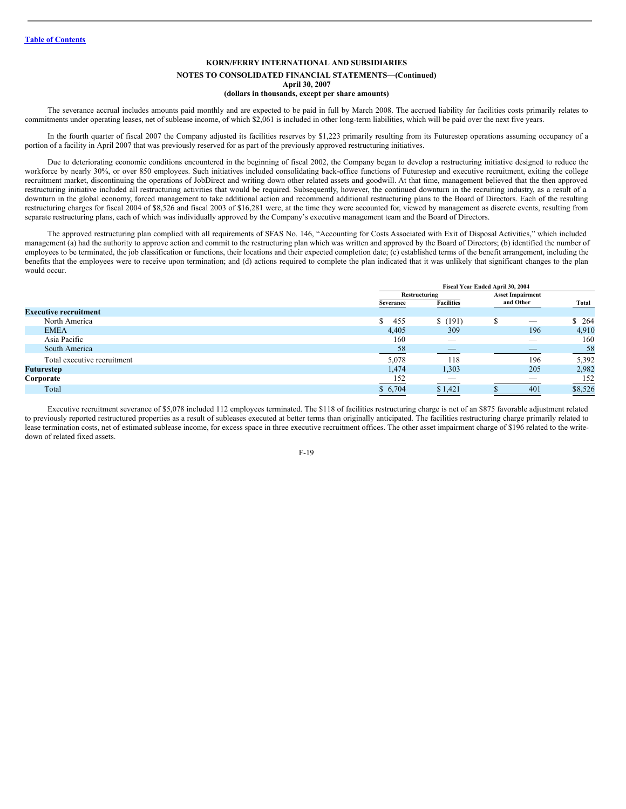### **NOTES TO CONSOLIDATED FINANCIAL STATEMENTS—(Continued)**

**April 30, 2007**

## **(dollars in thousands, except per share amounts)**

The severance accrual includes amounts paid monthly and are expected to be paid in full by March 2008. The accrued liability for facilities costs primarily relates to commitments under operating leases, net of sublease income, of which \$2,061 is included in other long-term liabilities, which will be paid over the next five years.

In the fourth quarter of fiscal 2007 the Company adjusted its facilities reserves by \$1,223 primarily resulting from its Futurestep operations assuming occupancy of a portion of a facility in April 2007 that was previously reserved for as part of the previously approved restructuring initiatives.

Due to deteriorating economic conditions encountered in the beginning of fiscal 2002, the Company began to develop a restructuring initiative designed to reduce the workforce by nearly 30%, or over 850 employees. Such initiatives included consolidating back-office functions of Futurestep and executive recruitment, exiting the college recruitment market, discontinuing the operations of JobDirect and writing down other related assets and goodwill. At that time, management believed that the then approved restructuring initiative included all restructuring activities that would be required. Subsequently, however, the continued downturn in the recruiting industry, as a result of a downturn in the global economy, forced management to take additional action and recommend additional restructuring plans to the Board of Directors. Each of the resulting restructuring charges for fiscal 2004 of \$8,526 and fiscal 2003 of \$16,281 were, at the time they were accounted for, viewed by management as discrete events, resulting from separate restructuring plans, each of which was individually approved by the Company's executive management team and the Board of Directors.

The approved restructuring plan complied with all requirements of SFAS No. 146, "Accounting for Costs Associated with Exit of Disposal Activities," which included management (a) had the authority to approve action and commit to the restructuring plan which was written and approved by the Board of Directors; (b) identified the number of employees to be terminated, the job classification or functions, their locations and their expected completion date; (c) established terms of the benefit arrangement, including the benefits that the employees were to receive upon termination; and (d) actions required to complete the plan indicated that it was unlikely that significant changes to the plan would occur.

|                              |           | Fiscal Year Ended April 30, 2004 |  |                         |         |  |  |
|------------------------------|-----------|----------------------------------|--|-------------------------|---------|--|--|
|                              |           | Restructuring                    |  | <b>Asset Impairment</b> |         |  |  |
|                              | Severance | <b>Facilities</b>                |  | and Other               |         |  |  |
| <b>Executive recruitment</b> |           |                                  |  |                         |         |  |  |
| North America                | 455       | \$(191)                          |  | _                       | \$264   |  |  |
| <b>EMEA</b>                  | 4,405     | 309                              |  | 196                     | 4,910   |  |  |
| Asia Pacific                 | 160       | $-$                              |  | -                       | 160     |  |  |
| South America                | 58        |                                  |  | __                      | 58      |  |  |
| Total executive recruitment  | 5,078     | 118                              |  | 196                     | 5,392   |  |  |
| <b>Futurestep</b>            | 1.474     | 1,303                            |  | 205                     | 2,982   |  |  |
| Corporate                    | 152       |                                  |  | _                       | 152     |  |  |
| Total                        | \$6,704   | \$1,421                          |  | 401                     | \$8,526 |  |  |

Executive recruitment severance of \$5,078 included 112 employees terminated. The \$118 of facilities restructuring charge is net of an \$875 favorable adjustment related to previously reported restructured properties as a result of subleases executed at better terms than originally anticipated. The facilities restructuring charge primarily related to lease termination costs, net of estimated sublease income, for excess space in three executive recruitment offices. The other asset impairment charge of \$196 related to the writedown of related fixed assets.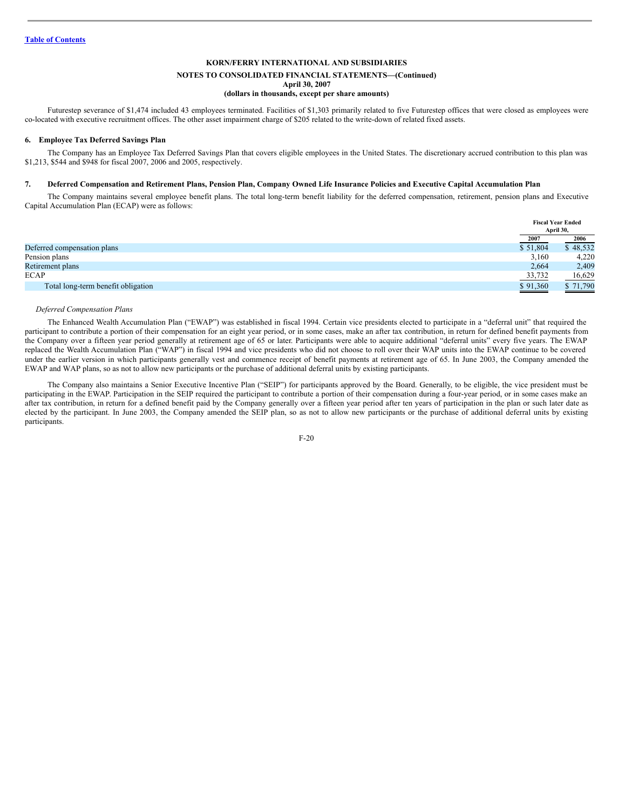### **NOTES TO CONSOLIDATED FINANCIAL STATEMENTS—(Continued)**

# **April 30, 2007**

## **(dollars in thousands, except per share amounts)**

Futurestep severance of \$1,474 included 43 employees terminated. Facilities of \$1,303 primarily related to five Futurestep offices that were closed as employees were co-located with executive recruitment offices. The other asset impairment charge of \$205 related to the write-down of related fixed assets.

### **6. Employee Tax Deferred Savings Plan**

The Company has an Employee Tax Deferred Savings Plan that covers eligible employees in the United States. The discretionary accrued contribution to this plan was \$1,213, \$544 and \$948 for fiscal 2007, 2006 and 2005, respectively.

## 7. Deferred Compensation and Retirement Plans, Pension Plan, Company Owned Life Insurance Policies and Executive Capital Accumulation Plan

The Company maintains several employee benefit plans. The total long-term benefit liability for the deferred compensation, retirement, pension plans and Executive Capital Accumulation Plan (ECAP) were as follows:

| <b>Fiscal Year Ended</b> |          |
|--------------------------|----------|
| April 30,                |          |
| 2007                     | 2006     |
| \$51,804                 | \$48,532 |
| 3,160                    | 4,220    |
| 2,664                    | 2,409    |
| 33,732                   | 16,629   |
| \$91,360                 | \$71,790 |
|                          |          |

### *Deferred Compensation Plans*

The Enhanced Wealth Accumulation Plan ("EWAP") was established in fiscal 1994. Certain vice presidents elected to participate in a "deferral unit" that required the participant to contribute a portion of their compensation for an eight year period, or in some cases, make an after tax contribution, in return for defined benefit payments from the Company over a fifteen year period generally at retirement age of 65 or later. Participants were able to acquire additional "deferral units" every five years. The EWAP replaced the Wealth Accumulation Plan ("WAP") in fiscal 1994 and vice presidents who did not choose to roll over their WAP units into the EWAP continue to be covered under the earlier version in which participants generally vest and commence receipt of benefit payments at retirement age of 65. In June 2003, the Company amended the EWAP and WAP plans, so as not to allow new participants or the purchase of additional deferral units by existing participants.

The Company also maintains a Senior Executive Incentive Plan ("SEIP") for participants approved by the Board. Generally, to be eligible, the vice president must be participating in the EWAP. Participation in the SEIP required the participant to contribute a portion of their compensation during a four-year period, or in some cases make an after tax contribution, in return for a defined benefit paid by the Company generally over a fifteen year period after ten years of participation in the plan or such later date as elected by the participant. In June 2003, the Company amended the SEIP plan, so as not to allow new participants or the purchase of additional deferral units by existing participants.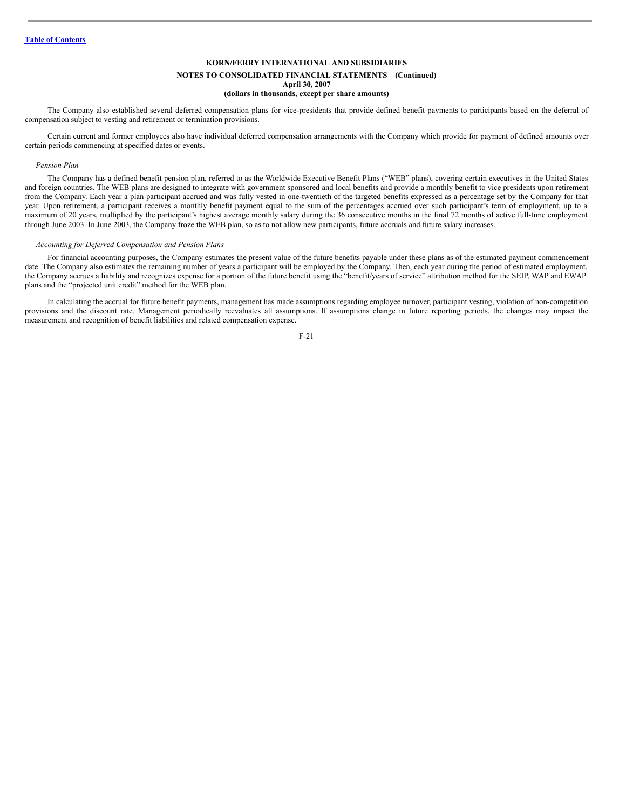### **NOTES TO CONSOLIDATED FINANCIAL STATEMENTS—(Continued)**

**April 30, 2007**

## **(dollars in thousands, except per share amounts)**

The Company also established several deferred compensation plans for vice-presidents that provide defined benefit payments to participants based on the deferral of compensation subject to vesting and retirement or termination provisions.

Certain current and former employees also have individual deferred compensation arrangements with the Company which provide for payment of defined amounts over certain periods commencing at specified dates or events.

#### *Pension Plan*

The Company has a defined benefit pension plan, referred to as the Worldwide Executive Benefit Plans ("WEB" plans), covering certain executives in the United States and foreign countries. The WEB plans are designed to integrate with government sponsored and local benefits and provide a monthly benefit to vice presidents upon retirement from the Company. Each year a plan participant accrued and was fully vested in one-twentieth of the targeted benefits expressed as a percentage set by the Company for that year. Upon retirement, a participant receives a monthly benefit payment equal to the sum of the percentages accrued over such participant's term of employment, up to a maximum of 20 years, multiplied by the participant's highest average monthly salary during the 36 consecutive months in the final 72 months of active full-time employment through June 2003. In June 2003, the Company froze the WEB plan, so as to not allow new participants, future accruals and future salary increases.

#### *Accounting for Deferred Compensation and Pension Plans*

For financial accounting purposes, the Company estimates the present value of the future benefits payable under these plans as of the estimated payment commencement date. The Company also estimates the remaining number of years a participant will be employed by the Company. Then, each year during the period of estimated employment, the Company accrues a liability and recognizes expense for a portion of the future benefit using the "benefit/years of service" attribution method for the SEIP, WAP and EWAP plans and the "projected unit credit" method for the WEB plan.

In calculating the accrual for future benefit payments, management has made assumptions regarding employee turnover, participant vesting, violation of non-competition provisions and the discount rate. Management periodically reevaluates all assumptions. If assumptions change in future reporting periods, the changes may impact the measurement and recognition of benefit liabilities and related compensation expense.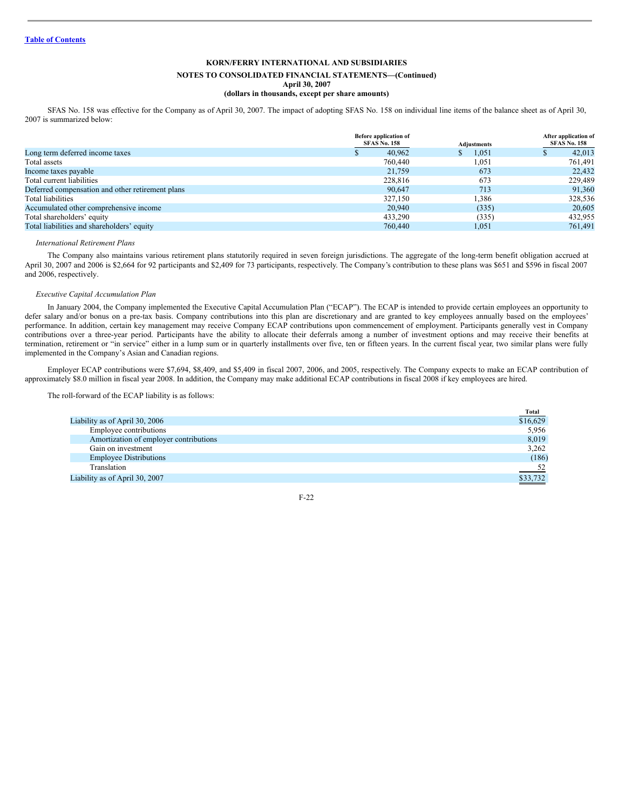### **NOTES TO CONSOLIDATED FINANCIAL STATEMENTS—(Continued)**

# **April 30, 2007**

# **(dollars in thousands, except per share amounts)**

SFAS No. 158 was effective for the Company as of April 30, 2007. The impact of adopting SFAS No. 158 on individual line items of the balance sheet as of April 30, 2007 is summarized below:

|                                                  | Before application of<br><b>SFAS No. 158</b> | Adjustments | After application of<br><b>SFAS No. 158</b> |
|--------------------------------------------------|----------------------------------------------|-------------|---------------------------------------------|
| Long term deferred income taxes                  | 40,962                                       | 1,051<br>ъ. | 42,013                                      |
| Total assets                                     | 760,440                                      | 1,051       | 761.491                                     |
| Income taxes payable                             | 21,759                                       | 673         | 22,432                                      |
| Total current liabilities                        | 228,816                                      | 673         | 229,489                                     |
| Deferred compensation and other retirement plans | 90.647                                       | 713         | 91,360                                      |
| Total liabilities                                | 327,150                                      | 1,386       | 328,536                                     |
| Accumulated other comprehensive income           | 20,940                                       | (335)       | 20,605                                      |
| Total shareholders' equity                       | 433,290                                      | (335)       | 432,955                                     |
| Total liabilities and shareholders' equity       | 760,440                                      | 1.051       | 761.491                                     |

### *International Retirement Plans*

The Company also maintains various retirement plans statutorily required in seven foreign jurisdictions. The aggregate of the long-term benefit obligation accrued at April 30, 2007 and 2006 is \$2,664 for 92 participants and \$2,409 for 73 participants, respectively. The Company's contribution to these plans was \$651 and \$596 in fiscal 2007 and 2006, respectively.

#### *Executive Capital Accumulation Plan*

In January 2004, the Company implemented the Executive Capital Accumulation Plan ("ECAP"). The ECAP is intended to provide certain employees an opportunity to defer salary and/or bonus on a pre-tax basis. Company contributions into this plan are discretionary and are granted to key employees annually based on the employees' performance. In addition, certain key management may receive Company ECAP contributions upon commencement of employment. Participants generally vest in Company contributions over a three-year period. Participants have the ability to allocate their deferrals among a number of investment options and may receive their benefits at termination, retirement or "in service" either in a lump sum or in quarterly installments over five, ten or fifteen years. In the current fiscal year, two similar plans were fully implemented in the Company's Asian and Canadian regions.

Employer ECAP contributions were \$7,694, \$8,409, and \$5,409 in fiscal 2007, 2006, and 2005, respectively. The Company expects to make an ECAP contribution of approximately \$8.0 million in fiscal year 2008. In addition, the Company may make additional ECAP contributions in fiscal 2008 if key employees are hired.

The roll-forward of the ECAP liability is as follows:

| Liability as of April 30, 2006         | $\frac{\text{Total}}{\$16,629}$ |
|----------------------------------------|---------------------------------|
| Employee contributions                 | 5,956                           |
| Amortization of employer contributions | 8,019                           |
| Gain on investment                     | 3,262                           |
| <b>Employee Distributions</b>          | (186)                           |
| Translation                            | 52                              |
| Liability as of April 30, 2007         | \$33,732                        |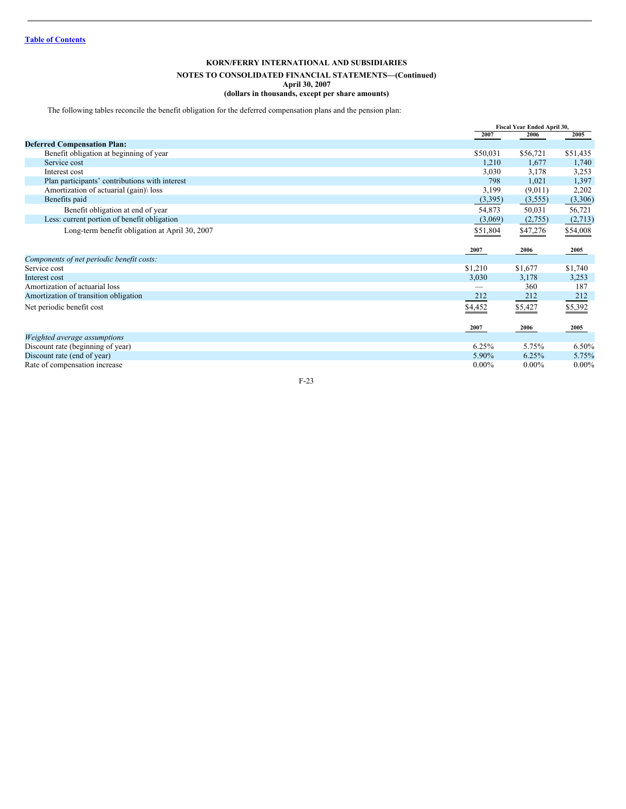## **NOTES TO CONSOLIDATED FINANCIAL STATEMENTS—(Continued)**

**April 30, 2007**

## **(dollars in thousands, except per share amounts)**

The following tables reconcile the benefit obligation for the deferred compensation plans and the pension plan:

|                                                | Fiscal Year Ended April 30, |          |          |
|------------------------------------------------|-----------------------------|----------|----------|
|                                                | 2007                        | 2006     | 2005     |
| <b>Deferred Compensation Plan:</b>             |                             |          |          |
| Benefit obligation at beginning of year        | \$50,031                    | \$56,721 | \$51,435 |
| Service cost                                   | 1,210                       | 1,677    | 1,740    |
| Interest cost                                  | 3,030                       | 3,178    | 3,253    |
| Plan participants' contributions with interest | 798                         | 1,021    | 1,397    |
| Amortization of actuarial (gain) loss          | 3,199                       | (9,011)  | 2,202    |
| Benefits paid                                  | (3,395)                     | (3,555)  | (3,306)  |
| Benefit obligation at end of year              | 54,873                      | 50,031   | 56,721   |
| Less: current portion of benefit obligation    | (3,069)                     | (2,755)  | (2,713)  |
| Long-term benefit obligation at April 30, 2007 | \$51,804                    | \$47,276 | \$54,008 |
|                                                |                             |          |          |
|                                                | 2007                        | 2006     | 2005     |
| Components of net periodic benefit costs:      |                             |          |          |
| Service cost                                   | \$1,210                     | \$1,677  | \$1,740  |
| Interest cost                                  | 3,030                       | 3,178    | 3,253    |
| Amortization of actuarial loss                 |                             | 360      | 187      |
| Amortization of transition obligation          | 212                         | 212      | 212      |
| Net periodic benefit cost                      | \$4,452                     | \$5,427  | \$5,392  |
|                                                |                             |          |          |
|                                                | 2007                        | 2006     | 2005     |
| Weighted average assumptions                   |                             |          |          |
| Discount rate (beginning of year)              | 6.25%                       | 5.75%    | 6.50%    |
| Discount rate (end of year)                    | 5.90%                       | 6.25%    | 5.75%    |
| Rate of compensation increase                  | $0.00\%$                    | $0.00\%$ | $0.00\%$ |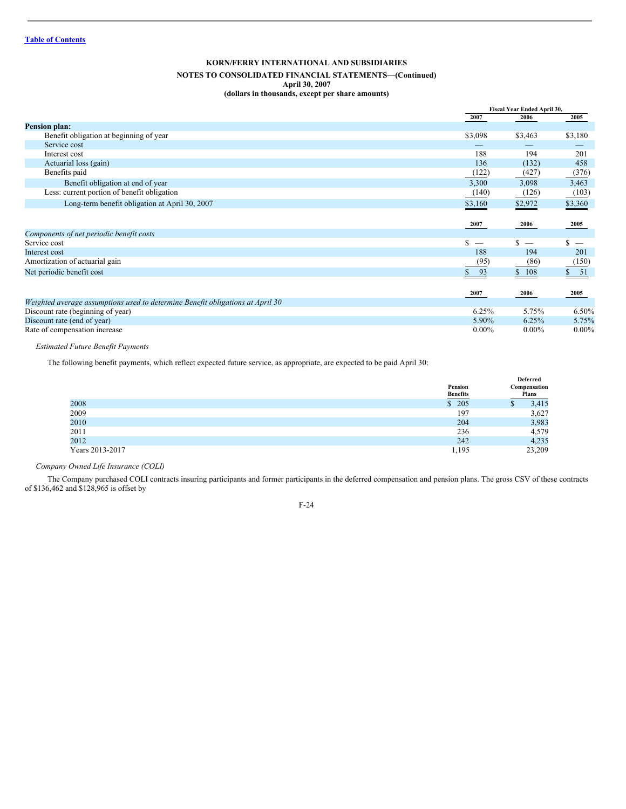# **NOTES TO CONSOLIDATED FINANCIAL STATEMENTS—(Continued)**

## **April 30, 2007 (dollars in thousands, except per share amounts)**

|                                                                                |                                       | Fiscal Year Ended April 30, |                    |
|--------------------------------------------------------------------------------|---------------------------------------|-----------------------------|--------------------|
|                                                                                | 2007                                  | 2006                        | 2005               |
| Pension plan:                                                                  |                                       |                             |                    |
| Benefit obligation at beginning of year                                        | \$3,098                               | \$3,463                     | \$3,180            |
| Service cost                                                                   |                                       |                             |                    |
| Interest cost                                                                  | 188                                   | 194                         | 201                |
| Actuarial loss (gain)                                                          | 136                                   | (132)                       | 458                |
| Benefits paid                                                                  | (122)                                 | (427)                       | (376)              |
| Benefit obligation at end of year                                              | 3,300                                 | 3,098                       | 3,463              |
| Less: current portion of benefit obligation                                    | (140)                                 | (126)                       | (103)              |
| Long-term benefit obligation at April 30, 2007                                 | \$3,160                               | \$2,972                     | \$3,360            |
|                                                                                |                                       |                             |                    |
|                                                                                | 2007                                  | 2006                        | 2005               |
| Components of net periodic benefit costs                                       |                                       |                             |                    |
| Service cost                                                                   | S.<br>$\hspace{0.1mm}-\hspace{0.1mm}$ | $s -$                       | S.<br>$\sim$       |
| Interest cost                                                                  | 188                                   | 194                         | 201                |
| Amortization of actuarial gain                                                 | (95)                                  | (86)                        | (150)              |
| Net periodic benefit cost                                                      | \$93                                  | \$108                       | $\frac{\$}{\$}$ 51 |
|                                                                                |                                       |                             |                    |
|                                                                                | 2007                                  | 2006                        | 2005               |
| Weighted average assumptions used to determine Benefit obligations at April 30 |                                       |                             |                    |
| Discount rate (beginning of year)                                              | 6.25%                                 | 5.75%                       | 6.50%              |
| Discount rate (end of year)                                                    | 5.90%                                 | 6.25%                       | 5.75%              |
| Rate of compensation increase                                                  | $0.00\%$                              | $0.00\%$                    | $0.00\%$           |

*Estimated Future Benefit Payments*

The following benefit payments, which reflect expected future service, as appropriate, are expected to be paid April 30:

|                 | Pension<br><b>Benefits</b> | <b>Deferred</b><br>Compensation<br>Plans |
|-----------------|----------------------------|------------------------------------------|
| 2008            | $\overline{\$}$ 205        | 3,415<br>D                               |
| 2009            | 197                        | 3,627                                    |
| 2010            | 204                        | 3,983                                    |
| 2011            | 236                        | 4,579                                    |
| 2012            | 242                        | 4,235                                    |
| Years 2013-2017 | 1,195                      | 23,209                                   |

*Company Owned Life Insurance (COLI)*

The Company purchased COLI contracts insuring participants and former participants in the deferred compensation and pension plans. The gross CSV of these contracts of \$136,462 and \$128,965 is offset by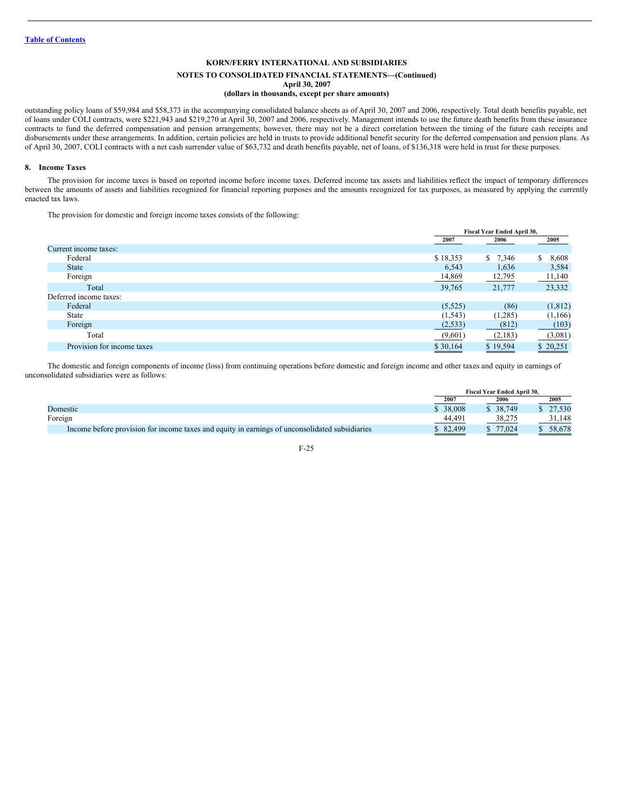## **NOTES TO CONSOLIDATED FINANCIAL STATEMENTS—(Continued)**

**April 30, 2007**

## **(dollars in thousands, except per share amounts)**

outstanding policy loans of \$59,984 and \$58,373 in the accompanying consolidated balance sheets as of April 30, 2007 and 2006, respectively. Total death benefits payable, net of loans under COLI contracts, were \$221,943 and \$219,270 at April 30, 2007 and 2006, respectively. Management intends to use the future death benefits from these insurance contracts to fund the deferred compensation and pension arrangements; however, there may not be a direct correlation between the timing of the future cash receipts and disbursements under these arrangements. In addition, certain policies are held in trusts to provide additional benefit security for the deferred compensation and pension plans. As of April 30, 2007, COLI contracts with a net cash surrender value of \$63,732 and death benefits payable, net of loans, of \$136,318 were held in trust for these purposes.

## **8. Income Taxes**

The provision for income taxes is based on reported income before income taxes. Deferred income tax assets and liabilities reflect the impact of temporary differences between the amounts of assets and liabilities recognized for financial reporting purposes and the amounts recognized for tax purposes, as measured by applying the currently enacted tax laws.

The provision for domestic and foreign income taxes consists of the following:

|                            |          | Fiscal Year Ended April 30, |             |  |
|----------------------------|----------|-----------------------------|-------------|--|
|                            | 2007     | 2006                        | 2005        |  |
| Current income taxes:      |          |                             |             |  |
| Federal                    | \$18,353 | \$7,346                     | 8,608<br>S. |  |
| <b>State</b>               | 6,543    | 1,636                       | 3,584       |  |
| Foreign                    | 14,869   | 12,795                      | 11,140      |  |
| Total                      | 39,765   | 21,777                      | 23,332      |  |
| Deferred income taxes:     |          |                             |             |  |
| Federal                    | (5,525)  | (86)                        | (1, 812)    |  |
| State                      | (1, 543) | (1,285)                     | (1, 166)    |  |
| Foreign                    | (2,533)  | (812)                       | (103)       |  |
| Total                      | (9,601)  | (2,183)                     | (3,081)     |  |
| Provision for income taxes | \$30,164 | \$19,594                    | \$20,251    |  |

The domestic and foreign components of income (loss) from continuing operations before domestic and foreign income and other taxes and equity in earnings of unconsolidated subsidiaries were as follows:

|                                                                                                | <b>Fiscal Year Ended April 30.</b> |           |        |
|------------------------------------------------------------------------------------------------|------------------------------------|-----------|--------|
|                                                                                                | 2007                               | 2006      | 2005   |
| Domestic                                                                                       | \$ 38,008                          | \$ 38.749 | 27.530 |
| Foreign                                                                                        | 44.491                             | 38.275    | 31,148 |
| Income before provision for income taxes and equity in earnings of unconsolidated subsidiaries | \$ 82,499                          | \$ 77,024 | 58,678 |
|                                                                                                |                                    |           |        |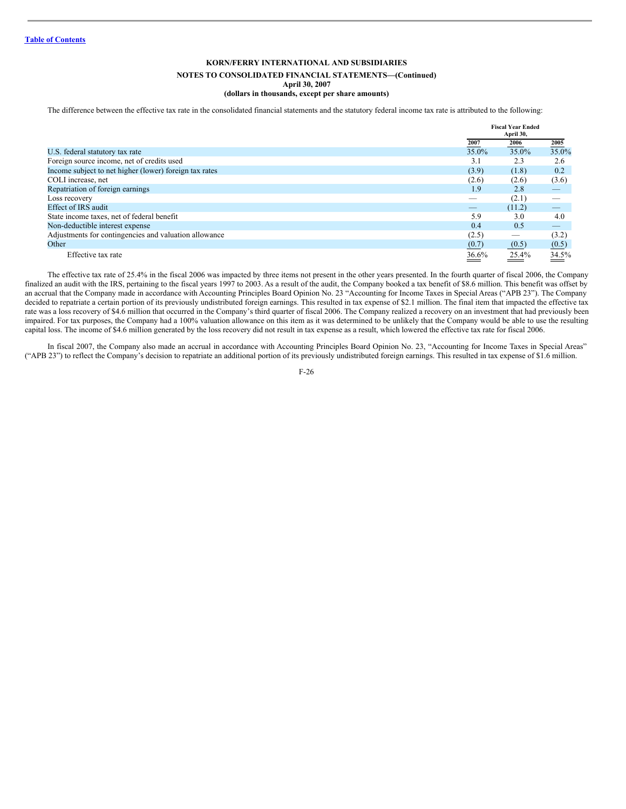### **NOTES TO CONSOLIDATED FINANCIAL STATEMENTS—(Continued)**

# **April 30, 2007**

## **(dollars in thousands, except per share amounts)**

The difference between the effective tax rate in the consolidated financial statements and the statutory federal income tax rate is attributed to the following:

|                                                        |       | <b>Fiscal Year Ended</b><br>April 30, |                                 |
|--------------------------------------------------------|-------|---------------------------------------|---------------------------------|
|                                                        | 2007  | 2006                                  |                                 |
| U.S. federal statutory tax rate                        | 35.0% | 35.0%                                 | $\frac{2005}{35.0\%}$           |
| Foreign source income, net of credits used             | 3.1   | 2.3                                   | 2.6                             |
| Income subject to net higher (lower) foreign tax rates | (3.9) | (1.8)                                 | 0.2                             |
| COLI increase, net                                     | (2.6) | (2.6)                                 | (3.6)                           |
| Repatriation of foreign earnings                       | 1.9   | 2.8                                   | $\hspace{0.1mm}-\hspace{0.1mm}$ |
| Loss recovery                                          | --    | (2.1)                                 |                                 |
| Effect of IRS audit                                    | _     | (11.2)                                | $\hspace{0.1mm}-\hspace{0.1mm}$ |
| State income taxes, net of federal benefit             | 5.9   | 3.0                                   | 4.0                             |
| Non-deductible interest expense                        | 0.4   | 0.5                                   |                                 |
| Adjustments for contingencies and valuation allowance  | (2.5) |                                       | (3.2)                           |
| Other                                                  | (0.7) | (0.5)                                 | (0.5)                           |
| Effective tax rate                                     | 36.6% | 25.4%                                 | 34.5%                           |

The effective tax rate of 25.4% in the fiscal 2006 was impacted by three items not present in the other years presented. In the fourth quarter of fiscal 2006, the Company finalized an audit with the IRS, pertaining to the fiscal years 1997 to 2003. As a result of the audit, the Company booked a tax benefit of \$8.6 million. This benefit was offset by an accrual that the Company made in accordance with Accounting Principles Board Opinion No. 23 "Accounting for Income Taxes in Special Areas ("APB 23"). The Company decided to repatriate a certain portion of its previously undistributed foreign earnings. This resulted in tax expense of \$2.1 million. The final item that impacted the effective tax rate was a loss recovery of \$4.6 million that occurred in the Company's third quarter of fiscal 2006. The Company realized a recovery on an investment that had previously been impaired. For tax purposes, the Company had a 100% valuation allowance on this item as it was determined to be unlikely that the Company would be able to use the resulting capital loss. The income of \$4.6 million generated by the loss recovery did not result in tax expense as a result, which lowered the effective tax rate for fiscal 2006.

In fiscal 2007, the Company also made an accrual in accordance with Accounting Principles Board Opinion No. 23, "Accounting for Income Taxes in Special Areas" ("APB 23") to reflect the Company's decision to repatriate an additional portion of its previously undistributed foreign earnings. This resulted in tax expense of \$1.6 million.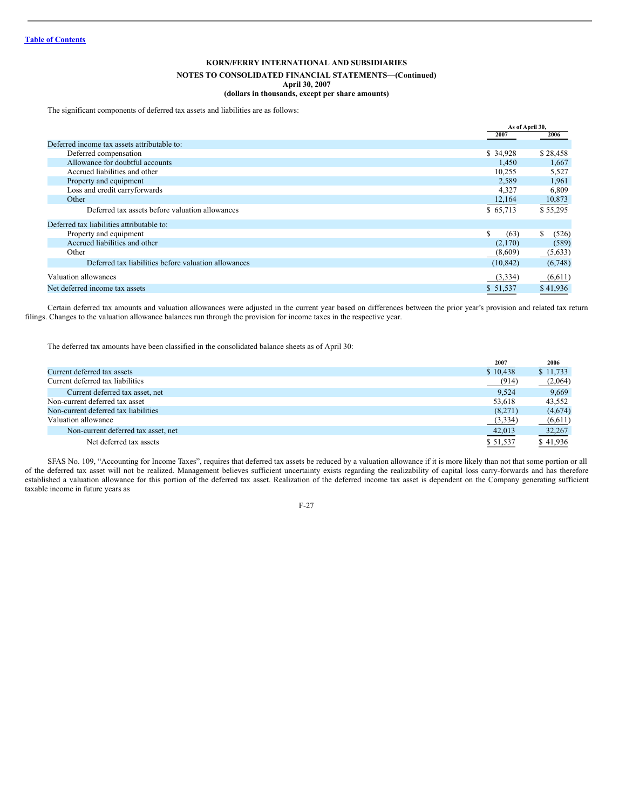## **NOTES TO CONSOLIDATED FINANCIAL STATEMENTS—(Continued)**

**April 30, 2007**

# **(dollars in thousands, except per share amounts)**

The significant components of deferred tax assets and liabilities are as follows:

|                                                      |            | As of April 30, |
|------------------------------------------------------|------------|-----------------|
|                                                      | 2007       | 2006            |
| Deferred income tax assets attributable to:          |            |                 |
| Deferred compensation                                | \$34,928   | \$28,458        |
| Allowance for doubtful accounts                      | 1,450      | 1,667           |
| Accrued liabilities and other                        | 10,255     | 5,527           |
| Property and equipment                               | 2,589      | 1,961           |
| Loss and credit carryforwards                        | 4,327      | 6,809           |
| Other                                                | 12,164     | 10,873          |
| Deferred tax assets before valuation allowances      | \$65,713   | \$55,295        |
| Deferred tax liabilities attributable to:            |            |                 |
| Property and equipment                               | \$<br>(63) | S<br>(526)      |
| Accrued liabilities and other                        | (2,170)    | (589)           |
| Other                                                | (8,609)    | (5,633)         |
| Deferred tax liabilities before valuation allowances | (10, 842)  | (6,748)         |
| Valuation allowances                                 | (3,334)    | (6,611)         |
| Net deferred income tax assets                       | \$51,537   | \$41,936        |

Certain deferred tax amounts and valuation allowances were adjusted in the current year based on differences between the prior year's provision and related tax return filings. Changes to the valuation allowance balances run through the provision for income taxes in the respective year.

The deferred tax amounts have been classified in the consolidated balance sheets as of April 30:

|                                      | 2007     | 2006     |
|--------------------------------------|----------|----------|
| Current deferred tax assets          | \$10,438 | \$11,733 |
| Current deferred tax liabilities     | (914)    | (2,064)  |
| Current deferred tax asset, net      | 9.524    | 9.669    |
| Non-current deferred tax asset       | 53,618   | 43.552   |
| Non-current deferred tax liabilities | (8,271)  | (4,674)  |
| Valuation allowance                  | (3,334)  | (6,611)  |
| Non-current deferred tax asset, net  | 42,013   | 32,267   |
| Net deferred tax assets              | \$51,537 | \$41,936 |

SFAS No. 109, "Accounting for Income Taxes", requires that deferred tax assets be reduced by a valuation allowance if it is more likely than not that some portion or all of the deferred tax asset will not be realized. Management believes sufficient uncertainty exists regarding the realizability of capital loss carry-forwards and has therefore established a valuation allowance for this portion of the deferred tax asset. Realization of the deferred income tax asset is dependent on the Company generating sufficient taxable income in future years as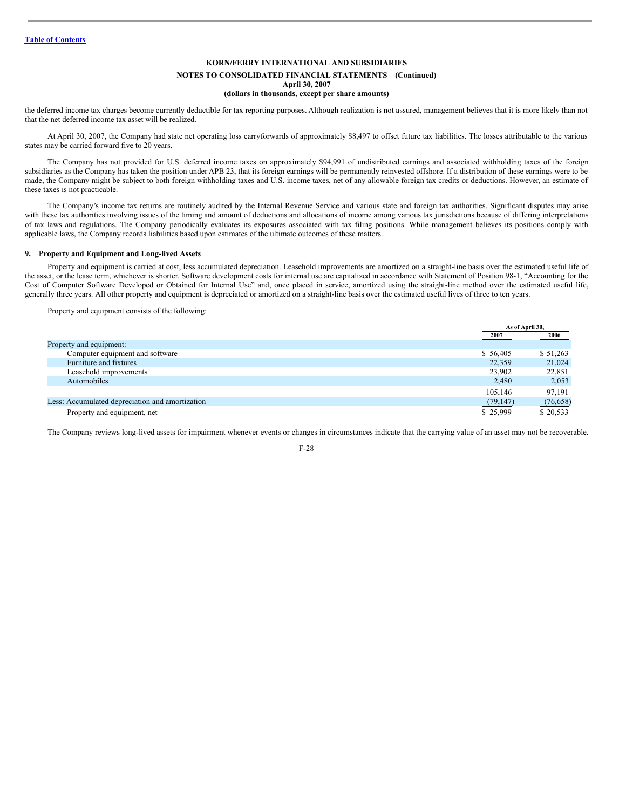## **NOTES TO CONSOLIDATED FINANCIAL STATEMENTS—(Continued)**

**April 30, 2007**

# **(dollars in thousands, except per share amounts)**

the deferred income tax charges become currently deductible for tax reporting purposes. Although realization is not assured, management believes that it is more likely than not that the net deferred income tax asset will be realized.

At April 30, 2007, the Company had state net operating loss carryforwards of approximately \$8,497 to offset future tax liabilities. The losses attributable to the various states may be carried forward five to 20 years.

The Company has not provided for U.S. deferred income taxes on approximately \$94,991 of undistributed earnings and associated withholding taxes of the foreign subsidiaries as the Company has taken the position under APB 23, that its foreign earnings will be permanently reinvested offshore. If a distribution of these earnings were to be made, the Company might be subject to both foreign withholding taxes and U.S. income taxes, net of any allowable foreign tax credits or deductions. However, an estimate of these taxes is not practicable.

The Company's income tax returns are routinely audited by the Internal Revenue Service and various state and foreign tax authorities. Significant disputes may arise with these tax authorities involving issues of the timing and amount of deductions and allocations of income among various tax jurisdictions because of differing interpretations of tax laws and regulations. The Company periodically evaluates its exposures associated with tax filing positions. While management believes its positions comply with applicable laws, the Company records liabilities based upon estimates of the ultimate outcomes of these matters.

### **9. Property and Equipment and Long-lived Assets**

Property and equipment is carried at cost, less accumulated depreciation. Leasehold improvements are amortized on a straight-line basis over the estimated useful life of the asset, or the lease term, whichever is shorter. Software development costs for internal use are capitalized in accordance with Statement of Position 98-1, "Accounting for the Cost of Computer Software Developed or Obtained for Internal Use" and, once placed in service, amortized using the straight-line method over the estimated useful life, generally three years. All other property and equipment is depreciated or amortized on a straight-line basis over the estimated useful lives of three to ten years.

Property and equipment consists of the following:

|                                                 |           | As of April 30, |
|-------------------------------------------------|-----------|-----------------|
|                                                 | 2007      | 2006            |
| Property and equipment:                         |           |                 |
| Computer equipment and software                 | \$56,405  | \$51,263        |
| Furniture and fixtures                          | 22,359    | 21,024          |
| Leasehold improvements                          | 23,902    | 22,851          |
| <b>Automobiles</b>                              | 2,480     | 2,053           |
|                                                 | 105.146   | 97.191          |
| Less: Accumulated depreciation and amortization | (79, 147) | (76, 658)       |
| Property and equipment, net                     | \$25,999  | \$20,533        |

The Company reviews long-lived assets for impairment whenever events or changes in circumstances indicate that the carrying value of an asset may not be recoverable.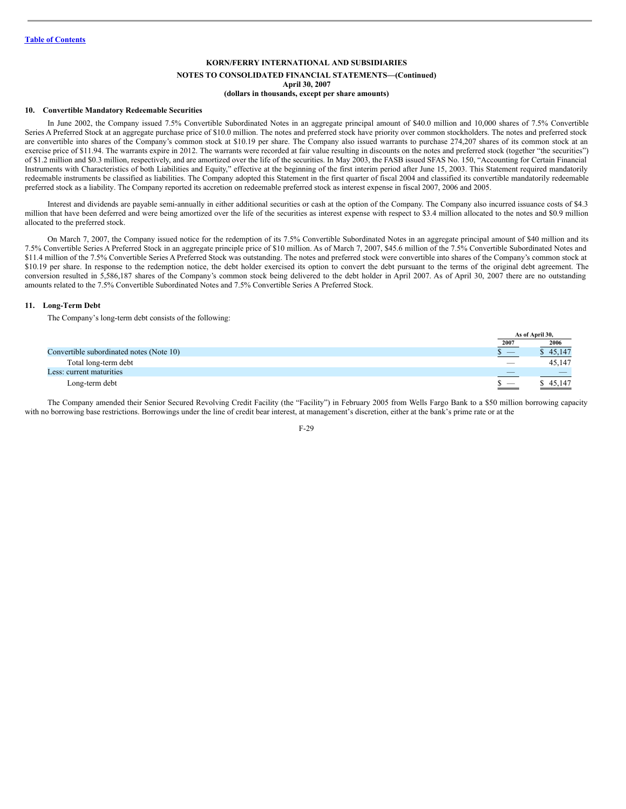### **NOTES TO CONSOLIDATED FINANCIAL STATEMENTS—(Continued) April 30, 2007**

### **(dollars in thousands, except per share amounts)**

### **10. Convertible Mandatory Redeemable Securities**

In June 2002, the Company issued 7.5% Convertible Subordinated Notes in an aggregate principal amount of \$40.0 million and 10,000 shares of 7.5% Convertible Series A Preferred Stock at an aggregate purchase price of \$10.0 million. The notes and preferred stock have priority over common stockholders. The notes and preferred stock are convertible into shares of the Company's common stock at \$10.19 per share. The Company also issued warrants to purchase 274,207 shares of its common stock at an exercise price of \$11.94. The warrants expire in 2012. The warrants were recorded at fair value resulting in discounts on the notes and preferred stock (together "the securities") of \$1.2 million and \$0.3 million, respectively, and are amortized over the life of the securities. In May 2003, the FASB issued SFAS No. 150, "Accounting for Certain Financial Instruments with Characteristics of both Liabilities and Equity," effective at the beginning of the first interim period after June 15, 2003. This Statement required mandatorily redeemable instruments be classified as liabilities. The Company adopted this Statement in the first quarter of fiscal 2004 and classified its convertible mandatorily redeemable preferred stock as a liability. The Company reported its accretion on redeemable preferred stock as interest expense in fiscal 2007, 2006 and 2005.

Interest and dividends are payable semi-annually in either additional securities or cash at the option of the Company. The Company also incurred issuance costs of \$4.3 million that have been deferred and were being amortized over the life of the securities as interest expense with respect to \$3.4 million allocated to the notes and \$0.9 million allocated to the preferred stock.

On March 7, 2007, the Company issued notice for the redemption of its 7.5% Convertible Subordinated Notes in an aggregate principal amount of \$40 million and its 7.5% Convertible Series A Preferred Stock in an aggregate principle price of \$10 million. As of March 7, 2007, \$45.6 million of the 7.5% Convertible Subordinated Notes and \$11.4 million of the 7.5% Convertible Series A Preferred Stock was outstanding. The notes and preferred stock were convertible into shares of the Company's common stock at \$10.19 per share. In response to the redemption notice, the debt holder exercised its option to convert the debt pursuant to the terms of the original debt agreement. The conversion resulted in 5,586,187 shares of the Company's common stock being delivered to the debt holder in April 2007. As of April 30, 2007 there are no outstanding amounts related to the 7.5% Convertible Subordinated Notes and 7.5% Convertible Series A Preferred Stock.

#### **11. Long-Term Debt**

The Company's long-term debt consists of the following:

|                                          |                                | As of April 30. |  |
|------------------------------------------|--------------------------------|-----------------|--|
|                                          | 2007                           | 2006            |  |
| Convertible subordinated notes (Note 10) |                                | 45,147          |  |
| Total long-term debt                     | $\overbrace{\hspace{25mm}}^{}$ | 45,147          |  |
| Less: current maturities                 |                                |                 |  |
| Long-term debt                           | $\overline{\phantom{a}}$       | 45.147          |  |

The Company amended their Senior Secured Revolving Credit Facility (the "Facility") in February 2005 from Wells Fargo Bank to a \$50 million borrowing capacity with no borrowing base restrictions. Borrowings under the line of credit bear interest, at management's discretion, either at the bank's prime rate or at the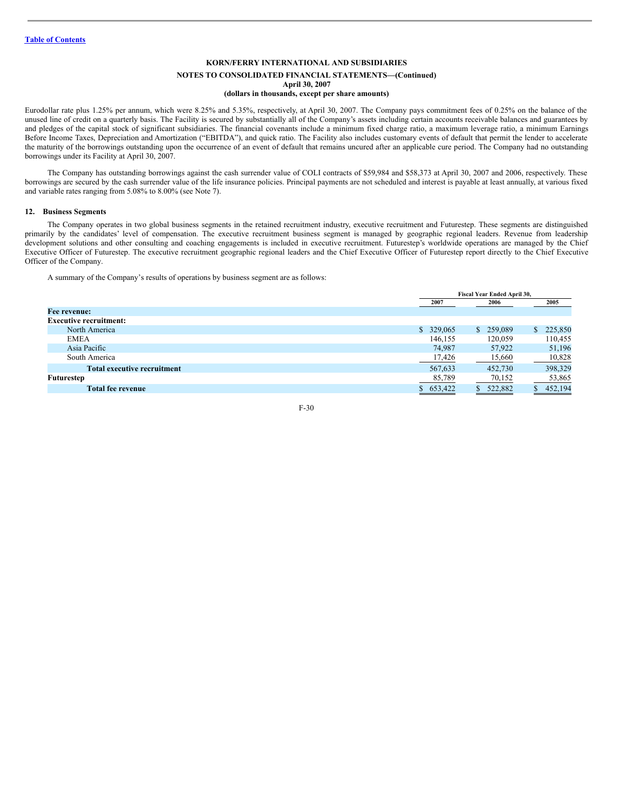## **NOTES TO CONSOLIDATED FINANCIAL STATEMENTS—(Continued)**

**April 30, 2007**

## **(dollars in thousands, except per share amounts)**

Eurodollar rate plus 1.25% per annum, which were 8.25% and 5.35%, respectively, at April 30, 2007. The Company pays commitment fees of 0.25% on the balance of the unused line of credit on a quarterly basis. The Facility is secured by substantially all of the Company's assets including certain accounts receivable balances and guarantees by and pledges of the capital stock of significant subsidiaries. The financial covenants include a minimum fixed charge ratio, a maximum leverage ratio, a minimum Earnings Before Income Taxes, Depreciation and Amortization ("EBITDA"), and quick ratio. The Facility also includes customary events of default that permit the lender to accelerate the maturity of the borrowings outstanding upon the occurrence of an event of default that remains uncured after an applicable cure period. The Company had no outstanding borrowings under its Facility at April 30, 2007.

The Company has outstanding borrowings against the cash surrender value of COLI contracts of \$59,984 and \$58,373 at April 30, 2007 and 2006, respectively. These borrowings are secured by the cash surrender value of the life insurance policies. Principal payments are not scheduled and interest is payable at least annually, at various fixed and variable rates ranging from 5.08% to 8.00% (see Note 7).

### **12. Business Segments**

The Company operates in two global business segments in the retained recruitment industry, executive recruitment and Futurestep. These segments are distinguished primarily by the candidates' level of compensation. The executive recruitment business segment is managed by geographic regional leaders. Revenue from leadership development solutions and other consulting and coaching engagements is included in executive recruitment. Futurestep's worldwide operations are managed by the Chief Executive Officer of Futurestep. The executive recruitment geographic regional leaders and the Chief Executive Officer of Futurestep report directly to the Chief Executive Officer of the Company.

A summary of the Company's results of operations by business segment are as follows:

|                                    |              | Fiscal Year Ended April 30, |            |              |  |
|------------------------------------|--------------|-----------------------------|------------|--------------|--|
|                                    | 2007         |                             | 2006       | 2005         |  |
| <b>Fee revenue:</b>                |              |                             |            |              |  |
| <b>Executive recruitment:</b>      |              |                             |            |              |  |
| North America                      | <sup>S</sup> | 329,065                     | \$ 259,089 | 225,850<br>S |  |
| <b>EMEA</b>                        |              | 146,155                     | 120.059    | 110,455      |  |
| Asia Pacific                       |              | 74,987                      | 57,922     | 51,196       |  |
| South America                      |              | 17,426                      | 15,660     | 10,828       |  |
| <b>Total executive recruitment</b> |              | 567,633                     | 452,730    | 398,329      |  |
| <b>Futurestep</b>                  |              | 85,789                      | 70,152     | 53,865       |  |
| <b>Total fee revenue</b>           | 653,422      |                             | 522,882    | 452,194      |  |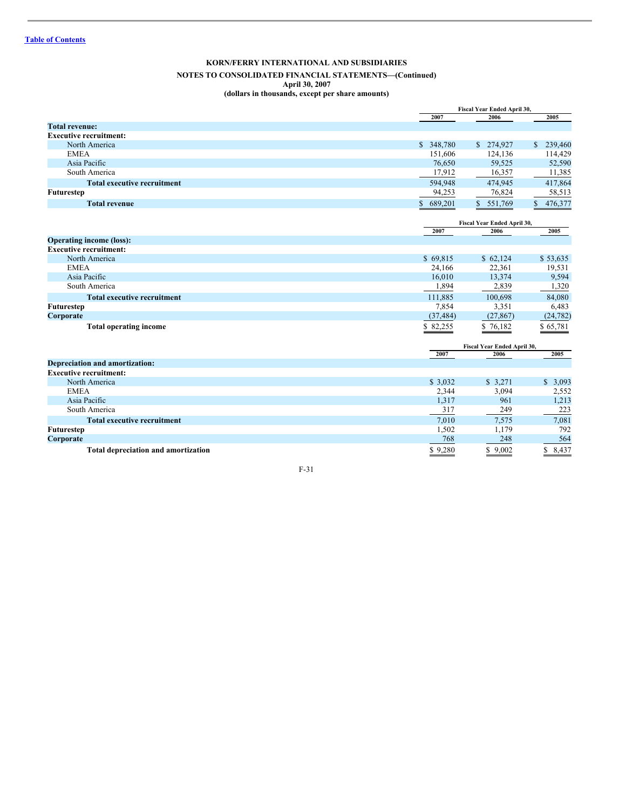# **NOTES TO CONSOLIDATED FINANCIAL STATEMENTS—(Continued)**

**April 30, 2007**

**(dollars in thousands, except per share amounts)**

|                                     |            | Fiscal Year Ended April 30, |                         |  |
|-------------------------------------|------------|-----------------------------|-------------------------|--|
|                                     | 2007       | 2006                        | 2005                    |  |
| <b>Total revenue:</b>               |            |                             |                         |  |
| <b>Executive recruitment:</b>       |            |                             |                         |  |
| North America                       | \$ 348,780 | \$274,927                   | 239,460<br>\$           |  |
| <b>EMEA</b>                         | 151,606    | 124,136                     | 114,429                 |  |
| Asia Pacific                        | 76,650     | 59,525                      | 52,590                  |  |
| South America                       | 17,912     | 16,357                      | 11,385                  |  |
| <b>Total executive recruitment</b>  | 594,948    | 474,945                     | 417,864                 |  |
| <b>Futurestep</b>                   | 94,253     | 76,824                      | 58,513                  |  |
| <b>Total revenue</b>                | \$689,201  | \$551,769                   | $\mathbb{S}$<br>476,377 |  |
|                                     |            | Fiscal Year Ended April 30, |                         |  |
|                                     | 2007       | 2006                        | 2005                    |  |
| <b>Operating income (loss):</b>     |            |                             |                         |  |
| <b>Executive recruitment:</b>       |            |                             |                         |  |
| North America                       | \$69,815   | \$62,124                    | \$53,635                |  |
| <b>EMEA</b>                         | 24,166     | 22,361                      | 19,531                  |  |
| Asia Pacific                        | 16,010     | 13,374                      | 9,594                   |  |
| South America                       | 1,894      | 2,839                       | 1,320                   |  |
| <b>Total executive recruitment</b>  | 111,885    | 100,698                     | 84,080                  |  |
| <b>Futurestep</b>                   | 7,854      | 3,351                       | 6,483                   |  |
| Corporate                           | (37, 484)  | (27, 867)                   | (24, 782)               |  |
| <b>Total operating income</b>       | \$ 82,255  | \$76,182                    | \$65,781                |  |
|                                     |            | Fiscal Year Ended April 30, |                         |  |
|                                     | 2007       | 2006                        | 2005                    |  |
| Depreciation and amortization:      |            |                             |                         |  |
| <b>Executive recruitment:</b>       |            |                             |                         |  |
| North America                       | \$ 3,032   | \$3,271                     | \$3,093                 |  |
| <b>EMEA</b>                         | 2,344      | 3,094                       | 2,552                   |  |
| Asia Pacific                        | 1,317      | 961                         | 1,213                   |  |
| South America                       | 317        | 249                         | 223                     |  |
| <b>Total executive recruitment</b>  | 7,010      | 7,575                       | 7,081                   |  |
| <b>Futurestep</b>                   | 1,502      | 1,179                       | 792                     |  |
| Corporate                           | 768        | 248                         | 564                     |  |
| Total depreciation and amortization | \$9,280    | \$9,002                     | 8,437<br>\$             |  |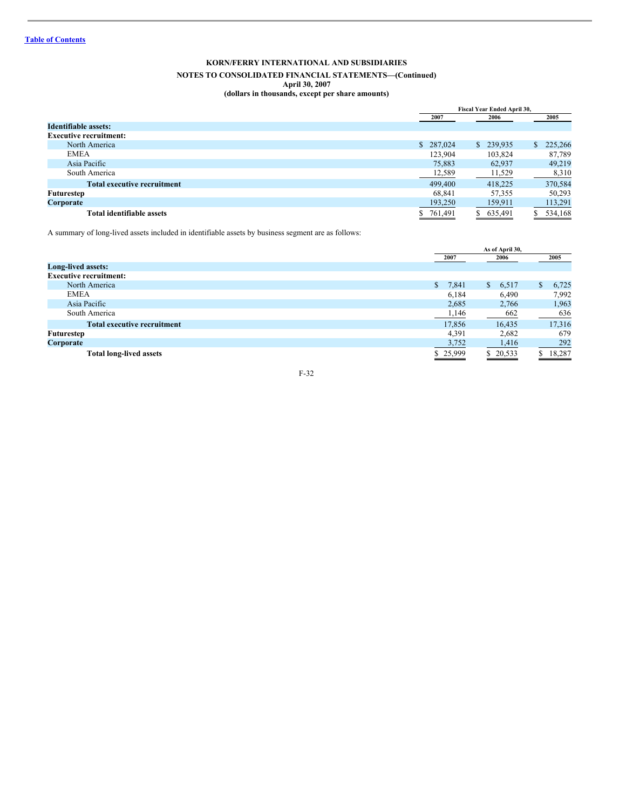# **NOTES TO CONSOLIDATED FINANCIAL STATEMENTS—(Continued)**

**April 30, 2007**

# **(dollars in thousands, except per share amounts)**

|                                    |           | Fiscal Year Ended April 30, |                         |  |  |
|------------------------------------|-----------|-----------------------------|-------------------------|--|--|
|                                    | 2007      | 2006                        | 2005                    |  |  |
| Identifiable assets:               |           |                             |                         |  |  |
| <b>Executive recruitment:</b>      |           |                             |                         |  |  |
| North America                      | \$287,024 | \$239,935                   | 225,266<br><sup>S</sup> |  |  |
| <b>EMEA</b>                        | 123,904   | 103.824                     | 87,789                  |  |  |
| Asia Pacific                       | 75,883    | 62,937                      | 49,219                  |  |  |
| South America                      | 12,589    | 11,529                      | 8,310                   |  |  |
| <b>Total executive recruitment</b> | 499,400   | 418,225                     | 370,584                 |  |  |
| <b>Futurestep</b>                  | 68.841    | 57,355                      | 50,293                  |  |  |
| Corporate                          | 193,250   | 159,911                     | 113,291                 |  |  |
| <b>Total identifiable assets</b>   | 761,491   | 635,491                     | 534,168                 |  |  |

A summary of long-lived assets included in identifiable assets by business segment are as follows:

|                                    |             | As of April 30,       |             |
|------------------------------------|-------------|-----------------------|-------------|
|                                    | 2007        | 2006                  | 2005        |
| Long-lived assets:                 |             |                       |             |
| <b>Executive recruitment:</b>      |             |                       |             |
| North America                      | \$<br>7,841 | 6,517<br><sup>S</sup> | 6,725<br>S. |
| <b>EMEA</b>                        | 6,184       | 6,490                 | 7,992       |
| Asia Pacific                       | 2,685       | 2,766                 | 1,963       |
| South America                      | 1,146       | 662                   | 636         |
| <b>Total executive recruitment</b> | 17,856      | 16,435                | 17,316      |
| Futurestep                         | 4,391       | 2,682                 | 679         |
| Corporate                          | 3,752       | 1,416                 | 292         |
| <b>Total long-lived assets</b>     | \$25,999    | \$ 20,533             | 18,287      |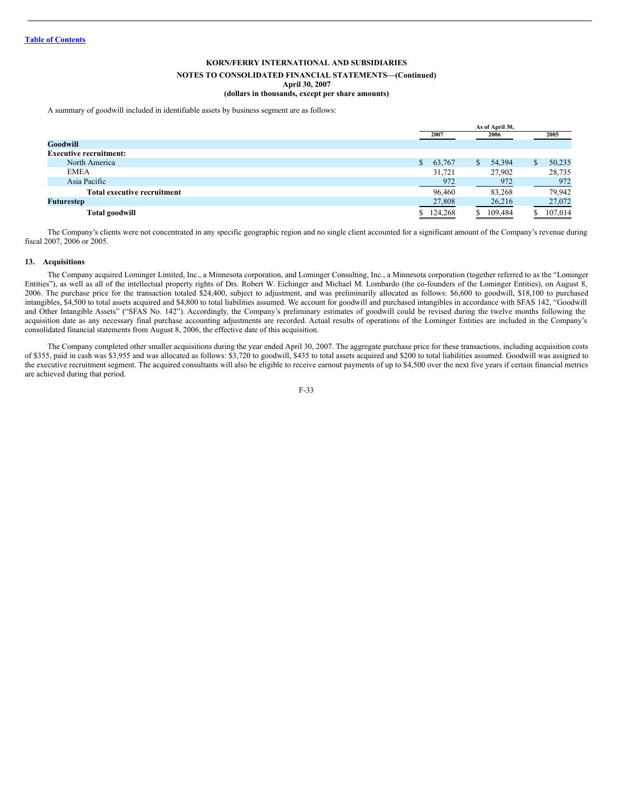## **NOTES TO CONSOLIDATED FINANCIAL STATEMENTS—(Continued)**

**April 30, 2007**

## **(dollars in thousands, except per share amounts)**

A summary of goodwill included in identifiable assets by business segment are as follows:

|                                    |              | As of April 30, |         |  |
|------------------------------------|--------------|-----------------|---------|--|
|                                    | 2007         | 2006            | 2005    |  |
| Goodwill                           |              |                 |         |  |
| <b>Executive recruitment:</b>      |              |                 |         |  |
| North America                      | 63,767<br>\$ | 54,394<br>S.    | 50,235  |  |
| <b>EMEA</b>                        | 31.721       | 27,902          | 28,735  |  |
| Asia Pacific                       | 972          | 972             | 972     |  |
| <b>Total executive recruitment</b> | 96,460       | 83,268          | 79,942  |  |
| <b>Futurestep</b>                  | 27,808       | 26,216          | 27,072  |  |
| <b>Total goodwill</b>              | 124,268      | 109,484         | 107,014 |  |

The Company's clients were not concentrated in any specific geographic region and no single client accounted for a significant amount of the Company's revenue during fiscal 2007, 2006 or 2005.

#### **13. Acquisitions**

The Company acquired Lominger Limited, Inc., a Minnesota corporation, and Lominger Consulting, Inc., a Minnesota corporation (together referred to as the "Lominger Entities"), as well as all of the intellectual property rights of Drs. Robert W. Eichinger and Michael M. Lombardo (the co-founders of the Lominger Entities), on August 8, 2006. The purchase price for the transaction totaled \$24,400, subject to adjustment, and was preliminarily allocated as follows: \$6,600 to goodwill, \$18,100 to purchased intangibles, \$4,500 to total assets acquired and \$4,800 to total liabilities assumed. We account for goodwill and purchased intangibles in accordance with SFAS 142, "Goodwill and Other Intangible Assets" ("SFAS No. 142"). Accordingly, the Company's preliminary estimates of goodwill could be revised during the twelve months following the acquisition date as any necessary final purchase accounting adjustments are recorded. Actual results of operations of the Lominger Entities are included in the Company's consolidated financial statements from August 8, 2006, the effective date of this acquisition.

The Company completed other smaller acquisitions during the year ended April 30, 2007. The aggregate purchase price for these transactions, including acquisition costs of \$355, paid in cash was \$3,955 and was allocated as follows: \$3,720 to goodwill, \$435 to total assets acquired and \$200 to total liabilities assumed. Goodwill was assigned to the executive recruitment segment. The acquired consultants will also be eligible to receive earnout payments of up to \$4,500 over the next five years if certain financial metrics are achieved during that period.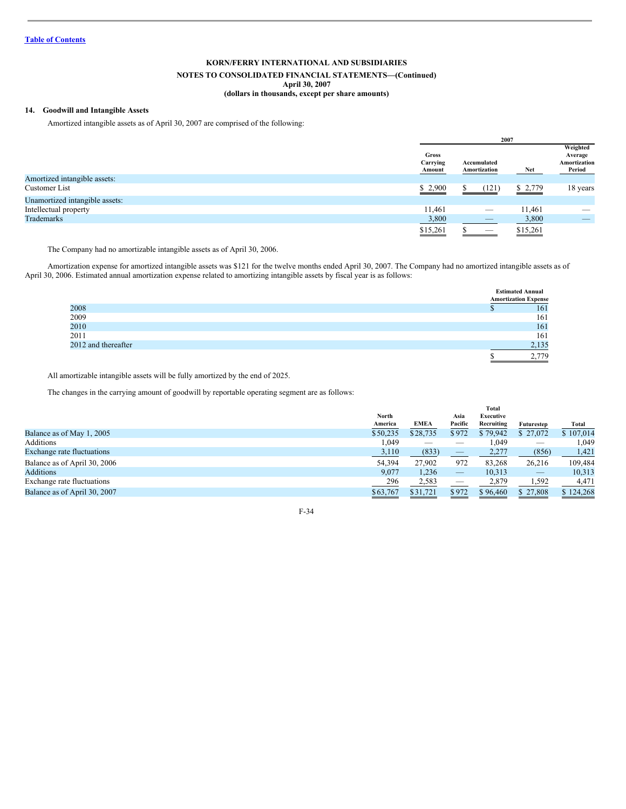## **NOTES TO CONSOLIDATED FINANCIAL STATEMENTS—(Continued)**

**April 30, 2007**

# **(dollars in thousands, except per share amounts)**

## **14. Goodwill and Intangible Assets**

Amortized intangible assets as of April 30, 2007 are comprised of the following:

|                                |                             | 2007                           |          |                                               |
|--------------------------------|-----------------------------|--------------------------------|----------|-----------------------------------------------|
|                                | Gross<br>Carrying<br>Amount | Accumulated<br>Amortization    | Net      | Weighted<br>Average<br>Amortization<br>Period |
| Amortized intangible assets:   |                             |                                |          |                                               |
| Customer List                  | \$2,900                     | (121)                          | \$2,779  | 18 years                                      |
| Unamortized intangible assets: |                             |                                |          |                                               |
| Intellectual property          | 11,461                      | $\overbrace{\hspace{25mm}}^{}$ | 11,461   | $\overline{\phantom{a}}$                      |
| Trademarks                     | 3,800                       | $\overbrace{\hspace{25mm}}^{}$ | 3,800    | $\qquad \qquad - \qquad$                      |
|                                | \$15,261                    | $\overline{\phantom{0}}$       | \$15,261 |                                               |

The Company had no amortizable intangible assets as of April 30, 2006.

Amortization expense for amortized intangible assets was \$121 for the twelve months ended April 30, 2007. The Company had no amortized intangible assets as of April 30, 2006. Estimated annual amortization expense related to amortizing intangible assets by fiscal year is as follows:

|                     | <b>Estimated Annual</b>     |       |
|---------------------|-----------------------------|-------|
|                     | <b>Amortization Expense</b> |       |
| 2008                | w                           | 161   |
| 2009                |                             | 161   |
| 2010                |                             | 161   |
| 2011                |                             | 161   |
| 2012 and thereafter |                             | 2,135 |
|                     |                             | 2.779 |

All amortizable intangible assets will be fully amortized by the end of 2025.

The changes in the carrying amount of goodwill by reportable operating segment are as follows:

|                              | North<br>America | <b>EMEA</b>              | Asia<br>Pacific                | <b>Total</b><br><b>Executive</b><br>Recruiting | Futurestep               | Total     |
|------------------------------|------------------|--------------------------|--------------------------------|------------------------------------------------|--------------------------|-----------|
| Balance as of May 1, 2005    | \$50,235         | \$28,735                 | \$972                          | \$79,942                                       | \$27,072                 | \$107,014 |
| Additions                    | 1,049            | $\overline{\phantom{a}}$ |                                | 1.049                                          | $\hspace{0.05cm}$        | 1,049     |
| Exchange rate fluctuations   | 3,110            | (833)                    |                                | 2,277                                          | (856)                    | 1,421     |
| Balance as of April 30, 2006 | 54,394           | 27.902                   | 972                            | 83.268                                         | 26,216                   | 109,484   |
| <b>Additions</b>             | 9,077            | 1,236                    | $\overbrace{\hspace{25mm}}^{}$ | 10,313                                         | $\qquad \qquad - \qquad$ | 10,313    |
| Exchange rate fluctuations   | 296              | 2,583                    |                                | 2,879                                          | 1,592                    | 4,471     |
| Balance as of April 30, 2007 | \$63,767         | \$31,721                 | \$972                          | \$96,460                                       | \$27,808                 | \$124,268 |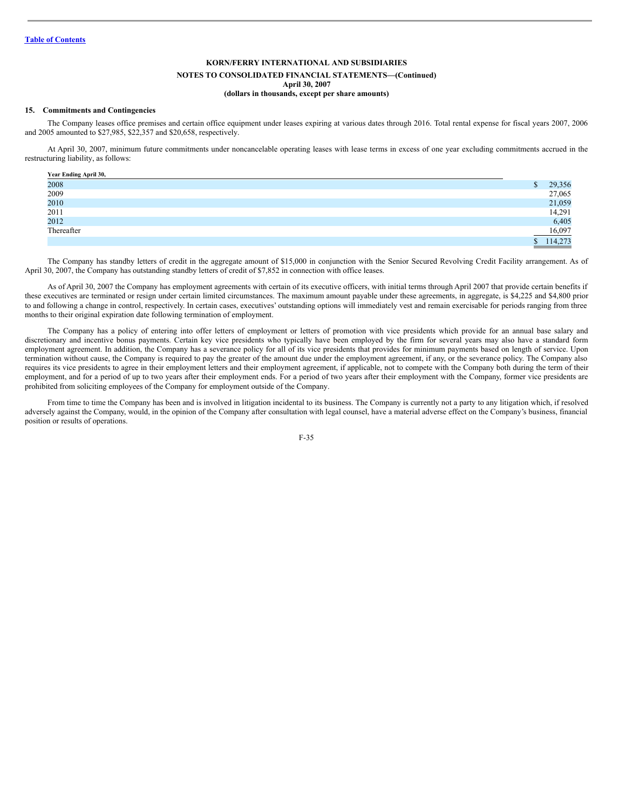## **NOTES TO CONSOLIDATED FINANCIAL STATEMENTS—(Continued)**

# **April 30, 2007**

# **(dollars in thousands, except per share amounts)**

## **15. Commitments and Contingencies**

The Company leases office premises and certain office equipment under leases expiring at various dates through 2016. Total rental expense for fiscal years 2007, 2006 and 2005 amounted to \$27,985, \$22,357 and \$20,658, respectively.

At April 30, 2007, minimum future commitments under noncancelable operating leases with lease terms in excess of one year excluding commitments accrued in the restructuring liability, as follows:

| Year Ending April 30, |         |
|-----------------------|---------|
| 2008                  | 29,356  |
| 2009                  | 27,065  |
| 2010                  | 21,059  |
| 2011                  | 14,291  |
| 2012                  | 6,405   |
| Thereafter            | 16,097  |
|                       | 114,273 |

The Company has standby letters of credit in the aggregate amount of \$15,000 in conjunction with the Senior Secured Revolving Credit Facility arrangement. As of April 30, 2007, the Company has outstanding standby letters of credit of \$7,852 in connection with office leases.

As of April 30, 2007 the Company has employment agreements with certain of its executive officers, with initial terms through April 2007 that provide certain benefits if these executives are terminated or resign under certain limited circumstances. The maximum amount payable under these agreements, in aggregate, is \$4,225 and \$4,800 prior to and following a change in control, respectively. In certain cases, executives' outstanding options will immediately vest and remain exercisable for periods ranging from three months to their original expiration date following termination of employment.

The Company has a policy of entering into offer letters of employment or letters of promotion with vice presidents which provide for an annual base salary and discretionary and incentive bonus payments. Certain key vice presidents who typically have been employed by the firm for several years may also have a standard form employment agreement. In addition, the Company has a severance policy for all of its vice presidents that provides for minimum payments based on length of service. Upon termination without cause, the Company is required to pay the greater of the amount due under the employment agreement, if any, or the severance policy. The Company also requires its vice presidents to agree in their employment letters and their employment agreement, if applicable, not to compete with the Company both during the term of their employment, and for a period of up to two years after their employment ends. For a period of two years after their employment with the Company, former vice presidents are prohibited from soliciting employees of the Company for employment outside of the Company.

From time to time the Company has been and is involved in litigation incidental to its business. The Company is currently not a party to any litigation which, if resolved adversely against the Company, would, in the opinion of the Company after consultation with legal counsel, have a material adverse effect on the Company's business, financial position or results of operations.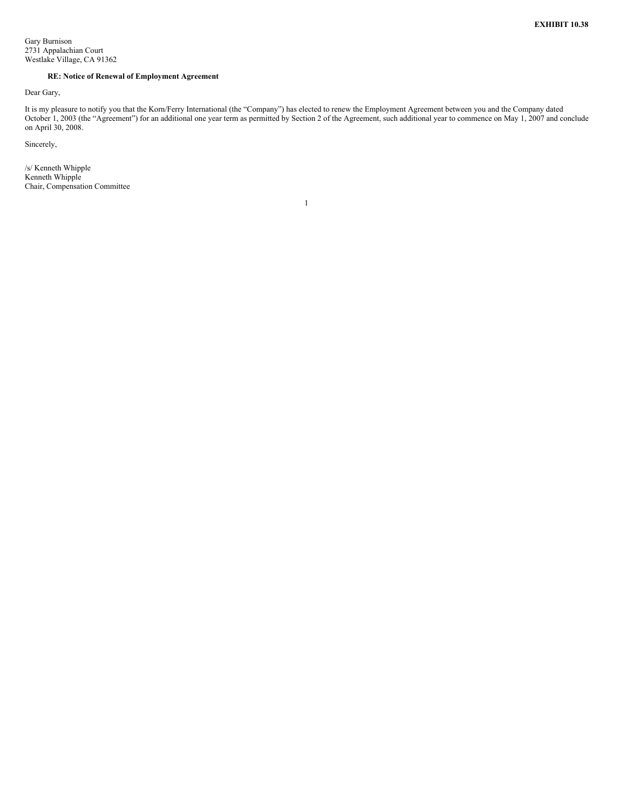Gary Burnison 2731 Appalachian Court Westlake Village, CA 91362

# **RE: Notice of Renewal of Employment Agreement**

Dear Gary,

It is my pleasure to notify you that the Korn/Ferry International (the "Company") has elected to renew the Employment Agreement between you and the Company dated October 1, 2003 (the "Agreement") for an additional one year term as permitted by Section 2 of the Agreement, such additional year to commence on May 1, 2007 and conclude on April 30, 2008.

1

Sincerely,

/s/ Kenneth Whipple Kenneth Whipple Chair, Compensation Committee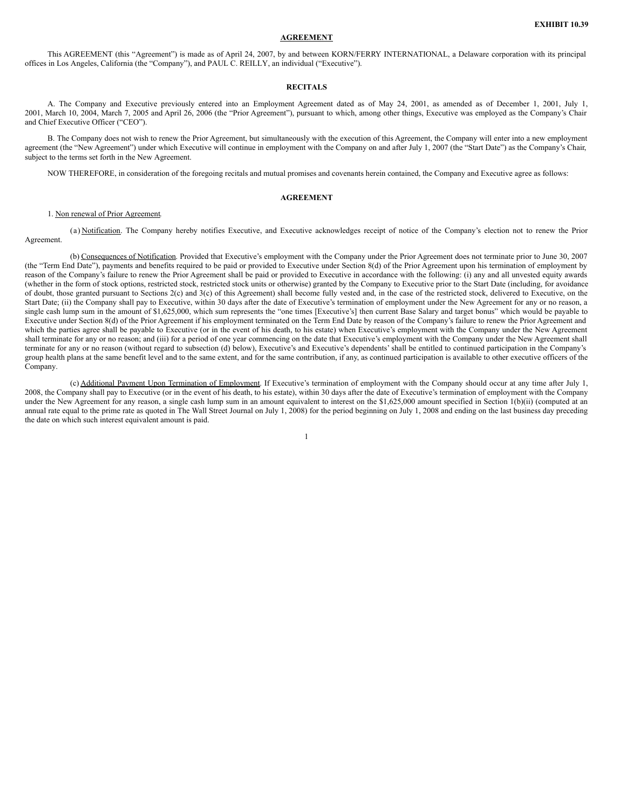### **AGREEMENT**

This AGREEMENT (this "Agreement") is made as of April 24, 2007, by and between KORN/FERRY INTERNATIONAL, a Delaware corporation with its principal offices in Los Angeles, California (the "Company"), and PAUL C. REILLY, an individual ("Executive").

### **RECITALS**

A. The Company and Executive previously entered into an Employment Agreement dated as of May 24, 2001, as amended as of December 1, 2001, July 1, 2001, March 10, 2004, March 7, 2005 and April 26, 2006 (the "Prior Agreement"), pursuant to which, among other things, Executive was employed as the Company's Chair and Chief Executive Officer ("CEO").

B. The Company does not wish to renew the Prior Agreement, but simultaneously with the execution of this Agreement, the Company will enter into a new employment agreement (the "New Agreement") under which Executive will continue in employment with the Company on and after July 1, 2007 (the "Start Date") as the Company's Chair, subject to the terms set forth in the New Agreement.

NOW THEREFORE, in consideration of the foregoing recitals and mutual promises and covenants herein contained, the Company and Executive agree as follows:

#### **AGREEMENT**

#### 1. Non renewal of Prior Agreement.

(a) Notification. The Company hereby notifies Executive, and Executive acknowledges receipt of notice of the Company's election not to renew the Prior Agreement.

(b) Consequences of Notification. Provided that Executive's employment with the Company under the Prior Agreement does not terminate prior to June 30, 2007 (the "Term End Date"), payments and benefits required to be paid or provided to Executive under Section 8(d) of the Prior Agreement upon his termination of employment by reason of the Company's failure to renew the Prior Agreement shall be paid or provided to Executive in accordance with the following: (i) any and all unvested equity awards (whether in the form of stock options, restricted stock, restricted stock units or otherwise) granted by the Company to Executive prior to the Start Date (including, for avoidance of doubt, those granted pursuant to Sections 2(c) and 3(c) of this Agreement) shall become fully vested and, in the case of the restricted stock, delivered to Executive, on the Start Date; (ii) the Company shall pay to Executive, within 30 days after the date of Executive's termination of employment under the New Agreement for any or no reason, a single cash lump sum in the amount of \$1,625,000, which sum represents the "one times [Executive's] then current Base Salary and target bonus" which would be payable to Executive under Section 8(d) of the Prior Agreement if his employment terminated on the Term End Date by reason of the Company's failure to renew the Prior Agreement and which the parties agree shall be payable to Executive (or in the event of his death, to his estate) when Executive's employment with the Company under the New Agreement shall terminate for any or no reason; and (iii) for a period of one year commencing on the date that Executive's employment with the Company under the New Agreement shall terminate for any or no reason (without regard to subsection (d) below), Executive's and Executive's dependents' shall be entitled to continued participation in the Company's group health plans at the same benefit level and to the same extent, and for the same contribution, if any, as continued participation is available to other executive officers of the Company.

(c) Additional Payment Upon Termination of Employment. If Executive's termination of employment with the Company should occur at any time after July 1, 2008, the Company shall pay to Executive (or in the event of his death, to his estate), within 30 days after the date of Executive's termination of employment with the Company under the New Agreement for any reason, a single cash lump sum in an amount equivalent to interest on the \$1,625,000 amount specified in Section 1(b)(ii) (computed at an annual rate equal to the prime rate as quoted in The Wall Street Journal on July 1, 2008) for the period beginning on July 1, 2008 and ending on the last business day preceding the date on which such interest equivalent amount is paid.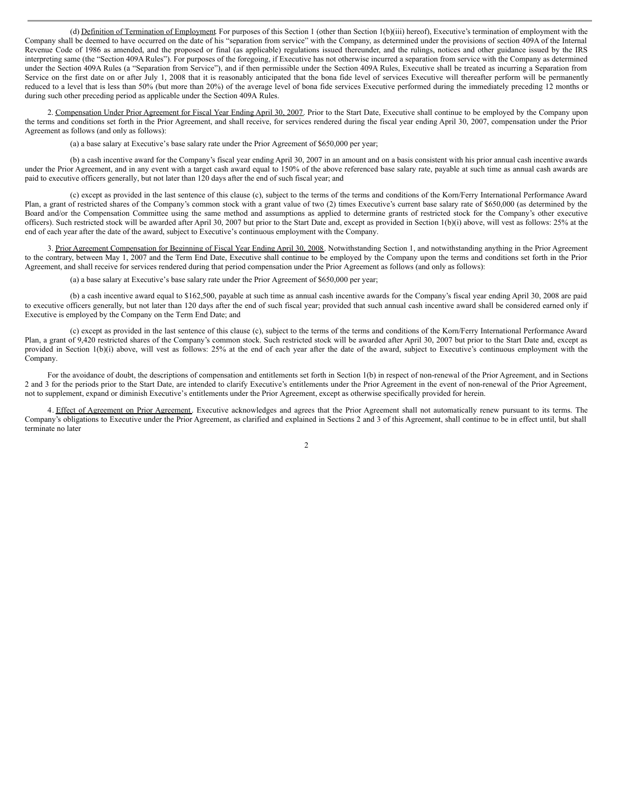(d) Definition of Termination of Employment. For purposes of this Section 1 (other than Section 1(b)(iii) hereof), Executive's termination of employment with the Company shall be deemed to have occurred on the date of his "separation from service" with the Company, as determined under the provisions of section 409A of the Internal Revenue Code of 1986 as amended, and the proposed or final (as applicable) regulations issued thereunder, and the rulings, notices and other guidance issued by the IRS interpreting same (the "Section 409A Rules"). For purposes of the foregoing, if Executive has not otherwise incurred a separation from service with the Company as determined under the Section 409A Rules (a "Separation from Service"), and if then permissible under the Section 409A Rules, Executive shall be treated as incurring a Separation from Service on the first date on or after July 1, 2008 that it is reasonably anticipated that the bona fide level of services Executive will thereafter perform will be permanently reduced to a level that is less than 50% (but more than 20%) of the average level of bona fide services Executive performed during the immediately preceding 12 months or during such other preceding period as applicable under the Section 409A Rules.

2. Compensation Under Prior Agreement for Fiscal Year Ending April 30, 2007. Prior to the Start Date, Executive shall continue to be employed by the Company upon the terms and conditions set forth in the Prior Agreement, and shall receive, for services rendered during the fiscal year ending April 30, 2007, compensation under the Prior Agreement as follows (and only as follows):

(a) a base salary at Executive's base salary rate under the Prior Agreement of \$650,000 per year;

(b) a cash incentive award for the Company's fiscal year ending April 30, 2007 in an amount and on a basis consistent with his prior annual cash incentive awards under the Prior Agreement, and in any event with a target cash award equal to 150% of the above referenced base salary rate, payable at such time as annual cash awards are paid to executive officers generally, but not later than 120 days after the end of such fiscal year; and

(c) except as provided in the last sentence of this clause (c), subject to the terms of the terms and conditions of the Korn/Ferry International Performance Award Plan, a grant of restricted shares of the Company's common stock with a grant value of two (2) times Executive's current base salary rate of \$650,000 (as determined by the Board and/or the Compensation Committee using the same method and assumptions as applied to determine grants of restricted stock for the Company's other executive officers). Such restricted stock will be awarded after April 30, 2007 but prior to the Start Date and, except as provided in Section 1(b)(i) above, will vest as follows: 25% at the end of each year after the date of the award, subject to Executive's continuous employment with the Company.

3. Prior Agreement Compensation for Beginning of Fiscal Year Ending April 30, 2008. Notwithstanding Section 1, and notwithstanding anything in the Prior Agreement to the contrary, between May 1, 2007 and the Term End Date, Executive shall continue to be employed by the Company upon the terms and conditions set forth in the Prior Agreement, and shall receive for services rendered during that period compensation under the Prior Agreement as follows (and only as follows):

(a) a base salary at Executive's base salary rate under the Prior Agreement of \$650,000 per year;

(b) a cash incentive award equal to \$162,500, payable at such time as annual cash incentive awards for the Company's fiscal year ending April 30, 2008 are paid to executive officers generally, but not later than 120 days after the end of such fiscal year; provided that such annual cash incentive award shall be considered earned only if Executive is employed by the Company on the Term End Date; and

(c) except as provided in the last sentence of this clause (c), subject to the terms of the terms and conditions of the Korn/Ferry International Performance Award Plan, a grant of 9,420 restricted shares of the Company's common stock. Such restricted stock will be awarded after April 30, 2007 but prior to the Start Date and, except as provided in Section 1(b)(i) above, will vest as follows: 25% at the end of each year after the date of the award, subject to Executive's continuous employment with the Company.

For the avoidance of doubt, the descriptions of compensation and entitlements set forth in Section 1(b) in respect of non-renewal of the Prior Agreement, and in Sections 2 and 3 for the periods prior to the Start Date, are intended to clarify Executive's entitlements under the Prior Agreement in the event of non-renewal of the Prior Agreement, not to supplement, expand or diminish Executive's entitlements under the Prior Agreement, except as otherwise specifically provided for herein.

4. Effect of Agreement on Prior Agreement. Executive acknowledges and agrees that the Prior Agreement shall not automatically renew pursuant to its terms. The Company's obligations to Executive under the Prior Agreement, as clarified and explained in Sections 2 and 3 of this Agreement, shall continue to be in effect until, but shall terminate no later

 $\overline{\phantom{a}}$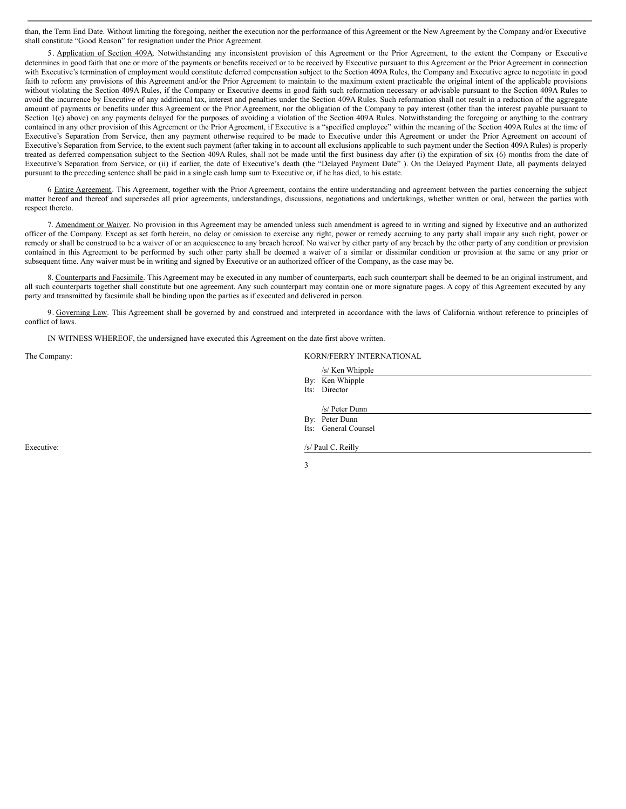than, the Term End Date. Without limiting the foregoing, neither the execution nor the performance of this Agreement or the New Agreement by the Company and/or Executive shall constitute "Good Reason" for resignation under the Prior Agreement.

5 . Application of Section 409A. Notwithstanding any inconsistent provision of this Agreement or the Prior Agreement, to the extent the Company or Executive determines in good faith that one or more of the payments or benefits received or to be received by Executive pursuant to this Agreement or the Prior Agreement in connection with Executive's termination of employment would constitute deferred compensation subject to the Section 409A Rules, the Company and Executive agree to negotiate in good faith to reform any provisions of this Agreement and/or the Prior Agreement to maintain to the maximum extent practicable the original intent of the applicable provisions without violating the Section 409A Rules, if the Company or Executive deems in good faith such reformation necessary or advisable pursuant to the Section 409A Rules to avoid the incurrence by Executive of any additional tax, interest and penalties under the Section 409A Rules. Such reformation shall not result in a reduction of the aggregate amount of payments or benefits under this Agreement or the Prior Agreement, nor the obligation of the Company to pay interest (other than the interest payable pursuant to Section 1(c) above) on any payments delayed for the purposes of avoiding a violation of the Section 409A Rules. Notwithstanding the foregoing or anything to the contrary contained in any other provision of this Agreement or the Prior Agreement, if Executive is a "specified employee" within the meaning of the Section 409A Rules at the time of Executive's Separation from Service, then any payment otherwise required to be made to Executive under this Agreement or under the Prior Agreement on account of Executive's Separation from Service, to the extent such payment (after taking in to account all exclusions applicable to such payment under the Section 409A Rules) is properly treated as deferred compensation subject to the Section 409A Rules, shall not be made until the first business day after (i) the expiration of six (6) months from the date of Executive's Separation from Service, or (ii) if earlier, the date of Executive's death (the "Delayed Payment Date" ). On the Delayed Payment Date, all payments delayed pursuant to the preceding sentence shall be paid in a single cash lump sum to Executive or, if he has died, to his estate.

6 Entire Agreement. This Agreement, together with the Prior Agreement, contains the entire understanding and agreement between the parties concerning the subject matter hereof and thereof and supersedes all prior agreements, understandings, discussions, negotiations and undertakings, whether written or oral, between the parties with respect thereto.

7. Amendment or Waiver. No provision in this Agreement may be amended unless such amendment is agreed to in writing and signed by Executive and an authorized officer of the Company. Except as set forth herein, no delay or omission to exercise any right, power or remedy accruing to any party shall impair any such right, power or remedy or shall be construed to be a waiver of or an acquiescence to any breach hereof. No waiver by either party of any breach by the other party of any condition or provision contained in this Agreement to be performed by such other party shall be deemed a waiver of a similar or dissimilar condition or provision at the same or any prior or subsequent time. Any waiver must be in writing and signed by Executive or an authorized officer of the Company, as the case may be.

8. Counterparts and Facsimile. This Agreement may be executed in any number of counterparts, each such counterpart shall be deemed to be an original instrument, and all such counterparts together shall constitute but one agreement. Any such counterpart may contain one or more signature pages. A copy of this Agreement executed by any party and transmitted by facsimile shall be binding upon the parties as if executed and delivered in person.

9. Governing Law. This Agreement shall be governed by and construed and interpreted in accordance with the laws of California without reference to principles of conflict of laws.

IN WITNESS WHEREOF, the undersigned have executed this Agreement on the date first above written.

The Company: KORN/FERRY INTERNATIONAL

/s/ Ken Whipple

By: Ken Whipple

Its: Director

/s/ Peter Dunn

By: Peter Dunn

Its: General Counsel

Executive: /s/ Paul C. Reilly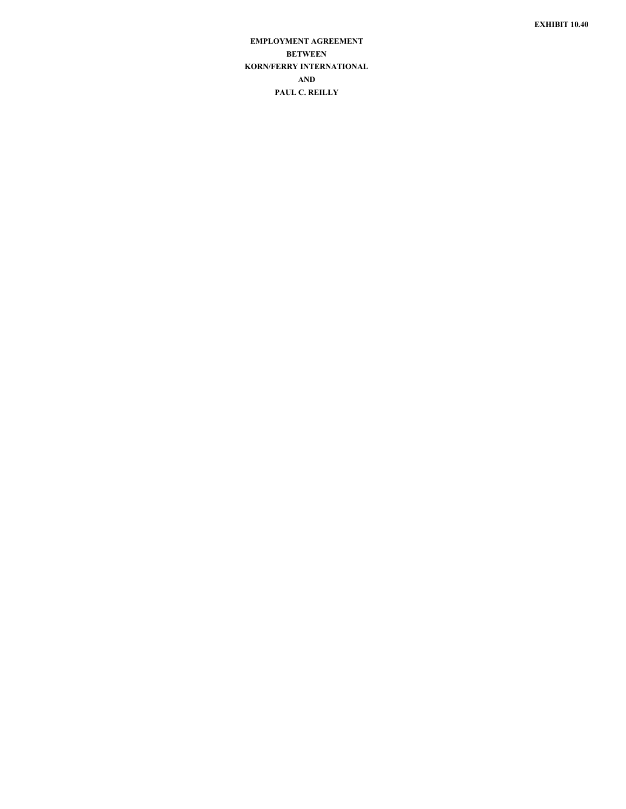**EMPLOYMENT AGREEMENT BETWEEN KORN/FERRY INTERNATIONAL AND PAUL C. REILLY**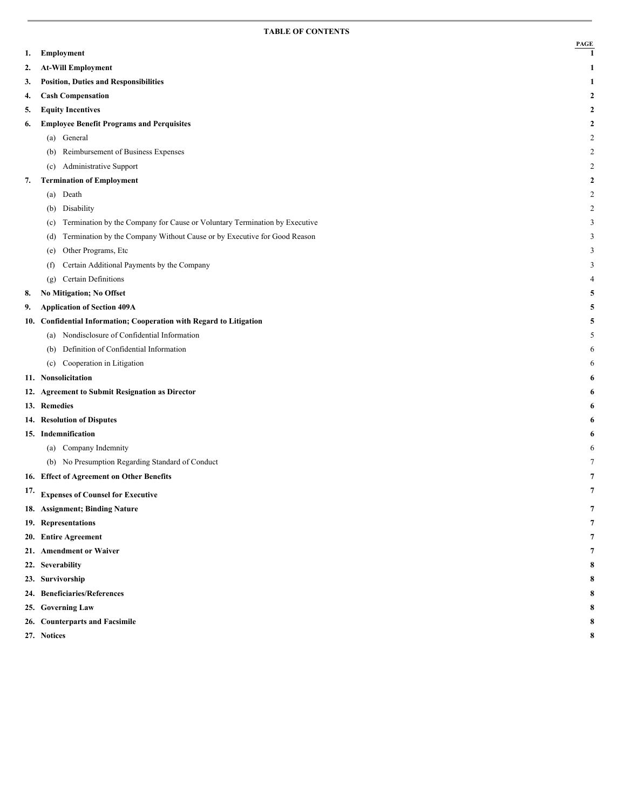| 1.  | Employment                                                                        | PAGE<br>1        |
|-----|-----------------------------------------------------------------------------------|------------------|
| 2.  | <b>At-Will Employment</b>                                                         | 1                |
| 3.  | <b>Position, Duties and Responsibilities</b>                                      | 1                |
| 4.  | <b>Cash Compensation</b>                                                          | $\mathbf{2}$     |
| 5.  | <b>Equity Incentives</b>                                                          | $\boldsymbol{2}$ |
| 6.  | <b>Employee Benefit Programs and Perquisites</b>                                  | $\overline{2}$   |
|     | (a) General                                                                       | $\overline{c}$   |
|     | Reimbursement of Business Expenses<br>(b)                                         | $\overline{2}$   |
|     | Administrative Support<br>(c)                                                     | $\overline{2}$   |
| 7.  | <b>Termination of Employment</b>                                                  | $\boldsymbol{2}$ |
|     | Death<br>(a)                                                                      | 2                |
|     | Disability<br>(b)                                                                 | $\overline{2}$   |
|     | Termination by the Company for Cause or Voluntary Termination by Executive<br>(c) | 3                |
|     | Termination by the Company Without Cause or by Executive for Good Reason<br>(d)   | 3                |
|     | Other Programs, Etc<br>(e)                                                        | 3                |
|     | Certain Additional Payments by the Company<br>(f)                                 | 3                |
|     | Certain Definitions<br>(g)                                                        | $\overline{4}$   |
| 8.  | No Mitigation; No Offset                                                          | 5                |
| 9.  | <b>Application of Section 409A</b>                                                | 5                |
|     | 10. Confidential Information; Cooperation with Regard to Litigation               | 5                |
|     | Nondisclosure of Confidential Information<br>(a)                                  | 5                |
|     | Definition of Confidential Information<br>(b)                                     | 6                |
|     | (c) Cooperation in Litigation                                                     | 6                |
|     | 11. Nonsolicitation                                                               | 6                |
| 12. | <b>Agreement to Submit Resignation as Director</b>                                | 6                |
|     | 13. Remedies                                                                      | 6                |
|     | 14. Resolution of Disputes                                                        | 6                |
|     | 15. Indemnification                                                               | 6                |
|     | (a) Company Indemnity                                                             | 6                |
|     | (b) No Presumption Regarding Standard of Conduct                                  | 7                |
|     | 16. Effect of Agreement on Other Benefits                                         | 7                |
| 17. | <b>Expenses of Counsel for Executive</b>                                          | 7                |
|     | 18. Assignment; Binding Nature                                                    | $\overline{7}$   |
|     | 19. Representations                                                               | 7                |
|     | 20. Entire Agreement                                                              | 7                |
|     | 21. Amendment or Waiver                                                           | 7                |
|     | 22. Severability                                                                  | 8                |
| 23. | Survivorship                                                                      | 8                |
| 24. | <b>Beneficiaries/References</b>                                                   | 8                |
|     | 25. Governing Law                                                                 | 8                |
|     | 26. Counterparts and Facsimile                                                    | 8                |
|     | 27. Notices                                                                       | 8                |
|     |                                                                                   |                  |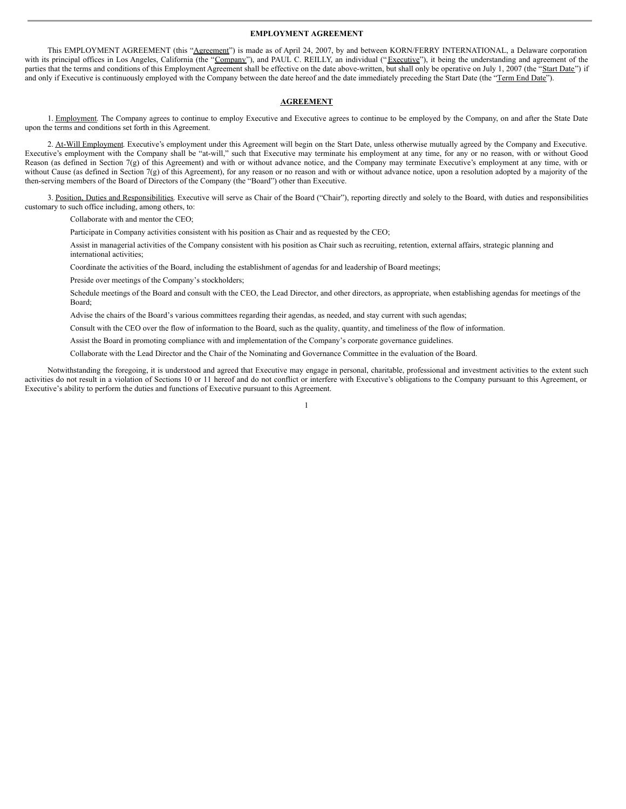#### **EMPLOYMENT AGREEMENT**

This EMPLOYMENT AGREEMENT (this "Agreement") is made as of April 24, 2007, by and between KORN/FERRY INTERNATIONAL, a Delaware corporation with its principal offices in Los Angeles, California (the "Company"), and PAUL C. REILLY, an individual ("Executive"), it being the understanding and agreement of the parties that the terms and conditions of this Employment Agreement shall be effective on the date above-written, but shall only be operative on July 1, 2007 (the "Start Date") if and only if Executive is continuously employed with the Company between the date hereof and the date immediately preceding the Start Date (the "Term End Date").

#### **AGREEMENT**

1. Employment. The Company agrees to continue to employ Executive and Executive agrees to continue to be employed by the Company, on and after the State Date upon the terms and conditions set forth in this Agreement.

2. At-Will Employment. Executive's employment under this Agreement will begin on the Start Date, unless otherwise mutually agreed by the Company and Executive. Executive's employment with the Company shall be "at-will," such that Executive may terminate his employment at any time, for any or no reason, with or without Good Reason (as defined in Section 7(g) of this Agreement) and with or without advance notice, and the Company may terminate Executive's employment at any time, with or without Cause (as defined in Section 7(g) of this Agreement), for any reason or no reason and with or without advance notice, upon a resolution adopted by a majority of the then-serving members of the Board of Directors of the Company (the "Board") other than Executive.

3. Position, Duties and Responsibilities. Executive will serve as Chair of the Board ("Chair"), reporting directly and solely to the Board, with duties and responsibilities customary to such office including, among others, to:

Collaborate with and mentor the CEO;

Participate in Company activities consistent with his position as Chair and as requested by the CEO;

Assist in managerial activities of the Company consistent with his position as Chair such as recruiting, retention, external affairs, strategic planning and international activities;

Coordinate the activities of the Board, including the establishment of agendas for and leadership of Board meetings;

Preside over meetings of the Company's stockholders;

Schedule meetings of the Board and consult with the CEO, the Lead Director, and other directors, as appropriate, when establishing agendas for meetings of the Board;

Advise the chairs of the Board's various committees regarding their agendas, as needed, and stay current with such agendas;

Consult with the CEO over the flow of information to the Board, such as the quality, quantity, and timeliness of the flow of information.

Assist the Board in promoting compliance with and implementation of the Company's corporate governance guidelines.

Collaborate with the Lead Director and the Chair of the Nominating and Governance Committee in the evaluation of the Board.

Notwithstanding the foregoing, it is understood and agreed that Executive may engage in personal, charitable, professional and investment activities to the extent such activities do not result in a violation of Sections 10 or 11 hereof and do not conflict or interfere with Executive's obligations to the Company pursuant to this Agreement, or Executive's ability to perform the duties and functions of Executive pursuant to this Agreement.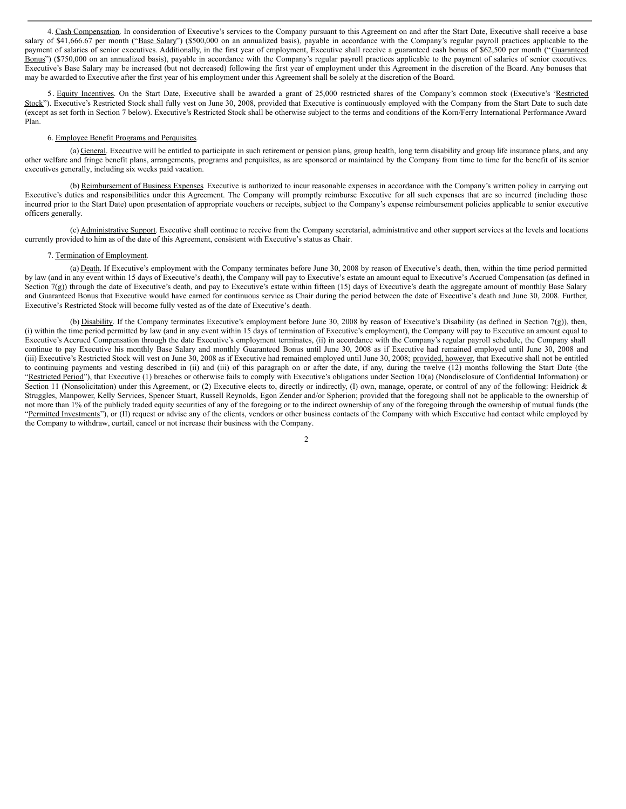4. Cash Compensation. In consideration of Executive's services to the Company pursuant to this Agreement on and after the Start Date, Executive shall receive a base salary of \$41,666.67 per month ("Base Salary") (\$500,000 on an annualized basis), payable in accordance with the Company's regular payroll practices applicable to the payment of salaries of senior executives. Additionally, in the first year of employment, Executive shall receive a guaranteed cash bonus of \$62,500 per month ("Guaranteed Bonus") (\$750,000 on an annualized basis), payable in accordance with the Company's regular payroll practices applicable to the payment of salaries of senior executives. Executive's Base Salary may be increased (but not decreased) following the first year of employment under this Agreement in the discretion of the Board. Any bonuses that may be awarded to Executive after the first year of his employment under this Agreement shall be solely at the discretion of the Board.

5. Equity Incentives. On the Start Date, Executive shall be awarded a grant of 25,000 restricted shares of the Company's common stock (Executive's 'Restricted Stock"). Executive's Restricted Stock shall fully vest on June 30, 2008, provided that Executive is continuously employed with the Company from the Start Date to such date (except as set forth in Section 7 below). Executive's Restricted Stock shall be otherwise subject to the terms and conditions of the Korn/Ferry International Performance Award Plan.

#### 6. Employee Benefit Programs and Perquisites.

(a) General. Executive will be entitled to participate in such retirement or pension plans, group health, long term disability and group life insurance plans, and any other welfare and fringe benefit plans, arrangements, programs and perquisites, as are sponsored or maintained by the Company from time to time for the benefit of its senior executives generally, including six weeks paid vacation.

(b) Reimbursement of Business Expenses. Executive is authorized to incur reasonable expenses in accordance with the Company's written policy in carrying out Executive's duties and responsibilities under this Agreement. The Company will promptly reimburse Executive for all such expenses that are so incurred (including those incurred prior to the Start Date) upon presentation of appropriate vouchers or receipts, subject to the Company's expense reimbursement policies applicable to senior executive officers generally.

(c) Administrative Support. Executive shall continue to receive from the Company secretarial, administrative and other support services at the levels and locations currently provided to him as of the date of this Agreement, consistent with Executive's status as Chair.

#### 7. Termination of Employment.

(a) Death. If Executive's employment with the Company terminates before June 30, 2008 by reason of Executive's death, then, within the time period permitted by law (and in any event within 15 days of Executive's death), the Company will pay to Executive's estate an amount equal to Executive's Accrued Compensation (as defined in Section 7(g)) through the date of Executive's death, and pay to Executive's estate within fifteen (15) days of Executive's death the aggregate amount of monthly Base Salary and Guaranteed Bonus that Executive would have earned for continuous service as Chair during the period between the date of Executive's death and June 30, 2008. Further, Executive's Restricted Stock will become fully vested as of the date of Executive's death.

(b) Disability. If the Company terminates Executive's employment before June 30, 2008 by reason of Executive's Disability (as defined in Section 7(g)), then, (i) within the time period permitted by law (and in any event within 15 days of termination of Executive's employment), the Company will pay to Executive an amount equal to Executive's Accrued Compensation through the date Executive's employment terminates, (ii) in accordance with the Company's regular payroll schedule, the Company shall continue to pay Executive his monthly Base Salary and monthly Guaranteed Bonus until June 30, 2008 as if Executive had remained employed until June 30, 2008 and (iii) Executive's Restricted Stock will vest on June 30, 2008 as if Executive had remained employed until June 30, 2008; provided, however, that Executive shall not be entitled to continuing payments and vesting described in (ii) and (iii) of this paragraph on or after the date, if any, during the twelve (12) months following the Start Date (the "Restricted Period"), that Executive (1) breaches or otherwise fails to comply with Executive's obligations under Section 10(a) (Nondisclosure of Confidential Information) or Section 11 (Nonsolicitation) under this Agreement, or (2) Executive elects to, directly or indirectly, (I) own, manage, operate, or control of any of the following: Heidrick & Struggles, Manpower, Kelly Services, Spencer Stuart, Russell Reynolds, Egon Zender and/or Spherion; provided that the foregoing shall not be applicable to the ownership of not more than 1% of the publicly traded equity securities of any of the foregoing or to the indirect ownership of any of the foregoing through the ownership of mutual funds (the "Permitted Investments"), or (II) request or advise any of the clients, vendors or other business contacts of the Company with which Executive had contact while employed by the Company to withdraw, curtail, cancel or not increase their business with the Company.

 $\mathfrak{D}$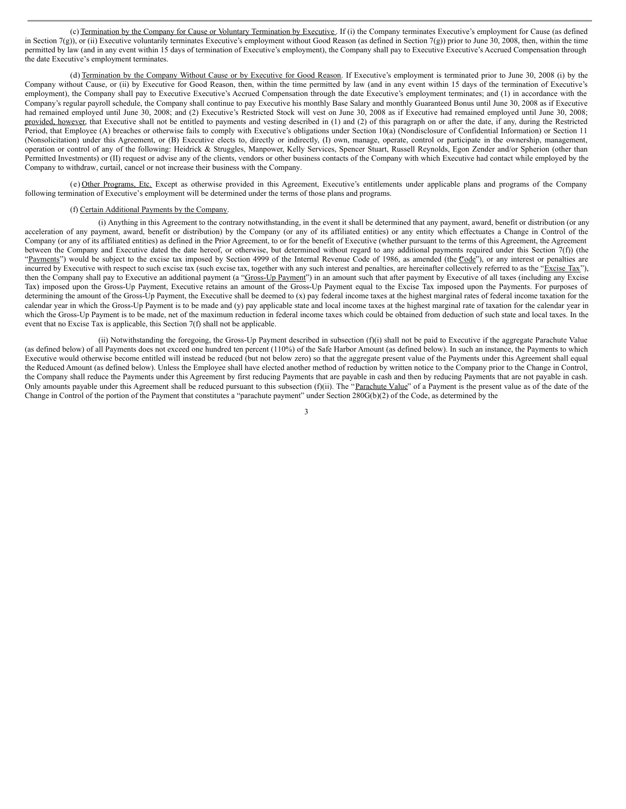(c) Termination by the Company for Cause or Voluntary Termination by Executive . If (i) the Company terminates Executive's employment for Cause (as defined in Section  $7(g)$ ), or (ii) Executive voluntarily terminates Executive's employment without Good Reason (as defined in Section  $7(g)$ ) prior to June 30, 2008, then, within the time permitted by law (and in any event within 15 days of termination of Executive's employment), the Company shall pay to Executive Executive's Accrued Compensation through the date Executive's employment terminates.

(d) Termination by the Company Without Cause or by Executive for Good Reason. If Executive's employment is terminated prior to June 30, 2008 (i) by the Company without Cause, or (ii) by Executive for Good Reason, then, within the time permitted by law (and in any event within 15 days of the termination of Executive's employment), the Company shall pay to Executive Executive's Accrued Compensation through the date Executive's employment terminates; and (1) in accordance with the Company's regular payroll schedule, the Company shall continue to pay Executive his monthly Base Salary and monthly Guaranteed Bonus until June 30, 2008 as if Executive had remained employed until June 30, 2008; and (2) Executive's Restricted Stock will vest on June 30, 2008 as if Executive had remained employed until June 30, 2008; provided, however, that Executive shall not be entitled to payments and vesting described in (1) and (2) of this paragraph on or after the date, if any, during the Restricted Period, that Employee (A) breaches or otherwise fails to comply with Executive's obligations under Section 10(a) (Nondisclosure of Confidential Information) or Section 11 (Nonsolicitation) under this Agreement, or (B) Executive elects to, directly or indirectly, (I) own, manage, operate, control or participate in the ownership, management, operation or control of any of the following: Heidrick & Struggles, Manpower, Kelly Services, Spencer Stuart, Russell Reynolds, Egon Zender and/or Spherion (other than Permitted Investments) or (II) request or advise any of the clients, vendors or other business contacts of the Company with which Executive had contact while employed by the Company to withdraw, curtail, cancel or not increase their business with the Company.

(e) Other Programs, Etc. Except as otherwise provided in this Agreement, Executive's entitlements under applicable plans and programs of the Company following termination of Executive's employment will be determined under the terms of those plans and programs.

#### (f) Certain Additional Payments by the Company.

(i) Anything in this Agreement to the contrary notwithstanding, in the event it shall be determined that any payment, award, benefit or distribution (or any acceleration of any payment, award, benefit or distribution) by the Company (or any of its affiliated entities) or any entity which effectuates a Change in Control of the Company (or any of its affiliated entities) as defined in the Prior Agreement, to or for the benefit of Executive (whether pursuant to the terms of this Agreement, the Agreement between the Company and Executive dated the date hereof, or otherwise, but determined without regard to any additional payments required under this Section 7(f)) (the "Payments") would be subject to the excise tax imposed by Section 4999 of the Internal Revenue Code of 1986, as amended (the Code"), or any interest or penalties are incurred by Executive with respect to such excise tax (such excise tax, together with any such interest and penalties, are hereinafter collectively referred to as the "Excise Tax"), then the Company shall pay to Executive an additional payment (a "Gross-Up Payment") in an amount such that after payment by Executive of all taxes (including any Excise Tax) imposed upon the Gross-Up Payment, Executive retains an amount of the Gross-Up Payment equal to the Excise Tax imposed upon the Payments. For purposes of determining the amount of the Gross-Up Payment, the Executive shall be deemed to (x) pay federal income taxes at the highest marginal rates of federal income taxation for the calendar year in which the Gross-Up Payment is to be made and (y) pay applicable state and local income taxes at the highest marginal rate of taxation for the calendar year in which the Gross-Up Payment is to be made, net of the maximum reduction in federal income taxes which could be obtained from deduction of such state and local taxes. In the event that no Excise Tax is applicable, this Section 7(f) shall not be applicable.

(ii) Notwithstanding the foregoing, the Gross-Up Payment described in subsection (f)(i) shall not be paid to Executive if the aggregate Parachute Value (as defined below) of all Payments does not exceed one hundred ten percent (110%) of the Safe Harbor Amount (as defined below). In such an instance, the Payments to which Executive would otherwise become entitled will instead be reduced (but not below zero) so that the aggregate present value of the Payments under this Agreement shall equal the Reduced Amount (as defined below). Unless the Employee shall have elected another method of reduction by written notice to the Company prior to the Change in Control, the Company shall reduce the Payments under this Agreement by first reducing Payments that are payable in cash and then by reducing Payments that are not payable in cash. Only amounts payable under this Agreement shall be reduced pursuant to this subsection (f)(ii). The "Parachute Value" of a Payment is the present value as of the date of the Change in Control of the portion of the Payment that constitutes a "parachute payment" under Section 280G(b)(2) of the Code, as determined by the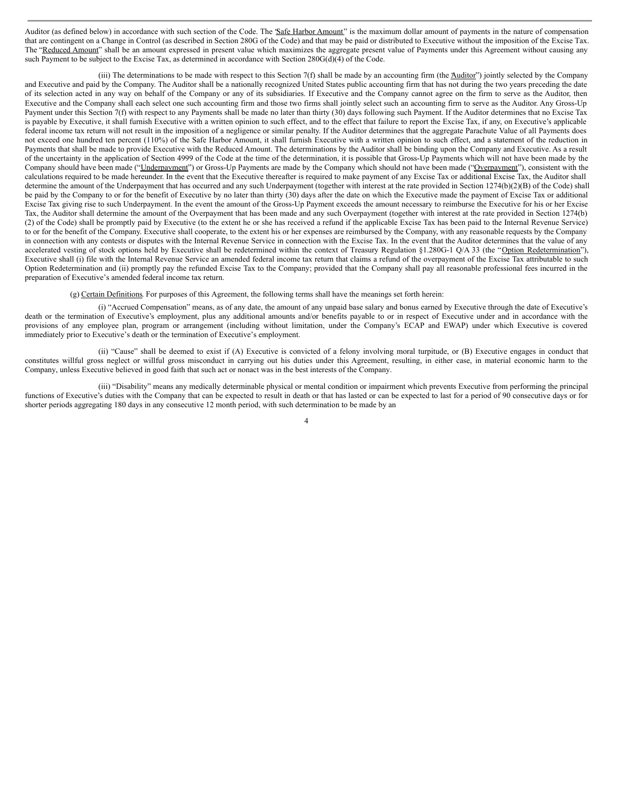Auditor (as defined below) in accordance with such section of the Code. The 'Safe Harbor Amount' is the maximum dollar amount of payments in the nature of compensation that are contingent on a Change in Control (as described in Section 280G of the Code) and that may be paid or distributed to Executive without the imposition of the Excise Tax. The "Reduced Amount" shall be an amount expressed in present value which maximizes the aggregate present value of Payments under this Agreement without causing any such Payment to be subject to the Excise Tax, as determined in accordance with Section 280G(d)(4) of the Code.

(iii) The determinations to be made with respect to this Section  $7(f)$  shall be made by an accounting firm (the Auditor") jointly selected by the Company and Executive and paid by the Company. The Auditor shall be a nationally recognized United States public accounting firm that has not during the two years preceding the date of its selection acted in any way on behalf of the Company or any of its subsidiaries. If Executive and the Company cannot agree on the firm to serve as the Auditor, then Executive and the Company shall each select one such accounting firm and those two firms shall jointly select such an accounting firm to serve as the Auditor. Any Gross-Up Payment under this Section 7(f) with respect to any Payments shall be made no later than thirty (30) days following such Payment. If the Auditor determines that no Excise Tax is payable by Executive, it shall furnish Executive with a written opinion to such effect, and to the effect that failure to report the Excise Tax, if any, on Executive's applicable federal income tax return will not result in the imposition of a negligence or similar penalty. If the Auditor determines that the aggregate Parachute Value of all Payments does not exceed one hundred ten percent (110%) of the Safe Harbor Amount, it shall furnish Executive with a written opinion to such effect, and a statement of the reduction in Payments that shall be made to provide Executive with the Reduced Amount. The determinations by the Auditor shall be binding upon the Company and Executive. As a result of the uncertainty in the application of Section 4999 of the Code at the time of the determination, it is possible that Gross-Up Payments which will not have been made by the Company should have been made ("Underpayment") or Gross-Up Payments are made by the Company which should not have been made ("Overpayment"), consistent with the calculations required to be made hereunder. In the event that the Executive thereafter is required to make payment of any Excise Tax or additional Excise Tax, the Auditor shall determine the amount of the Underpayment that has occurred and any such Underpayment (together with interest at the rate provided in Section 1274(b)(2)(B) of the Code) shall be paid by the Company to or for the benefit of Executive by no later than thirty (30) days after the date on which the Executive made the payment of Excise Tax or additional Excise Tax giving rise to such Underpayment. In the event the amount of the Gross-Up Payment exceeds the amount necessary to reimburse the Executive for his or her Excise Tax, the Auditor shall determine the amount of the Overpayment that has been made and any such Overpayment (together with interest at the rate provided in Section 1274(b) (2) of the Code) shall be promptly paid by Executive (to the extent he or she has received a refund if the applicable Excise Tax has been paid to the Internal Revenue Service) to or for the benefit of the Company. Executive shall cooperate, to the extent his or her expenses are reimbursed by the Company, with any reasonable requests by the Company in connection with any contests or disputes with the Internal Revenue Service in connection with the Excise Tax. In the event that the Auditor determines that the value of any accelerated vesting of stock options held by Executive shall be redetermined within the context of Treasury Regulation §1.280G-1 Q/A 33 (the "Option Redetermination"), Executive shall (i) file with the Internal Revenue Service an amended federal income tax return that claims a refund of the overpayment of the Excise Tax attributable to such Option Redetermination and (ii) promptly pay the refunded Excise Tax to the Company; provided that the Company shall pay all reasonable professional fees incurred in the preparation of Executive's amended federal income tax return.

(g) Certain Definitions. For purposes of this Agreement, the following terms shall have the meanings set forth herein:

(i) "Accrued Compensation" means, as of any date, the amount of any unpaid base salary and bonus earned by Executive through the date of Executive's death or the termination of Executive's employment, plus any additional amounts and/or benefits payable to or in respect of Executive under and in accordance with the provisions of any employee plan, program or arrangement (including without limitation, under the Company's ECAP and EWAP) under which Executive is covered immediately prior to Executive's death or the termination of Executive's employment.

(ii) "Cause" shall be deemed to exist if (A) Executive is convicted of a felony involving moral turpitude, or (B) Executive engages in conduct that constitutes willful gross neglect or willful gross misconduct in carrying out his duties under this Agreement, resulting, in either case, in material economic harm to the Company, unless Executive believed in good faith that such act or nonact was in the best interests of the Company.

(iii) "Disability" means any medically determinable physical or mental condition or impairment which prevents Executive from performing the principal functions of Executive's duties with the Company that can be expected to result in death or that has lasted or can be expected to last for a period of 90 consecutive days or for shorter periods aggregating 180 days in any consecutive 12 month period, with such determination to be made by an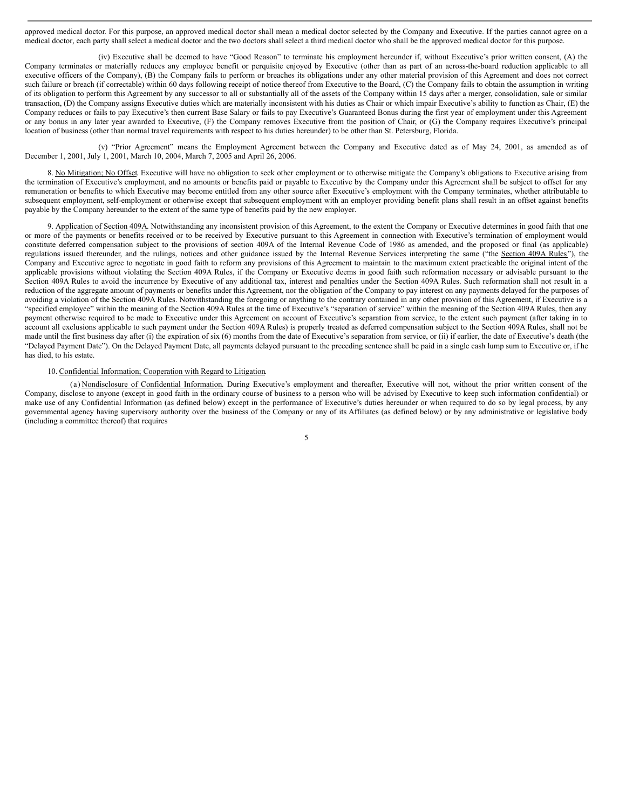approved medical doctor. For this purpose, an approved medical doctor shall mean a medical doctor selected by the Company and Executive. If the parties cannot agree on a medical doctor, each party shall select a medical doctor and the two doctors shall select a third medical doctor who shall be the approved medical doctor for this purpose.

(iv) Executive shall be deemed to have "Good Reason" to terminate his employment hereunder if, without Executive's prior written consent, (A) the Company terminates or materially reduces any employee benefit or perquisite enjoyed by Executive (other than as part of an across-the-board reduction applicable to all executive officers of the Company), (B) the Company fails to perform or breaches its obligations under any other material provision of this Agreement and does not correct such failure or breach (if correctable) within 60 days following receipt of notice thereof from Executive to the Board, (C) the Company fails to obtain the assumption in writing of its obligation to perform this Agreement by any successor to all or substantially all of the assets of the Company within 15 days after a merger, consolidation, sale or similar transaction, (D) the Company assigns Executive duties which are materially inconsistent with his duties as Chair or which impair Executive's ability to function as Chair, (E) the Company reduces or fails to pay Executive's then current Base Salary or fails to pay Executive's Guaranteed Bonus during the first year of employment under this Agreement or any bonus in any later year awarded to Executive, (F) the Company removes Executive from the position of Chair, or (G) the Company requires Executive's principal location of business (other than normal travel requirements with respect to his duties hereunder) to be other than St. Petersburg, Florida.

(v) "Prior Agreement" means the Employment Agreement between the Company and Executive dated as of May 24, 2001, as amended as of December 1, 2001, July 1, 2001, March 10, 2004, March 7, 2005 and April 26, 2006.

8. No Mitigation; No Offset. Executive will have no obligation to seek other employment or to otherwise mitigate the Company's obligations to Executive arising from the termination of Executive's employment, and no amounts or benefits paid or payable to Executive by the Company under this Agreement shall be subject to offset for any remuneration or benefits to which Executive may become entitled from any other source after Executive's employment with the Company terminates, whether attributable to subsequent employment, self-employment or otherwise except that subsequent employment with an employer providing benefit plans shall result in an offset against benefits payable by the Company hereunder to the extent of the same type of benefits paid by the new employer.

9. Application of Section 409A. Notwithstanding any inconsistent provision of this Agreement, to the extent the Company or Executive determines in good faith that one or more of the payments or benefits received or to be received by Executive pursuant to this Agreement in connection with Executive's termination of employment would constitute deferred compensation subject to the provisions of section 409A of the Internal Revenue Code of 1986 as amended, and the proposed or final (as applicable) regulations issued thereunder, and the rulings, notices and other guidance issued by the Internal Revenue Services interpreting the same ("the Section 409A Rules"), the Company and Executive agree to negotiate in good faith to reform any provisions of this Agreement to maintain to the maximum extent practicable the original intent of the applicable provisions without violating the Section 409A Rules, if the Company or Executive deems in good faith such reformation necessary or advisable pursuant to the Section 409A Rules to avoid the incurrence by Executive of any additional tax, interest and penalties under the Section 409A Rules. Such reformation shall not result in a reduction of the aggregate amount of payments or benefits under this Agreement, nor the obligation of the Company to pay interest on any payments delayed for the purposes of avoiding a violation of the Section 409A Rules. Notwithstanding the foregoing or anything to the contrary contained in any other provision of this Agreement, if Executive is a "specified employee" within the meaning of the Section 409A Rules at the time of Executive's "separation of service" within the meaning of the Section 409A Rules, then any payment otherwise required to be made to Executive under this Agreement on account of Executive's separation from service, to the extent such payment (after taking in to account all exclusions applicable to such payment under the Section 409A Rules) is properly treated as deferred compensation subject to the Section 409A Rules, shall not be made until the first business day after (i) the expiration of six (6) months from the date of Executive's separation from service, or (ii) if earlier, the date of Executive's death (the "Delayed Payment Date"). On the Delayed Payment Date, all payments delayed pursuant to the preceding sentence shall be paid in a single cash lump sum to Executive or, if he has died, to his estate.

#### 10. Confidential Information; Cooperation with Regard to Litigation.

(a) Nondisclosure of Confidential Information. During Executive's employment and thereafter, Executive will not, without the prior written consent of the Company, disclose to anyone (except in good faith in the ordinary course of business to a person who will be advised by Executive to keep such information confidential) or make use of any Confidential Information (as defined below) except in the performance of Executive's duties hereunder or when required to do so by legal process, by any governmental agency having supervisory authority over the business of the Company or any of its Affiliates (as defined below) or by any administrative or legislative body (including a committee thereof) that requires

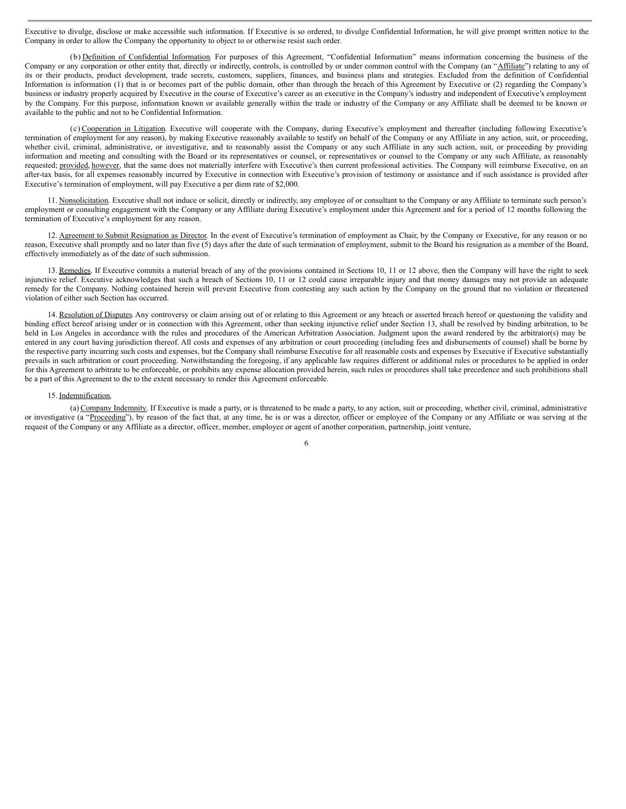Executive to divulge, disclose or make accessible such information. If Executive is so ordered, to divulge Confidential Information, he will give prompt written notice to the Company in order to allow the Company the opportunity to object to or otherwise resist such order.

(b) Definition of Confidential Information. For purposes of this Agreement, "Confidential Information" means information concerning the business of the Company or any corporation or other entity that, directly or indirectly, controls, is controlled by or under common control with the Company (an "Affiliate") relating to any of its or their products, product development, trade secrets, customers, suppliers, finances, and business plans and strategies. Excluded from the definition of Confidential Information is information (1) that is or becomes part of the public domain, other than through the breach of this Agreement by Executive or (2) regarding the Company's business or industry properly acquired by Executive in the course of Executive's career as an executive in the Company's industry and independent of Executive's employment by the Company. For this purpose, information known or available generally within the trade or industry of the Company or any Affiliate shall be deemed to be known or available to the public and not to be Confidential Information.

(c) Cooperation in Litigation. Executive will cooperate with the Company, during Executive's employment and thereafter (including following Executive's termination of employment for any reason), by making Executive reasonably available to testify on behalf of the Company or any Affiliate in any action, suit, or proceeding, whether civil, criminal, administrative, or investigative, and to reasonably assist the Company or any such Affiliate in any such action, suit, or proceeding by providing information and meeting and consulting with the Board or its representatives or counsel, or representatives or counsel to the Company or any such Affiliate, as reasonably requested; **provided**, however, that the same does not materially interfere with Executive's then current professional activities. The Company will reimburse Executive, on an after-tax basis, for all expenses reasonably incurred by Executive in connection with Executive's provision of testimony or assistance and if such assistance is provided after Executive's termination of employment, will pay Executive a per diem rate of \$2,000.

11. Nonsolicitation. Executive shall not induce or solicit, directly or indirectly, any employee of or consultant to the Company or any Affiliate to terminate such person's employment or consulting engagement with the Company or any Affiliate during Executive's employment under this Agreement and for a period of 12 months following the termination of Executive's employment for any reason.

12. Agreement to Submit Resignation as Director. In the event of Executive's termination of employment as Chair, by the Company or Executive, for any reason or no reason, Executive shall promptly and no later than five (5) days after the date of such termination of employment, submit to the Board his resignation as a member of the Board, effectively immediately as of the date of such submission.

13. Remedies. If Executive commits a material breach of any of the provisions contained in Sections 10, 11 or 12 above, then the Company will have the right to seek injunctive relief. Executive acknowledges that such a breach of Sections 10, 11 or 12 could cause irreparable injury and that money damages may not provide an adequate remedy for the Company. Nothing contained herein will prevent Executive from contesting any such action by the Company on the ground that no violation or threatened violation of either such Section has occurred.

14. Resolution of Disputes. Any controversy or claim arising out of or relating to this Agreement or any breach or asserted breach hereof or questioning the validity and binding effect hereof arising under or in connection with this Agreement, other than seeking injunctive relief under Section 13, shall be resolved by binding arbitration, to be held in Los Angeles in accordance with the rules and procedures of the American Arbitration Association. Judgment upon the award rendered by the arbitrator(s) may be entered in any court having jurisdiction thereof. All costs and expenses of any arbitration or court proceeding (including fees and disbursements of counsel) shall be borne by the respective party incurring such costs and expenses, but the Company shall reimburse Executive for all reasonable costs and expenses by Executive if Executive substantially prevails in such arbitration or court proceeding. Notwithstanding the foregoing, if any applicable law requires different or additional rules or procedures to be applied in order for this Agreement to arbitrate to be enforceable, or prohibits any expense allocation provided herein, such rules or procedures shall take precedence and such prohibitions shall be a part of this Agreement to the to the extent necessary to render this Agreement enforceable.

#### 15. Indemnification.

(a) Company Indemnity. If Executive is made a party, or is threatened to be made a party, to any action, suit or proceeding, whether civil, criminal, administrative or investigative (a "Proceeding"), by reason of the fact that, at any time, he is or was a director, officer or employee of the Company or any Affiliate or was serving at the request of the Company or any Affiliate as a director, officer, member, employee or agent of another corporation, partnership, joint venture,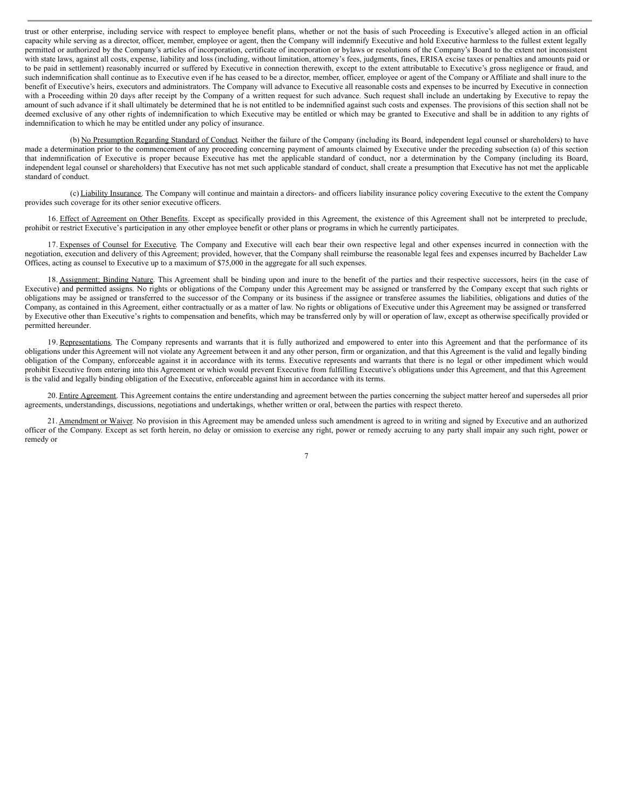trust or other enterprise, including service with respect to employee benefit plans, whether or not the basis of such Proceeding is Executive's alleged action in an official capacity while serving as a director, officer, member, employee or agent, then the Company will indemnify Executive and hold Executive harmless to the fullest extent legally permitted or authorized by the Company's articles of incorporation, certificate of incorporation or bylaws or resolutions of the Company's Board to the extent not inconsistent with state laws, against all costs, expense, liability and loss (including, without limitation, attorney's fees, judgments, fines, ERISA excise taxes or penalties and amounts paid or to be paid in settlement) reasonably incurred or suffered by Executive in connection therewith, except to the extent attributable to Executive's gross negligence or fraud, and such indemnification shall continue as to Executive even if he has ceased to be a director, member, officer, employee or agent of the Company or Affiliate and shall inure to the benefit of Executive's heirs, executors and administrators. The Company will advance to Executive all reasonable costs and expenses to be incurred by Executive in connection with a Proceeding within 20 days after receipt by the Company of a written request for such advance. Such request shall include an undertaking by Executive to repay the amount of such advance if it shall ultimately be determined that he is not entitled to be indemnified against such costs and expenses. The provisions of this section shall not be deemed exclusive of any other rights of indemnification to which Executive may be entitled or which may be granted to Executive and shall be in addition to any rights of indemnification to which he may be entitled under any policy of insurance.

(b) No Presumption Regarding Standard of Conduct. Neither the failure of the Company (including its Board, independent legal counsel or shareholders) to have made a determination prior to the commencement of any proceeding concerning payment of amounts claimed by Executive under the preceding subsection (a) of this section that indemnification of Executive is proper because Executive has met the applicable standard of conduct, nor a determination by the Company (including its Board, independent legal counsel or shareholders) that Executive has not met such applicable standard of conduct, shall create a presumption that Executive has not met the applicable standard of conduct.

(c) Liability Insurance. The Company will continue and maintain a directors- and officers liability insurance policy covering Executive to the extent the Company provides such coverage for its other senior executive officers.

16. Effect of Agreement on Other Benefits. Except as specifically provided in this Agreement, the existence of this Agreement shall not be interpreted to preclude, prohibit or restrict Executive's participation in any other employee benefit or other plans or programs in which he currently participates.

17. Expenses of Counsel for Executive. The Company and Executive will each bear their own respective legal and other expenses incurred in connection with the negotiation, execution and delivery of this Agreement; provided, however, that the Company shall reimburse the reasonable legal fees and expenses incurred by Bachelder Law Offices, acting as counsel to Executive up to a maximum of \$75,000 in the aggregate for all such expenses.

18. Assignment; Binding Nature. This Agreement shall be binding upon and inure to the benefit of the parties and their respective successors, heirs (in the case of Executive) and permitted assigns. No rights or obligations of the Company under this Agreement may be assigned or transferred by the Company except that such rights or obligations may be assigned or transferred to the successor of the Company or its business if the assignee or transferee assumes the liabilities, obligations and duties of the Company, as contained in this Agreement, either contractually or as a matter of law. No rights or obligations of Executive under this Agreement may be assigned or transferred by Executive other than Executive's rights to compensation and benefits, which may be transferred only by will or operation of law, except as otherwise specifically provided or permitted hereunder.

19. Representations. The Company represents and warrants that it is fully authorized and empowered to enter into this Agreement and that the performance of its obligations under this Agreement will not violate any Agreement between it and any other person, firm or organization, and that this Agreement is the valid and legally binding obligation of the Company, enforceable against it in accordance with its terms. Executive represents and warrants that there is no legal or other impediment which would prohibit Executive from entering into this Agreement or which would prevent Executive from fulfilling Executive's obligations under this Agreement, and that this Agreement is the valid and legally binding obligation of the Executive, enforceable against him in accordance with its terms.

20. Entire Agreement. This Agreement contains the entire understanding and agreement between the parties concerning the subject matter hereof and supersedes all prior agreements, understandings, discussions, negotiations and undertakings, whether written or oral, between the parties with respect thereto.

21. Amendment or Waiver. No provision in this Agreement may be amended unless such amendment is agreed to in writing and signed by Executive and an authorized officer of the Company. Except as set forth herein, no delay or omission to exercise any right, power or remedy accruing to any party shall impair any such right, power or remedy or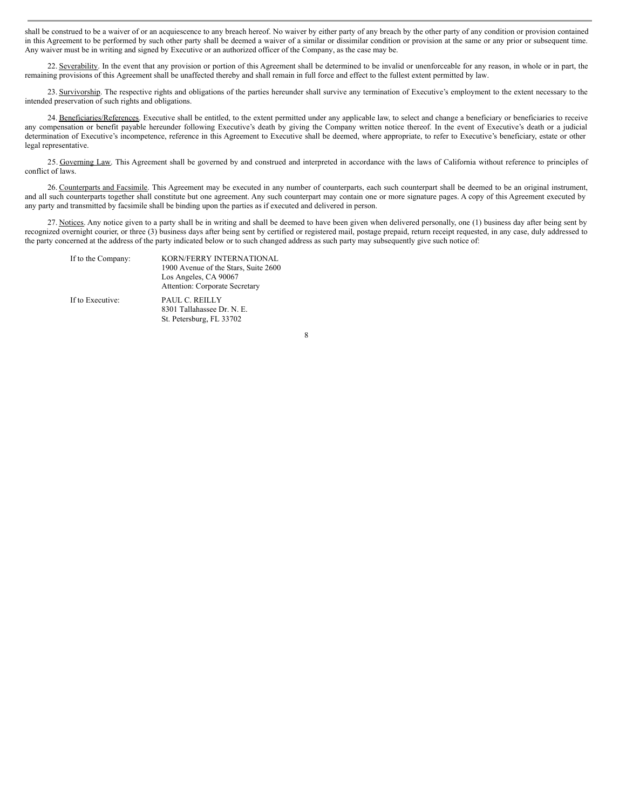shall be construed to be a waiver of or an acquiescence to any breach hereof. No waiver by either party of any breach by the other party of any condition or provision contained in this Agreement to be performed by such other party shall be deemed a waiver of a similar or dissimilar condition or provision at the same or any prior or subsequent time. Any waiver must be in writing and signed by Executive or an authorized officer of the Company, as the case may be.

22. Severability. In the event that any provision or portion of this Agreement shall be determined to be invalid or unenforceable for any reason, in whole or in part, the remaining provisions of this Agreement shall be unaffected thereby and shall remain in full force and effect to the fullest extent permitted by law.

23. Survivorship. The respective rights and obligations of the parties hereunder shall survive any termination of Executive's employment to the extent necessary to the intended preservation of such rights and obligations.

24. Beneficiaries/References. Executive shall be entitled, to the extent permitted under any applicable law, to select and change a beneficiary or beneficiaries to receive any compensation or benefit payable hereunder following Executive's death by giving the Company written notice thereof. In the event of Executive's death or a judicial determination of Executive's incompetence, reference in this Agreement to Executive shall be deemed, where appropriate, to refer to Executive's beneficiary, estate or other legal representative.

25. Governing Law. This Agreement shall be governed by and construed and interpreted in accordance with the laws of California without reference to principles of conflict of laws.

26. Counterparts and Facsimile. This Agreement may be executed in any number of counterparts, each such counterpart shall be deemed to be an original instrument, and all such counterparts together shall constitute but one agreement. Any such counterpart may contain one or more signature pages. A copy of this Agreement executed by any party and transmitted by facsimile shall be binding upon the parties as if executed and delivered in person.

27. Notices. Any notice given to a party shall be in writing and shall be deemed to have been given when delivered personally, one (1) business day after being sent by recognized overnight courier, or three (3) business days after being sent by certified or registered mail, postage prepaid, return receipt requested, in any case, duly addressed to the party concerned at the address of the party indicated below or to such changed address as such party may subsequently give such notice of:

| If to the Company: | KORN/FERRY INTERNATIONAL<br>1900 Avenue of the Stars, Suite 2600<br>Los Angeles, CA 90067<br><b>Attention: Corporate Secretary</b> |
|--------------------|------------------------------------------------------------------------------------------------------------------------------------|
| If to Executive:   | PAUL C. REILLY<br>8301 Tallahassee Dr. N. E.<br>St. Petersburg, FL 33702                                                           |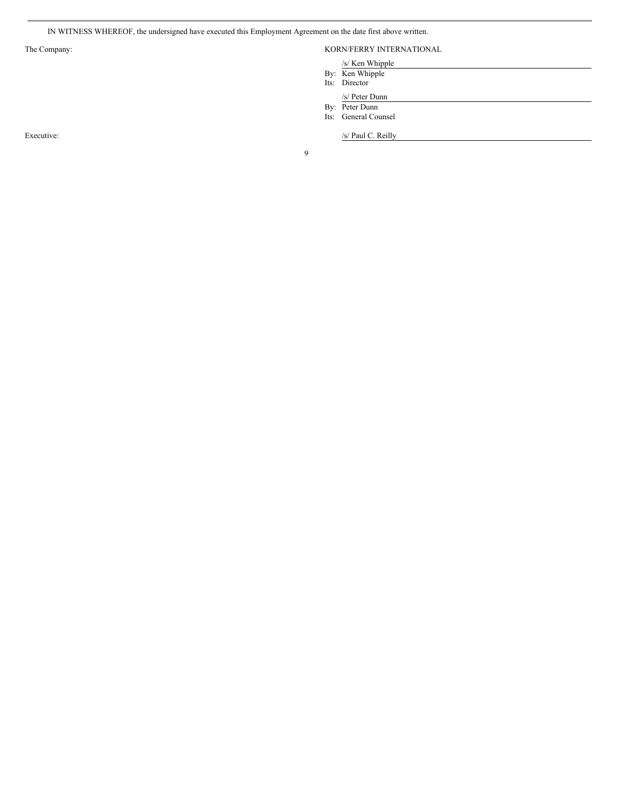IN WITNESS WHEREOF, the undersigned have executed this Employment Agreement on the date first above written.

# The Company: KORN/FERRY INTERNATIONAL

By: Ken Whipple

Its: Director

/s/ Peter Dunn

By: Peter Dunn

Its: General Counsel

Executive: /s/ Paul C. Reilly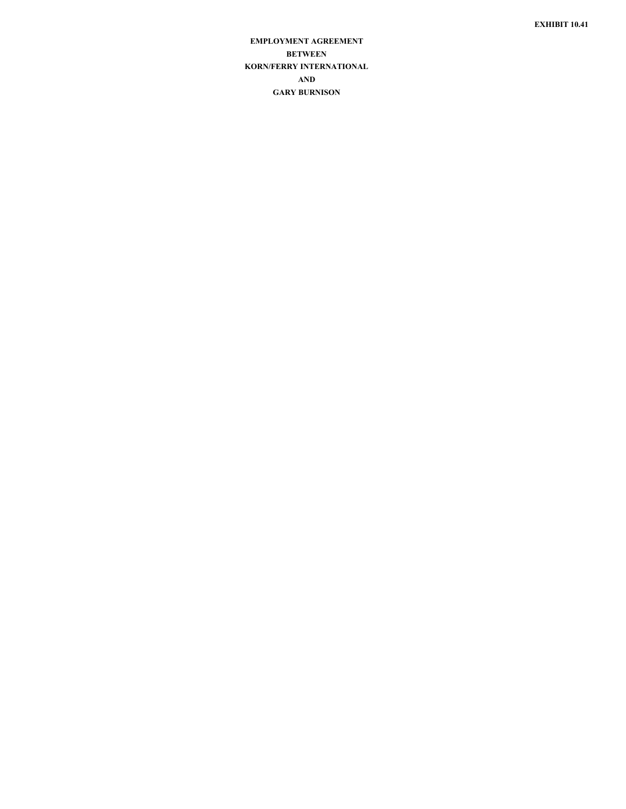**EMPLOYMENT AGREEMENT BETWEEN KORN/FERRY INTERNATIONAL AND GARY BURNISON**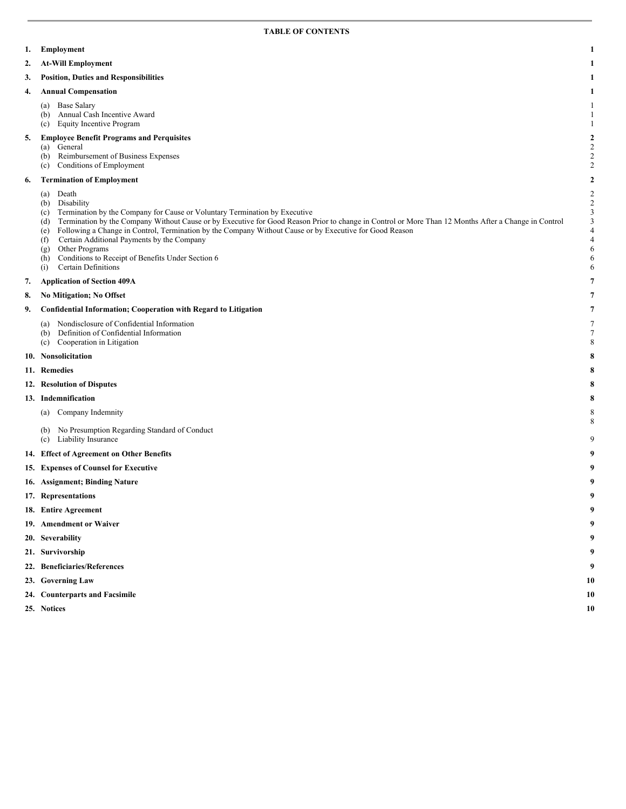## **1. Employment 1**

**2. At-Will Employment 1**

## **3. Position, Duties and Responsibilities 1**

## **4. Annual Compensation 1**

- (a) Base Salary 1
- (b) Annual Cash Incentive Award 1
- (c) Equity Incentive Program 1

# **5. Employee Benefit Programs and Perquisites 2**

- (a) General 2
- (b) Reimbursement of Business Expenses 2
- (c) Conditions of Employment 2

## **6. Termination of Employment 2**

- (a) Death 2
- (b) Disability 2
- 
- (c) Termination by the Company for Cause or Voluntary Termination by Executive<br>(d) Termination by the Company Without Cause or by Executive for Good Reason Prior to change in Control or More Than 12 Months After a Change i (d) Termination by the Company Without Cause or by Executive for Good Reason Prior to change in Control or More Than 12 Months After a Change in Control 3<br>(e) Following a Change in Control Termination by the Company Withou

8

- (e) Following a Change in Control, Termination by the Company Without Cause or by Executive for Good Reason 4
- (f) Certain Additional Payments by the Company  $(g)$  Other Programs 6
- (g) Other Programs 6
- (h) Conditions to Receipt of Benefits Under Section 6 6 (i) Certain Definitions 6

# **7. Application of Section 409A 7**

## **8. No Mitigation; No Offset 7**

## **9. Confidential Information; Cooperation with Regard to Litigation 7**

- (a) Nondisclosure of Confidential Information 7
- (b) Definition of Confidential Information 7<br>
(c) Cooperation in Litigation 8 (c) Cooperation in Litigation
- 

# **10. Nonsolicitation 8**

- **11. Remedies 8**
- **12. Resolution of Disputes 8**
- **13. Indemnification 8**
	- (a) Company Indemnity 8
	- (b) No Presumption Regarding Standard of Conduct
	- (c) Liability Insurance 9

## **14. Effect of Agreement on Other Benefits 9**

- **15. Expenses of Counsel for Executive 9**
- **16. Assignment; Binding Nature 9**
- **17. Representations 9**
- **18. Entire Agreement 9**
- **19. Amendment or Waiver 9**
- **20. Severability 9**
- **21. Survivorship 9**
- **22. Beneficiaries/References 9**
- **23. Governing Law 10**
- **24. Counterparts and Facsimile 10**
- **25. Notices 10**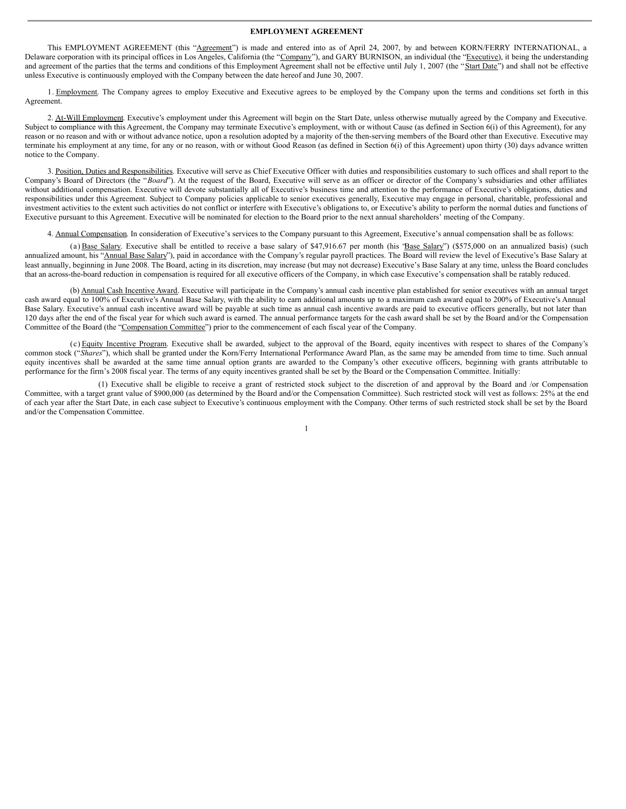### **EMPLOYMENT AGREEMENT**

This EMPLOYMENT AGREEMENT (this "Agreement") is made and entered into as of April 24, 2007, by and between KORN/FERRY INTERNATIONAL, a Delaware corporation with its principal offices in Los Angeles, California (the "Company"), and GARY BURNISON, an individual (the "Executive), it being the understanding and agreement of the parties that the terms and conditions of this Employment Agreement shall not be effective until July 1, 2007 (the "Start Date") and shall not be effective unless Executive is continuously employed with the Company between the date hereof and June 30, 2007.

1. Employment. The Company agrees to employ Executive and Executive agrees to be employed by the Company upon the terms and conditions set forth in this Agreement.

2. At-Will Employment. Executive's employment under this Agreement will begin on the Start Date, unless otherwise mutually agreed by the Company and Executive. Subject to compliance with this Agreement, the Company may terminate Executive's employment, with or without Cause (as defined in Section 6(i) of this Agreement), for any reason or no reason and with or without advance notice, upon a resolution adopted by a majority of the then-serving members of the Board other than Executive. Executive may terminate his employment at any time, for any or no reason, with or without Good Reason (as defined in Section 6(i) of this Agreement) upon thirty (30) days advance written notice to the Company.

3. Position, Duties and Responsibilities. Executive will serve as Chief Executive Officer with duties and responsibilities customary to such offices and shall report to the Company's Board of Directors (the "*Board*"). At the request of the Board, Executive will serve as an officer or director of the Company's subsidiaries and other affiliates without additional compensation. Executive will devote substantially all of Executive's business time and attention to the performance of Executive's obligations, duties and responsibilities under this Agreement. Subject to Company policies applicable to senior executives generally, Executive may engage in personal, charitable, professional and investment activities to the extent such activities do not conflict or interfere with Executive's obligations to, or Executive's ability to perform the normal duties and functions of Executive pursuant to this Agreement. Executive will be nominated for election to the Board prior to the next annual shareholders' meeting of the Company.

4. Annual Compensation. In consideration of Executive's services to the Company pursuant to this Agreement, Executive's annual compensation shall be as follows:

(a) Base Salary. Executive shall be entitled to receive a base salary of \$47,916.67 per month (his 'Base Salary'') (\$575,000 on an annualized basis) (such annualized amount, his "Annual Base Salary"), paid in accordance with the Company's regular payroll practices. The Board will review the level of Executive's Base Salary at least annually, beginning in June 2008. The Board, acting in its discretion, may increase (but may not decrease) Executive's Base Salary at any time, unless the Board concludes that an across-the-board reduction in compensation is required for all executive officers of the Company, in which case Executive's compensation shall be ratably reduced.

(b) Annual Cash Incentive Award. Executive will participate in the Company's annual cash incentive plan established for senior executives with an annual target cash award equal to 100% of Executive's Annual Base Salary, with the ability to earn additional amounts up to a maximum cash award equal to 200% of Executive's Annual Base Salary. Executive's annual cash incentive award will be payable at such time as annual cash incentive awards are paid to executive officers generally, but not later than 120 days after the end of the fiscal year for which such award is earned. The annual performance targets for the cash award shall be set by the Board and/or the Compensation Committee of the Board (the "Compensation Committee") prior to the commencement of each fiscal year of the Company.

(c) Equity Incentive Program. Executive shall be awarded, subject to the approval of the Board, equity incentives with respect to shares of the Company's common stock ("Shares"), which shall be granted under the Korn/Ferry International Performance Award Plan, as the same may be amended from time to time. Such annual equity incentives shall be awarded at the same time annual option grants are awarded to the Company's other executive officers, beginning with grants attributable to performance for the firm's 2008 fiscal year. The terms of any equity incentives granted shall be set by the Board or the Compensation Committee. Initially:

(1) Executive shall be eligible to receive a grant of restricted stock subject to the discretion of and approval by the Board and /or Compensation Committee, with a target grant value of \$900,000 (as determined by the Board and/or the Compensation Committee). Such restricted stock will vest as follows: 25% at the end of each year after the Start Date, in each case subject to Executive's continuous employment with the Company. Other terms of such restricted stock shall be set by the Board and/or the Compensation Committee.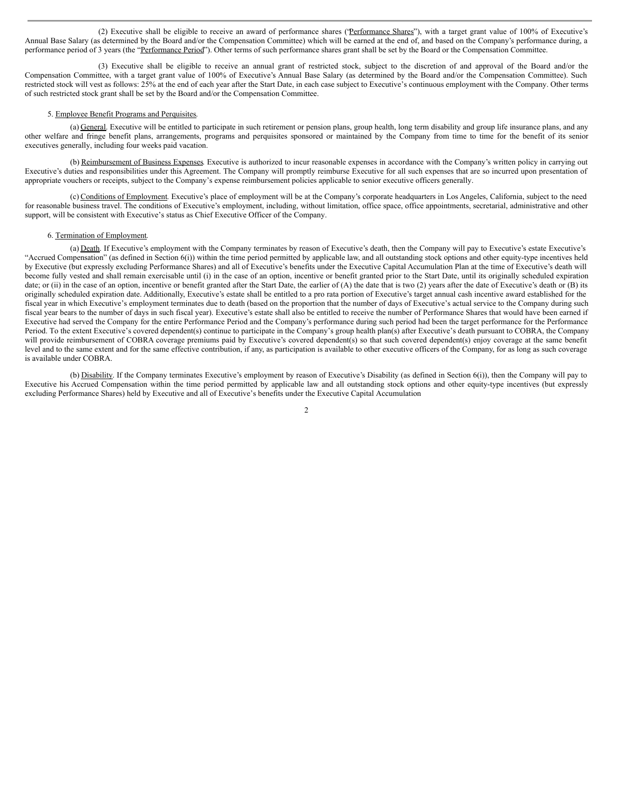(2) Executive shall be eligible to receive an award of performance shares ("Performance Shares"), with a target grant value of 100% of Executive's Annual Base Salary (as determined by the Board and/or the Compensation Committee) which will be earned at the end of, and based on the Company's performance during, a performance period of 3 years (the "Performance Period"). Other terms of such performance shares grant shall be set by the Board or the Compensation Committee.

(3) Executive shall be eligible to receive an annual grant of restricted stock, subject to the discretion of and approval of the Board and/or the Compensation Committee, with a target grant value of 100% of Executive's Annual Base Salary (as determined by the Board and/or the Compensation Committee). Such restricted stock will vest as follows: 25% at the end of each year after the Start Date, in each case subject to Executive's continuous employment with the Company. Other terms of such restricted stock grant shall be set by the Board and/or the Compensation Committee.

#### 5. Employee Benefit Programs and Perquisites.

(a) General. Executive will be entitled to participate in such retirement or pension plans, group health, long term disability and group life insurance plans, and any other welfare and fringe benefit plans, arrangements, programs and perquisites sponsored or maintained by the Company from time to time for the benefit of its senior executives generally, including four weeks paid vacation.

(b) Reimbursement of Business Expenses. Executive is authorized to incur reasonable expenses in accordance with the Company's written policy in carrying out Executive's duties and responsibilities under this Agreement. The Company will promptly reimburse Executive for all such expenses that are so incurred upon presentation of appropriate vouchers or receipts, subject to the Company's expense reimbursement policies applicable to senior executive officers generally.

(c) Conditions of Employment. Executive's place of employment will be at the Company's corporate headquarters in Los Angeles, California, subject to the need for reasonable business travel. The conditions of Executive's employment, including, without limitation, office space, office appointments, secretarial, administrative and other support, will be consistent with Executive's status as Chief Executive Officer of the Company.

#### 6. Termination of Employment.

(a) Death. If Executive's employment with the Company terminates by reason of Executive's death, then the Company will pay to Executive's estate Executive's "Accrued Compensation" (as defined in Section 6(i)) within the time period permitted by applicable law, and all outstanding stock options and other equity-type incentives held by Executive (but expressly excluding Performance Shares) and all of Executive's benefits under the Executive Capital Accumulation Plan at the time of Executive's death will become fully vested and shall remain exercisable until (i) in the case of an option, incentive or benefit granted prior to the Start Date, until its originally scheduled expiration date; or (ii) in the case of an option, incentive or benefit granted after the Start Date, the earlier of (A) the date that is two (2) years after the date of Executive's death or (B) its originally scheduled expiration date. Additionally, Executive's estate shall be entitled to a pro rata portion of Executive's target annual cash incentive award established for the fiscal year in which Executive's employment terminates due to death (based on the proportion that the number of days of Executive's actual service to the Company during such fiscal year bears to the number of days in such fiscal year). Executive's estate shall also be entitled to receive the number of Performance Shares that would have been earned if Executive had served the Company for the entire Performance Period and the Company's performance during such period had been the target performance for the Performance Period. To the extent Executive's covered dependent(s) continue to participate in the Company's group health plan(s) after Executive's death pursuant to COBRA, the Company will provide reimbursement of COBRA coverage premiums paid by Executive's covered dependent(s) so that such covered dependent(s) enjoy coverage at the same benefit level and to the same extent and for the same effective contribution, if any, as participation is available to other executive officers of the Company, for as long as such coverage is available under COBRA.

(b) Disability. If the Company terminates Executive's employment by reason of Executive's Disability (as defined in Section 6(i)), then the Company will pay to Executive his Accrued Compensation within the time period permitted by applicable law and all outstanding stock options and other equity-type incentives (but expressly excluding Performance Shares) held by Executive and all of Executive's benefits under the Executive Capital Accumulation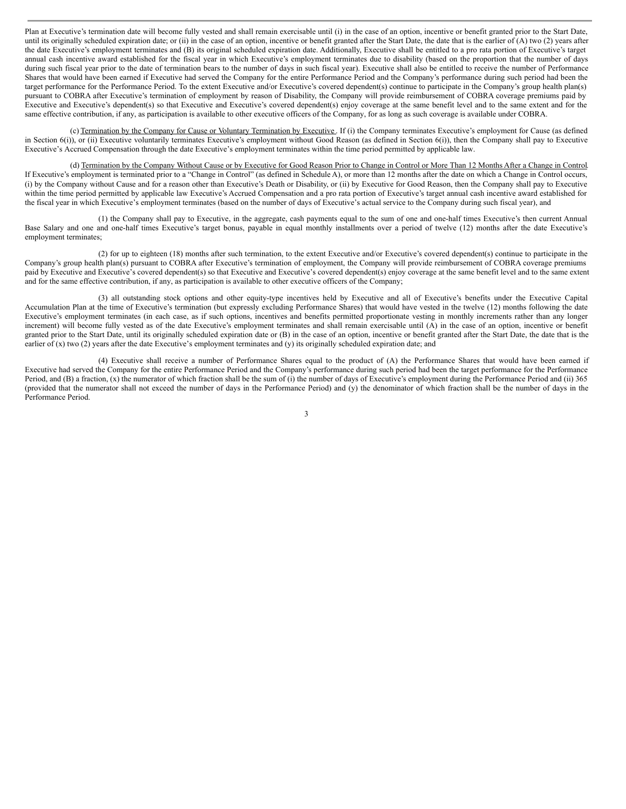Plan at Executive's termination date will become fully vested and shall remain exercisable until (i) in the case of an option, incentive or benefit granted prior to the Start Date, until its originally scheduled expiration date; or (ii) in the case of an option, incentive or benefit granted after the Start Date, the date that is the earlier of (A) two (2) years after the date Executive's employment terminates and (B) its original scheduled expiration date. Additionally, Executive shall be entitled to a pro rata portion of Executive's target annual cash incentive award established for the fiscal year in which Executive's employment terminates due to disability (based on the proportion that the number of days during such fiscal year prior to the date of termination bears to the number of days in such fiscal year). Executive shall also be entitled to receive the number of Performance Shares that would have been earned if Executive had served the Company for the entire Performance Period and the Company's performance during such period had been the target performance for the Performance Period. To the extent Executive and/or Executive's covered dependent(s) continue to participate in the Company's group health plan(s) pursuant to COBRA after Executive's termination of employment by reason of Disability, the Company will provide reimbursement of COBRA coverage premiums paid by Executive and Executive's dependent(s) so that Executive and Executive's covered dependent(s) enjoy coverage at the same benefit level and to the same extent and for the same effective contribution, if any, as participation is available to other executive officers of the Company, for as long as such coverage is available under COBRA.

(c) Termination by the Company for Cause or Voluntary Termination by Executive . If (i) the Company terminates Executive's employment for Cause (as defined in Section 6(i)), or (ii) Executive voluntarily terminates Executive's employment without Good Reason (as defined in Section 6(i)), then the Company shall pay to Executive Executive's Accrued Compensation through the date Executive's employment terminates within the time period permitted by applicable law.

(d) Termination by the Company Without Cause or by Executive for Good Reason Prior to Change in Control or More Than 12 Months After a Change in Control. If Executive's employment is terminated prior to a "Change in Control" (as defined in Schedule A), or more than 12 months after the date on which a Change in Control occurs, (i) by the Company without Cause and for a reason other than Executive's Death or Disability, or (ii) by Executive for Good Reason, then the Company shall pay to Executive within the time period permitted by applicable law Executive's Accrued Compensation and a pro rata portion of Executive's target annual cash incentive award established for the fiscal year in which Executive's employment terminates (based on the number of days of Executive's actual service to the Company during such fiscal year), and

(1) the Company shall pay to Executive, in the aggregate, cash payments equal to the sum of one and one-half times Executive's then current Annual Base Salary and one and one-half times Executive's target bonus, payable in equal monthly installments over a period of twelve (12) months after the date Executive's employment terminates;

(2) for up to eighteen (18) months after such termination, to the extent Executive and/or Executive's covered dependent(s) continue to participate in the Company's group health plan(s) pursuant to COBRA after Executive's termination of employment, the Company will provide reimbursement of COBRA coverage premiums paid by Executive and Executive's covered dependent(s) so that Executive and Executive's covered dependent(s) enjoy coverage at the same benefit level and to the same extent and for the same effective contribution, if any, as participation is available to other executive officers of the Company;

(3) all outstanding stock options and other equity-type incentives held by Executive and all of Executive's benefits under the Executive Capital Accumulation Plan at the time of Executive's termination (but expressly excluding Performance Shares) that would have vested in the twelve (12) months following the date Executive's employment terminates (in each case, as if such options, incentives and benefits permitted proportionate vesting in monthly increments rather than any longer increment) will become fully vested as of the date Executive's employment terminates and shall remain exercisable until (A) in the case of an option, incentive or benefit granted prior to the Start Date, until its originally scheduled expiration date or (B) in the case of an option, incentive or benefit granted after the Start Date, the date that is the earlier of (x) two (2) years after the date Executive's employment terminates and (y) its originally scheduled expiration date; and

(4) Executive shall receive a number of Performance Shares equal to the product of (A) the Performance Shares that would have been earned if Executive had served the Company for the entire Performance Period and the Company's performance during such period had been the target performance for the Performance Period, and (B) a fraction, (x) the numerator of which fraction shall be the sum of (i) the number of days of Executive's employment during the Performance Period and (ii) 365 (provided that the numerator shall not exceed the number of days in the Performance Period) and (y) the denominator of which fraction shall be the number of days in the Performance Period.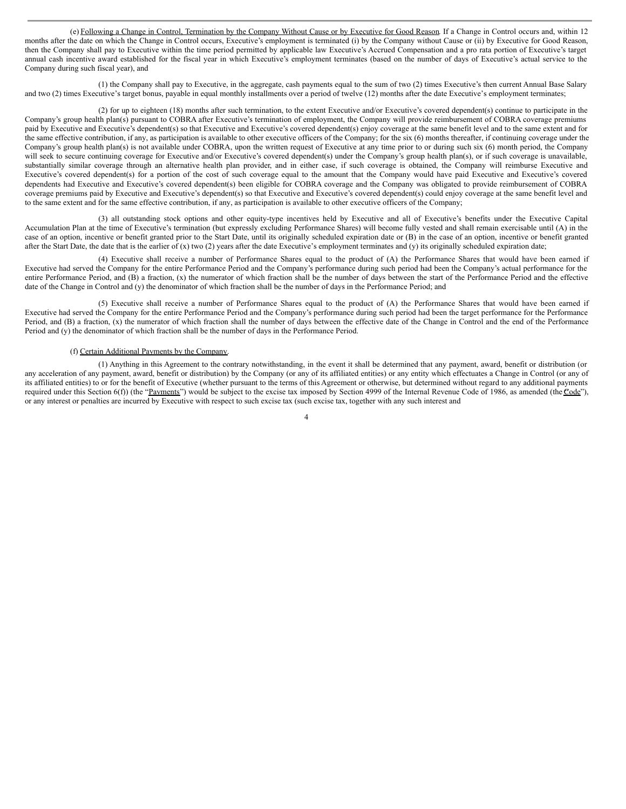(e) Following a Change in Control, Termination by the Company Without Cause or by Executive for Good Reason. If a Change in Control occurs and, within 12 months after the date on which the Change in Control occurs, Executive's employment is terminated (i) by the Company without Cause or (ii) by Executive for Good Reason, then the Company shall pay to Executive within the time period permitted by applicable law Executive's Accrued Compensation and a pro rata portion of Executive's target annual cash incentive award established for the fiscal year in which Executive's employment terminates (based on the number of days of Executive's actual service to the Company during such fiscal year), and

(1) the Company shall pay to Executive, in the aggregate, cash payments equal to the sum of two (2) times Executive's then current Annual Base Salary and two (2) times Executive's target bonus, payable in equal monthly installments over a period of twelve (12) months after the date Executive's employment terminates;

(2) for up to eighteen (18) months after such termination, to the extent Executive and/or Executive's covered dependent(s) continue to participate in the Company's group health plan(s) pursuant to COBRA after Executive's termination of employment, the Company will provide reimbursement of COBRA coverage premiums paid by Executive and Executive's dependent(s) so that Executive and Executive's covered dependent(s) enjoy coverage at the same benefit level and to the same extent and for the same effective contribution, if any, as participation is available to other executive officers of the Company; for the six (6) months thereafter, if continuing coverage under the Company's group health plan(s) is not available under COBRA, upon the written request of Executive at any time prior to or during such six (6) month period, the Company will seek to secure continuing coverage for Executive and/or Executive's covered dependent(s) under the Company's group health plan(s), or if such coverage is unavailable, substantially similar coverage through an alternative health plan provider, and in either case, if such coverage is obtained, the Company will reimburse Executive and Executive's covered dependent(s) for a portion of the cost of such coverage equal to the amount that the Company would have paid Executive and Executive's covered dependents had Executive and Executive's covered dependent(s) been eligible for COBRA coverage and the Company was obligated to provide reimbursement of COBRA coverage premiums paid by Executive and Executive's dependent(s) so that Executive and Executive's covered dependent(s) could enjoy coverage at the same benefit level and to the same extent and for the same effective contribution, if any, as participation is available to other executive officers of the Company;

(3) all outstanding stock options and other equity-type incentives held by Executive and all of Executive's benefits under the Executive Capital Accumulation Plan at the time of Executive's termination (but expressly excluding Performance Shares) will become fully vested and shall remain exercisable until (A) in the case of an option, incentive or benefit granted prior to the Start Date, until its originally scheduled expiration date or (B) in the case of an option, incentive or benefit granted after the Start Date, the date that is the earlier of (x) two (2) years after the date Executive's employment terminates and (y) its originally scheduled expiration date;

(4) Executive shall receive a number of Performance Shares equal to the product of (A) the Performance Shares that would have been earned if Executive had served the Company for the entire Performance Period and the Company's performance during such period had been the Company's actual performance for the entire Performance Period, and (B) a fraction, (x) the numerator of which fraction shall be the number of days between the start of the Performance Period and the effective date of the Change in Control and (y) the denominator of which fraction shall be the number of days in the Performance Period; and

(5) Executive shall receive a number of Performance Shares equal to the product of (A) the Performance Shares that would have been earned if Executive had served the Company for the entire Performance Period and the Company's performance during such period had been the target performance for the Performance Period, and (B) a fraction, (x) the numerator of which fraction shall the number of days between the effective date of the Change in Control and the end of the Performance Period and (y) the denominator of which fraction shall be the number of days in the Performance Period.

#### (f) Certain Additional Payments by the Company.

(1) Anything in this Agreement to the contrary notwithstanding, in the event it shall be determined that any payment, award, benefit or distribution (or any acceleration of any payment, award, benefit or distribution) by the Company (or any of its affiliated entities) or any entity which effectuates a Change in Control (or any of its affiliated entities) to or for the benefit of Executive (whether pursuant to the terms of this Agreement or otherwise, but determined without regard to any additional payments required under this Section 6(f)) (the "Payments") would be subject to the excise tax imposed by Section 4999 of the Internal Revenue Code of 1986, as amended (the Code"), or any interest or penalties are incurred by Executive with respect to such excise tax (such excise tax, together with any such interest and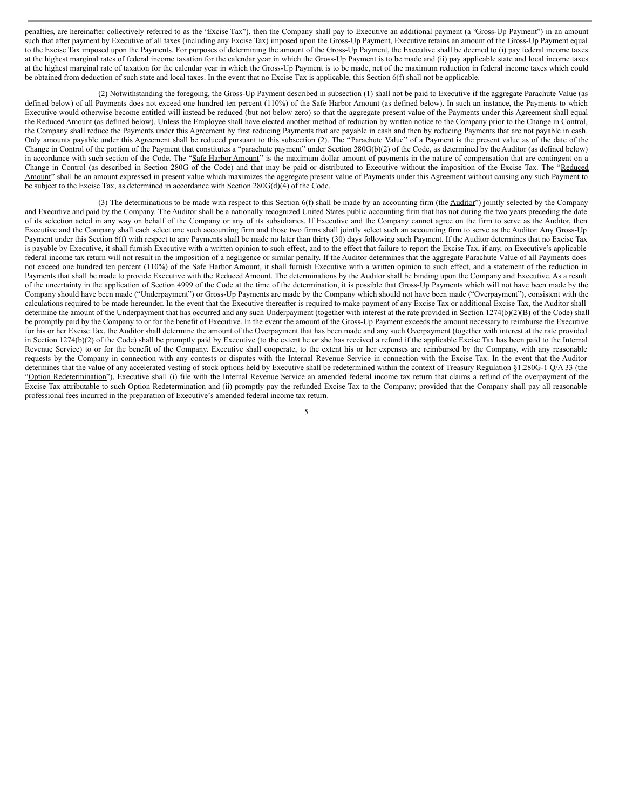penalties, are hereinafter collectively referred to as the "Excise Tax"), then the Company shall pay to Executive an additional payment (a "Gross-Up Payment") in an amount such that after payment by Executive of all taxes (including any Excise Tax) imposed upon the Gross-Up Payment, Executive retains an amount of the Gross-Up Payment equal to the Excise Tax imposed upon the Payments. For purposes of determining the amount of the Gross-Up Payment, the Executive shall be deemed to (i) pay federal income taxes at the highest marginal rates of federal income taxation for the calendar year in which the Gross-Up Payment is to be made and (ii) pay applicable state and local income taxes at the highest marginal rate of taxation for the calendar year in which the Gross-Up Payment is to be made, net of the maximum reduction in federal income taxes which could be obtained from deduction of such state and local taxes. In the event that no Excise Tax is applicable, this Section 6(f) shall not be applicable.

(2) Notwithstanding the foregoing, the Gross-Up Payment described in subsection (1) shall not be paid to Executive if the aggregate Parachute Value (as defined below) of all Payments does not exceed one hundred ten percent (110%) of the Safe Harbor Amount (as defined below). In such an instance, the Payments to which Executive would otherwise become entitled will instead be reduced (but not below zero) so that the aggregate present value of the Payments under this Agreement shall equal the Reduced Amount (as defined below). Unless the Employee shall have elected another method of reduction by written notice to the Company prior to the Change in Control, the Company shall reduce the Payments under this Agreement by first reducing Payments that are payable in cash and then by reducing Payments that are not payable in cash. Only amounts payable under this Agreement shall be reduced pursuant to this subsection (2). The "Parachute Value" of a Payment is the present value as of the date of the Change in Control of the portion of the Payment that constitutes a "parachute payment" under Section 280G(b)(2) of the Code, as determined by the Auditor (as defined below) in accordance with such section of the Code. The "Safe Harbor Amount" is the maximum dollar amount of payments in the nature of compensation that are contingent on a Change in Control (as described in Section 280G of the Code) and that may be paid or distributed to Executive without the imposition of the Excise Tax. The "Reduced Amount" shall be an amount expressed in present value which maximizes the aggregate present value of Payments under this Agreement without causing any such Payment to be subject to the Excise Tax, as determined in accordance with Section 280G(d)(4) of the Code.

(3) The determinations to be made with respect to this Section 6(f) shall be made by an accounting firm (the Auditor") jointly selected by the Company and Executive and paid by the Company. The Auditor shall be a nationally recognized United States public accounting firm that has not during the two years preceding the date of its selection acted in any way on behalf of the Company or any of its subsidiaries. If Executive and the Company cannot agree on the firm to serve as the Auditor, then Executive and the Company shall each select one such accounting firm and those two firms shall jointly select such an accounting firm to serve as the Auditor. Any Gross-Up Payment under this Section 6(f) with respect to any Payments shall be made no later than thirty (30) days following such Payment. If the Auditor determines that no Excise Tax is payable by Executive, it shall furnish Executive with a written opinion to such effect, and to the effect that failure to report the Excise Tax, if any, on Executive's applicable federal income tax return will not result in the imposition of a negligence or similar penalty. If the Auditor determines that the aggregate Parachute Value of all Payments does not exceed one hundred ten percent (110%) of the Safe Harbor Amount, it shall furnish Executive with a written opinion to such effect, and a statement of the reduction in Payments that shall be made to provide Executive with the Reduced Amount. The determinations by the Auditor shall be binding upon the Company and Executive. As a result of the uncertainty in the application of Section 4999 of the Code at the time of the determination, it is possible that Gross-Up Payments which will not have been made by the Company should have been made ("Underpayment") or Gross-Up Payments are made by the Company which should not have been made ("Overpayment"), consistent with the calculations required to be made hereunder. In the event that the Executive thereafter is required to make payment of any Excise Tax or additional Excise Tax, the Auditor shall determine the amount of the Underpayment that has occurred and any such Underpayment (together with interest at the rate provided in Section 1274(b)(2)(B) of the Code) shall be promptly paid by the Company to or for the benefit of Executive. In the event the amount of the Gross-Up Payment exceeds the amount necessary to reimburse the Executive for his or her Excise Tax, the Auditor shall determine the amount of the Overpayment that has been made and any such Overpayment (together with interest at the rate provided in Section 1274(b)(2) of the Code) shall be promptly paid by Executive (to the extent he or she has received a refund if the applicable Excise Tax has been paid to the Internal Revenue Service) to or for the benefit of the Company. Executive shall cooperate, to the extent his or her expenses are reimbursed by the Company, with any reasonable requests by the Company in connection with any contests or disputes with the Internal Revenue Service in connection with the Excise Tax. In the event that the Auditor determines that the value of any accelerated vesting of stock options held by Executive shall be redetermined within the context of Treasury Regulation §1.280G-1 Q/A 33 (the "Option Redetermination"), Executive shall (i) file with the Internal Revenue Service an amended federal income tax return that claims a refund of the overpayment of the Excise Tax attributable to such Option Redetermination and (ii) promptly pay the refunded Excise Tax to the Company; provided that the Company shall pay all reasonable professional fees incurred in the preparation of Executive's amended federal income tax return.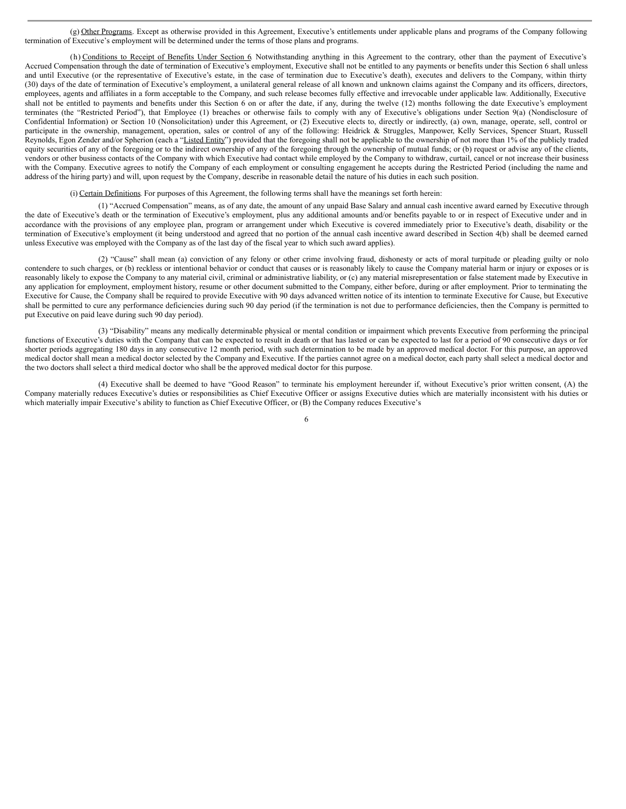(g) Other Programs. Except as otherwise provided in this Agreement, Executive's entitlements under applicable plans and programs of the Company following termination of Executive's employment will be determined under the terms of those plans and programs.

(h) Conditions to Receipt of Benefits Under Section 6. Notwithstanding anything in this Agreement to the contrary, other than the payment of Executive's Accrued Compensation through the date of termination of Executive's employment, Executive shall not be entitled to any payments or benefits under this Section 6 shall unless and until Executive (or the representative of Executive's estate, in the case of termination due to Executive's death), executes and delivers to the Company, within thirty (30) days of the date of termination of Executive's employment, a unilateral general release of all known and unknown claims against the Company and its officers, directors, employees, agents and affiliates in a form acceptable to the Company, and such release becomes fully effective and irrevocable under applicable law. Additionally, Executive shall not be entitled to payments and benefits under this Section 6 on or after the date, if any, during the twelve (12) months following the date Executive's employment terminates (the "Restricted Period"), that Employee (1) breaches or otherwise fails to comply with any of Executive's obligations under Section 9(a) (Nondisclosure of Confidential Information) or Section 10 (Nonsolicitation) under this Agreement, or (2) Executive elects to, directly or indirectly, (a) own, manage, operate, sell, control or participate in the ownership, management, operation, sales or control of any of the following: Heidrick & Struggles, Manpower, Kelly Services, Spencer Stuart, Russell Reynolds, Egon Zender and/or Spherion (each a "Listed Entity") provided that the foregoing shall not be applicable to the ownership of not more than 1% of the publicly traded equity securities of any of the foregoing or to the indirect ownership of any of the foregoing through the ownership of mutual funds; or (b) request or advise any of the clients, vendors or other business contacts of the Company with which Executive had contact while employed by the Company to withdraw, curtail, cancel or not increase their business with the Company. Executive agrees to notify the Company of each employment or consulting engagement he accepts during the Restricted Period (including the name and address of the hiring party) and will, upon request by the Company, describe in reasonable detail the nature of his duties in each such position.

#### (i) Certain Definitions. For purposes of this Agreement, the following terms shall have the meanings set forth herein:

(1) "Accrued Compensation" means, as of any date, the amount of any unpaid Base Salary and annual cash incentive award earned by Executive through the date of Executive's death or the termination of Executive's employment, plus any additional amounts and/or benefits payable to or in respect of Executive under and in accordance with the provisions of any employee plan, program or arrangement under which Executive is covered immediately prior to Executive's death, disability or the termination of Executive's employment (it being understood and agreed that no portion of the annual cash incentive award described in Section 4(b) shall be deemed earned unless Executive was employed with the Company as of the last day of the fiscal year to which such award applies).

(2) "Cause" shall mean (a) conviction of any felony or other crime involving fraud, dishonesty or acts of moral turpitude or pleading guilty or nolo contendere to such charges, or (b) reckless or intentional behavior or conduct that causes or is reasonably likely to cause the Company material harm or injury or exposes or is reasonably likely to expose the Company to any material civil, criminal or administrative liability, or (c) any material misrepresentation or false statement made by Executive in any application for employment, employment history, resume or other document submitted to the Company, either before, during or after employment. Prior to terminating the Executive for Cause, the Company shall be required to provide Executive with 90 days advanced written notice of its intention to terminate Executive for Cause, but Executive shall be permitted to cure any performance deficiencies during such 90 day period (if the termination is not due to performance deficiencies, then the Company is permitted to put Executive on paid leave during such 90 day period).

(3) "Disability" means any medically determinable physical or mental condition or impairment which prevents Executive from performing the principal functions of Executive's duties with the Company that can be expected to result in death or that has lasted or can be expected to last for a period of 90 consecutive days or for shorter periods aggregating 180 days in any consecutive 12 month period, with such determination to be made by an approved medical doctor. For this purpose, an approved medical doctor shall mean a medical doctor selected by the Company and Executive. If the parties cannot agree on a medical doctor, each party shall select a medical doctor and the two doctors shall select a third medical doctor who shall be the approved medical doctor for this purpose.

(4) Executive shall be deemed to have "Good Reason" to terminate his employment hereunder if, without Executive's prior written consent, (A) the Company materially reduces Executive's duties or responsibilities as Chief Executive Officer or assigns Executive duties which are materially inconsistent with his duties or which materially impair Executive's ability to function as Chief Executive Officer, or (B) the Company reduces Executive's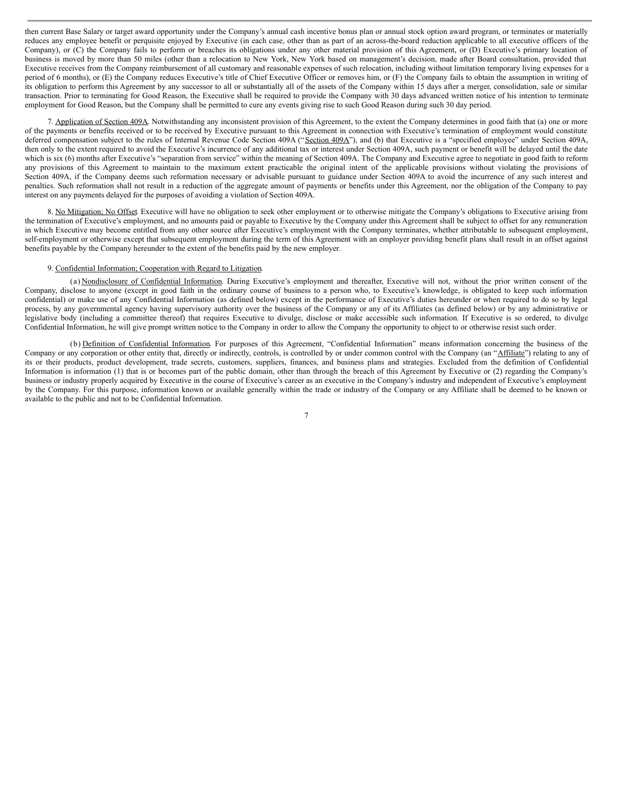then current Base Salary or target award opportunity under the Company's annual cash incentive bonus plan or annual stock option award program, or terminates or materially reduces any employee benefit or perquisite enjoyed by Executive (in each case, other than as part of an across-the-board reduction applicable to all executive officers of the Company), or (C) the Company fails to perform or breaches its obligations under any other material provision of this Agreement, or (D) Executive's primary location of business is moved by more than 50 miles (other than a relocation to New York, New York based on management's decision, made after Board consultation, provided that Executive receives from the Company reimbursement of all customary and reasonable expenses of such relocation, including without limitation temporary living expenses for a period of 6 months), or (E) the Company reduces Executive's title of Chief Executive Officer or removes him, or (F) the Company fails to obtain the assumption in writing of its obligation to perform this Agreement by any successor to all or substantially all of the assets of the Company within 15 days after a merger, consolidation, sale or similar transaction. Prior to terminating for Good Reason, the Executive shall be required to provide the Company with 30 days advanced written notice of his intention to terminate employment for Good Reason, but the Company shall be permitted to cure any events giving rise to such Good Reason during such 30 day period.

7. Application of Section 409A. Notwithstanding any inconsistent provision of this Agreement, to the extent the Company determines in good faith that (a) one or more of the payments or benefits received or to be received by Executive pursuant to this Agreement in connection with Executive's termination of employment would constitute deferred compensation subject to the rules of Internal Revenue Code Section 409A ("Section 409A"), and (b) that Executive is a "specified employee" under Section 409A, then only to the extent required to avoid the Executive's incurrence of any additional tax or interest under Section 409A, such payment or benefit will be delayed until the date which is six (6) months after Executive's "separation from service" within the meaning of Section 409A. The Company and Executive agree to negotiate in good faith to reform any provisions of this Agreement to maintain to the maximum extent practicable the original intent of the applicable provisions without violating the provisions of Section 409A, if the Company deems such reformation necessary or advisable pursuant to guidance under Section 409A to avoid the incurrence of any such interest and penalties. Such reformation shall not result in a reduction of the aggregate amount of payments or benefits under this Agreement, nor the obligation of the Company to pay interest on any payments delayed for the purposes of avoiding a violation of Section 409A.

8. No Mitigation; No Offset. Executive will have no obligation to seek other employment or to otherwise mitigate the Company's obligations to Executive arising from the termination of Executive's employment, and no amounts paid or payable to Executive by the Company under this Agreement shall be subject to offset for any remuneration in which Executive may become entitled from any other source after Executive's employment with the Company terminates, whether attributable to subsequent employment, self-employment or otherwise except that subsequent employment during the term of this Agreement with an employer providing benefit plans shall result in an offset against benefits payable by the Company hereunder to the extent of the benefits paid by the new employer.

#### 9. Confidential Information; Cooperation with Regard to Litigation.

(a) Nondisclosure of Confidential Information. During Executive's employment and thereafter, Executive will not, without the prior written consent of the Company, disclose to anyone (except in good faith in the ordinary course of business to a person who, to Executive's knowledge, is obligated to keep such information confidential) or make use of any Confidential Information (as defined below) except in the performance of Executive's duties hereunder or when required to do so by legal process, by any governmental agency having supervisory authority over the business of the Company or any of its Affiliates (as defined below) or by any administrative or legislative body (including a committee thereof) that requires Executive to divulge, disclose or make accessible such information. If Executive is so ordered, to divulge Confidential Information, he will give prompt written notice to the Company in order to allow the Company the opportunity to object to or otherwise resist such order.

(b) Definition of Confidential Information. For purposes of this Agreement, "Confidential Information" means information concerning the business of the Company or any corporation or other entity that, directly or indirectly, controls, is controlled by or under common control with the Company (an "Affiliate") relating to any of its or their products, product development, trade secrets, customers, suppliers, finances, and business plans and strategies. Excluded from the definition of Confidential Information is information (1) that is or becomes part of the public domain, other than through the breach of this Agreement by Executive or (2) regarding the Company's business or industry properly acquired by Executive in the course of Executive's career as an executive in the Company's industry and independent of Executive's employment by the Company. For this purpose, information known or available generally within the trade or industry of the Company or any Affiliate shall be deemed to be known or available to the public and not to be Confidential Information.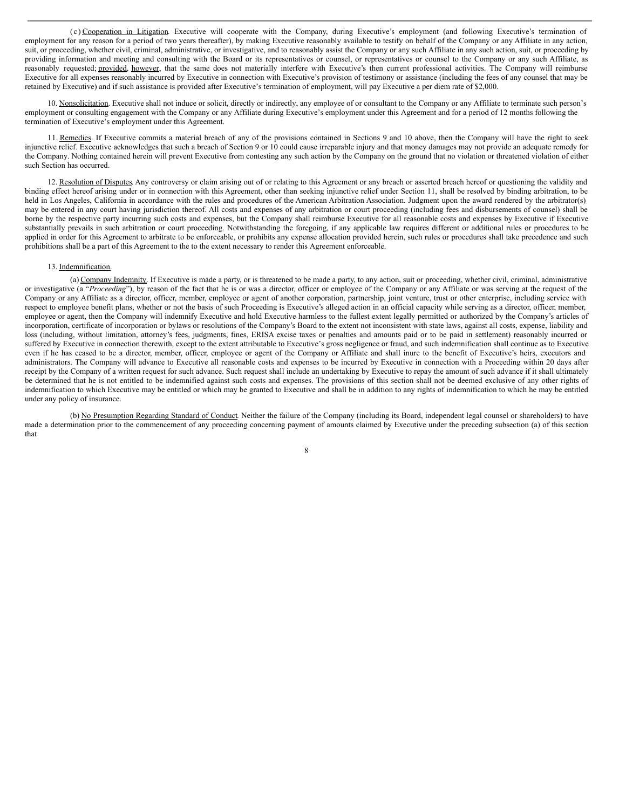( c ) Cooperation in Litigation. Executive will cooperate with the Company, during Executive's employment (and following Executive's termination of employment for any reason for a period of two years thereafter), by making Executive reasonably available to testify on behalf of the Company or any Affiliate in any action, suit, or proceeding, whether civil, criminal, administrative, or investigative, and to reasonably assist the Company or any such Affiliate in any such action, suit, or proceeding by providing information and meeting and consulting with the Board or its representatives or counsel, or representatives or counsel to the Company or any such Affiliate, as reasonably requested; provided, however, that the same does not materially interfere with Executive's then current professional activities. The Company will reimburse Executive for all expenses reasonably incurred by Executive in connection with Executive's provision of testimony or assistance (including the fees of any counsel that may be retained by Executive) and if such assistance is provided after Executive's termination of employment, will pay Executive a per diem rate of \$2,000.

10. Nonsolicitation. Executive shall not induce or solicit, directly or indirectly, any employee of or consultant to the Company or any Affiliate to terminate such person's employment or consulting engagement with the Company or any Affiliate during Executive's employment under this Agreement and for a period of 12 months following the termination of Executive's employment under this Agreement.

11. Remedies. If Executive commits a material breach of any of the provisions contained in Sections 9 and 10 above, then the Company will have the right to seek injunctive relief. Executive acknowledges that such a breach of Section 9 or 10 could cause irreparable injury and that money damages may not provide an adequate remedy for the Company. Nothing contained herein will prevent Executive from contesting any such action by the Company on the ground that no violation or threatened violation of either such Section has occurred.

12. Resolution of Disputes. Any controversy or claim arising out of or relating to this Agreement or any breach or asserted breach hereof or questioning the validity and binding effect hereof arising under or in connection with this Agreement, other than seeking injunctive relief under Section 11, shall be resolved by binding arbitration, to be held in Los Angeles, California in accordance with the rules and procedures of the American Arbitration Association. Judgment upon the award rendered by the arbitrator(s) may be entered in any court having jurisdiction thereof. All costs and expenses of any arbitration or court proceeding (including fees and disbursements of counsel) shall be borne by the respective party incurring such costs and expenses, but the Company shall reimburse Executive for all reasonable costs and expenses by Executive if Executive substantially prevails in such arbitration or court proceeding. Notwithstanding the foregoing, if any applicable law requires different or additional rules or procedures to be applied in order for this Agreement to arbitrate to be enforceable, or prohibits any expense allocation provided herein, such rules or procedures shall take precedence and such prohibitions shall be a part of this Agreement to the to the extent necessary to render this Agreement enforceable.

## 13. Indemnification.

(a) Company Indemnity. If Executive is made a party, or is threatened to be made a party, to any action, suit or proceeding, whether civil, criminal, administrative or investigative (a "*Proceeding*"), by reason of the fact that he is or was a director, officer or employee of the Company or any Affiliate or was serving at the request of the Company or any Affiliate as a director, officer, member, employee or agent of another corporation, partnership, joint venture, trust or other enterprise, including service with respect to employee benefit plans, whether or not the basis of such Proceeding is Executive's alleged action in an official capacity while serving as a director, officer, member, employee or agent, then the Company will indemnify Executive and hold Executive harmless to the fullest extent legally permitted or authorized by the Company's articles of incorporation, certificate of incorporation or bylaws or resolutions of the Company's Board to the extent not inconsistent with state laws, against all costs, expense, liability and loss (including, without limitation, attorney's fees, judgments, fines, ERISA excise taxes or penalties and amounts paid or to be paid in settlement) reasonably incurred or suffered by Executive in connection therewith, except to the extent attributable to Executive's gross negligence or fraud, and such indemnification shall continue as to Executive even if he has ceased to be a director, member, officer, employee or agent of the Company or Affiliate and shall inure to the benefit of Executive's heirs, executors and administrators. The Company will advance to Executive all reasonable costs and expenses to be incurred by Executive in connection with a Proceeding within 20 days after receipt by the Company of a written request for such advance. Such request shall include an undertaking by Executive to repay the amount of such advance if it shall ultimately be determined that he is not entitled to be indemnified against such costs and expenses. The provisions of this section shall not be deemed exclusive of any other rights of indemnification to which Executive may be entitled or which may be granted to Executive and shall be in addition to any rights of indemnification to which he may be entitled under any policy of insurance.

(b) No Presumption Regarding Standard of Conduct. Neither the failure of the Company (including its Board, independent legal counsel or shareholders) to have made a determination prior to the commencement of any proceeding concerning payment of amounts claimed by Executive under the preceding subsection (a) of this section that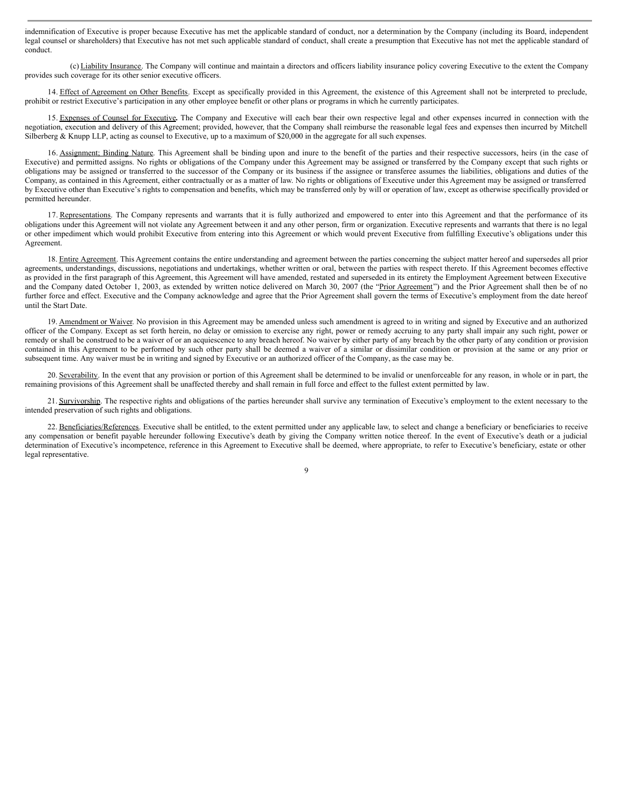indemnification of Executive is proper because Executive has met the applicable standard of conduct, nor a determination by the Company (including its Board, independent legal counsel or shareholders) that Executive has not met such applicable standard of conduct, shall create a presumption that Executive has not met the applicable standard of conduct.

(c) Liability Insurance. The Company will continue and maintain a directors and officers liability insurance policy covering Executive to the extent the Company provides such coverage for its other senior executive officers.

14. Effect of Agreement on Other Benefits. Except as specifically provided in this Agreement, the existence of this Agreement shall not be interpreted to preclude, prohibit or restrict Executive's participation in any other employee benefit or other plans or programs in which he currently participates.

15. Expenses of Counsel for Executive**.** The Company and Executive will each bear their own respective legal and other expenses incurred in connection with the negotiation, execution and delivery of this Agreement; provided, however, that the Company shall reimburse the reasonable legal fees and expenses then incurred by Mitchell Silberberg & Knupp LLP, acting as counsel to Executive, up to a maximum of \$20,000 in the aggregate for all such expenses.

16. Assignment; Binding Nature. This Agreement shall be binding upon and inure to the benefit of the parties and their respective successors, heirs (in the case of Executive) and permitted assigns. No rights or obligations of the Company under this Agreement may be assigned or transferred by the Company except that such rights or obligations may be assigned or transferred to the successor of the Company or its business if the assignee or transferee assumes the liabilities, obligations and duties of the Company, as contained in this Agreement, either contractually or as a matter of law. No rights or obligations of Executive under this Agreement may be assigned or transferred by Executive other than Executive's rights to compensation and benefits, which may be transferred only by will or operation of law, except as otherwise specifically provided or permitted hereunder.

17. Representations. The Company represents and warrants that it is fully authorized and empowered to enter into this Agreement and that the performance of its obligations under this Agreement will not violate any Agreement between it and any other person, firm or organization. Executive represents and warrants that there is no legal or other impediment which would prohibit Executive from entering into this Agreement or which would prevent Executive from fulfilling Executive's obligations under this Agreement.

18. Entire Agreement. This Agreement contains the entire understanding and agreement between the parties concerning the subject matter hereof and supersedes all prior agreements, understandings, discussions, negotiations and undertakings, whether written or oral, between the parties with respect thereto. If this Agreement becomes effective as provided in the first paragraph of this Agreement, this Agreement will have amended, restated and superseded in its entirety the Employment Agreement between Executive and the Company dated October 1, 2003, as extended by written notice delivered on March 30, 2007 (the "Prior Agreement") and the Prior Agreement shall then be of no further force and effect. Executive and the Company acknowledge and agree that the Prior Agreement shall govern the terms of Executive's employment from the date hereof until the Start Date.

19. Amendment or Waiver. No provision in this Agreement may be amended unless such amendment is agreed to in writing and signed by Executive and an authorized officer of the Company. Except as set forth herein, no delay or omission to exercise any right, power or remedy accruing to any party shall impair any such right, power or remedy or shall be construed to be a waiver of or an acquiescence to any breach hereof. No waiver by either party of any breach by the other party of any condition or provision contained in this Agreement to be performed by such other party shall be deemed a waiver of a similar or dissimilar condition or provision at the same or any prior or subsequent time. Any waiver must be in writing and signed by Executive or an authorized officer of the Company, as the case may be.

20. Severability. In the event that any provision or portion of this Agreement shall be determined to be invalid or unenforceable for any reason, in whole or in part, the remaining provisions of this Agreement shall be unaffected thereby and shall remain in full force and effect to the fullest extent permitted by law.

21. Survivorship. The respective rights and obligations of the parties hereunder shall survive any termination of Executive's employment to the extent necessary to the intended preservation of such rights and obligations.

22. Beneficiaries/References. Executive shall be entitled, to the extent permitted under any applicable law, to select and change a beneficiary or beneficiaries to receive any compensation or benefit payable hereunder following Executive's death by giving the Company written notice thereof. In the event of Executive's death or a judicial determination of Executive's incompetence, reference in this Agreement to Executive shall be deemed, where appropriate, to refer to Executive's beneficiary, estate or other legal representative.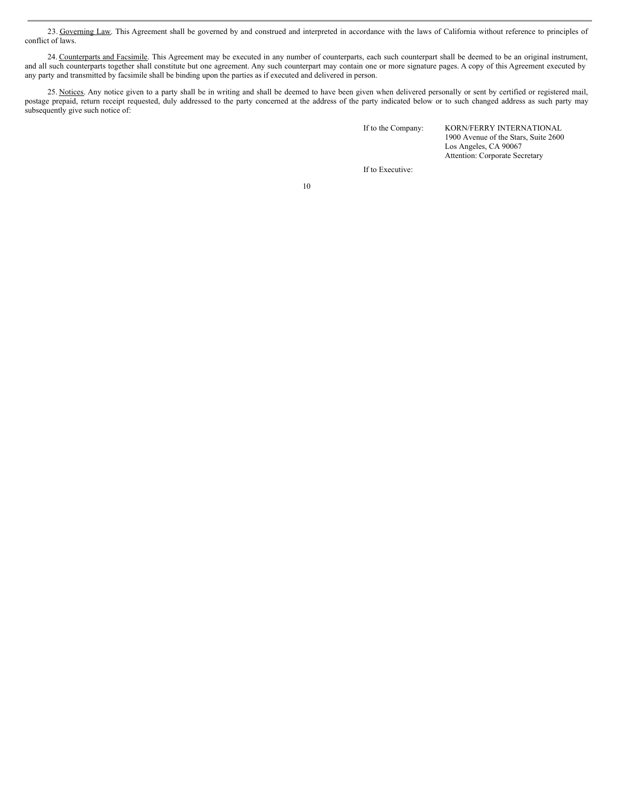23. Governing Law. This Agreement shall be governed by and construed and interpreted in accordance with the laws of California without reference to principles of conflict of laws.

24. Counterparts and Facsimile. This Agreement may be executed in any number of counterparts, each such counterpart shall be deemed to be an original instrument, and all such counterparts together shall constitute but one agreement. Any such counterpart may contain one or more signature pages. A copy of this Agreement executed by any party and transmitted by facsimile shall be binding upon the parties as if executed and delivered in person.

25. Notices. Any notice given to a party shall be in writing and shall be deemed to have been given when delivered personally or sent by certified or registered mail, postage prepaid, return receipt requested, duly addressed to the party concerned at the address of the party indicated below or to such changed address as such party may subsequently give such notice of:

> If to the Company: KORN/FERRY INTERNATIONAL 1900 Avenue of the Stars, Suite 2600 Los Angeles, CA 90067 Attention: Corporate Secretary

If to Executive: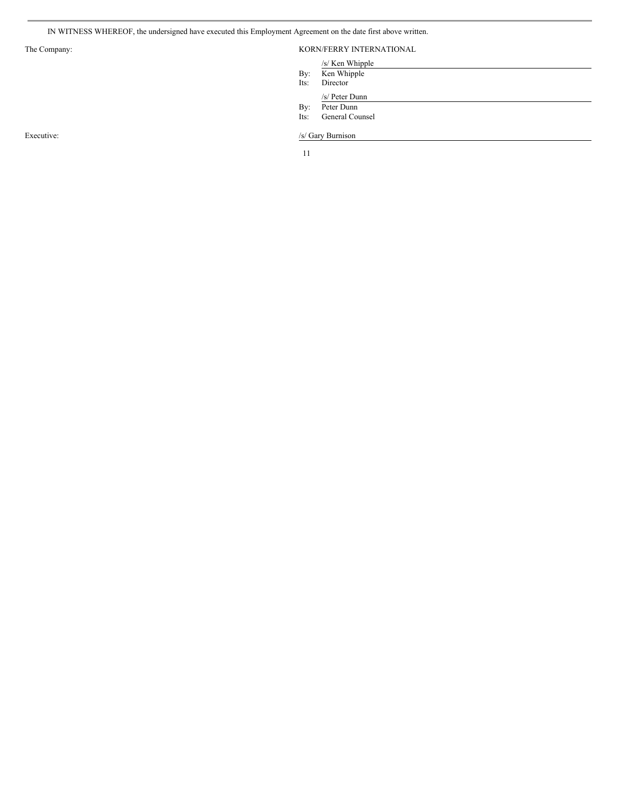The Company: KORN/FERRY INTERNATIONAL

|      | /s/ Ken Whipple |
|------|-----------------|
| By:  | Ken Whipple     |
| Its: | Director        |
|      | /s/ Peter Dunn  |
| By:  | Peter Dunn      |
| Its: | General Counsel |

Executive: /s/ Gary Burnison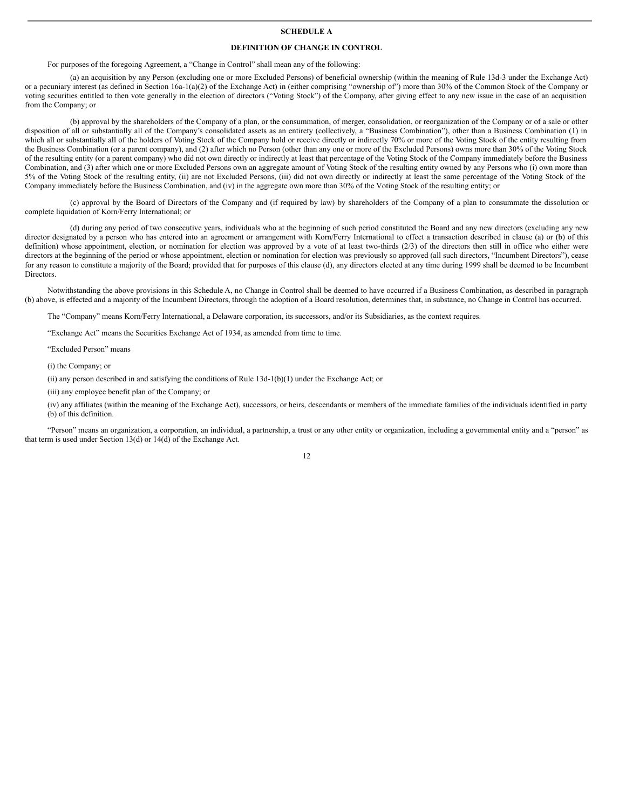# **SCHEDULE A**

#### **DEFINITION OF CHANGE IN CONTROL**

For purposes of the foregoing Agreement, a "Change in Control" shall mean any of the following:

(a) an acquisition by any Person (excluding one or more Excluded Persons) of beneficial ownership (within the meaning of Rule 13d-3 under the Exchange Act) or a pecuniary interest (as defined in Section 16a-1(a)(2) of the Exchange Act) in (either comprising "ownership of") more than 30% of the Common Stock of the Company or voting securities entitled to then vote generally in the election of directors ("Voting Stock") of the Company, after giving effect to any new issue in the case of an acquisition from the Company; or

(b) approval by the shareholders of the Company of a plan, or the consummation, of merger, consolidation, or reorganization of the Company or of a sale or other disposition of all or substantially all of the Company's consolidated assets as an entirety (collectively, a "Business Combination"), other than a Business Combination (1) in which all or substantially all of the holders of Voting Stock of the Company hold or receive directly or indirectly 70% or more of the Voting Stock of the entity resulting from the Business Combination (or a parent company), and (2) after which no Person (other than any one or more of the Excluded Persons) owns more than 30% of the Voting Stock of the resulting entity (or a parent company) who did not own directly or indirectly at least that percentage of the Voting Stock of the Company immediately before the Business Combination, and (3) after which one or more Excluded Persons own an aggregate amount of Voting Stock of the resulting entity owned by any Persons who (i) own more than 5% of the Voting Stock of the resulting entity, (ii) are not Excluded Persons, (iii) did not own directly or indirectly at least the same percentage of the Voting Stock of the Company immediately before the Business Combination, and (iv) in the aggregate own more than 30% of the Voting Stock of the resulting entity; or

(c) approval by the Board of Directors of the Company and (if required by law) by shareholders of the Company of a plan to consummate the dissolution or complete liquidation of Korn/Ferry International; or

(d) during any period of two consecutive years, individuals who at the beginning of such period constituted the Board and any new directors (excluding any new director designated by a person who has entered into an agreement or arrangement with Korn/Ferry International to effect a transaction described in clause (a) or (b) of this definition) whose appointment, election, or nomination for election was approved by a vote of at least two-thirds (2/3) of the directors then still in office who either were directors at the beginning of the period or whose appointment, election or nomination for election was previously so approved (all such directors, "Incumbent Directors"), cease for any reason to constitute a majority of the Board; provided that for purposes of this clause (d), any directors elected at any time during 1999 shall be deemed to be Incumbent **Directors** 

Notwithstanding the above provisions in this Schedule A, no Change in Control shall be deemed to have occurred if a Business Combination, as described in paragraph (b) above, is effected and a majority of the Incumbent Directors, through the adoption of a Board resolution, determines that, in substance, no Change in Control has occurred.

The "Company" means Korn/Ferry International, a Delaware corporation, its successors, and/or its Subsidiaries, as the context requires.

"Exchange Act" means the Securities Exchange Act of 1934, as amended from time to time.

"Excluded Person" means

(i) the Company; or

(ii) any person described in and satisfying the conditions of Rule 13d-1(b)(1) under the Exchange Act; or

(iii) any employee benefit plan of the Company; or

(iv) any affiliates (within the meaning of the Exchange Act), successors, or heirs, descendants or members of the immediate families of the individuals identified in party (b) of this definition.

"Person" means an organization, a corporation, an individual, a partnership, a trust or any other entity or organization, including a governmental entity and a "person" as that term is used under Section 13(d) or 14(d) of the Exchange Act.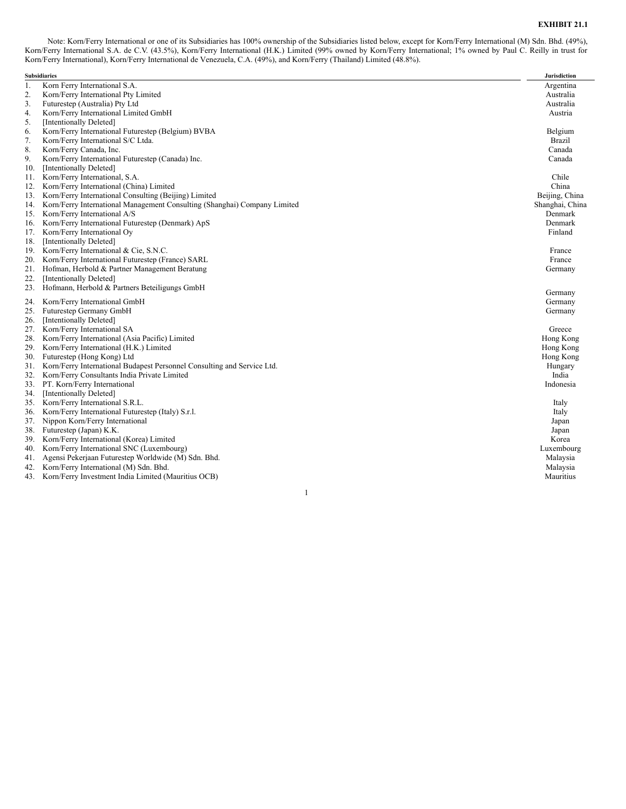## **EXHIBIT 21.1**

Note: Korn/Ferry International or one of its Subsidiaries has 100% ownership of the Subsidiaries listed below, except for Korn/Ferry International (M) Sdn. Bhd. (49%), Korn/Ferry International S.A. de C.V. (43.5%), Korn/Ferry International (H.K.) Limited (99% owned by Korn/Ferry International; 1% owned by Paul C. Reilly in trust for Korn/Ferry International), Korn/Ferry International de Venezuela, C.A. (49%), and Korn/Ferry (Thailand) Limited (48.8%).

|     | <b>Subsidiaries</b>                                                       |                 |
|-----|---------------------------------------------------------------------------|-----------------|
| 1.  | Korn Ferry International S.A.                                             | Argentina       |
| 2.  | Korn/Ferry International Pty Limited                                      | Australia       |
| 3.  | Futurestep (Australia) Pty Ltd                                            | Australia       |
| 4.  | Korn/Ferry International Limited GmbH                                     | Austria         |
| 5.  | [Intentionally Deleted]                                                   |                 |
| 6.  | Korn/Ferry International Futurestep (Belgium) BVBA                        | Belgium         |
| 7.  | Korn/Ferry International S/C Ltda.                                        | Brazil          |
| 8.  | Korn/Ferry Canada, Inc.                                                   | Canada          |
| 9.  | Korn/Ferry International Futurestep (Canada) Inc.                         | Canada          |
| 10. | [Intentionally Deleted]                                                   |                 |
| 11. | Korn/Ferry International, S.A.                                            | Chile           |
| 12. | Korn/Ferry International (China) Limited                                  | China           |
| 13. | Korn/Ferry International Consulting (Beijing) Limited                     | Beijing, China  |
| 14. | Korn/Ferry International Management Consulting (Shanghai) Company Limited | Shanghai, China |
| 15. | Korn/Ferry International A/S                                              | Denmark         |
| 16. | Korn/Ferry International Futurestep (Denmark) ApS                         | Denmark         |
| 17. | Korn/Ferry International Oy                                               | Finland         |
| 18. | [Intentionally Deleted]                                                   |                 |
| 19. | Korn/Ferry International & Cie, S.N.C.                                    | France          |
| 20. | Korn/Ferry International Futurestep (France) SARL                         | France          |
| 21. | Hofman, Herbold & Partner Management Beratung                             | Germany         |
| 22. | [Intentionally Deleted]                                                   |                 |
| 23. | Hofmann, Herbold & Partners Beteiligungs GmbH                             | Germany         |
| 24. | Korn/Ferry International GmbH                                             | Germany         |
| 25. | Futurestep Germany GmbH                                                   | Germany         |
| 26. | [Intentionally Deleted]                                                   |                 |
| 27. | Korn/Ferry International SA                                               | Greece          |
| 28. | Korn/Ferry International (Asia Pacific) Limited                           | Hong Kong       |
| 29. | Korn/Ferry International (H.K.) Limited                                   | Hong Kong       |
| 30. | Futurestep (Hong Kong) Ltd                                                | Hong Kong       |
| 31. | Korn/Ferry International Budapest Personnel Consulting and Service Ltd.   | Hungary         |
| 32. | Korn/Ferry Consultants India Private Limited                              | India           |
| 33. | PT. Korn/Ferry International                                              | Indonesia       |
| 34. | [Intentionally Deleted]                                                   |                 |
| 35. | Korn/Ferry International S.R.L.                                           | Italy           |
| 36. | Korn/Ferry International Futurestep (Italy) S.r.l.                        | Italy           |
| 37. | Nippon Korn/Ferry International                                           | Japan           |
| 38. | Futurestep (Japan) K.K.                                                   | Japan           |
| 39. | Korn/Ferry International (Korea) Limited                                  | Korea           |
| 40. | Korn/Ferry International SNC (Luxembourg)                                 | Luxembourg      |
| 41. | Agensi Pekerjaan Futurestep Worldwide (M) Sdn. Bhd.                       | Malaysia        |
| 42. | Korn/Ferry International (M) Sdn. Bhd.                                    | Malaysia        |
|     | 43. Korn/Ferry Investment India Limited (Mauritius OCB)                   | Mauritius       |
|     |                                                                           |                 |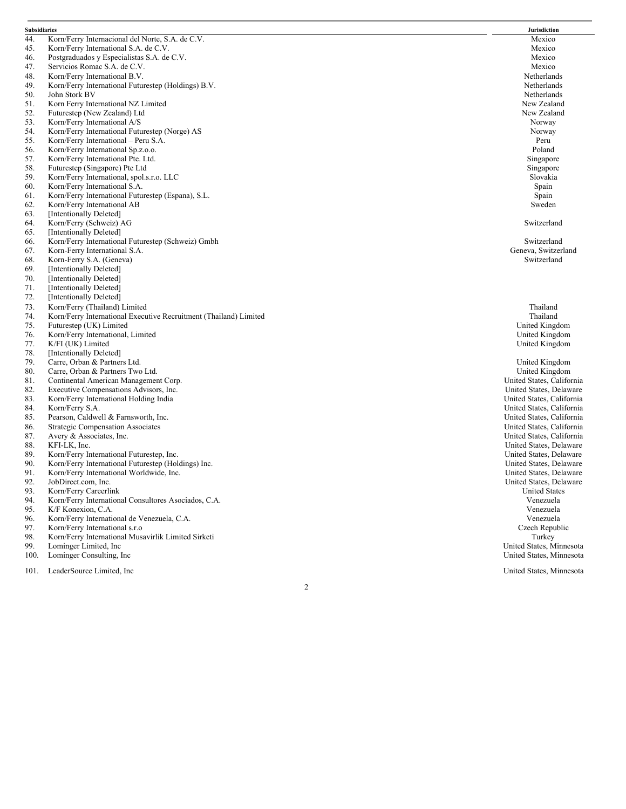| <b>Subsidiaries</b> |                                                                   | Jurisdiction              |
|---------------------|-------------------------------------------------------------------|---------------------------|
| 44.                 | Korn/Ferry Internacional del Norte, S.A. de C.V.                  | Mexico                    |
| 45.                 | Korn/Ferry International S.A. de C.V.                             | Mexico                    |
| 46.                 | Postgraduados y Especialistas S.A. de C.V.                        | Mexico                    |
| 47.                 | Servicios Romac S.A. de C.V.                                      | Mexico                    |
| 48.                 | Korn/Ferry International B.V.                                     | Netherlands               |
| 49.                 | Korn/Ferry International Futurestep (Holdings) B.V.               | Netherlands               |
| 50.                 | John Stork BV                                                     | Netherlands               |
| 51.                 | Korn Ferry International NZ Limited                               | New Zealand               |
| 52.                 | Futurestep (New Zealand) Ltd                                      | New Zealand               |
| 53.                 | Korn/Ferry International A/S                                      | Norway                    |
| 54.                 | Korn/Ferry International Futurestep (Norge) AS                    | Norway                    |
| 55.                 | Korn/Ferry International – Peru S.A.                              | Peru                      |
| 56.                 | Korn/Ferry International Sp.z.o.o.                                | Poland                    |
| 57.                 | Korn/Ferry International Pte. Ltd.                                | Singapore                 |
| 58.                 | Futurestep (Singapore) Pte Ltd                                    | Singapore                 |
| 59.                 | Korn/Ferry International, spol.s.r.o. LLC                         | Slovakia                  |
| 60.                 | Korn/Ferry International S.A.                                     | Spain                     |
| 61.                 | Korn/Ferry International Futurestep (Espana), S.L.                | Spain                     |
| 62.                 | Korn/Ferry International AB                                       | Sweden                    |
| 63.                 | [Intentionally Deleted]                                           |                           |
| 64.                 | Korn/Ferry (Schweiz) AG                                           | Switzerland               |
| 65.                 | [Intentionally Deleted]                                           |                           |
| 66.                 | Korn/Ferry International Futurestep (Schweiz) Gmbh                | Switzerland               |
| 67.                 | Korn-Ferry International S.A.                                     | Geneva, Switzerland       |
| 68.                 | Korn-Ferry S.A. (Geneva)                                          | Switzerland               |
| 69.                 | [Intentionally Deleted]                                           |                           |
| 70.                 | [Intentionally Deleted]                                           |                           |
| 71.                 | [Intentionally Deleted]                                           |                           |
| 72.                 | [Intentionally Deleted]                                           |                           |
| 73.                 | Korn/Ferry (Thailand) Limited                                     | Thailand                  |
| 74.                 | Korn/Ferry International Executive Recruitment (Thailand) Limited | Thailand                  |
| 75.                 | Futurestep (UK) Limited                                           | United Kingdom            |
| 76.                 | Korn/Ferry International, Limited                                 | United Kingdom            |
| 77.                 | K/FI (UK) Limited                                                 | United Kingdom            |
| 78.                 | [Intentionally Deleted]                                           |                           |
| 79.                 | Carre, Orban & Partners Ltd.                                      | United Kingdom            |
| 80.                 | Carre, Orban & Partners Two Ltd.                                  | United Kingdom            |
| 81.                 | Continental American Management Corp.                             | United States, California |
| 82.                 | Executive Compensations Advisors, Inc.                            | United States, Delaware   |
| 83.                 | Korn/Ferry International Holding India                            | United States, California |
| 84.                 | Korn/Ferry S.A.                                                   | United States, California |
| 85.                 | Pearson, Caldwell & Farnsworth, Inc.                              | United States, California |
| 86.                 | <b>Strategic Compensation Associates</b>                          | United States, California |
| 87.                 | Avery & Associates, Inc.                                          | United States, California |
| 88.                 | KFI-LK, Inc.                                                      | United States, Delaware   |
| 89.                 | Korn/Ferry International Futurestep, Inc.                         | United States, Delaware   |
| 90.                 | Korn/Ferry International Futurestep (Holdings) Inc.               | United States, Delaware   |
| 91.                 | Korn/Ferry International Worldwide, Inc.                          | United States, Delaware   |
| 92.                 |                                                                   | United States, Delaware   |
| 93.                 | JobDirect.com, Inc.<br>Korn/Ferry Careerlink                      | <b>United States</b>      |
| 94.                 | Korn/Ferry International Consultores Asociados, C.A.              | Venezuela                 |
| 95.                 | K/F Konexion, C.A.                                                | Venezuela                 |
|                     |                                                                   |                           |
| 96.                 | Korn/Ferry International de Venezuela, C.A.                       | Venezuela                 |
| 97.                 | Korn/Ferry International s.r.o                                    | Czech Republic            |
| 98.                 | Korn/Ferry International Musavirlik Limited Sirketi               | Turkey                    |
| 99.                 | Lominger Limited, Inc.                                            | United States, Minnesota  |
| 100.                | Lominger Consulting, Inc.                                         | United States, Minnesota  |
| 101.                | LeaderSource Limited, Inc.                                        | United States, Minnesota  |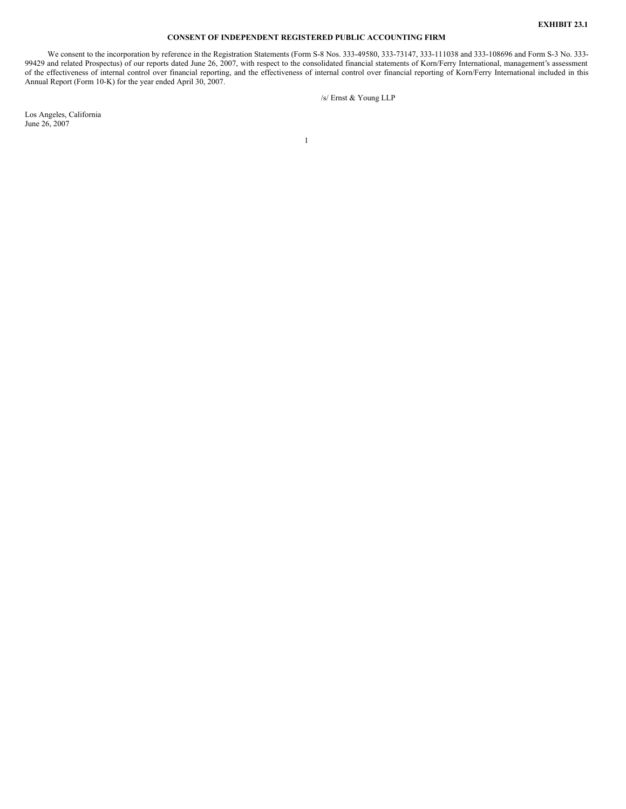## **CONSENT OF INDEPENDENT REGISTERED PUBLIC ACCOUNTING FIRM**

We consent to the incorporation by reference in the Registration Statements (Form S-8 Nos. 333-49580, 333-73147, 333-111038 and 333-108696 and Form S-3 No. 333-99429 and related Prospectus) of our reports dated June 26, 2007, with respect to the consolidated financial statements of Korn/Ferry International, management's assessment of the effectiveness of internal control over financial reporting, and the effectiveness of internal control over financial reporting of Korn/Ferry International included in this Annual Report (Form 10-K) for the year ended April 30, 2007.

1

/s/ Ernst & Young LLP

Los Angeles, California June 26, 2007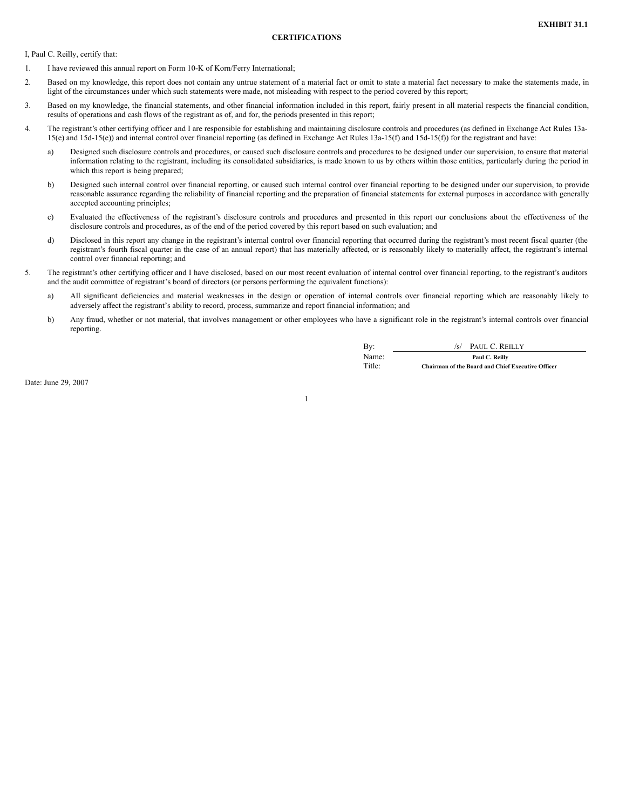I, Paul C. Reilly, certify that:

- 1. I have reviewed this annual report on Form 10-K of Korn/Ferry International;
- 2. Based on my knowledge, this report does not contain any untrue statement of a material fact or omit to state a material fact necessary to make the statements made, in light of the circumstances under which such statements were made, not misleading with respect to the period covered by this report;
- 3. Based on my knowledge, the financial statements, and other financial information included in this report, fairly present in all material respects the financial condition, results of operations and cash flows of the registrant as of, and for, the periods presented in this report;
- 4. The registrant's other certifying officer and I are responsible for establishing and maintaining disclosure controls and procedures (as defined in Exchange Act Rules 13a-15(e) and 15d-15(e)) and internal control over financial reporting (as defined in Exchange Act Rules 13a-15(f) and 15d-15(f)) for the registrant and have:
	- a) Designed such disclosure controls and procedures, or caused such disclosure controls and procedures to be designed under our supervision, to ensure that material information relating to the registrant, including its consolidated subsidiaries, is made known to us by others within those entities, particularly during the period in which this report is being prepared;
	- b) Designed such internal control over financial reporting, or caused such internal control over financial reporting to be designed under our supervision, to provide reasonable assurance regarding the reliability of financial reporting and the preparation of financial statements for external purposes in accordance with generally accepted accounting principles:
	- c) Evaluated the effectiveness of the registrant's disclosure controls and procedures and presented in this report our conclusions about the effectiveness of the disclosure controls and procedures, as of the end of the period covered by this report based on such evaluation; and
	- d) Disclosed in this report any change in the registrant's internal control over financial reporting that occurred during the registrant's most recent fiscal quarter (the registrant's fourth fiscal quarter in the case of an annual report) that has materially affected, or is reasonably likely to materially affect, the registrant's internal control over financial reporting; and
- 5. The registrant's other certifying officer and I have disclosed, based on our most recent evaluation of internal control over financial reporting, to the registrant's auditors and the audit committee of registrant's board of directors (or persons performing the equivalent functions):
	- a) All significant deficiencies and material weaknesses in the design or operation of internal controls over financial reporting which are reasonably likely to adversely affect the registrant's ability to record, process, summarize and report financial information; and
	- b) Any fraud, whether or not material, that involves management or other employees who have a significant role in the registrant's internal controls over financial reporting.

| By:    | $/s/$ PAUL C. REILLY                                     |
|--------|----------------------------------------------------------|
| Name:  | Paul C. Reilly                                           |
| Title: | <b>Chairman of the Board and Chief Executive Officer</b> |

Date: June 29, 2007

1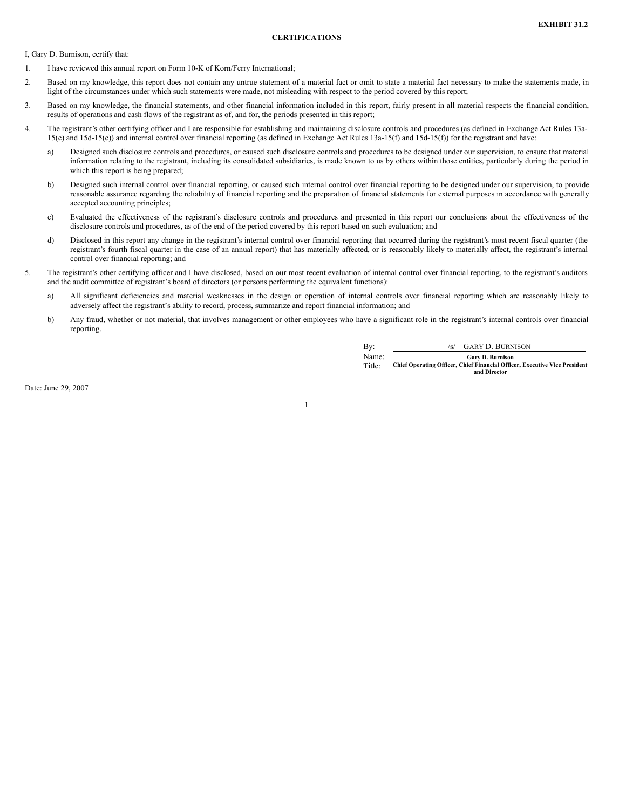I, Gary D. Burnison, certify that:

- 1. I have reviewed this annual report on Form 10-K of Korn/Ferry International;
- 2. Based on my knowledge, this report does not contain any untrue statement of a material fact or omit to state a material fact necessary to make the statements made, in light of the circumstances under which such statements were made, not misleading with respect to the period covered by this report;
- 3. Based on my knowledge, the financial statements, and other financial information included in this report, fairly present in all material respects the financial condition, results of operations and cash flows of the registrant as of, and for, the periods presented in this report;
- 4. The registrant's other certifying officer and I are responsible for establishing and maintaining disclosure controls and procedures (as defined in Exchange Act Rules 13a-15(e) and 15d-15(e)) and internal control over financial reporting (as defined in Exchange Act Rules 13a-15(f) and 15d-15(f)) for the registrant and have:
	- a) Designed such disclosure controls and procedures, or caused such disclosure controls and procedures to be designed under our supervision, to ensure that material information relating to the registrant, including its consolidated subsidiaries, is made known to us by others within those entities, particularly during the period in which this report is being prepared;
	- b) Designed such internal control over financial reporting, or caused such internal control over financial reporting to be designed under our supervision, to provide reasonable assurance regarding the reliability of financial reporting and the preparation of financial statements for external purposes in accordance with generally accepted accounting principles:
	- c) Evaluated the effectiveness of the registrant's disclosure controls and procedures and presented in this report our conclusions about the effectiveness of the disclosure controls and procedures, as of the end of the period covered by this report based on such evaluation; and
	- d) Disclosed in this report any change in the registrant's internal control over financial reporting that occurred during the registrant's most recent fiscal quarter (the registrant's fourth fiscal quarter in the case of an annual report) that has materially affected, or is reasonably likely to materially affect, the registrant's internal control over financial reporting; and
- 5. The registrant's other certifying officer and I have disclosed, based on our most recent evaluation of internal control over financial reporting, to the registrant's auditors and the audit committee of registrant's board of directors (or persons performing the equivalent functions):
	- a) All significant deficiencies and material weaknesses in the design or operation of internal controls over financial reporting which are reasonably likely to adversely affect the registrant's ability to record, process, summarize and report financial information; and
	- b) Any fraud, whether or not material, that involves management or other employees who have a significant role in the registrant's internal controls over financial reporting.

1

| By:    | <b>GARY D. BURNISON</b>                                                           |
|--------|-----------------------------------------------------------------------------------|
| Name:  | <b>Gary D. Burnison</b>                                                           |
| Title: | <b>Chief Operating Officer, Chief Financial Officer, Executive Vice President</b> |
|        | and Director                                                                      |

Date: June 29, 2007